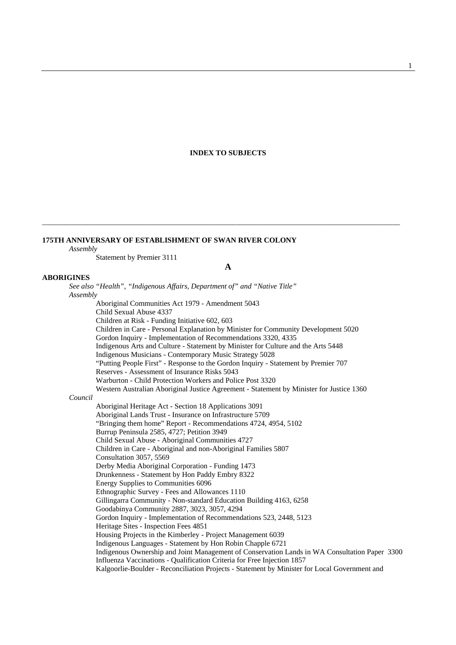#### **INDEX TO SUBJECTS**

### **175TH ANNIVERSARY OF ESTABLISHMENT OF SWAN RIVER COLONY**

*Assembly*

Statement by Premier 3111

#### **A**

\_\_\_\_\_\_\_\_\_\_\_\_\_\_\_\_\_\_\_\_\_\_\_\_\_\_\_\_\_\_\_\_\_\_\_\_\_\_\_\_\_\_\_\_\_\_\_\_\_\_\_\_\_\_\_\_\_\_\_\_\_\_\_\_\_\_\_\_\_\_\_\_\_\_\_\_\_\_\_\_\_\_\_\_\_\_\_\_\_\_\_\_\_\_\_\_

### **ABORIGINES**

*See also "Health", "Indigenous Affairs, Department of" and "Native Title" Assembly* Aboriginal Communities Act 1979 - Amendment 5043 Child Sexual Abuse 4337 Children at Risk - Funding Initiative 602, 603 Children in Care - Personal Explanation by Minister for Community Development 5020 Gordon Inquiry - Implementation of Recommendations 3320, 4335 Indigenous Arts and Culture - Statement by Minister for Culture and the Arts 5448 Indigenous Musicians - Contemporary Music Strategy 5028 "Putting People First" - Response to the Gordon Inquiry - Statement by Premier 707 Reserves - Assessment of Insurance Risks 5043 Warburton - Child Protection Workers and Police Post 3320 Western Australian Aboriginal Justice Agreement - Statement by Minister for Justice 1360 *Council* Aboriginal Heritage Act - Section 18 Applications 3091 Aboriginal Lands Trust - Insurance on Infrastructure 5709 "Bringing them home" Report - Recommendations 4724, 4954, 5102 Burrup Peninsula 2585, 4727; Petition 3949 Child Sexual Abuse - Aboriginal Communities 4727 Children in Care - Aboriginal and non-Aboriginal Families 5807 Consultation 3057, 5569 Derby Media Aboriginal Corporation - Funding 1473 Drunkenness - Statement by Hon Paddy Embry 8322 Energy Supplies to Communities 6096 Ethnographic Survey - Fees and Allowances 1110 Gillingarra Community - Non-standard Education Building 4163, 6258 Goodabinya Community 2887, 3023, 3057, 4294 Gordon Inquiry - Implementation of Recommendations 523, 2448, 5123 Heritage Sites - Inspection Fees 4851 Housing Projects in the Kimberley - Project Management 6039 Indigenous Languages - Statement by Hon Robin Chapple 6721 Indigenous Ownership and Joint Management of Conservation Lands in WA Consultation Paper 3300 Influenza Vaccinations - Qualification Criteria for Free Injection 1857 Kalgoorlie-Boulder - Reconciliation Projects - Statement by Minister for Local Government and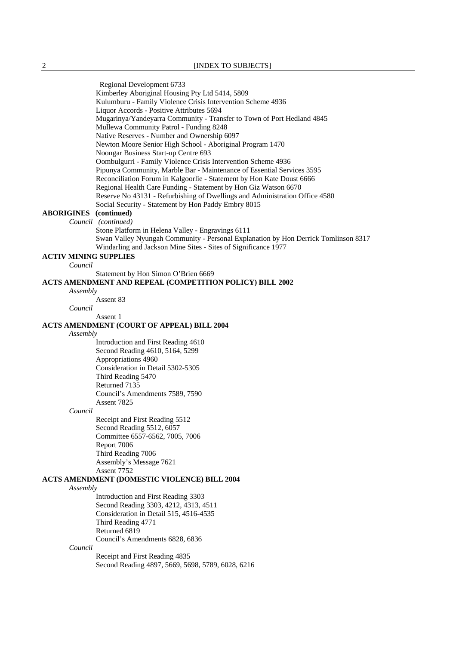Regional Development 6733 Kimberley Aboriginal Housing Pty Ltd 5414, 5809 Kulumburu - Family Violence Crisis Intervention Scheme 4936 Liquor Accords - Positive Attributes 5694 Mugarinya/Yandeyarra Community - Transfer to Town of Port Hedland 4845 Mullewa Community Patrol - Funding 8248 Native Reserves - Number and Ownership 6097 Newton Moore Senior High School - Aboriginal Program 1470 Noongar Business Start-up Centre 693 Oombulgurri - Family Violence Crisis Intervention Scheme 4936 Pipunya Community, Marble Bar - Maintenance of Essential Services 3595 Reconciliation Forum in Kalgoorlie - Statement by Hon Kate Doust 6666 Regional Health Care Funding - Statement by Hon Giz Watson 6670 Reserve No 43131 - Refurbishing of Dwellings and Administration Office 4580 Social Security - Statement by Hon Paddy Embry 8015 **ABORIGINES (continued)**  *Council (continued)* Stone Platform in Helena Valley - Engravings 6111 Swan Valley Nyungah Community - Personal Explanation by Hon Derrick Tomlinson 8317 Windarling and Jackson Mine Sites - Sites of Significance 1977 **ACTIV MINING SUPPLIES** *Council* Statement by Hon Simon O'Brien 6669 **ACTS AMENDMENT AND REPEAL (COMPETITION POLICY) BILL 2002** *Assembly* Assent 83 *Council* Assent 1 **ACTS AMENDMENT (COURT OF APPEAL) BILL 2004** *Assembly* Introduction and First Reading 4610 Second Reading 4610, 5164, 5299 Appropriations 4960 Consideration in Detail 5302-5305 Third Reading 5470 Returned 7135 Council's Amendments 7589, 7590 Assent 7825 *Council* Receipt and First Reading 5512 Second Reading 5512, 6057 Committee 6557-6562, 7005, 7006 Report 7006 Third Reading 7006 Assembly's Message 7621 Assent 7752 **ACTS AMENDMENT (DOMESTIC VIOLENCE) BILL 2004** *Assembly* Introduction and First Reading 3303 Second Reading 3303, 4212, 4313, 4511 Consideration in Detail 515, 4516-4535 Third Reading 4771 Returned 6819 Council's Amendments 6828, 6836 *Council* Receipt and First Reading 4835 Second Reading 4897, 5669, 5698, 5789, 6028, 6216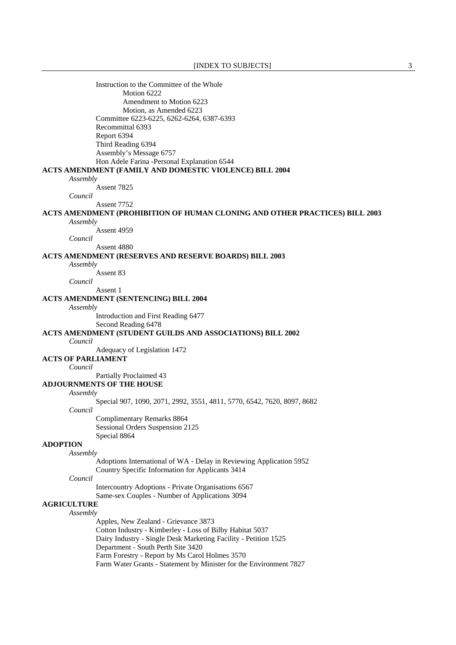Instruction to the Committee of the Whole Motion 6222 Amendment to Motion 6223 Motion, as Amended 6223 Committee 6223-6225, 6262-6264, 6387-6393 Recommittal 6393 Report 6394 Third Reading 6394 Assembly's Message 6757 Hon Adele Farina -Personal Explanation 6544 **ACTS AMENDMENT (FAMILY AND DOMESTIC VIOLENCE) BILL 2004** *Assembly* Assent 7825 *Council* Assent 7752 **ACTS AMENDMENT (PROHIBITION OF HUMAN CLONING AND OTHER PRACTICES) BILL 2003** *Assembly* Assent 4959 *Council* Assent 4880 **ACTS AMENDMENT (RESERVES AND RESERVE BOARDS) BILL 2003** *Assembly* Assent 83 *Council* Assent 1 **ACTS AMENDMENT (SENTENCING) BILL 2004** *Assembly* Introduction and First Reading 6477 Second Reading 6478 **ACTS AMENDMENT (STUDENT GUILDS AND ASSOCIATIONS) BILL 2002** *Council* Adequacy of Legislation 1472 **ACTS OF PARLIAMENT** *Council* Partially Proclaimed 43 **ADJOURNMENTS OF THE HOUSE** *Assembly* Special 907, 1090, 2071, 2992, 3551, 4811, 5770, 6542, 7620, 8097, 8682 *Council* Complimentary Remarks 8864 Sessional Orders Suspension 2125 Special 8864 **ADOPTION** *Assembly* Adoptions International of WA - Delay in Reviewing Application 5952 Country Specific Information for Applicants 3414 *Council* Intercountry Adoptions - Private Organisations 6567 Same-sex Couples - Number of Applications 3094 **AGRICULTURE** *Assembly* Apples, New Zealand - Grievance 3873 Cotton Industry - Kimberley - Loss of Bilby Habitat 5037 Dairy Industry - Single Desk Marketing Facility - Petition 1525 Department - South Perth Site 3420 Farm Forestry - Report by Ms Carol Holmes 3570 Farm Water Grants - Statement by Minister for the Environment 7827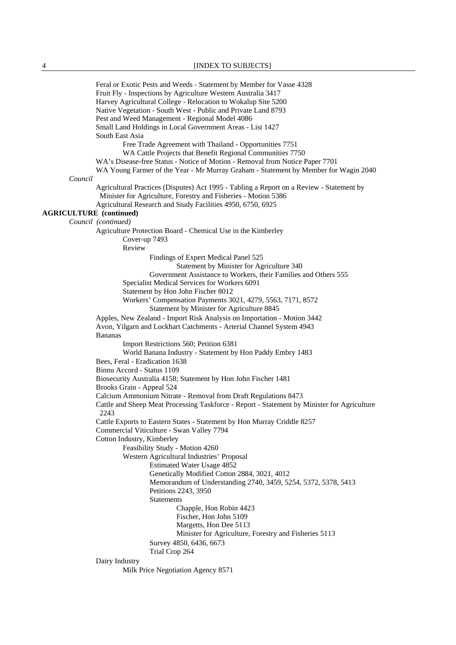Feral or Exotic Pests and Weeds - Statement by Member for Vasse 4328 Fruit Fly - Inspections by Agriculture Western Australia 3417 Harvey Agricultural College - Relocation to Wokalup Site 5200 Native Vegetation - South West - Public and Private Land 8793 Pest and Weed Management - Regional Model 4086 Small Land Holdings in Local Government Areas - List 1427 South East Asia Free Trade Agreement with Thailand - Opportunities 7751 WA Cattle Projects that Benefit Regional Communities 7750 WA's Disease-free Status - Notice of Motion - Removal from Notice Paper 7701 WA Young Farmer of the Year - Mr Murray Graham - Statement by Member for Wagin 2040 *Council* Agricultural Practices (Disputes) Act 1995 - Tabling a Report on a Review - Statement by Minister for Agriculture, Forestry and Fisheries - Motion 5386 Agricultural Research and Study Facilities 4950, 6750, 6925 **AGRICULTURE (continued)** *Council (continued)*  Agriculture Protection Board - Chemical Use in the Kimberley Cover-up 7493 Review Findings of Expert Medical Panel 525 Statement by Minister for Agriculture 340 Government Assistance to Workers, their Families and Others 555 Specialist Medical Services for Workers 6091 Statement by Hon John Fischer 8012 Workers' Compensation Payments 3021, 4279, 5563, 7171, 8572 Statement by Minister for Agriculture 8845 Apples, New Zealand - Import Risk Analysis on Importation - Motion 3442 Avon, Yilgarn and Lockhart Catchments - Arterial Channel System 4943 Bananas Import Restrictions 560; Petition 6381 World Banana Industry - Statement by Hon Paddy Embry 1483 Bees, Feral - Eradication 1638 Binnu Accord - Status 1109 Biosecurity Australia 4158; Statement by Hon John Fischer 1481 Brooks Grain - Appeal 524 Calcium Ammonium Nitrate - Removal from Draft Regulations 8473 Cattle and Sheep Meat Processing Taskforce - Report - Statement by Minister for Agriculture 2243 Cattle Exports to Eastern States - Statement by Hon Murray Criddle 8257 Commercial Viticulture - Swan Valley 7794 Cotton Industry, Kimberley Feasibility Study - Motion 4260 Western Agricultural Industries' Proposal Estimated Water Usage 4852 Genetically Modified Cotton 2884, 3021, 4012 Memorandum of Understanding 2740, 3459, 5254, 5372, 5378, 5413 Petitions 2243, 3950 Statements Chapple, Hon Robin 4423 Fischer, Hon John 5109 Margetts, Hon Dee 5113 Minister for Agriculture, Forestry and Fisheries 5113 Survey 4850, 6436, 6673 Trial Crop 264 Dairy Industry Milk Price Negotiation Agency 8571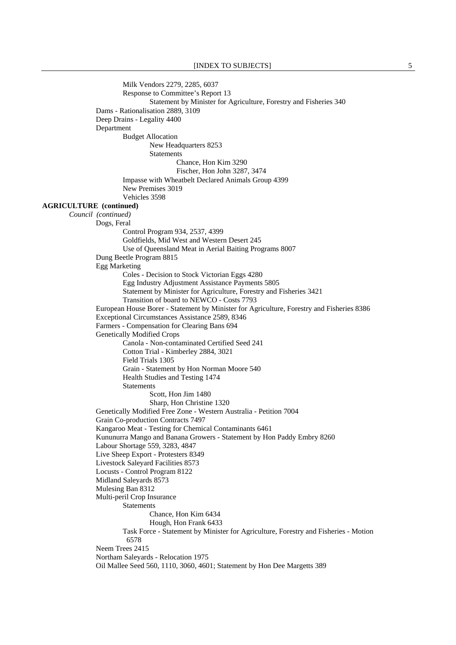Milk Vendors 2279, 2285, 6037 Response to Committee's Report 13 Statement by Minister for Agriculture, Forestry and Fisheries 340 Dams - Rationalisation 2889, 3109 Deep Drains - Legality 4400 Department Budget Allocation New Headquarters 8253 **Statements**  Chance, Hon Kim 3290 Fischer, Hon John 3287, 3474 Impasse with Wheatbelt Declared Animals Group 4399 New Premises 3019 Vehicles 3598 **AGRICULTURE (continued)** *Council (continued)*  Dogs, Feral Control Program 934, 2537, 4399 Goldfields, Mid West and Western Desert 245 Use of Queensland Meat in Aerial Baiting Programs 8007 Dung Beetle Program 8815 Egg Marketing Coles - Decision to Stock Victorian Eggs 4280 Egg Industry Adjustment Assistance Payments 5805 Statement by Minister for Agriculture, Forestry and Fisheries 3421 Transition of board to NEWCO - Costs 7793 European House Borer - Statement by Minister for Agriculture, Forestry and Fisheries 8386 Exceptional Circumstances Assistance 2589, 8346 Farmers - Compensation for Clearing Bans 694 Genetically Modified Crops Canola - Non-contaminated Certified Seed 241 Cotton Trial - Kimberley 2884, 3021 Field Trials 1305 Grain - Statement by Hon Norman Moore 540 Health Studies and Testing 1474 **Statements** Scott, Hon Jim 1480 Sharp, Hon Christine 1320 Genetically Modified Free Zone - Western Australia - Petition 7004 Grain Co-production Contracts 7497 Kangaroo Meat - Testing for Chemical Contaminants 6461 Kununurra Mango and Banana Growers - Statement by Hon Paddy Embry 8260 Labour Shortage 559, 3283, 4847 Live Sheep Export - Protesters 8349 Livestock Saleyard Facilities 8573 Locusts - Control Program 8122 Midland Saleyards 8573 Mulesing Ban 8312 Multi-peril Crop Insurance Statements Chance, Hon Kim 6434 Hough, Hon Frank 6433 Task Force - Statement by Minister for Agriculture, Forestry and Fisheries - Motion 6578 Neem Trees 2415 Northam Saleyards - Relocation 1975 Oil Mallee Seed 560, 1110, 3060, 4601; Statement by Hon Dee Margetts 389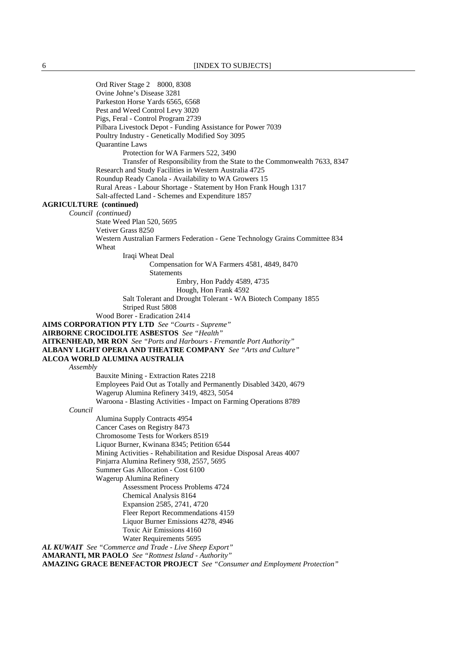Ord River Stage 2 8000, 8308 Ovine Johne's Disease 3281 Parkeston Horse Yards 6565, 6568 Pest and Weed Control Levy 3020 Pigs, Feral - Control Program 2739 Pilbara Livestock Depot - Funding Assistance for Power 7039 Poultry Industry - Genetically Modified Soy 3095 Quarantine Laws Protection for WA Farmers 522, 3490 Transfer of Responsibility from the State to the Commonwealth 7633, 8347 Research and Study Facilities in Western Australia 4725 Roundup Ready Canola - Availability to WA Growers 15 Rural Areas - Labour Shortage - Statement by Hon Frank Hough 1317 Salt-affected Land - Schemes and Expenditure 1857 **AGRICULTURE (continued)** *Council (continued)*  State Weed Plan 520, 5695 Vetiver Grass 8250 Western Australian Farmers Federation - Gene Technology Grains Committee 834 Wheat Iraqi Wheat Deal Compensation for WA Farmers 4581, 4849, 8470 Statements Embry, Hon Paddy 4589, 4735 Hough, Hon Frank 4592 Salt Tolerant and Drought Tolerant - WA Biotech Company 1855 Striped Rust 5808 Wood Borer - Eradication 2414 **AIMS CORPORATION PTY LTD** *See "Courts - Supreme"*  **AIRBORNE CROCIDOLITE ASBESTOS** *See "Health"*  **AITKENHEAD, MR RON** *See "Ports and Harbours - Fremantle Port Authority"* **ALBANY LIGHT OPERA AND THEATRE COMPANY** *See "Arts and Culture"*  **ALCOA WORLD ALUMINA AUSTRALIA** *Assembly* Bauxite Mining - Extraction Rates 2218 Employees Paid Out as Totally and Permanently Disabled 3420, 4679 Wagerup Alumina Refinery 3419, 4823, 5054 Waroona - Blasting Activities - Impact on Farming Operations 8789 *Council* Alumina Supply Contracts 4954 Cancer Cases on Registry 8473 Chromosome Tests for Workers 8519 Liquor Burner, Kwinana 8345; Petition 6544 Mining Activities - Rehabilitation and Residue Disposal Areas 4007 Pinjarra Alumina Refinery 938, 2557, 5695 Summer Gas Allocation - Cost 6100 Wagerup Alumina Refinery Assessment Process Problems 4724 Chemical Analysis 8164 Expansion 2585, 2741, 4720 Fleer Report Recommendations 4159 Liquor Burner Emissions 4278, 4946 Toxic Air Emissions 4160 Water Requirements 5695 *AL KUWAIT See "Commerce and Trade - Live Sheep Export"*  **AMARANTI, MR PAOLO** *See "Rottnest Island - Authority"*  **AMAZING GRACE BENEFACTOR PROJECT** *See "Consumer and Employment Protection"*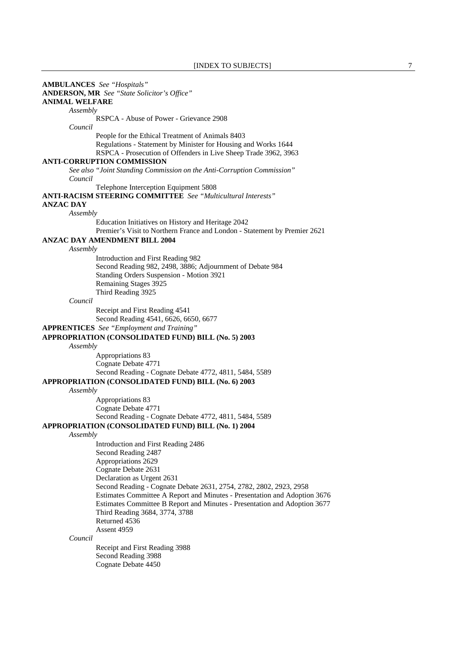**AMBULANCES** *See "Hospitals"*  **ANDERSON, MR** *See "State Solicitor's Office"*  **ANIMAL WELFARE** *Assembly* RSPCA - Abuse of Power - Grievance 2908 *Council* People for the Ethical Treatment of Animals 8403 Regulations - Statement by Minister for Housing and Works 1644 RSPCA - Prosecution of Offenders in Live Sheep Trade 3962, 3963 **ANTI-CORRUPTION COMMISSION** *See also "Joint Standing Commission on the Anti-Corruption Commission" Council* Telephone Interception Equipment 5808 **ANTI-RACISM STEERING COMMITTEE** *See "Multicultural Interests"*  **ANZAC DAY** *Assembly* Education Initiatives on History and Heritage 2042 Premier's Visit to Northern France and London - Statement by Premier 2621 **ANZAC DAY AMENDMENT BILL 2004** *Assembly* Introduction and First Reading 982 Second Reading 982, 2498, 3886; Adjournment of Debate 984 Standing Orders Suspension - Motion 3921 Remaining Stages 3925 Third Reading 3925 *Council* Receipt and First Reading 4541 Second Reading 4541, 6626, 6650, 6677 **APPRENTICES** *See "Employment and Training"*  **APPROPRIATION (CONSOLIDATED FUND) BILL (No. 5) 2003** *Assembly* Appropriations 83 Cognate Debate 4771 Second Reading - Cognate Debate 4772, 4811, 5484, 5589 **APPROPRIATION (CONSOLIDATED FUND) BILL (No. 6) 2003** *Assembly* Appropriations 83 Cognate Debate 4771 Second Reading - Cognate Debate 4772, 4811, 5484, 5589 **APPROPRIATION (CONSOLIDATED FUND) BILL (No. 1) 2004** *Assembly* Introduction and First Reading 2486 Second Reading 2487 Appropriations 2629 Cognate Debate 2631 Declaration as Urgent 2631 Second Reading - Cognate Debate 2631, 2754, 2782, 2802, 2923, 2958 Estimates Committee A Report and Minutes - Presentation and Adoption 3676 Estimates Committee B Report and Minutes - Presentation and Adoption 3677 Third Reading 3684, 3774, 3788 Returned 4536 Assent 4959 *Council* Receipt and First Reading 3988 Second Reading 3988 Cognate Debate 4450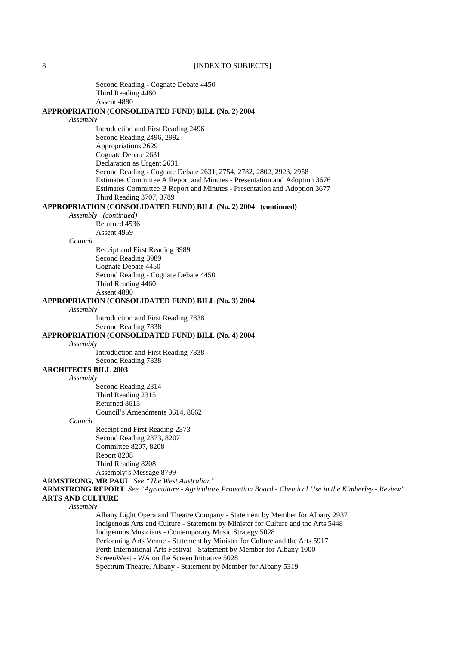Second Reading - Cognate Debate 4450 Third Reading 4460 Assent 4880

#### **APPROPRIATION (CONSOLIDATED FUND) BILL (No. 2) 2004**

#### *Assembly*

 Introduction and First Reading 2496 Second Reading 2496, 2992 Appropriations 2629 Cognate Debate 2631 Declaration as Urgent 2631 Second Reading - Cognate Debate 2631, 2754, 2782, 2802, 2923, 2958 Estimates Committee A Report and Minutes - Presentation and Adoption 3676 Estimates Committee B Report and Minutes - Presentation and Adoption 3677 Third Reading 3707, 3789

### **APPROPRIATION (CONSOLIDATED FUND) BILL (No. 2) 2004 (continued)**

*Assembly (continued)*

Returned 4536 Assent 4959

### *Council*

 Receipt and First Reading 3989 Second Reading 3989 Cognate Debate 4450 Second Reading - Cognate Debate 4450 Third Reading 4460 Assent 4880

## **APPROPRIATION (CONSOLIDATED FUND) BILL (No. 3) 2004**

*Assembly*

Introduction and First Reading 7838

Second Reading 7838

### **APPROPRIATION (CONSOLIDATED FUND) BILL (No. 4) 2004**

*Assembly*

 Introduction and First Reading 7838 Second Reading 7838

### **ARCHITECTS BILL 2003**

*Assembly*

 Second Reading 2314 Third Reading 2315 Returned 8613 Council's Amendments 8614, 8662

*Council*

 Receipt and First Reading 2373 Second Reading 2373, 8207 Committee 8207, 8208 Report 8208 Third Reading 8208 Assembly's Message 8799

**ARMSTRONG, MR PAUL** *See "The West Australian"* 

**ARMSTRONG REPORT** *See "Agriculture - Agriculture Protection Board - Chemical Use in the Kimberley - Review"*  **ARTS AND CULTURE**

*Assembly*

 Albany Light Opera and Theatre Company - Statement by Member for Albany 2937 Indigenous Arts and Culture - Statement by Minister for Culture and the Arts 5448 Indigenous Musicians - Contemporary Music Strategy 5028 Performing Arts Venue - Statement by Minister for Culture and the Arts 5917 Perth International Arts Festival - Statement by Member for Albany 1000 ScreenWest - WA on the Screen Initiative 5028 Spectrum Theatre, Albany - Statement by Member for Albany 5319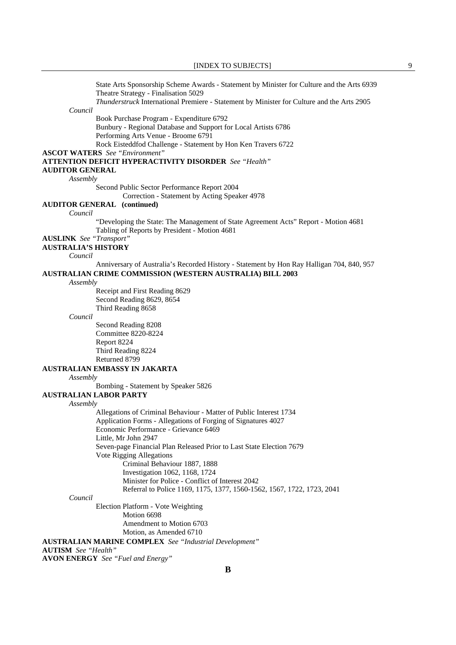State Arts Sponsorship Scheme Awards - Statement by Minister for Culture and the Arts 6939 Theatre Strategy - Finalisation 5029

*Thunderstruck* International Premiere - Statement by Minister for Culture and the Arts 2905

*Council*

Book Purchase Program - Expenditure 6792

 Bunbury - Regional Database and Support for Local Artists 6786 Performing Arts Venue - Broome 6791

Rock Eisteddfod Challenge - Statement by Hon Ken Travers 6722

**ASCOT WATERS** *See "Environment"* 

**ATTENTION DEFICIT HYPERACTIVITY DISORDER** *See "Health"* 

**AUDITOR GENERAL**

*Assembly*

Second Public Sector Performance Report 2004

Correction - Statement by Acting Speaker 4978

# **AUDITOR GENERAL (continued)**

*Council*

 "Developing the State: The Management of State Agreement Acts" Report - Motion 4681 Tabling of Reports by President - Motion 4681

**AUSLINK** *See "Transport"* 

# **AUSTRALIA'S HISTORY**

*Council*

 Anniversary of Australia's Recorded History - Statement by Hon Ray Halligan 704, 840, 957 **AUSTRALIAN CRIME COMMISSION (WESTERN AUSTRALIA) BILL 2003**

*Assembly*

 Receipt and First Reading 8629 Second Reading 8629, 8654 Third Reading 8658

*Council*

 Second Reading 8208 Committee 8220-8224 Report 8224 Third Reading 8224 Returned 8799

## **AUSTRALIAN EMBASSY IN JAKARTA**

*Assembly*

Bombing - Statement by Speaker 5826

### **AUSTRALIAN LABOR PARTY**

#### *Assembly*

 Allegations of Criminal Behaviour - Matter of Public Interest 1734 Application Forms - Allegations of Forging of Signatures 4027 Economic Performance - Grievance 6469 Little, Mr John 2947 Seven-page Financial Plan Released Prior to Last State Election 7679 Vote Rigging Allegations Criminal Behaviour 1887, 1888 Investigation 1062, 1168, 1724 Minister for Police - Conflict of Interest 2042 Referral to Police 1169, 1175, 1377, 1560-1562, 1567, 1722, 1723, 2041

#### *Council*

 Election Platform - Vote Weighting Motion 6698 Amendment to Motion 6703 Motion, as Amended 6710

**AUSTRALIAN MARINE COMPLEX** *See "Industrial Development"* 

# **AUTISM** *See "Health"*

**AVON ENERGY** *See "Fuel and Energy"*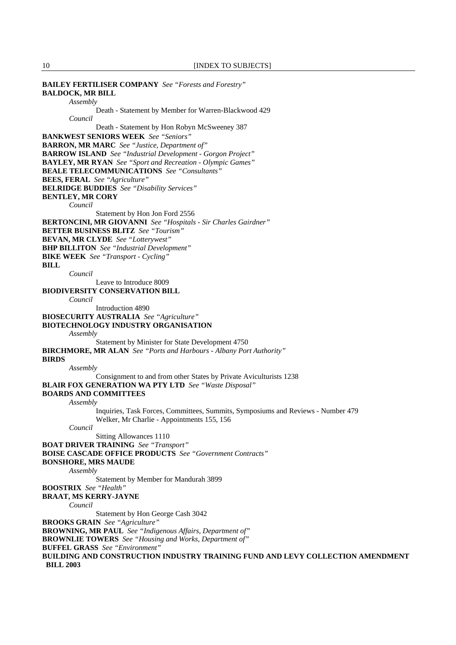| <b>BAILEY FERTILISER COMPANY</b> See "Forests and Forestry"                                |
|--------------------------------------------------------------------------------------------|
| <b>BALDOCK, MR BILL</b>                                                                    |
| Assembly                                                                                   |
| Death - Statement by Member for Warren-Blackwood 429                                       |
| Council                                                                                    |
| Death - Statement by Hon Robyn McSweeney 387                                               |
| <b>BANKWEST SENIORS WEEK</b> See "Seniors"                                                 |
| <b>BARRON, MR MARC</b> See "Justice, Department of"                                        |
| <b>BARROW ISLAND</b> See "Industrial Development - Gorgon Project"                         |
| <b>BAYLEY, MR RYAN</b> See "Sport and Recreation - Olympic Games"                          |
| <b>BEALE TELECOMMUNICATIONS</b> See "Consultants"                                          |
| <b>BEES, FERAL</b> See "Agriculture"                                                       |
| <b>BELRIDGE BUDDIES</b> See "Disability Services"                                          |
| <b>BENTLEY, MR CORY</b>                                                                    |
| Council                                                                                    |
| Statement by Hon Jon Ford 2556                                                             |
| <b>BERTONCINI, MR GIOVANNI</b> See "Hospitals - Sir Charles Gairdner"                      |
| <b>BETTER BUSINESS BLITZ</b> See "Tourism"                                                 |
| <b>BEVAN, MR CLYDE</b> See "Lotterywest"                                                   |
| <b>BHP BILLITON</b> See "Industrial Development"                                           |
| <b>BIKE WEEK</b> See "Transport - Cycling"                                                 |
| BILL                                                                                       |
| Council                                                                                    |
| Leave to Introduce 8009                                                                    |
| <b>BIODIVERSITY CONSERVATION BILL</b><br>Council                                           |
| Introduction 4890                                                                          |
|                                                                                            |
| <b>BIOSECURITY AUSTRALIA</b> See "Agriculture"                                             |
| <b>BIOTECHNOLOGY INDUSTRY ORGANISATION</b>                                                 |
| Assembly                                                                                   |
| Statement by Minister for State Development 4750                                           |
| <b>BIRCHMORE, MR ALAN</b> See "Ports and Harbours - Albany Port Authority"<br><b>BIRDS</b> |
|                                                                                            |
| Assembly<br>Consignment to and from other States by Private Aviculturists 1238             |
| <b>BLAIR FOX GENERATION WA PTY LTD</b> See "Waste Disposal"                                |
| <b>BOARDS AND COMMITTEES</b>                                                               |
| Assembly                                                                                   |
| Inquiries, Task Forces, Committees, Summits, Symposiums and Reviews - Number 479           |
| Welker, Mr Charlie - Appointments 155, 156                                                 |
| Council                                                                                    |
| Sitting Allowances 1110                                                                    |
| <b>BOAT DRIVER TRAINING</b> See "Transport"                                                |
| <b>BOISE CASCADE OFFICE PRODUCTS</b> See "Government Contracts"                            |
| <b>BONSHORE, MRS MAUDE</b>                                                                 |
| Assembly                                                                                   |
| Statement by Member for Mandurah 3899                                                      |
| <b>BOOSTRIX</b> See "Health"                                                               |
| <b>BRAAT, MS KERRY-JAYNE</b>                                                               |
| Council                                                                                    |
| Statement by Hon George Cash 3042                                                          |
| <b>BROOKS GRAIN</b> See "Agriculture"                                                      |
| <b>BROWNING, MR PAUL</b> See "Indigenous Affairs, Department of"                           |
| <b>BROWNLIE TOWERS</b> See "Housing and Works, Department of"                              |
| <b>BUFFEL GRASS</b> See "Environment"                                                      |
| BUILDING AND CONSTRUCTION INDUSTRY TRAINING FUND AND LEVY COLLECTION AMENDMENT             |
| <b>BILL 2003</b>                                                                           |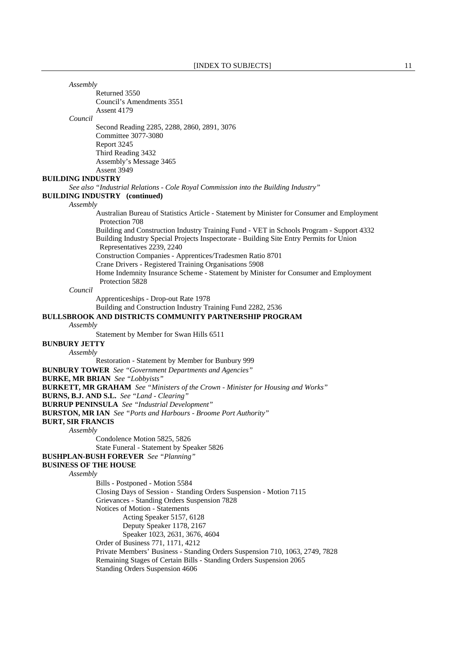| Assembly                     |                                                                                                                                                                                                                   |
|------------------------------|-------------------------------------------------------------------------------------------------------------------------------------------------------------------------------------------------------------------|
|                              | Returned 3550                                                                                                                                                                                                     |
|                              | Council's Amendments 3551                                                                                                                                                                                         |
|                              | Assent 4179                                                                                                                                                                                                       |
| Council                      |                                                                                                                                                                                                                   |
|                              | Second Reading 2285, 2288, 2860, 2891, 3076<br>Committee 3077-3080                                                                                                                                                |
|                              | Report 3245                                                                                                                                                                                                       |
|                              | Third Reading 3432                                                                                                                                                                                                |
|                              | Assembly's Message 3465                                                                                                                                                                                           |
|                              | Assent 3949                                                                                                                                                                                                       |
| <b>BUILDING INDUSTRY</b>     |                                                                                                                                                                                                                   |
|                              | See also "Industrial Relations - Cole Royal Commission into the Building Industry"                                                                                                                                |
|                              | <b>BUILDING INDUSTRY</b> (continued)                                                                                                                                                                              |
| Assembly                     | Australian Bureau of Statistics Article - Statement by Minister for Consumer and Employment                                                                                                                       |
|                              | Protection 708                                                                                                                                                                                                    |
|                              | Building and Construction Industry Training Fund - VET in Schools Program - Support 4332<br>Building Industry Special Projects Inspectorate - Building Site Entry Permits for Union<br>Representatives 2239, 2240 |
|                              | Construction Companies - Apprentices/Tradesmen Ratio 8701                                                                                                                                                         |
|                              | Crane Drivers - Registered Training Organisations 5908                                                                                                                                                            |
|                              | Home Indemnity Insurance Scheme - Statement by Minister for Consumer and Employment                                                                                                                               |
|                              | Protection 5828                                                                                                                                                                                                   |
| Council                      |                                                                                                                                                                                                                   |
|                              | Apprenticeships - Drop-out Rate 1978                                                                                                                                                                              |
|                              | Building and Construction Industry Training Fund 2282, 2536                                                                                                                                                       |
| Assembly                     | <b>BULLSBROOK AND DISTRICTS COMMUNITY PARTNERSHIP PROGRAM</b>                                                                                                                                                     |
|                              | Statement by Member for Swan Hills 6511                                                                                                                                                                           |
| <b>BUNBURY JETTY</b>         |                                                                                                                                                                                                                   |
| Assembly                     |                                                                                                                                                                                                                   |
|                              | Restoration - Statement by Member for Bunbury 999                                                                                                                                                                 |
|                              | <b>BUNBURY TOWER</b> See "Government Departments and Agencies"                                                                                                                                                    |
|                              | <b>BURKE, MR BRIAN</b> See "Lobbyists"                                                                                                                                                                            |
|                              | <b>BURKETT, MR GRAHAM</b> See "Ministers of the Crown - Minister for Housing and Works"                                                                                                                           |
|                              | BURNS, B.J. AND S.L. See "Land - Clearing"                                                                                                                                                                        |
|                              | <b>BURRUP PENINSULA</b> See "Industrial Development"                                                                                                                                                              |
|                              | <b>BURSTON, MR IAN</b> See "Ports and Harbours - Broome Port Authority"                                                                                                                                           |
| <b>BURT, SIR FRANCIS</b>     |                                                                                                                                                                                                                   |
| Assembly                     |                                                                                                                                                                                                                   |
|                              | Condolence Motion 5825, 5826                                                                                                                                                                                      |
|                              | State Funeral - Statement by Speaker 5826                                                                                                                                                                         |
|                              | <b>BUSHPLAN-BUSH FOREVER</b> See "Planning"                                                                                                                                                                       |
| <b>BUSINESS OF THE HOUSE</b> |                                                                                                                                                                                                                   |
| Assembly                     |                                                                                                                                                                                                                   |
|                              | Bills - Postponed - Motion 5584                                                                                                                                                                                   |
|                              | Closing Days of Session - Standing Orders Suspension - Motion 7115<br>Grievances - Standing Orders Suspension 7828                                                                                                |
|                              | Notices of Motion - Statements                                                                                                                                                                                    |
|                              | Acting Speaker 5157, 6128                                                                                                                                                                                         |
|                              | Deputy Speaker 1178, 2167                                                                                                                                                                                         |
|                              | Speaker 1023, 2631, 3676, 4604                                                                                                                                                                                    |
|                              | Order of Business 771, 1171, 4212                                                                                                                                                                                 |
|                              | Private Members' Business - Standing Orders Suspension 710, 1063, 2749, 7828                                                                                                                                      |
|                              | Remaining Stages of Certain Bills - Standing Orders Suspension 2065                                                                                                                                               |
|                              | Standing Orders Suspension 4606                                                                                                                                                                                   |
|                              |                                                                                                                                                                                                                   |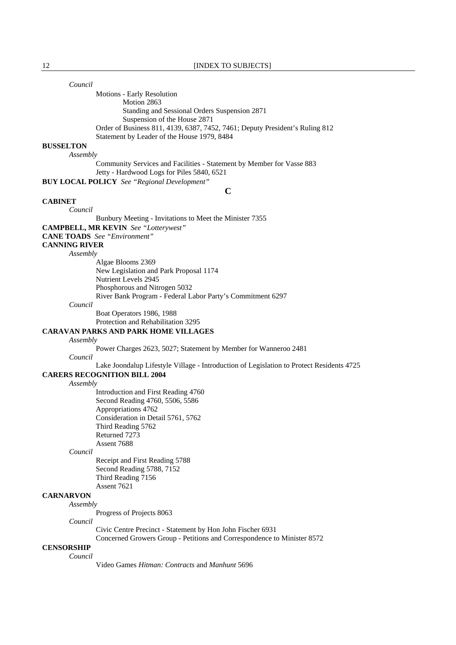*Council*

 Motions - Early Resolution Motion 2863 Standing and Sessional Orders Suspension 2871 Suspension of the House 2871 Order of Business 811, 4139, 6387, 7452, 7461; Deputy President's Ruling 812 Statement by Leader of the House 1979, 8484

### **BUSSELTON**

*Assembly*

 Community Services and Facilities - Statement by Member for Vasse 883 Jetty - Hardwood Logs for Piles 5840, 6521

**BUY LOCAL POLICY** *See "Regional Development"* 

**C**

#### **CABINET**

*Council*

Bunbury Meeting - Invitations to Meet the Minister 7355

**CAMPBELL, MR KEVIN** *See "Lotterywest"* 

**CANE TOADS** *See "Environment"* 

# **CANNING RIVER**

*Assembly*

 Algae Blooms 2369 New Legislation and Park Proposal 1174 Nutrient Levels 2945 Phosphorous and Nitrogen 5032 River Bank Program - Federal Labor Party's Commitment 6297

#### *Council*

 Boat Operators 1986, 1988 Protection and Rehabilitation 3295

### **CARAVAN PARKS AND PARK HOME VILLAGES**

#### *Assembly*

Power Charges 2623, 5027; Statement by Member for Wanneroo 2481

*Council*

Lake Joondalup Lifestyle Village - Introduction of Legislation to Protect Residents 4725

# **CARERS RECOGNITION BILL 2004**

*Assembly*

 Introduction and First Reading 4760 Second Reading 4760, 5506, 5586 Appropriations 4762 Consideration in Detail 5761, 5762 Third Reading 5762 Returned 7273 Assent 7688

#### *Council*

 Receipt and First Reading 5788 Second Reading 5788, 7152 Third Reading 7156 Assent 7621

# **CARNARVON**

Progress of Projects 8063

*Council*

*Assembly*

Civic Centre Precinct - Statement by Hon John Fischer 6931

Concerned Growers Group - Petitions and Correspondence to Minister 8572

# **CENSORSHIP**

*Council*

Video Games *Hitman: Contracts* and *Manhunt* 5696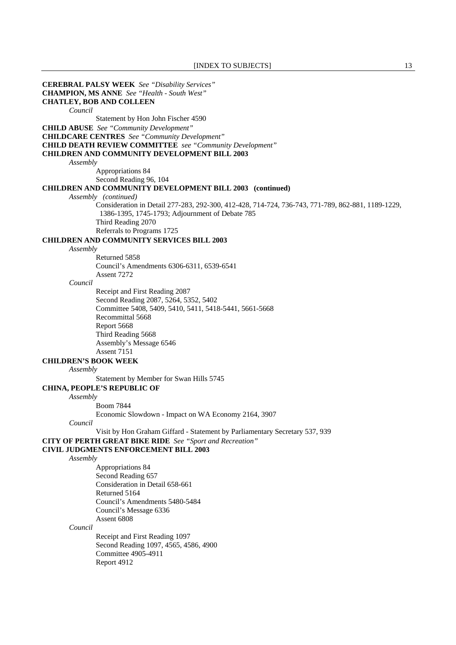**CEREBRAL PALSY WEEK** *See "Disability Services"*  **CHAMPION, MS ANNE** *See "Health - South West"*  **CHATLEY, BOB AND COLLEEN** *Council* Statement by Hon John Fischer 4590 **CHILD ABUSE** *See "Community Development"*  **CHILDCARE CENTRES** *See "Community Development"*  **CHILD DEATH REVIEW COMMITTEE** *see "Community Development"*  **CHILDREN AND COMMUNITY DEVELOPMENT BILL 2003** *Assembly* Appropriations 84 Second Reading 96, 104 **CHILDREN AND COMMUNITY DEVELOPMENT BILL 2003 (continued)** *Assembly (continued)* Consideration in Detail 277-283, 292-300, 412-428, 714-724, 736-743, 771-789, 862-881, 1189-1229, 1386-1395, 1745-1793; Adjournment of Debate 785 Third Reading 2070 Referrals to Programs 1725 **CHILDREN AND COMMUNITY SERVICES BILL 2003** *Assembly* Returned 5858 Council's Amendments 6306-6311, 6539-6541 Assent 7272 *Council* Receipt and First Reading 2087 Second Reading 2087, 5264, 5352, 5402 Committee 5408, 5409, 5410, 5411, 5418-5441, 5661-5668 Recommittal 5668 Report 5668 Third Reading 5668 Assembly's Message 6546 Assent 7151 **CHILDREN'S BOOK WEEK** *Assembly* Statement by Member for Swan Hills 5745 **CHINA, PEOPLE'S REPUBLIC OF** *Assembly* Boom 7844 Economic Slowdown - Impact on WA Economy 2164, 3907 *Council* Visit by Hon Graham Giffard - Statement by Parliamentary Secretary 537, 939 **CITY OF PERTH GREAT BIKE RIDE** *See "Sport and Recreation"*  **CIVIL JUDGMENTS ENFORCEMENT BILL 2003** *Assembly* Appropriations 84 Second Reading 657 Consideration in Detail 658-661 Returned 5164 Council's Amendments 5480-5484 Council's Message 6336 Assent 6808 *Council* Receipt and First Reading 1097 Second Reading 1097, 4565, 4586, 4900 Committee 4905-4911 Report 4912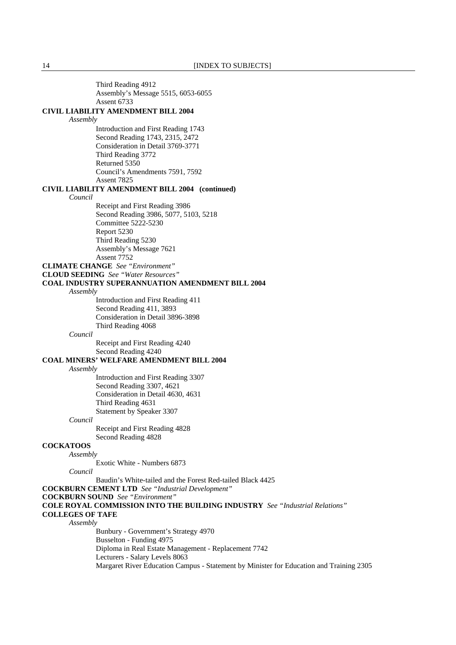Third Reading 4912 Assembly's Message 5515, 6053-6055 Assent 6733 **CIVIL LIABILITY AMENDMENT BILL 2004** *Assembly* Introduction and First Reading 1743 Second Reading 1743, 2315, 2472 Consideration in Detail 3769-3771 Third Reading 3772 Returned 5350 Council's Amendments 7591, 7592 Assent 7825 **CIVIL LIABILITY AMENDMENT BILL 2004 (continued)** *Council* Receipt and First Reading 3986 Second Reading 3986, 5077, 5103, 5218 Committee 5222-5230 Report 5230 Third Reading 5230 Assembly's Message 7621 Assent 7752 **CLIMATE CHANGE** *See "Environment"*  **CLOUD SEEDING** *See "Water Resources"*  **COAL INDUSTRY SUPERANNUATION AMENDMENT BILL 2004** *Assembly* Introduction and First Reading 411 Second Reading 411, 3893 Consideration in Detail 3896-3898 Third Reading 4068 *Council* Receipt and First Reading 4240 Second Reading 4240 **COAL MINERS' WELFARE AMENDMENT BILL 2004** *Assembly* Introduction and First Reading 3307 Second Reading 3307, 4621 Consideration in Detail 4630, 4631 Third Reading 4631 Statement by Speaker 3307 *Council* Receipt and First Reading 4828 Second Reading 4828 **COCKATOOS** *Assembly* Exotic White - Numbers 6873 *Council* Baudin's White-tailed and the Forest Red-tailed Black 4425 **COCKBURN CEMENT LTD** *See "Industrial Development"*  **COCKBURN SOUND** *See "Environment"*  **COLE ROYAL COMMISSION INTO THE BUILDING INDUSTRY** *See "Industrial Relations"*  **COLLEGES OF TAFE** *Assembly* Bunbury - Government's Strategy 4970 Busselton - Funding 4975 Diploma in Real Estate Management - Replacement 7742 Lecturers - Salary Levels 8063 Margaret River Education Campus - Statement by Minister for Education and Training 2305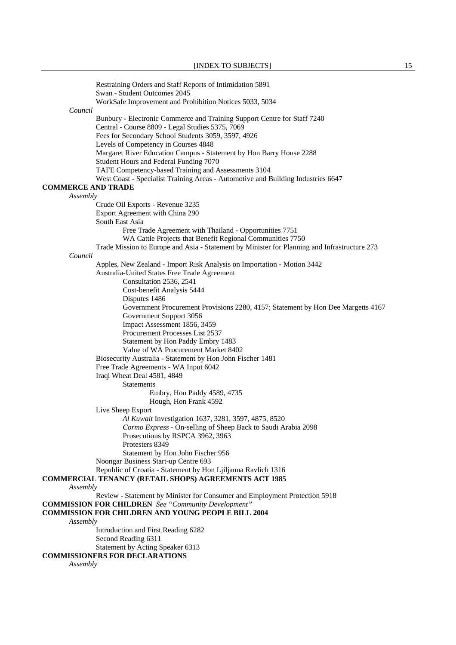|                           | Restraining Orders and Staff Reports of Intimidation 5891<br>Swan - Student Outcomes 2045                                    |
|---------------------------|------------------------------------------------------------------------------------------------------------------------------|
|                           | WorkSafe Improvement and Prohibition Notices 5033, 5034                                                                      |
| Council                   |                                                                                                                              |
|                           | Bunbury - Electronic Commerce and Training Support Centre for Staff 7240<br>Central - Course 8809 - Legal Studies 5375, 7069 |
|                           | Fees for Secondary School Students 3059, 3597, 4926                                                                          |
|                           | Levels of Competency in Courses 4848                                                                                         |
|                           | Margaret River Education Campus - Statement by Hon Barry House 2288                                                          |
|                           | Student Hours and Federal Funding 7070                                                                                       |
|                           | TAFE Competency-based Training and Assessments 3104                                                                          |
|                           | West Coast - Specialist Training Areas - Automotive and Building Industries 6647                                             |
| <b>COMMERCE AND TRADE</b> |                                                                                                                              |
| Assembly                  |                                                                                                                              |
|                           | Crude Oil Exports - Revenue 3235                                                                                             |
|                           | Export Agreement with China 290                                                                                              |
|                           | South East Asia                                                                                                              |
|                           | Free Trade Agreement with Thailand - Opportunities 7751                                                                      |
|                           | WA Cattle Projects that Benefit Regional Communities 7750                                                                    |
|                           | Trade Mission to Europe and Asia - Statement by Minister for Planning and Infrastructure 273                                 |
| Council                   | Apples, New Zealand - Import Risk Analysis on Importation - Motion 3442                                                      |
|                           | Australia-United States Free Trade Agreement                                                                                 |
|                           | Consultation 2536, 2541                                                                                                      |
|                           | Cost-benefit Analysis 5444                                                                                                   |
|                           | Disputes 1486                                                                                                                |
|                           | Government Procurement Provisions 2280, 4157; Statement by Hon Dee Margetts 4167                                             |
|                           | Government Support 3056                                                                                                      |
|                           | Impact Assessment 1856, 3459                                                                                                 |
|                           | Procurement Processes List 2537                                                                                              |
|                           | Statement by Hon Paddy Embry 1483                                                                                            |
|                           | Value of WA Procurement Market 8402                                                                                          |
|                           | Biosecurity Australia - Statement by Hon John Fischer 1481                                                                   |
|                           | Free Trade Agreements - WA Input 6042                                                                                        |
|                           | Iraqi Wheat Deal 4581, 4849                                                                                                  |
|                           | <b>Statements</b>                                                                                                            |
|                           | Embry, Hon Paddy 4589, 4735                                                                                                  |
|                           | Hough, Hon Frank 4592                                                                                                        |
|                           | Live Sheep Export                                                                                                            |
|                           | Al Kuwait Investigation 1637, 3281, 3597, 4875, 8520                                                                         |
|                           | Cormo Express - On-selling of Sheep Back to Saudi Arabia 2098                                                                |
|                           | Prosecutions by RSPCA 3962, 3963<br>Protesters 8349                                                                          |
|                           | Statement by Hon John Fischer 956                                                                                            |
|                           | Noongar Business Start-up Centre 693                                                                                         |
|                           | Republic of Croatia - Statement by Hon Ljiljanna Ravlich 1316                                                                |
|                           | <b>COMMERCIAL TENANCY (RETAIL SHOPS) AGREEMENTS ACT 1985</b>                                                                 |
| Assembly                  |                                                                                                                              |
|                           | Review - Statement by Minister for Consumer and Employment Protection 5918                                                   |
|                           | <b>COMMISSION FOR CHILDREN</b> See "Community Development"                                                                   |
|                           | <b>COMMISSION FOR CHILDREN AND YOUNG PEOPLE BILL 2004</b>                                                                    |
| Assembly                  |                                                                                                                              |
|                           | Introduction and First Reading 6282                                                                                          |
|                           | Second Reading 6311                                                                                                          |
|                           | Statement by Acting Speaker 6313                                                                                             |
|                           | <b>COMMISSIONERS FOR DECLARATIONS</b>                                                                                        |
| Assembly                  |                                                                                                                              |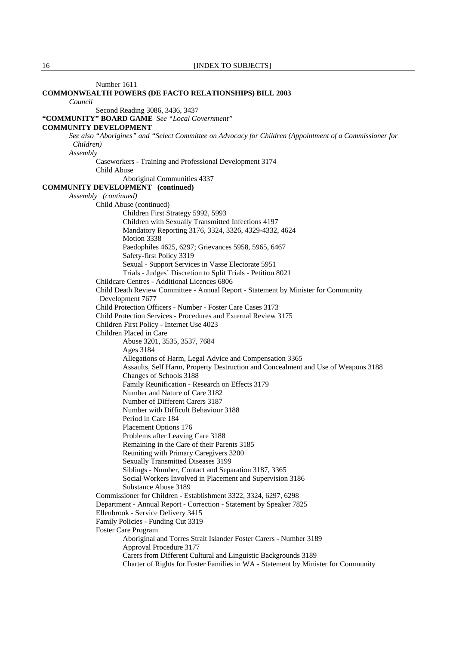Number 1611 **COMMONWEALTH POWERS (DE FACTO RELATIONSHIPS) BILL 2003** *Council* Second Reading 3086, 3436, 3437 **"COMMUNITY" BOARD GAME** *See "Local Government"*  **COMMUNITY DEVELOPMENT** *See also "Aborigines" and "Select Committee on Advocacy for Children (Appointment of a Commissioner for Children) Assembly* Caseworkers - Training and Professional Development 3174 Child Abuse Aboriginal Communities 4337 **COMMUNITY DEVELOPMENT (continued)**  *Assembly (continued)* Child Abuse (continued) Children First Strategy 5992, 5993 Children with Sexually Transmitted Infections 4197 Mandatory Reporting 3176, 3324, 3326, 4329-4332, 4624 Motion 3338 Paedophiles 4625, 6297; Grievances 5958, 5965, 6467 Safety-first Policy 3319 Sexual - Support Services in Vasse Electorate 5951 Trials - Judges' Discretion to Split Trials - Petition 8021 Childcare Centres - Additional Licences 6806 Child Death Review Committee - Annual Report - Statement by Minister for Community Development 7677 Child Protection Officers - Number - Foster Care Cases 3173 Child Protection Services - Procedures and External Review 3175 Children First Policy - Internet Use 4023 Children Placed in Care Abuse 3201, 3535, 3537, 7684 Ages 3184 Allegations of Harm, Legal Advice and Compensation 3365 Assaults, Self Harm, Property Destruction and Concealment and Use of Weapons 3188 Changes of Schools 3188 Family Reunification - Research on Effects 3179 Number and Nature of Care 3182 Number of Different Carers 3187 Number with Difficult Behaviour 3188 Period in Care 184 Placement Options 176 Problems after Leaving Care 3188 Remaining in the Care of their Parents 3185 Reuniting with Primary Caregivers 3200 Sexually Transmitted Diseases 3199 Siblings - Number, Contact and Separation 3187, 3365 Social Workers Involved in Placement and Supervision 3186 Substance Abuse 3189 Commissioner for Children - Establishment 3322, 3324, 6297, 6298 Department - Annual Report - Correction - Statement by Speaker 7825 Ellenbrook - Service Delivery 3415 Family Policies - Funding Cut 3319 Foster Care Program Aboriginal and Torres Strait Islander Foster Carers - Number 3189 Approval Procedure 3177 Carers from Different Cultural and Linguistic Backgrounds 3189 Charter of Rights for Foster Families in WA - Statement by Minister for Community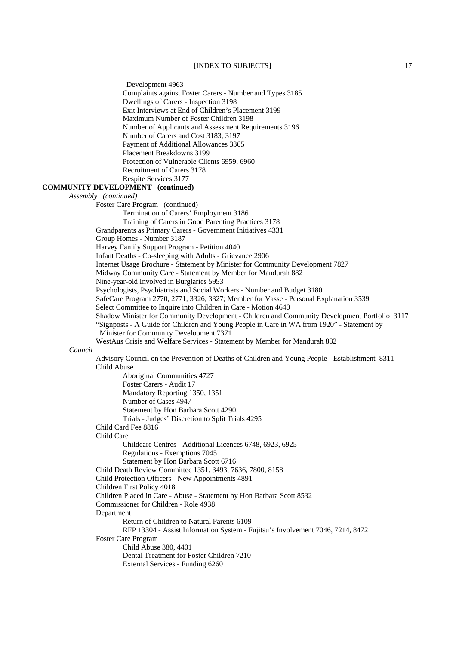Development 4963 Complaints against Foster Carers - Number and Types 3185 Dwellings of Carers - Inspection 3198 Exit Interviews at End of Children's Placement 3199 Maximum Number of Foster Children 3198 Number of Applicants and Assessment Requirements 3196 Number of Carers and Cost 3183, 3197 Payment of Additional Allowances 3365 Placement Breakdowns 3199 Protection of Vulnerable Clients 6959, 6960 Recruitment of Carers 3178 Respite Services 3177 **COMMUNITY DEVELOPMENT (continued)**  *Assembly (continued)*  Foster Care Program (continued) Termination of Carers' Employment 3186 Training of Carers in Good Parenting Practices 3178 Grandparents as Primary Carers - Government Initiatives 4331 Group Homes - Number 3187 Harvey Family Support Program - Petition 4040 Infant Deaths - Co-sleeping with Adults - Grievance 2906 Internet Usage Brochure - Statement by Minister for Community Development 7827 Midway Community Care - Statement by Member for Mandurah 882 Nine-year-old Involved in Burglaries 5953 Psychologists, Psychiatrists and Social Workers - Number and Budget 3180 SafeCare Program 2770, 2771, 3326, 3327; Member for Vasse - Personal Explanation 3539 Select Committee to Inquire into Children in Care - Motion 4640 Shadow Minister for Community Development - Children and Community Development Portfolio 3117 "Signposts - A Guide for Children and Young People in Care in WA from 1920" - Statement by Minister for Community Development 7371 WestAus Crisis and Welfare Services - Statement by Member for Mandurah 882 *Council* Advisory Council on the Prevention of Deaths of Children and Young People - Establishment 8311 Child Abuse Aboriginal Communities 4727 Foster Carers - Audit 17 Mandatory Reporting 1350, 1351 Number of Cases 4947 Statement by Hon Barbara Scott 4290 Trials - Judges' Discretion to Split Trials 4295 Child Card Fee 8816 Child Care Childcare Centres - Additional Licences 6748, 6923, 6925 Regulations - Exemptions 7045 Statement by Hon Barbara Scott 6716 Child Death Review Committee 1351, 3493, 7636, 7800, 8158 Child Protection Officers - New Appointments 4891 Children First Policy 4018 Children Placed in Care - Abuse - Statement by Hon Barbara Scott 8532 Commissioner for Children - Role 4938 Department Return of Children to Natural Parents 6109 RFP 13304 - Assist Information System - Fujitsu's Involvement 7046, 7214, 8472 Foster Care Program Child Abuse 380, 4401 Dental Treatment for Foster Children 7210 External Services - Funding 6260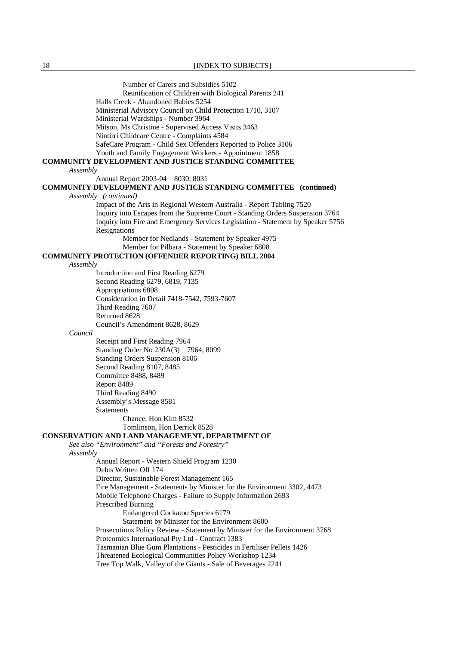Number of Carers and Subsidies 5102 Reunification of Children with Biological Parents 241 Halls Creek - Abandoned Babies 5254 Ministerial Advisory Council on Child Protection 1710, 3107 Ministerial Wardships - Number 3964 Mitson, Ms Christine - Supervised Access Visits 3463 Nintirri Childcare Centre - Complaints 4584 SafeCare Program - Child Sex Offenders Reported to Police 3106 Youth and Family Engagement Workers - Appointment 1858 **COMMUNITY DEVELOPMENT AND JUSTICE STANDING COMMITTEE** *Assembly* Annual Report 2003-04 8030, 8031 **COMMUNITY DEVELOPMENT AND JUSTICE STANDING COMMITTEE (continued)** *Assembly (continued)* Impact of the Arts in Regional Western Australia - Report Tabling 7520 Inquiry into Escapes from the Supreme Court - Standing Orders Suspension 3764 Inquiry into Fire and Emergency Services Legislation - Statement by Speaker 5756 **Resignations**  Member for Nedlands - Statement by Speaker 4975 Member for Pilbara - Statement by Speaker 6808 **COMMUNITY PROTECTION (OFFENDER REPORTING) BILL 2004** *Assembly* Introduction and First Reading 6279 Second Reading 6279, 6819, 7135 Appropriations 6808 Consideration in Detail 7418-7542, 7593-7607 Third Reading 7607 Returned 8628 Council's Amendment 8628, 8629 *Council* Receipt and First Reading 7964 Standing Order No 230A(3) 7964, 8099 Standing Orders Suspension 8106 Second Reading 8107, 8485 Committee 8488, 8489 Report 8489 Third Reading 8490 Assembly's Message 8581 **Statements**  Chance, Hon Kim 8532 Tomlinson, Hon Derrick 8528 **CONSERVATION AND LAND MANAGEMENT, DEPARTMENT OF** *See also "Environment" and "Forests and Forestry" Assembly* Annual Report - Western Shield Program 1230 Debts Written Off 174 Director, Sustainable Forest Management 165 Fire Management - Statements by Minister for the Environment 3302, 4473 Mobile Telephone Charges - Failure to Supply Information 2693 Prescribed Burning Endangered Cockatoo Species 6179 Statement by Minister for the Environment 8600 Prosecutions Policy Review - Statement by Minister for the Environment 3768 Proteomics International Pty Ltd - Contract 1383 Tasmanian Blue Gum Plantations - Pesticides in Fertiliser Pellets 1426 Threatened Ecological Communities Policy Workshop 1234 Tree Top Walk, Valley of the Giants - Sale of Beverages 2241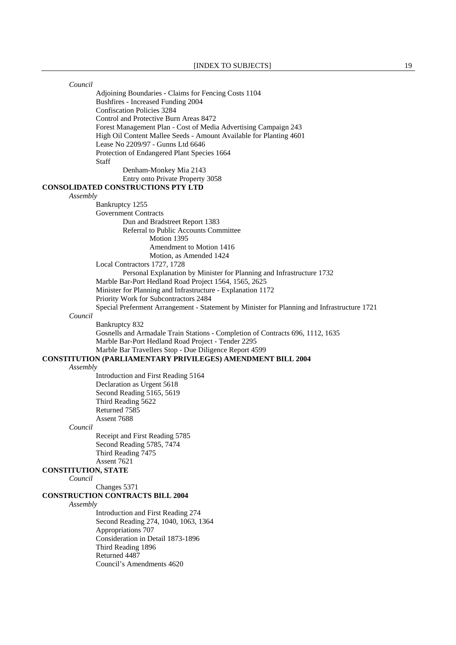| Council                    |                                                                                             |
|----------------------------|---------------------------------------------------------------------------------------------|
|                            | Adjoining Boundaries - Claims for Fencing Costs 1104                                        |
|                            | Bushfires - Increased Funding 2004                                                          |
|                            | <b>Confiscation Policies 3284</b>                                                           |
|                            | Control and Protective Burn Areas 8472                                                      |
|                            | Forest Management Plan - Cost of Media Advertising Campaign 243                             |
|                            | High Oil Content Mallee Seeds - Amount Available for Planting 4601                          |
|                            | Lease No 2209/97 - Gunns Ltd 6646                                                           |
|                            | Protection of Endangered Plant Species 1664                                                 |
|                            | Staff                                                                                       |
|                            | Denham-Monkey Mia 2143                                                                      |
|                            | Entry onto Private Property 3058                                                            |
|                            | <b>CONSOLIDATED CONSTRUCTIONS PTY LTD</b>                                                   |
| Assembly                   |                                                                                             |
|                            | Bankruptcy 1255                                                                             |
|                            | <b>Government Contracts</b>                                                                 |
|                            | Dun and Bradstreet Report 1383                                                              |
|                            | Referral to Public Accounts Committee<br>Motion 1395                                        |
|                            |                                                                                             |
|                            | Amendment to Motion 1416                                                                    |
|                            | Motion, as Amended 1424<br>Local Contractors 1727, 1728                                     |
|                            | Personal Explanation by Minister for Planning and Infrastructure 1732                       |
|                            | Marble Bar-Port Hedland Road Project 1564, 1565, 2625                                       |
|                            | Minister for Planning and Infrastructure - Explanation 1172                                 |
|                            | Priority Work for Subcontractors 2484                                                       |
|                            | Special Preferment Arrangement - Statement by Minister for Planning and Infrastructure 1721 |
| Council                    |                                                                                             |
|                            | Bankruptcy 832                                                                              |
|                            | Gosnells and Armadale Train Stations - Completion of Contracts 696, 1112, 1635              |
|                            | Marble Bar-Port Hedland Road Project - Tender 2295                                          |
|                            | Marble Bar Travellers Stop - Due Diligence Report 4599                                      |
|                            | <b>CONSTITUTION (PARLIAMENTARY PRIVILEGES) AMENDMENT BILL 2004</b>                          |
| Assembly                   |                                                                                             |
|                            | Introduction and First Reading 5164                                                         |
|                            | Declaration as Urgent 5618                                                                  |
|                            | Second Reading 5165, 5619                                                                   |
|                            | Third Reading 5622                                                                          |
|                            | Returned 7585                                                                               |
|                            | Assent 7688                                                                                 |
| Council                    |                                                                                             |
|                            | Receipt and First Reading 5785                                                              |
|                            | Second Reading 5785, 7474                                                                   |
|                            | Third Reading 7475<br>Assent 7621                                                           |
| <b>CONSTITUTION, STATE</b> |                                                                                             |
| Council                    |                                                                                             |
|                            | Changes 5371                                                                                |
|                            | <b>CONSTRUCTION CONTRACTS BILL 2004</b>                                                     |
| Assembly                   |                                                                                             |
|                            | Introduction and First Reading 274                                                          |
|                            | Second Reading 274, 1040, 1063, 1364                                                        |
|                            | Appropriations 707                                                                          |
|                            | Consideration in Detail 1873-1896                                                           |
|                            | Third Reading 1896                                                                          |
|                            | Returned 4487                                                                               |
|                            | Council's Amendments 4620                                                                   |
|                            |                                                                                             |
|                            |                                                                                             |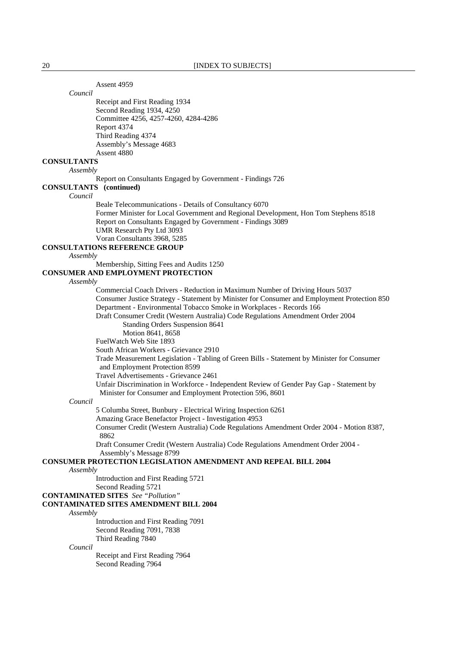Assent 4959

*Council*

 Receipt and First Reading 1934 Second Reading 1934, 4250 Committee 4256, 4257-4260, 4284-4286 Report 4374 Third Reading 4374 Assembly's Message 4683 Assent 4880

# **CONSULTANTS**

*Assembly*

Report on Consultants Engaged by Government - Findings 726

# **CONSULTANTS (continued)**

*Council*

Beale Telecommunications - Details of Consultancy 6070

 Former Minister for Local Government and Regional Development, Hon Tom Stephens 8518 Report on Consultants Engaged by Government - Findings 3089 UMR Research Pty Ltd 3093

Voran Consultants 3968, 5285

# **CONSULTATIONS REFERENCE GROUP**

*Assembly*

Membership, Sitting Fees and Audits 1250

## **CONSUMER AND EMPLOYMENT PROTECTION**

*Assembly*

 Commercial Coach Drivers - Reduction in Maximum Number of Driving Hours 5037 Consumer Justice Strategy - Statement by Minister for Consumer and Employment Protection 850 Department - Environmental Tobacco Smoke in Workplaces - Records 166 Draft Consumer Credit (Western Australia) Code Regulations Amendment Order 2004 Standing Orders Suspension 8641 Motion 8641, 8658 FuelWatch Web Site 1893 South African Workers - Grievance 2910 Trade Measurement Legislation - Tabling of Green Bills - Statement by Minister for Consumer and Employment Protection 8599 Travel Advertisements - Grievance 2461 Unfair Discrimination in Workforce - Independent Review of Gender Pay Gap - Statement by

Minister for Consumer and Employment Protection 596, 8601

#### *Council*

5 Columba Street, Bunbury - Electrical Wiring Inspection 6261

Amazing Grace Benefactor Project - Investigation 4953

 Consumer Credit (Western Australia) Code Regulations Amendment Order 2004 - Motion 8387, 8862

 Draft Consumer Credit (Western Australia) Code Regulations Amendment Order 2004 - Assembly's Message 8799

# **CONSUMER PROTECTION LEGISLATION AMENDMENT AND REPEAL BILL 2004**

*Assembly*

Introduction and First Reading 5721

 Second Reading 5721 **CONTAMINATED SITES** *See "Pollution"* 

# **CONTAMINATED SITES AMENDMENT BILL 2004**

# *Assembly*

 Introduction and First Reading 7091 Second Reading 7091, 7838 Third Reading 7840

*Council*

 Receipt and First Reading 7964 Second Reading 7964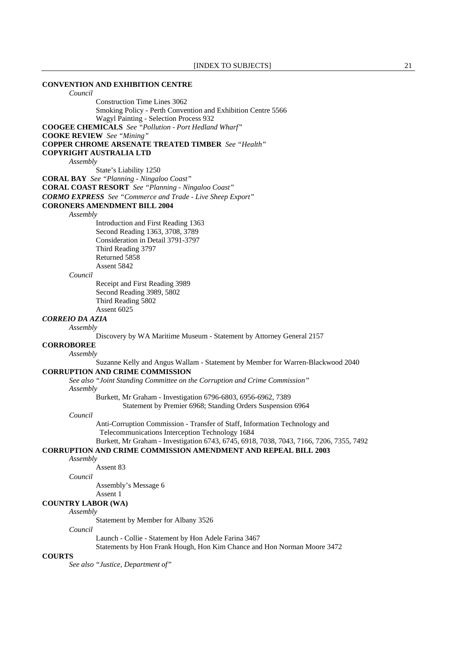# **CONVENTION AND EXHIBITION CENTRE** *Council* Construction Time Lines 3062 Smoking Policy - Perth Convention and Exhibition Centre 5566 Wagyl Painting - Selection Process 932 **COOGEE CHEMICALS** *See "Pollution - Port Hedland Wharf"*  **COOKE REVIEW** *See "Mining"*  **COPPER CHROME ARSENATE TREATED TIMBER** *See "Health"*  **COPYRIGHT AUSTRALIA LTD** *Assembly* State's Liability 1250 **CORAL BAY** *See "Planning - Ningaloo Coast"*  **CORAL COAST RESORT** *See "Planning - Ningaloo Coast" CORMO EXPRESS See "Commerce and Trade - Live Sheep Export"*  **CORONERS AMENDMENT BILL 2004** *Assembly* Introduction and First Reading 1363 Second Reading 1363, 3708, 3789 Consideration in Detail 3791-3797 Third Reading 3797 Returned 5858 Assent 5842 *Council* Receipt and First Reading 3989 Second Reading 3989, 5802 Third Reading 5802 Assent 6025 *CORREIO DA AZIA Assembly* Discovery by WA Maritime Museum - Statement by Attorney General 2157 **CORROBOREE** *Assembly* Suzanne Kelly and Angus Wallam - Statement by Member for Warren-Blackwood 2040 **CORRUPTION AND CRIME COMMISSION**  *See also "Joint Standing Committee on the Corruption and Crime Commission" Assembly* Burkett, Mr Graham - Investigation 6796-6803, 6956-6962, 7389 Statement by Premier 6968; Standing Orders Suspension 6964 *Council* Anti-Corruption Commission - Transfer of Staff, Information Technology and Telecommunications Interception Technology 1684 Burkett, Mr Graham - Investigation 6743, 6745, 6918, 7038, 7043, 7166, 7206, 7355, 7492 **CORRUPTION AND CRIME COMMISSION AMENDMENT AND REPEAL BILL 2003** *Assembly* Assent 83 *Council* Assembly's Message 6 Assent 1 **COUNTRY LABOR (WA)** *Assembly* Statement by Member for Albany 3526 *Council* Launch - Collie - Statement by Hon Adele Farina 3467 Statements by Hon Frank Hough, Hon Kim Chance and Hon Norman Moore 3472 **COURTS**  *See also "Justice, Department of"*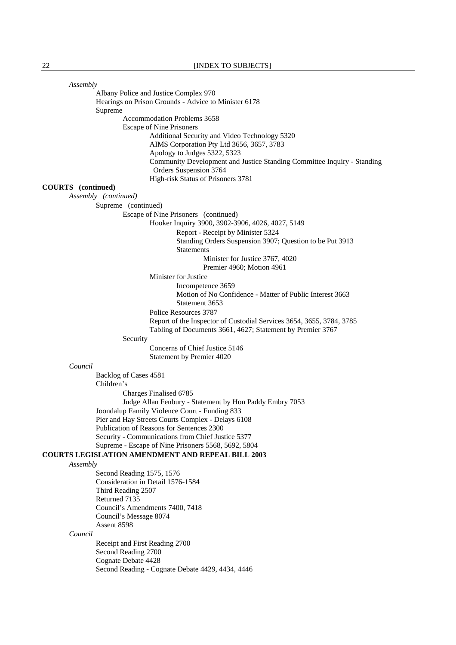| Assembly                                                                                                                           |
|------------------------------------------------------------------------------------------------------------------------------------|
| Albany Police and Justice Complex 970                                                                                              |
| Hearings on Prison Grounds - Advice to Minister 6178                                                                               |
| Supreme                                                                                                                            |
| Accommodation Problems 3658                                                                                                        |
| <b>Escape of Nine Prisoners</b>                                                                                                    |
| Additional Security and Video Technology 5320                                                                                      |
| AIMS Corporation Pty Ltd 3656, 3657, 3783                                                                                          |
| Apology to Judges 5322, 5323<br>Community Development and Justice Standing Committee Inquiry - Standing                            |
| Orders Suspension 3764                                                                                                             |
| High-risk Status of Prisoners 3781                                                                                                 |
| <b>COURTS</b> (continued)                                                                                                          |
| Assembly (continued)                                                                                                               |
| Supreme (continued)                                                                                                                |
| Escape of Nine Prisoners (continued)<br>Hooker Inquiry 3900, 3902-3906, 4026, 4027, 5149                                           |
| Report - Receipt by Minister 5324                                                                                                  |
| Standing Orders Suspension 3907; Question to be Put 3913<br><b>Statements</b>                                                      |
| Minister for Justice 3767, 4020                                                                                                    |
| Premier 4960; Motion 4961                                                                                                          |
| Minister for Justice                                                                                                               |
| Incompetence 3659                                                                                                                  |
| Motion of No Confidence - Matter of Public Interest 3663                                                                           |
| Statement 3653                                                                                                                     |
| Police Resources 3787                                                                                                              |
| Report of the Inspector of Custodial Services 3654, 3655, 3784, 3785<br>Tabling of Documents 3661, 4627; Statement by Premier 3767 |
| Security                                                                                                                           |
| Concerns of Chief Justice 5146                                                                                                     |
| Statement by Premier 4020                                                                                                          |
| Council                                                                                                                            |
| Backlog of Cases 4581<br>Children's                                                                                                |
| Charges Finalised 6785                                                                                                             |
| Judge Allan Fenbury - Statement by Hon Paddy Embry 7053                                                                            |
| Joondalup Family Violence Court - Funding 833                                                                                      |
| Pier and Hay Streets Courts Complex - Delays 6108                                                                                  |
| Publication of Reasons for Sentences 2300<br>Security - Communications from Chief Justice 5377                                     |
| Supreme - Escape of Nine Prisoners 5568, 5692, 5804                                                                                |
| <b>COURTS LEGISLATION AMENDMENT AND REPEAL BILL 2003</b>                                                                           |
| Assembly                                                                                                                           |
| Second Reading 1575, 1576                                                                                                          |
| Consideration in Detail 1576-1584                                                                                                  |
| Third Reading 2507                                                                                                                 |
| Returned 7135                                                                                                                      |
| Council's Amendments 7400, 7418                                                                                                    |
| Council's Message 8074                                                                                                             |
| Assent 8598                                                                                                                        |
| Council                                                                                                                            |
| Receipt and First Reading 2700                                                                                                     |
| Second Reading 2700<br>Cognate Debate 4428                                                                                         |
| Second Reading - Cognate Debate 4429, 4434, 4446                                                                                   |
|                                                                                                                                    |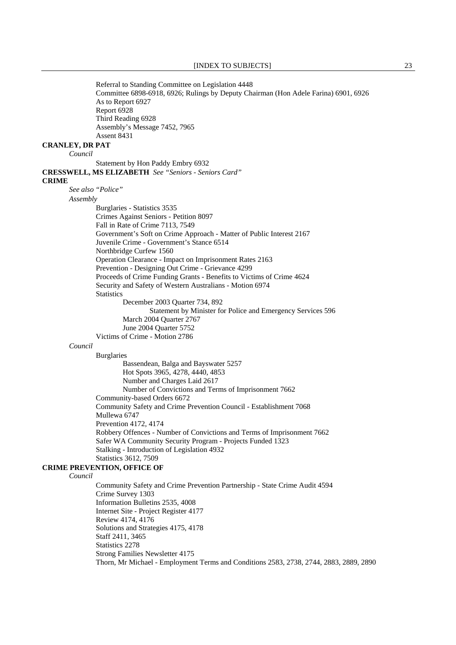Referral to Standing Committee on Legislation 4448 Committee 6898-6918, 6926; Rulings by Deputy Chairman (Hon Adele Farina) 6901, 6926 As to Report 6927 Report 6928 Third Reading 6928 Assembly's Message 7452, 7965 Assent 8431 **CRANLEY, DR PAT** *Council* Statement by Hon Paddy Embry 6932 **CRESSWELL, MS ELIZABETH** *See "Seniors - Seniors Card"*  **CRIME** *See also "Police" Assembly* Burglaries - Statistics 3535 Crimes Against Seniors - Petition 8097 Fall in Rate of Crime 7113, 7549 Government's Soft on Crime Approach - Matter of Public Interest 2167 Juvenile Crime - Government's Stance 6514 Northbridge Curfew 1560 Operation Clearance - Impact on Imprisonment Rates 2163 Prevention - Designing Out Crime - Grievance 4299 Proceeds of Crime Funding Grants - Benefits to Victims of Crime 4624 Security and Safety of Western Australians - Motion 6974 **Statistics**  December 2003 Quarter 734, 892 Statement by Minister for Police and Emergency Services 596 March 2004 Quarter 2767 June 2004 Quarter 5752 Victims of Crime - Motion 2786 *Council* Burglaries Bassendean, Balga and Bayswater 5257 Hot Spots 3965, 4278, 4440, 4853 Number and Charges Laid 2617 Number of Convictions and Terms of Imprisonment 7662 Community-based Orders 6672 Community Safety and Crime Prevention Council - Establishment 7068 Mullewa 6747 Prevention 4172, 4174 Robbery Offences - Number of Convictions and Terms of Imprisonment 7662 Safer WA Community Security Program - Projects Funded 1323 Stalking - Introduction of Legislation 4932 Statistics 3612, 7509 **CRIME PREVENTION, OFFICE OF** *Council* Community Safety and Crime Prevention Partnership - State Crime Audit 4594 Crime Survey 1303 Information Bulletins 2535, 4008 Internet Site - Project Register 4177 Review 4174, 4176 Solutions and Strategies 4175, 4178 Staff 2411, 3465 Statistics 2278 Strong Families Newsletter 4175 Thorn, Mr Michael - Employment Terms and Conditions 2583, 2738, 2744, 2883, 2889, 2890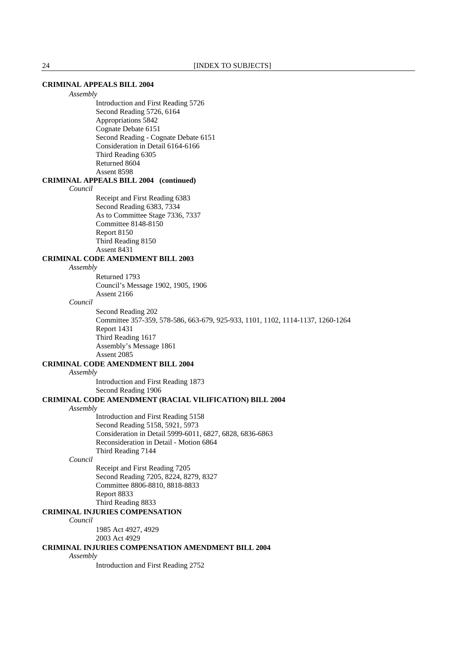# **CRIMINAL APPEALS BILL 2004**

*Assembly*

 Introduction and First Reading 5726 Second Reading 5726, 6164 Appropriations 5842 Cognate Debate 6151 Second Reading - Cognate Debate 6151 Consideration in Detail 6164-6166 Third Reading 6305 Returned 8604 Assent 8598

#### **CRIMINAL APPEALS BILL 2004 (continued)**

*Council*

 Receipt and First Reading 6383 Second Reading 6383, 7334 As to Committee Stage 7336, 7337 Committee 8148-8150 Report 8150 Third Reading 8150 Assent 8431

# **CRIMINAL CODE AMENDMENT BILL 2003**

*Assembly*

 Returned 1793 Council's Message 1902, 1905, 1906 Assent 2166

#### *Council*

 Second Reading 202 Committee 357-359, 578-586, 663-679, 925-933, 1101, 1102, 1114-1137, 1260-1264 Report 1431 Third Reading 1617 Assembly's Message 1861 Assent 2085

#### **CRIMINAL CODE AMENDMENT BILL 2004**

## *Assembly*

 Introduction and First Reading 1873 Second Reading 1906

# **CRIMINAL CODE AMENDMENT (RACIAL VILIFICATION) BILL 2004**

### *Assembly*

 Introduction and First Reading 5158 Second Reading 5158, 5921, 5973 Consideration in Detail 5999-6011, 6827, 6828, 6836-6863 Reconsideration in Detail - Motion 6864 Third Reading 7144

#### *Council*

 Receipt and First Reading 7205 Second Reading 7205, 8224, 8279, 8327 Committee 8806-8810, 8818-8833 Report 8833 Third Reading 8833

# **CRIMINAL INJURIES COMPENSATION**

*Council*

- 1985 Act 4927, 4929
- 2003 Act 4929

# **CRIMINAL INJURIES COMPENSATION AMENDMENT BILL 2004**

*Assembly*

Introduction and First Reading 2752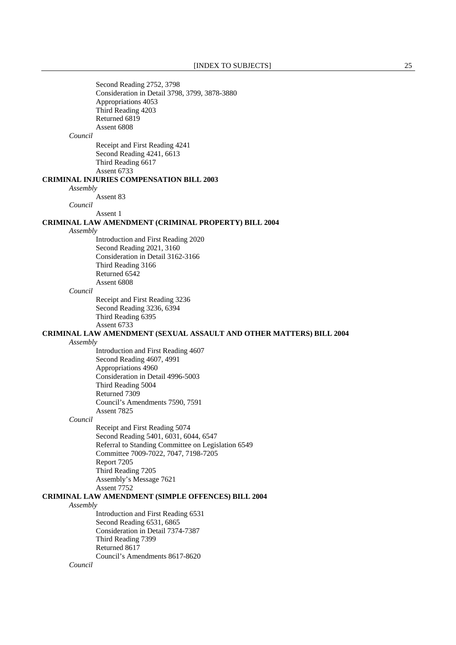Second Reading 2752, 3798 Consideration in Detail 3798, 3799, 3878-3880 Appropriations 4053 Third Reading 4203 Returned 6819 Assent 6808 *Council* Receipt and First Reading 4241 Second Reading 4241, 6613 Third Reading 6617 Assent 6733 **CRIMINAL INJURIES COMPENSATION BILL 2003** *Assembly* Assent 83 *Council* Assent 1 **CRIMINAL LAW AMENDMENT (CRIMINAL PROPERTY) BILL 2004** *Assembly* Introduction and First Reading 2020 Second Reading 2021, 3160 Consideration in Detail 3162-3166 Third Reading 3166 Returned 6542 Assent 6808 *Council* Receipt and First Reading 3236 Second Reading 3236, 6394 Third Reading 6395 Assent 6733 **CRIMINAL LAW AMENDMENT (SEXUAL ASSAULT AND OTHER MATTERS) BILL 2004** *Assembly* Introduction and First Reading 4607 Second Reading 4607, 4991 Appropriations 4960 Consideration in Detail 4996-5003 Third Reading 5004 Returned 7309 Council's Amendments 7590, 7591 Assent 7825 *Council* Receipt and First Reading 5074 Second Reading 5401, 6031, 6044, 6547 Referral to Standing Committee on Legislation 6549 Committee 7009-7022, 7047, 7198-7205 Report 7205 Third Reading 7205 Assembly's Message 7621 Assent 7752 **CRIMINAL LAW AMENDMENT (SIMPLE OFFENCES) BILL 2004** *Assembly* Introduction and First Reading 6531 Second Reading 6531, 6865 Consideration in Detail 7374-7387 Third Reading 7399 Returned 8617 Council's Amendments 8617-8620 *Council*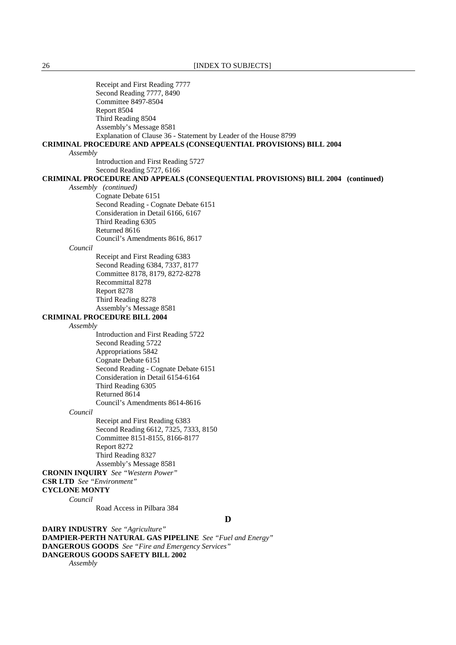| Receipt and First Reading 7777                                                  |
|---------------------------------------------------------------------------------|
| Second Reading 7777, 8490                                                       |
| <b>Committee 8497-8504</b>                                                      |
| Report 8504                                                                     |
| Third Reading 8504                                                              |
| Assembly's Message 8581                                                         |
| Explanation of Clause 36 - Statement by Leader of the House 8799                |
| <b>CRIMINAL PROCEDURE AND APPEALS (CONSEQUENTIAL PROVISIONS) BILL 2004</b>      |
| Assembly                                                                        |
| Introduction and First Reading 5727                                             |
| Second Reading 5727, 6166                                                       |
| CRIMINAL PROCEDURE AND APPEALS (CONSEQUENTIAL PROVISIONS) BILL 2004 (continued) |
| Assembly (continued)                                                            |
| Cognate Debate 6151                                                             |
| Second Reading - Cognate Debate 6151                                            |
| Consideration in Detail 6166, 6167                                              |
| Third Reading 6305                                                              |
| Returned 8616                                                                   |
| Council's Amendments 8616, 8617                                                 |
| Council                                                                         |
| Receipt and First Reading 6383                                                  |
| Second Reading 6384, 7337, 8177                                                 |
| Committee 8178, 8179, 8272-8278                                                 |
| Recommittal 8278                                                                |
| Report 8278                                                                     |
| Third Reading 8278                                                              |
| Assembly's Message 8581                                                         |
| <b>CRIMINAL PROCEDURE BILL 2004</b>                                             |
| Assembly                                                                        |
| Introduction and First Reading 5722                                             |
| Second Reading 5722                                                             |
| Appropriations 5842                                                             |
| Cognate Debate 6151                                                             |
| Second Reading - Cognate Debate 6151                                            |
| Consideration in Detail 6154-6164                                               |
| Third Reading 6305                                                              |
| Returned 8614<br>Council's Amendments 8614-8616                                 |
|                                                                                 |
| Council                                                                         |
| Receipt and First Reading 6383                                                  |
| Second Reading 6612, 7325, 7333, 8150<br>Committee 8151-8155, 8166-8177         |
| Report 8272                                                                     |
| Third Reading 8327                                                              |
| Assembly's Message 8581                                                         |
| <b>CRONIN INQUIRY</b> See "Western Power"                                       |
| <b>CSR LTD</b> See "Environment"                                                |
| <b>CYCLONE MONTY</b>                                                            |
| Council                                                                         |
| Road Access in Pilbara 384                                                      |
|                                                                                 |
| D                                                                               |
| <b>DAIRY INDUSTRY</b> See "Agriculture"                                         |

**DAMPIER-PERTH NATURAL GAS PIPELINE** *See "Fuel and Energy"* 

**DANGEROUS GOODS** *See "Fire and Emergency Services"* 

**DANGEROUS GOODS SAFETY BILL 2002**

*Assembly*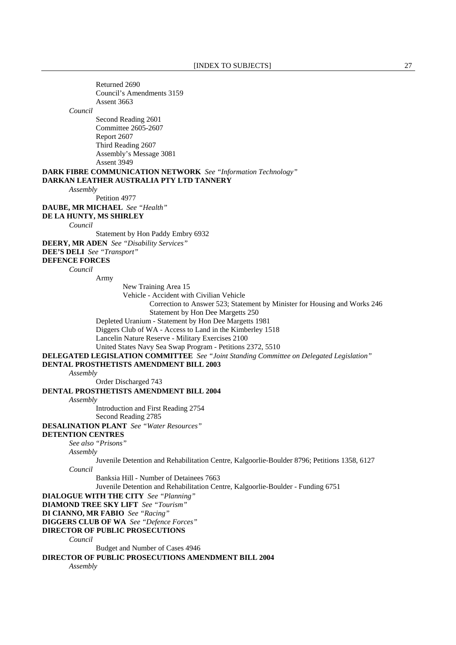Returned 2690 Council's Amendments 3159 Assent 3663 *Council* Second Reading 2601 Committee 2605-2607 Report 2607 Third Reading 2607 Assembly's Message 3081 Assent 3949 **DARK FIBRE COMMUNICATION NETWORK** *See "Information Technology"*  **DARKAN LEATHER AUSTRALIA PTY LTD TANNERY** *Assembly* Petition 4977 **DAUBE, MR MICHAEL** *See "Health"*  **DE LA HUNTY, MS SHIRLEY** *Council* Statement by Hon Paddy Embry 6932 **DEERY, MR ADEN** *See "Disability Services"*  **DEE'S DELI** *See "Transport"*  **DEFENCE FORCES** *Council* Army New Training Area 15 Vehicle - Accident with Civilian Vehicle Correction to Answer 523; Statement by Minister for Housing and Works 246 Statement by Hon Dee Margetts 250 Depleted Uranium - Statement by Hon Dee Margetts 1981 Diggers Club of WA - Access to Land in the Kimberley 1518 Lancelin Nature Reserve - Military Exercises 2100 United States Navy Sea Swap Program - Petitions 2372, 5510 **DELEGATED LEGISLATION COMMITTEE** *See "Joint Standing Committee on Delegated Legislation"*  **DENTAL PROSTHETISTS AMENDMENT BILL 2003** *Assembly* Order Discharged 743 **DENTAL PROSTHETISTS AMENDMENT BILL 2004** *Assembly* Introduction and First Reading 2754 Second Reading 2785 **DESALINATION PLANT** *See "Water Resources"*  **DETENTION CENTRES** *See also "Prisons" Assembly* Juvenile Detention and Rehabilitation Centre, Kalgoorlie-Boulder 8796; Petitions 1358, 6127 *Council* Banksia Hill - Number of Detainees 7663 Juvenile Detention and Rehabilitation Centre, Kalgoorlie-Boulder - Funding 6751 **DIALOGUE WITH THE CITY** *See "Planning"*  **DIAMOND TREE SKY LIFT** *See "Tourism"*  **DI CIANNO, MR FABIO** *See "Racing"*  **DIGGERS CLUB OF WA** *See "Defence Forces"*  **DIRECTOR OF PUBLIC PROSECUTIONS** *Council* Budget and Number of Cases 4946 **DIRECTOR OF PUBLIC PROSECUTIONS AMENDMENT BILL 2004** *Assembly*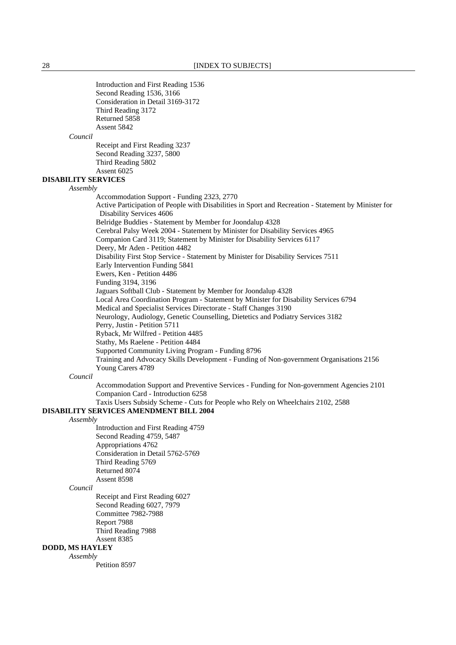Introduction and First Reading 1536 Second Reading 1536, 3166 Consideration in Detail 3169-3172 Third Reading 3172 Returned 5858 Assent 5842 *Council* Receipt and First Reading 3237 Second Reading 3237, 5800 Third Reading 5802 Assent 6025 **DISABILITY SERVICES** *Assembly* Accommodation Support - Funding 2323, 2770 Active Participation of People with Disabilities in Sport and Recreation - Statement by Minister for Disability Services 4606 Belridge Buddies - Statement by Member for Joondalup 4328 Cerebral Palsy Week 2004 - Statement by Minister for Disability Services 4965 Companion Card 3119; Statement by Minister for Disability Services 6117 Deery, Mr Aden - Petition 4482 Disability First Stop Service - Statement by Minister for Disability Services 7511 Early Intervention Funding 5841 Ewers, Ken - Petition 4486 Funding 3194, 3196 Jaguars Softball Club - Statement by Member for Joondalup 4328 Local Area Coordination Program - Statement by Minister for Disability Services 6794 Medical and Specialist Services Directorate - Staff Changes 3190 Neurology, Audiology, Genetic Counselling, Dietetics and Podiatry Services 3182 Perry, Justin - Petition 5711 Ryback, Mr Wilfred - Petition 4485 Stathy, Ms Raelene - Petition 4484 Supported Community Living Program - Funding 8796 Training and Advocacy Skills Development - Funding of Non-government Organisations 2156 Young Carers 4789 *Council* Accommodation Support and Preventive Services - Funding for Non-government Agencies 2101 Companion Card - Introduction 6258 Taxis Users Subsidy Scheme - Cuts for People who Rely on Wheelchairs 2102, 2588 **DISABILITY SERVICES AMENDMENT BILL 2004** *Assembly* Introduction and First Reading 4759 Second Reading 4759, 5487 Appropriations 4762 Consideration in Detail 5762-5769 Third Reading 5769 Returned 8074 Assent 8598 *Council* Receipt and First Reading 6027 Second Reading 6027, 7979 Committee 7982-7988 Report 7988 Third Reading 7988 Assent 8385 **DODD, MS HAYLEY** *Assembly* Petition 8597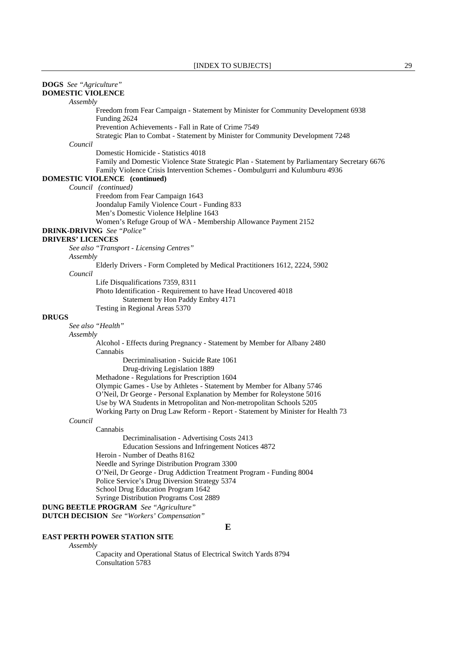| <b>DOGS</b> See "Agriculture"     |                                                                                                                                                                                                                      |
|-----------------------------------|----------------------------------------------------------------------------------------------------------------------------------------------------------------------------------------------------------------------|
| <b>DOMESTIC VIOLENCE</b>          |                                                                                                                                                                                                                      |
| Assembly                          |                                                                                                                                                                                                                      |
|                                   | Freedom from Fear Campaign - Statement by Minister for Community Development 6938<br>Funding 2624                                                                                                                    |
|                                   | Prevention Achievements - Fall in Rate of Crime 7549                                                                                                                                                                 |
|                                   | Strategic Plan to Combat - Statement by Minister for Community Development 7248                                                                                                                                      |
| Council                           |                                                                                                                                                                                                                      |
|                                   | Domestic Homicide - Statistics 4018<br>Family and Domestic Violence State Strategic Plan - Statement by Parliamentary Secretary 6676<br>Family Violence Crisis Intervention Schemes - Oombulgurri and Kulumburu 4936 |
|                                   | <b>DOMESTIC VIOLENCE</b> (continued)                                                                                                                                                                                 |
|                                   | Council (continued)                                                                                                                                                                                                  |
|                                   | Freedom from Fear Campaign 1643                                                                                                                                                                                      |
|                                   | Joondalup Family Violence Court - Funding 833                                                                                                                                                                        |
|                                   | Men's Domestic Violence Helpline 1643                                                                                                                                                                                |
|                                   | Women's Refuge Group of WA - Membership Allowance Payment 2152                                                                                                                                                       |
| <b>DRINK-DRIVING</b> See "Police" |                                                                                                                                                                                                                      |
| <b>DRIVERS' LICENCES</b>          |                                                                                                                                                                                                                      |
|                                   | See also "Transport - Licensing Centres"                                                                                                                                                                             |
| Assembly                          |                                                                                                                                                                                                                      |
|                                   | Elderly Drivers - Form Completed by Medical Practitioners 1612, 2224, 5902                                                                                                                                           |
| Council                           |                                                                                                                                                                                                                      |
|                                   | Life Disqualifications 7359, 8311                                                                                                                                                                                    |
|                                   | Photo Identification - Requirement to have Head Uncovered 4018                                                                                                                                                       |
|                                   | Statement by Hon Paddy Embry 4171                                                                                                                                                                                    |
|                                   | Testing in Regional Areas 5370                                                                                                                                                                                       |
| <b>DRUGS</b>                      |                                                                                                                                                                                                                      |
| See also "Health"                 |                                                                                                                                                                                                                      |
| Assembly                          |                                                                                                                                                                                                                      |
|                                   | Alcohol - Effects during Pregnancy - Statement by Member for Albany 2480<br>Cannabis                                                                                                                                 |
|                                   | Decriminalisation - Suicide Rate 1061                                                                                                                                                                                |
|                                   | Drug-driving Legislation 1889                                                                                                                                                                                        |
|                                   | Methadone - Regulations for Prescription 1604                                                                                                                                                                        |
|                                   | Olympic Games - Use by Athletes - Statement by Member for Albany 5746                                                                                                                                                |
|                                   | O'Neil, Dr George - Personal Explanation by Member for Roleystone 5016                                                                                                                                               |
|                                   | Use by WA Students in Metropolitan and Non-metropolitan Schools 5205                                                                                                                                                 |
|                                   | Working Party on Drug Law Reform - Report - Statement by Minister for Health 73                                                                                                                                      |
| Council                           |                                                                                                                                                                                                                      |
|                                   | Cannabis                                                                                                                                                                                                             |
|                                   | Decriminalisation - Advertising Costs 2413                                                                                                                                                                           |
|                                   | Education Sessions and Infringement Notices 4872                                                                                                                                                                     |
|                                   | Heroin - Number of Deaths 8162                                                                                                                                                                                       |
|                                   | Needle and Syringe Distribution Program 3300                                                                                                                                                                         |
|                                   | O'Neil, Dr George - Drug Addiction Treatment Program - Funding 8004                                                                                                                                                  |
|                                   | Police Service's Drug Diversion Strategy 5374                                                                                                                                                                        |
|                                   | School Drug Education Program 1642                                                                                                                                                                                   |
|                                   | Syringe Distribution Programs Cost 2889                                                                                                                                                                              |
|                                   | <b>DUNG BEETLE PROGRAM</b> See "Agriculture"                                                                                                                                                                         |
|                                   | <b>DUTCH DECISION</b> See "Workers' Compensation"                                                                                                                                                                    |
|                                   | E                                                                                                                                                                                                                    |
|                                   |                                                                                                                                                                                                                      |

# **EAST PERTH POWER STATION SITE**

*Assembly*

 Capacity and Operational Status of Electrical Switch Yards 8794 Consultation 5783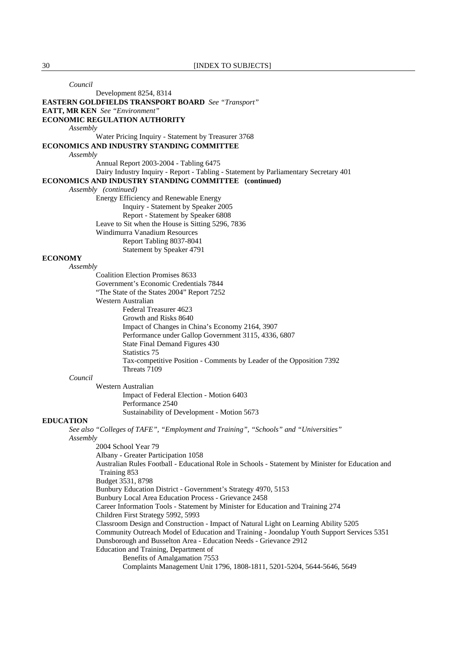*Council* Development 8254, 8314 **EASTERN GOLDFIELDS TRANSPORT BOARD** *See "Transport"*  **EATT, MR KEN** *See "Environment"*  **ECONOMIC REGULATION AUTHORITY** *Assembly* Water Pricing Inquiry - Statement by Treasurer 3768 **ECONOMICS AND INDUSTRY STANDING COMMITTEE** *Assembly* Annual Report 2003-2004 - Tabling 6475 Dairy Industry Inquiry - Report - Tabling - Statement by Parliamentary Secretary 401 **ECONOMICS AND INDUSTRY STANDING COMMITTEE (continued)** *Assembly (continued)* Energy Efficiency and Renewable Energy Inquiry - Statement by Speaker 2005 Report - Statement by Speaker 6808 Leave to Sit when the House is Sitting 5296, 7836 Windimurra Vanadium Resources Report Tabling 8037-8041 Statement by Speaker 4791 **ECONOMY** *Assembly* Coalition Election Promises 8633 Government's Economic Credentials 7844 "The State of the States 2004" Report 7252 Western Australian Federal Treasurer 4623 Growth and Risks 8640 Impact of Changes in China's Economy 2164, 3907 Performance under Gallop Government 3115, 4336, 6807 State Final Demand Figures 430 Statistics 75 Tax-competitive Position - Comments by Leader of the Opposition 7392 Threats 7109 *Council* Western Australian Impact of Federal Election - Motion 6403 Performance 2540 Sustainability of Development - Motion 5673 **EDUCATION** *See also "Colleges of TAFE", "Employment and Training", "Schools" and "Universities" Assembly* 2004 School Year 79 Albany - Greater Participation 1058 Australian Rules Football - Educational Role in Schools - Statement by Minister for Education and Training 853 Budget 3531, 8798 Bunbury Education District - Government's Strategy 4970, 5153 Bunbury Local Area Education Process - Grievance 2458 Career Information Tools - Statement by Minister for Education and Training 274 Children First Strategy 5992, 5993 Classroom Design and Construction - Impact of Natural Light on Learning Ability 5205 Community Outreach Model of Education and Training - Joondalup Youth Support Services 5351 Dunsborough and Busselton Area - Education Needs - Grievance 2912 Education and Training, Department of Benefits of Amalgamation 7553 Complaints Management Unit 1796, 1808-1811, 5201-5204, 5644-5646, 5649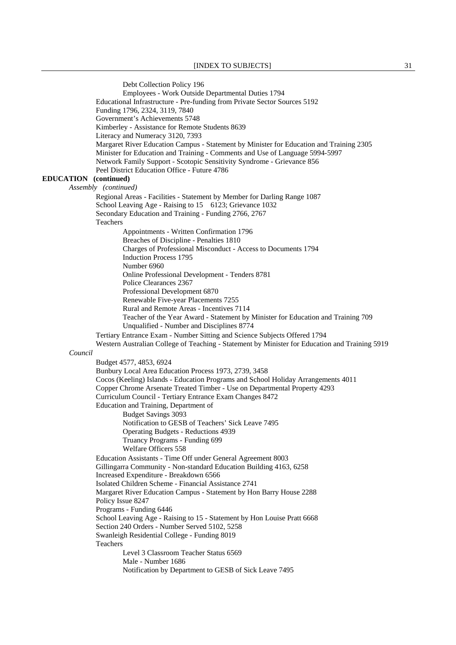Debt Collection Policy 196 Employees - Work Outside Departmental Duties 1794 Educational Infrastructure - Pre-funding from Private Sector Sources 5192 Funding 1796, 2324, 3119, 7840 Government's Achievements 5748 Kimberley - Assistance for Remote Students 8639 Literacy and Numeracy 3120, 7393 Margaret River Education Campus - Statement by Minister for Education and Training 2305 Minister for Education and Training - Comments and Use of Language 5994-5997 Network Family Support - Scotopic Sensitivity Syndrome - Grievance 856 Peel District Education Office - Future 4786 **EDUCATION (continued)**  *Assembly (continued)*  Regional Areas - Facilities - Statement by Member for Darling Range 1087 School Leaving Age - Raising to 15 6123; Grievance 1032 Secondary Education and Training - Funding 2766, 2767 Teachers Appointments - Written Confirmation 1796 Breaches of Discipline - Penalties 1810 Charges of Professional Misconduct - Access to Documents 1794 Induction Process 1795 Number 6960 Online Professional Development - Tenders 8781 Police Clearances 2367 Professional Development 6870 Renewable Five-year Placements 7255 Rural and Remote Areas - Incentives 7114 Teacher of the Year Award - Statement by Minister for Education and Training 709 Unqualified - Number and Disciplines 8774 Tertiary Entrance Exam - Number Sitting and Science Subjects Offered 1794 Western Australian College of Teaching - Statement by Minister for Education and Training 5919 *Council* Budget 4577, 4853, 6924 Bunbury Local Area Education Process 1973, 2739, 3458 Cocos (Keeling) Islands - Education Programs and School Holiday Arrangements 4011 Copper Chrome Arsenate Treated Timber - Use on Departmental Property 4293 Curriculum Council - Tertiary Entrance Exam Changes 8472 Education and Training, Department of Budget Savings 3093 Notification to GESB of Teachers' Sick Leave 7495 Operating Budgets - Reductions 4939 Truancy Programs - Funding 699 Welfare Officers 558 Education Assistants - Time Off under General Agreement 8003 Gillingarra Community - Non-standard Education Building 4163, 6258 Increased Expenditure - Breakdown 6566 Isolated Children Scheme - Financial Assistance 2741 Margaret River Education Campus - Statement by Hon Barry House 2288 Policy Issue 8247 Programs - Funding 6446 School Leaving Age - Raising to 15 - Statement by Hon Louise Pratt 6668 Section 240 Orders - Number Served 5102, 5258 Swanleigh Residential College - Funding 8019 Teachers Level 3 Classroom Teacher Status 6569 Male - Number 1686 Notification by Department to GESB of Sick Leave 7495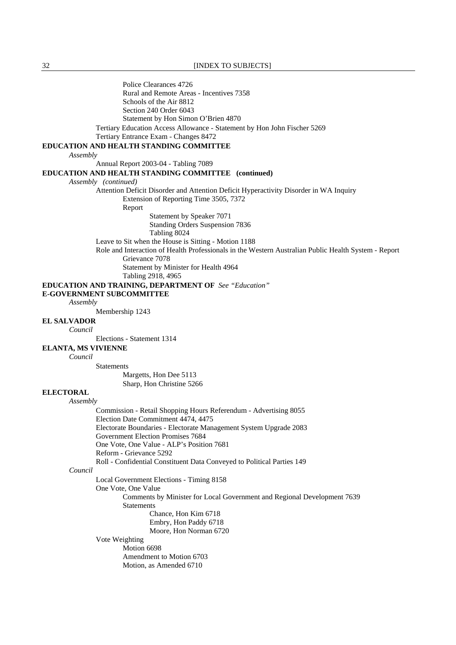32 **[INDEX TO SUBJECTS]** 

 Police Clearances 4726 Rural and Remote Areas - Incentives 7358 Schools of the Air 8812 Section 240 Order 6043 Statement by Hon Simon O'Brien 4870 Tertiary Education Access Allowance - Statement by Hon John Fischer 5269 Tertiary Entrance Exam - Changes 8472 **EDUCATION AND HEALTH STANDING COMMITTEE** *Assembly* Annual Report 2003-04 - Tabling 7089 **EDUCATION AND HEALTH STANDING COMMITTEE (continued)** *Assembly (continued)* Attention Deficit Disorder and Attention Deficit Hyperactivity Disorder in WA Inquiry Extension of Reporting Time 3505, 7372 Report Statement by Speaker 7071 Standing Orders Suspension 7836 Tabling 8024 Leave to Sit when the House is Sitting - Motion 1188 Role and Interaction of Health Professionals in the Western Australian Public Health System - Report Grievance 7078 Statement by Minister for Health 4964 Tabling 2918, 4965 **EDUCATION AND TRAINING, DEPARTMENT OF** *See "Education"*  **E-GOVERNMENT SUBCOMMITTEE** *Assembly* Membership 1243 **EL SALVADOR** *Council* Elections - Statement 1314 **ELANTA, MS VIVIENNE** *Council* **Statements** Margetts, Hon Dee 5113 Sharp, Hon Christine 5266 **ELECTORAL** *Assembly* Commission - Retail Shopping Hours Referendum - Advertising 8055 Election Date Commitment 4474, 4475 Electorate Boundaries - Electorate Management System Upgrade 2083 Government Election Promises 7684 One Vote, One Value - ALP's Position 7681 Reform - Grievance 5292 Roll - Confidential Constituent Data Conveyed to Political Parties 149 *Council* Local Government Elections - Timing 8158 One Vote, One Value Comments by Minister for Local Government and Regional Development 7639 Statements Chance, Hon Kim 6718 Embry, Hon Paddy 6718 Moore, Hon Norman 6720 Vote Weighting Motion 6698 Amendment to Motion 6703 Motion, as Amended 6710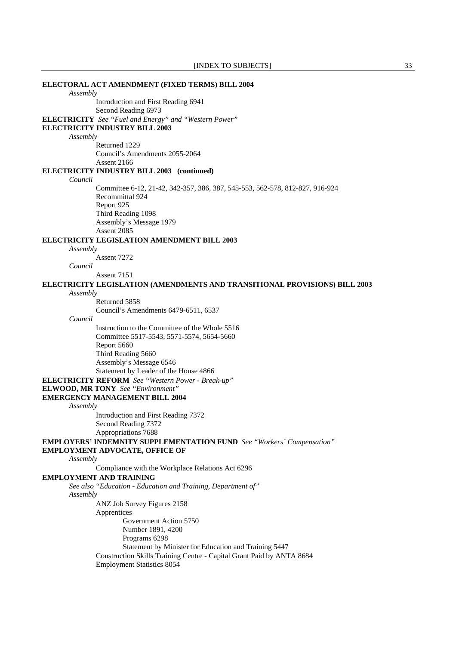**ELECTORAL ACT AMENDMENT (FIXED TERMS) BILL 2004** *Assembly* Introduction and First Reading 6941 Second Reading 6973 **ELECTRICITY** *See "Fuel and Energy" and "Western Power"*  **ELECTRICITY INDUSTRY BILL 2003** *Assembly* Returned 1229 Council's Amendments 2055-2064 Assent 2166 **ELECTRICITY INDUSTRY BILL 2003 (continued)** *Council* Committee 6-12, 21-42, 342-357, 386, 387, 545-553, 562-578, 812-827, 916-924 Recommittal 924 Report 925 Third Reading 1098 Assembly's Message 1979 Assent 2085 **ELECTRICITY LEGISLATION AMENDMENT BILL 2003** *Assembly* Assent 7272 *Council* Assent 7151 **ELECTRICITY LEGISLATION (AMENDMENTS AND TRANSITIONAL PROVISIONS) BILL 2003** *Assembly* Returned 5858 Council's Amendments 6479-6511, 6537 *Council* Instruction to the Committee of the Whole 5516 Committee 5517-5543, 5571-5574, 5654-5660 Report 5660 Third Reading 5660 Assembly's Message 6546 Statement by Leader of the House 4866 **ELECTRICITY REFORM** *See "Western Power - Break-up"*  **ELWOOD, MR TONY** *See "Environment"*  **EMERGENCY MANAGEMENT BILL 2004** *Assembly* Introduction and First Reading 7372 Second Reading 7372 Appropriations 7688 **EMPLOYERS' INDEMNITY SUPPLEMENTATION FUND** *See "Workers' Compensation"*  **EMPLOYMENT ADVOCATE, OFFICE OF** *Assembly* Compliance with the Workplace Relations Act 6296 **EMPLOYMENT AND TRAINING** *See also "Education - Education and Training, Department of" Assembly* ANZ Job Survey Figures 2158 Apprentices Government Action 5750 Number 1891, 4200 Programs 6298 Statement by Minister for Education and Training 5447 Construction Skills Training Centre - Capital Grant Paid by ANTA 8684 Employment Statistics 8054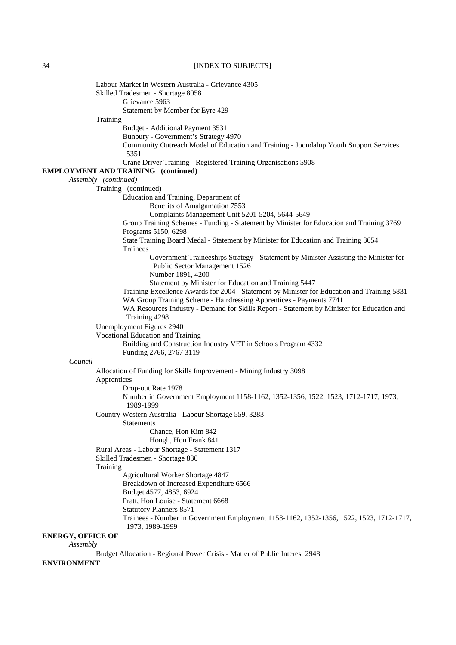34 [INDEX TO SUBJECTS]

 Labour Market in Western Australia - Grievance 4305 Skilled Tradesmen - Shortage 8058 Grievance 5963 Statement by Member for Eyre 429 Training Budget - Additional Payment 3531 Bunbury - Government's Strategy 4970 Community Outreach Model of Education and Training - Joondalup Youth Support Services 5351 Crane Driver Training - Registered Training Organisations 5908 **EMPLOYMENT AND TRAINING (continued)**  *Assembly (continued)*  Training (continued) Education and Training, Department of Benefits of Amalgamation 7553 Complaints Management Unit 5201-5204, 5644-5649 Group Training Schemes - Funding - Statement by Minister for Education and Training 3769 Programs 5150, 6298 State Training Board Medal - Statement by Minister for Education and Training 3654 Trainees Government Traineeships Strategy - Statement by Minister Assisting the Minister for Public Sector Management 1526 Number 1891, 4200 Statement by Minister for Education and Training 5447 Training Excellence Awards for 2004 - Statement by Minister for Education and Training 5831 WA Group Training Scheme - Hairdressing Apprentices - Payments 7741 WA Resources Industry - Demand for Skills Report - Statement by Minister for Education and Training 4298 Unemployment Figures 2940 Vocational Education and Training Building and Construction Industry VET in Schools Program 4332 Funding 2766, 2767 3119 *Council* Allocation of Funding for Skills Improvement - Mining Industry 3098 Apprentices Drop-out Rate 1978 Number in Government Employment 1158-1162, 1352-1356, 1522, 1523, 1712-1717, 1973, 1989-1999 Country Western Australia - Labour Shortage 559, 3283 **Statements**  Chance, Hon Kim 842 Hough, Hon Frank 841 Rural Areas - Labour Shortage - Statement 1317 Skilled Tradesmen - Shortage 830 Training Agricultural Worker Shortage 4847 Breakdown of Increased Expenditure 6566 Budget 4577, 4853, 6924 Pratt, Hon Louise - Statement 6668 Statutory Planners 8571 Trainees - Number in Government Employment 1158-1162, 1352-1356, 1522, 1523, 1712-1717, 1973, 1989-1999 **ENERGY, OFFICE OF** *Assembly* Budget Allocation - Regional Power Crisis - Matter of Public Interest 2948 **ENVIRONMENT**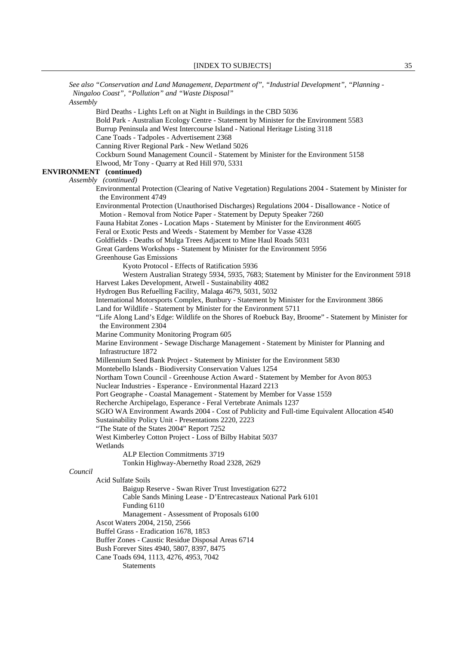*See also "Conservation and Land Management, Department of", "Industrial Development", "Planning - Ningaloo Coast", "Pollution" and "Waste Disposal" Assembly* Bird Deaths - Lights Left on at Night in Buildings in the CBD 5036 Bold Park - Australian Ecology Centre - Statement by Minister for the Environment 5583 Burrup Peninsula and West Intercourse Island - National Heritage Listing 3118 Cane Toads - Tadpoles - Advertisement 2368 Canning River Regional Park - New Wetland 5026 Cockburn Sound Management Council - Statement by Minister for the Environment 5158 Elwood, Mr Tony - Quarry at Red Hill 970, 5331 **ENVIRONMENT (continued)**  *Assembly (continued)*  Environmental Protection (Clearing of Native Vegetation) Regulations 2004 - Statement by Minister for the Environment 4749 Environmental Protection (Unauthorised Discharges) Regulations 2004 - Disallowance - Notice of Motion - Removal from Notice Paper - Statement by Deputy Speaker 7260 Fauna Habitat Zones - Location Maps - Statement by Minister for the Environment 4605 Feral or Exotic Pests and Weeds - Statement by Member for Vasse 4328 Goldfields - Deaths of Mulga Trees Adjacent to Mine Haul Roads 5031 Great Gardens Workshops - Statement by Minister for the Environment 5956 Greenhouse Gas Emissions Kyoto Protocol - Effects of Ratification 5936 Western Australian Strategy 5934, 5935, 7683; Statement by Minister for the Environment 5918 Harvest Lakes Development, Atwell - Sustainability 4082 Hydrogen Bus Refuelling Facility, Malaga 4679, 5031, 5032 International Motorsports Complex, Bunbury - Statement by Minister for the Environment 3866 Land for Wildlife - Statement by Minister for the Environment 5711 "Life Along Land's Edge: Wildlife on the Shores of Roebuck Bay, Broome" - Statement by Minister for the Environment 2304 Marine Community Monitoring Program 605 Marine Environment - Sewage Discharge Management - Statement by Minister for Planning and Infrastructure 1872 Millennium Seed Bank Project - Statement by Minister for the Environment 5830 Montebello Islands - Biodiversity Conservation Values 1254 Northam Town Council - Greenhouse Action Award - Statement by Member for Avon 8053 Nuclear Industries - Esperance - Environmental Hazard 2213 Port Geographe - Coastal Management - Statement by Member for Vasse 1559 Recherche Archipelago, Esperance - Feral Vertebrate Animals 1237 SGIO WA Environment Awards 2004 - Cost of Publicity and Full-time Equivalent Allocation 4540 Sustainability Policy Unit - Presentations 2220, 2223 "The State of the States 2004" Report 7252 West Kimberley Cotton Project - Loss of Bilby Habitat 5037 Wetlands ALP Election Commitments 3719 Tonkin Highway-Abernethy Road 2328, 2629 *Council* Acid Sulfate Soils Baigup Reserve - Swan River Trust Investigation 6272 Cable Sands Mining Lease - D'Entrecasteaux National Park 6101 Funding 6110 Management - Assessment of Proposals 6100 Ascot Waters 2004, 2150, 2566 Buffel Grass - Eradication 1678, 1853 Buffer Zones - Caustic Residue Disposal Areas 6714 Bush Forever Sites 4940, 5807, 8397, 8475 Cane Toads 694, 1113, 4276, 4953, 7042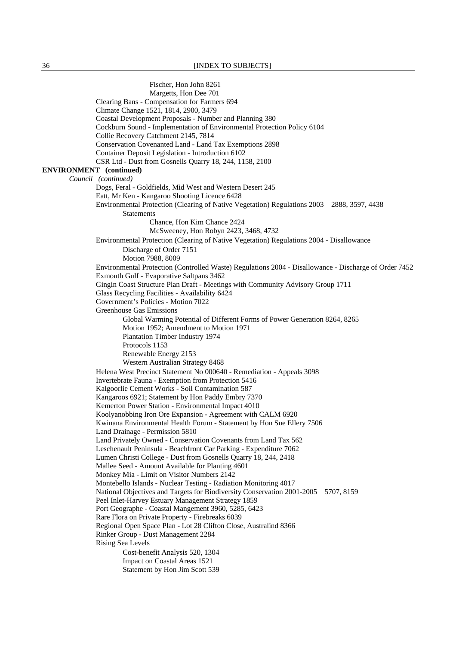36 [INDEX TO SUBJECTS]

 Fischer, Hon John 8261 Margetts, Hon Dee 701 Clearing Bans - Compensation for Farmers 694 Climate Change 1521, 1814, 2900, 3479 Coastal Development Proposals - Number and Planning 380 Cockburn Sound - Implementation of Environmental Protection Policy 6104 Collie Recovery Catchment 2145, 7814 Conservation Covenanted Land - Land Tax Exemptions 2898 Container Deposit Legislation - Introduction 6102 CSR Ltd - Dust from Gosnells Quarry 18, 244, 1158, 2100 **ENVIRONMENT (continued)**  *Council (continued)* Dogs, Feral - Goldfields, Mid West and Western Desert 245 Eatt, Mr Ken - Kangaroo Shooting Licence 6428 Environmental Protection (Clearing of Native Vegetation) Regulations 2003 2888, 3597, 4438 Statements Chance, Hon Kim Chance 2424 McSweeney, Hon Robyn 2423, 3468, 4732 Environmental Protection (Clearing of Native Vegetation) Regulations 2004 - Disallowance Discharge of Order 7151 Motion 7988, 8009 Environmental Protection (Controlled Waste) Regulations 2004 - Disallowance - Discharge of Order 7452 Exmouth Gulf - Evaporative Saltpans 3462 Gingin Coast Structure Plan Draft - Meetings with Community Advisory Group 1711 Glass Recycling Facilities - Availability 6424 Government's Policies - Motion 7022 Greenhouse Gas Emissions Global Warming Potential of Different Forms of Power Generation 8264, 8265 Motion 1952; Amendment to Motion 1971 Plantation Timber Industry 1974 Protocols 1153 Renewable Energy 2153 Western Australian Strategy 8468 Helena West Precinct Statement No 000640 - Remediation - Appeals 3098 Invertebrate Fauna - Exemption from Protection 5416 Kalgoorlie Cement Works - Soil Contamination 587 Kangaroos 6921; Statement by Hon Paddy Embry 7370 Kemerton Power Station - Environmental Impact 4010 Koolyanobbing Iron Ore Expansion - Agreement with CALM 6920 Kwinana Environmental Health Forum - Statement by Hon Sue Ellery 7506 Land Drainage - Permission 5810 Land Privately Owned - Conservation Covenants from Land Tax 562 Leschenault Peninsula - Beachfront Car Parking - Expenditure 7062 Lumen Christi College - Dust from Gosnells Quarry 18, 244, 2418 Mallee Seed - Amount Available for Planting 4601 Monkey Mia - Limit on Visitor Numbers 2142 Montebello Islands - Nuclear Testing - Radiation Monitoring 4017 National Objectives and Targets for Biodiversity Conservation 2001-2005 5707, 8159 Peel Inlet-Harvey Estuary Management Strategy 1859 Port Geographe - Coastal Mangement 3960, 5285, 6423 Rare Flora on Private Property - Firebreaks 6039 Regional Open Space Plan - Lot 28 Clifton Close, Australind 8366 Rinker Group - Dust Management 2284 Rising Sea Levels Cost-benefit Analysis 520, 1304 Impact on Coastal Areas 1521 Statement by Hon Jim Scott 539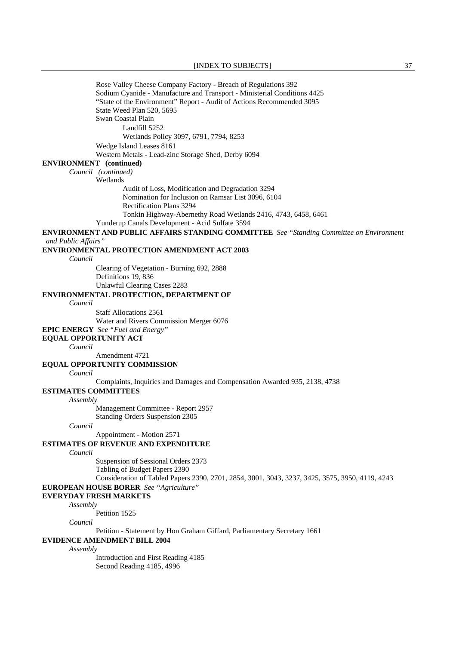Rose Valley Cheese Company Factory - Breach of Regulations 392 Sodium Cyanide - Manufacture and Transport - Ministerial Conditions 4425 "State of the Environment" Report - Audit of Actions Recommended 3095 State Weed Plan 520, 5695 Swan Coastal Plain Landfill 5252 Wetlands Policy 3097, 6791, 7794, 8253 Wedge Island Leases 8161 Western Metals - Lead-zinc Storage Shed, Derby 6094 **ENVIRONMENT (continued)**  *Council (continued)* Wetlands Audit of Loss, Modification and Degradation 3294 Nomination for Inclusion on Ramsar List 3096, 6104 Rectification Plans 3294 Tonkin Highway-Abernethy Road Wetlands 2416, 4743, 6458, 6461 Yunderup Canals Development - Acid Sulfate 3594 **ENVIRONMENT AND PUBLIC AFFAIRS STANDING COMMITTEE** *See "Standing Committee on Environment and Public Affairs"*  **ENVIRONMENTAL PROTECTION AMENDMENT ACT 2003** *Council* Clearing of Vegetation - Burning 692, 2888 Definitions 19, 836 Unlawful Clearing Cases 2283 **ENVIRONMENTAL PROTECTION, DEPARTMENT OF** *Council* Staff Allocations 2561 Water and Rivers Commission Merger 6076 **EPIC ENERGY** *See "Fuel and Energy"*  **EQUAL OPPORTUNITY ACT** *Council* Amendment 4721 **EQUAL OPPORTUNITY COMMISSION** *Council* Complaints, Inquiries and Damages and Compensation Awarded 935, 2138, 4738 **ESTIMATES COMMITTEES** *Assembly* Management Committee - Report 2957 Standing Orders Suspension 2305 *Council* Appointment - Motion 2571 **ESTIMATES OF REVENUE AND EXPENDITURE** *Council* Suspension of Sessional Orders 2373 Tabling of Budget Papers 2390 Consideration of Tabled Papers 2390, 2701, 2854, 3001, 3043, 3237, 3425, 3575, 3950, 4119, 4243 **EUROPEAN HOUSE BORER** *See "Agriculture"*  **EVERYDAY FRESH MARKETS** *Assembly* Petition 1525 *Council* Petition - Statement by Hon Graham Giffard, Parliamentary Secretary 1661 **EVIDENCE AMENDMENT BILL 2004** *Assembly* Introduction and First Reading 4185 Second Reading 4185, 4996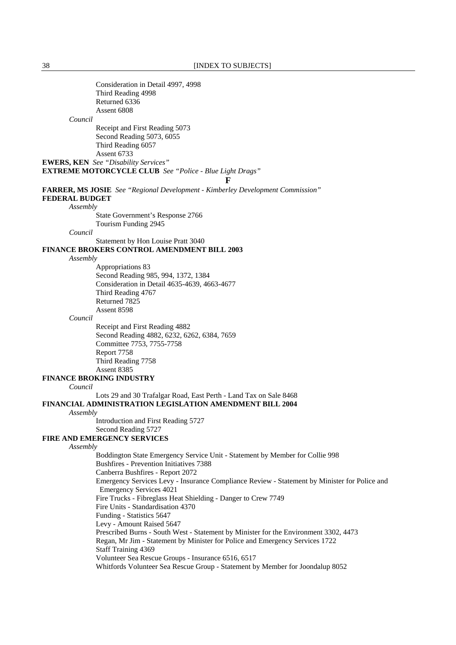| Consideration in Detail 4997, 4998                                                           |
|----------------------------------------------------------------------------------------------|
| Third Reading 4998                                                                           |
| Returned 6336                                                                                |
| Assent 6808                                                                                  |
| Council                                                                                      |
| Receipt and First Reading 5073                                                               |
|                                                                                              |
| Second Reading 5073, 6055                                                                    |
| Third Reading 6057                                                                           |
| Assent 6733                                                                                  |
| <b>EWERS, KEN</b> See "Disability Services"                                                  |
| <b>EXTREME MOTORCYCLE CLUB</b> See "Police - Blue Light Drags"                               |
| Е                                                                                            |
| <b>FARRER, MS JOSIE</b> See "Regional Development - Kimberley Development Commission"        |
| <b>FEDERAL BUDGET</b>                                                                        |
|                                                                                              |
| Assembly                                                                                     |
| State Government's Response 2766                                                             |
| Tourism Funding 2945                                                                         |
| Council                                                                                      |
| Statement by Hon Louise Pratt 3040                                                           |
| <b>FINANCE BROKERS CONTROL AMENDMENT BILL 2003</b>                                           |
| Assembly                                                                                     |
| Appropriations 83                                                                            |
| Second Reading 985, 994, 1372, 1384                                                          |
| Consideration in Detail 4635-4639, 4663-4677                                                 |
| Third Reading 4767                                                                           |
| Returned 7825                                                                                |
|                                                                                              |
| Assent 8598                                                                                  |
| Council                                                                                      |
| Receipt and First Reading 4882                                                               |
| Second Reading 4882, 6232, 6262, 6384, 7659                                                  |
| Committee 7753, 7755-7758                                                                    |
| Report 7758                                                                                  |
| Third Reading 7758                                                                           |
| Assent 8385                                                                                  |
| <b>FINANCE BROKING INDUSTRY</b>                                                              |
| Council                                                                                      |
| Lots 29 and 30 Trafalgar Road, East Perth - Land Tax on Sale 8468                            |
|                                                                                              |
| FINANCIAL ADMINISTRATION LEGISLATION AMENDMENT BILL 2004                                     |
| Assembly                                                                                     |
| Introduction and First Reading 5727                                                          |
| Second Reading 5727                                                                          |
| <b>FIRE AND EMERGENCY SERVICES</b>                                                           |
| Assembly                                                                                     |
| Boddington State Emergency Service Unit - Statement by Member for Collie 998                 |
| <b>Bushfires - Prevention Initiatives 7388</b>                                               |
| Canberra Bushfires - Report 2072                                                             |
| Emergency Services Levy - Insurance Compliance Review - Statement by Minister for Police and |
|                                                                                              |
| <b>Emergency Services 4021</b>                                                               |
| Fire Trucks - Fibreglass Heat Shielding - Danger to Crew 7749                                |
| Fire Units - Standardisation 4370                                                            |
| Funding - Statistics 5647                                                                    |
| Levy - Amount Raised 5647                                                                    |
| Prescribed Burns - South West - Statement by Minister for the Environment 3302, 4473         |
| Regan, Mr Jim - Statement by Minister for Police and Emergency Services 1722                 |
| <b>Staff Training 4369</b>                                                                   |
| Volunteer Sea Rescue Groups - Insurance 6516, 6517                                           |
| Whitfords Volunteer Sea Rescue Group - Statement by Member for Joondalup 8052                |
|                                                                                              |
|                                                                                              |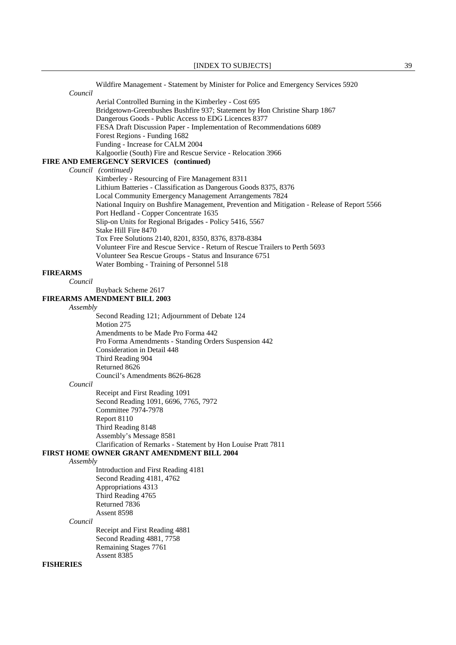|                  | Wildfire Management - Statement by Minister for Police and Emergency Services 5920          |
|------------------|---------------------------------------------------------------------------------------------|
| Council          |                                                                                             |
|                  | Aerial Controlled Burning in the Kimberley - Cost 695                                       |
|                  | Bridgetown-Greenbushes Bushfire 937; Statement by Hon Christine Sharp 1867                  |
|                  | Dangerous Goods - Public Access to EDG Licences 8377                                        |
|                  | FESA Draft Discussion Paper - Implementation of Recommendations 6089                        |
|                  | Forest Regions - Funding 1682                                                               |
|                  | Funding - Increase for CALM 2004                                                            |
|                  | Kalgoorlie (South) Fire and Rescue Service - Relocation 3966                                |
|                  | FIRE AND EMERGENCY SERVICES (continued)                                                     |
|                  | Council (continued)                                                                         |
|                  | Kimberley - Resourcing of Fire Management 8311                                              |
|                  | Lithium Batteries - Classification as Dangerous Goods 8375, 8376                            |
|                  | Local Community Emergency Management Arrangements 7824                                      |
|                  | National Inquiry on Bushfire Management, Prevention and Mitigation - Release of Report 5566 |
|                  | Port Hedland - Copper Concentrate 1635                                                      |
|                  | Slip-on Units for Regional Brigades - Policy 5416, 5567                                     |
|                  | Stake Hill Fire 8470                                                                        |
|                  | Tox Free Solutions 2140, 8201, 8350, 8376, 8378-8384                                        |
|                  | Volunteer Fire and Rescue Service - Return of Rescue Trailers to Perth 5693                 |
|                  | Volunteer Sea Rescue Groups - Status and Insurance 6751                                     |
|                  | Water Bombing - Training of Personnel 518                                                   |
| <b>FIREARMS</b>  |                                                                                             |
| Council          |                                                                                             |
|                  | Buyback Scheme 2617                                                                         |
|                  | <b>FIREARMS AMENDMENT BILL 2003</b>                                                         |
| Assembly         |                                                                                             |
|                  | Second Reading 121; Adjournment of Debate 124                                               |
|                  | Motion 275                                                                                  |
|                  | Amendments to be Made Pro Forma 442                                                         |
|                  | Pro Forma Amendments - Standing Orders Suspension 442                                       |
|                  | Consideration in Detail 448                                                                 |
|                  | Third Reading 904                                                                           |
|                  | Returned 8626                                                                               |
|                  | Council's Amendments 8626-8628                                                              |
| Council          |                                                                                             |
|                  | Receipt and First Reading 1091                                                              |
|                  | Second Reading 1091, 6696, 7765, 7972                                                       |
|                  | <b>Committee 7974-7978</b>                                                                  |
|                  | Report 8110                                                                                 |
|                  | Third Reading 8148                                                                          |
|                  | Assembly's Message 8581                                                                     |
|                  | Clarification of Remarks - Statement by Hon Louise Pratt 7811                               |
|                  | <b>FIRST HOME OWNER GRANT AMENDMENT BILL 2004</b>                                           |
| Assembly         |                                                                                             |
|                  | Introduction and First Reading 4181                                                         |
|                  | Second Reading 4181, 4762                                                                   |
|                  | Appropriations 4313                                                                         |
|                  | Third Reading 4765                                                                          |
|                  | Returned 7836                                                                               |
|                  | Assent 8598                                                                                 |
| Council          |                                                                                             |
|                  | Receipt and First Reading 4881                                                              |
|                  | Second Reading 4881, 7758                                                                   |
|                  | Remaining Stages 7761                                                                       |
|                  | Assent 8385                                                                                 |
| <b>FISHERIES</b> |                                                                                             |
|                  |                                                                                             |
|                  |                                                                                             |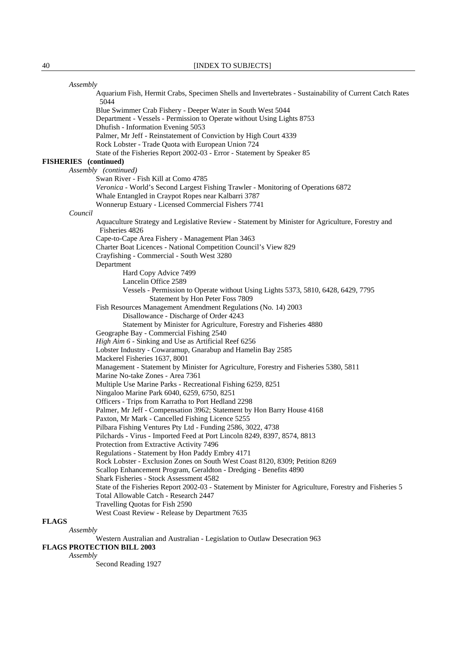| Assembly                     |                                                                                                                                          |
|------------------------------|------------------------------------------------------------------------------------------------------------------------------------------|
|                              | Aquarium Fish, Hermit Crabs, Specimen Shells and Invertebrates - Sustainability of Current Catch Rates<br>5044                           |
|                              | Blue Swimmer Crab Fishery - Deeper Water in South West 5044                                                                              |
|                              | Department - Vessels - Permission to Operate without Using Lights 8753                                                                   |
|                              | Dhufish - Information Evening 5053                                                                                                       |
|                              | Palmer, Mr Jeff - Reinstatement of Conviction by High Court 4339                                                                         |
|                              | Rock Lobster - Trade Quota with European Union 724                                                                                       |
|                              | State of the Fisheries Report 2002-03 - Error - Statement by Speaker 85                                                                  |
| <b>FISHERIES</b> (continued) |                                                                                                                                          |
|                              | Assembly (continued)                                                                                                                     |
|                              | Swan River - Fish Kill at Como 4785                                                                                                      |
|                              | Veronica - World's Second Largest Fishing Trawler - Monitoring of Operations 6872<br>Whale Entangled in Craypot Ropes near Kalbarri 3787 |
|                              | Wonnerup Estuary - Licensed Commercial Fishers 7741                                                                                      |
| Council                      |                                                                                                                                          |
|                              | Aquaculture Strategy and Legislative Review - Statement by Minister for Agriculture, Forestry and                                        |
|                              | Fisheries 4826                                                                                                                           |
|                              | Cape-to-Cape Area Fishery - Management Plan 3463                                                                                         |
|                              | Charter Boat Licences - National Competition Council's View 829                                                                          |
|                              | Crayfishing - Commercial - South West 3280                                                                                               |
|                              | Department                                                                                                                               |
|                              | Hard Copy Advice 7499                                                                                                                    |
|                              | Lancelin Office 2589                                                                                                                     |
|                              | Vessels - Permission to Operate without Using Lights 5373, 5810, 6428, 6429, 7795                                                        |
|                              | Statement by Hon Peter Foss 7809                                                                                                         |
|                              | Fish Resources Management Amendment Regulations (No. 14) 2003                                                                            |
|                              | Disallowance - Discharge of Order 4243                                                                                                   |
|                              | Statement by Minister for Agriculture, Forestry and Fisheries 4880<br>Geographe Bay - Commercial Fishing 2540                            |
|                              | High Aim 6 - Sinking and Use as Artificial Reef 6256                                                                                     |
|                              | Lobster Industry - Cowaramup, Gnarabup and Hamelin Bay 2585                                                                              |
|                              | Mackerel Fisheries 1637, 8001                                                                                                            |
|                              | Management - Statement by Minister for Agriculture, Forestry and Fisheries 5380, 5811                                                    |
|                              | Marine No-take Zones - Area 7361                                                                                                         |
|                              | Multiple Use Marine Parks - Recreational Fishing 6259, 8251                                                                              |
|                              | Ningaloo Marine Park 6040, 6259, 6750, 8251                                                                                              |
|                              | Officers - Trips from Karratha to Port Hedland 2298                                                                                      |
|                              | Palmer, Mr Jeff - Compensation 3962; Statement by Hon Barry House 4168                                                                   |
|                              | Paxton, Mr Mark - Cancelled Fishing Licence 5255                                                                                         |
|                              | Pilbara Fishing Ventures Pty Ltd - Funding 2586, 3022, 4738                                                                              |
|                              | Pilchards - Virus - Imported Feed at Port Lincoln 8249, 8397, 8574, 8813                                                                 |
|                              | Protection from Extractive Activity 7496                                                                                                 |
|                              | Regulations - Statement by Hon Paddy Embry 4171                                                                                          |
|                              | Rock Lobster - Exclusion Zones on South West Coast 8120, 8309; Petition 8269                                                             |
|                              | Scallop Enhancement Program, Geraldton - Dredging - Benefits 4890<br>Shark Fisheries - Stock Assessment 4582                             |
|                              | State of the Fisheries Report 2002-03 - Statement by Minister for Agriculture, Forestry and Fisheries 5                                  |
|                              | Total Allowable Catch - Research 2447                                                                                                    |
|                              | Travelling Quotas for Fish 2590                                                                                                          |
|                              | West Coast Review - Release by Department 7635                                                                                           |
| <b>FLAGS</b>                 |                                                                                                                                          |
| Assembly                     |                                                                                                                                          |
|                              |                                                                                                                                          |

Western Australian and Australian - Legislation to Outlaw Desecration 963

**FLAGS PROTECTION BILL 2003**

*Assembly*

Second Reading 1927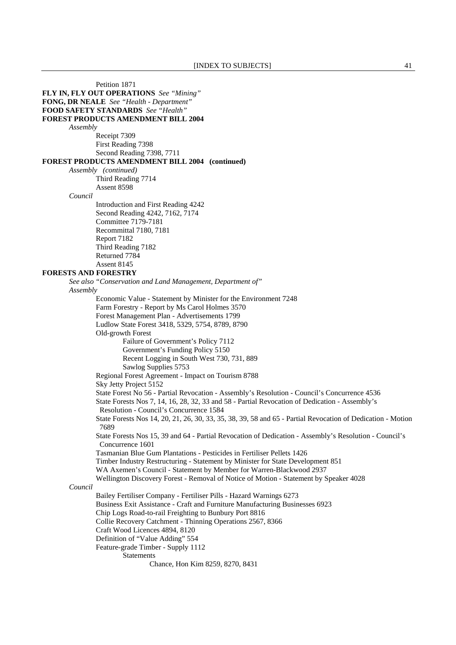Petition 1871 **FLY IN, FLY OUT OPERATIONS** *See "Mining"*  **FONG, DR NEALE** *See "Health - Department"*  **FOOD SAFETY STANDARDS** *See "Health"*  **FOREST PRODUCTS AMENDMENT BILL 2004** *Assembly* Receipt 7309 First Reading 7398 Second Reading 7398, 7711 **FOREST PRODUCTS AMENDMENT BILL 2004 (continued)** *Assembly (continued)* Third Reading 7714 Assent 8598 *Council* Introduction and First Reading 4242 Second Reading 4242, 7162, 7174 Committee 7179-7181 Recommittal 7180, 7181 Report 7182 Third Reading 7182 Returned 7784 Assent 8145 **FORESTS AND FORESTRY** *See also "Conservation and Land Management, Department of" Assembly* Economic Value - Statement by Minister for the Environment 7248 Farm Forestry - Report by Ms Carol Holmes 3570 Forest Management Plan - Advertisements 1799 Ludlow State Forest 3418, 5329, 5754, 8789, 8790 Old-growth Forest Failure of Government's Policy 7112 Government's Funding Policy 5150 Recent Logging in South West 730, 731, 889 Sawlog Supplies 5753 Regional Forest Agreement - Impact on Tourism 8788 Sky Jetty Project 5152 State Forest No 56 - Partial Revocation - Assembly's Resolution - Council's Concurrence 4536 State Forests Nos 7, 14, 16, 28, 32, 33 and 58 - Partial Revocation of Dedication - Assembly's Resolution - Council's Concurrence 1584 State Forests Nos 14, 20, 21, 26, 30, 33, 35, 38, 39, 58 and 65 - Partial Revocation of Dedication - Motion 7689 State Forests Nos 15, 39 and 64 - Partial Revocation of Dedication - Assembly's Resolution - Council's Concurrence 1601 Tasmanian Blue Gum Plantations - Pesticides in Fertiliser Pellets 1426 Timber Industry Restructuring - Statement by Minister for State Development 851 WA Axemen's Council - Statement by Member for Warren-Blackwood 2937 Wellington Discovery Forest - Removal of Notice of Motion - Statement by Speaker 4028 *Council* Bailey Fertiliser Company - Fertiliser Pills - Hazard Warnings 6273 Business Exit Assistance - Craft and Furniture Manufacturing Businesses 6923 Chip Logs Road-to-rail Freighting to Bunbury Port 8816 Collie Recovery Catchment - Thinning Operations 2567, 8366 Craft Wood Licences 4894, 8120 Definition of "Value Adding" 554 Feature-grade Timber - Supply 1112 Statements Chance, Hon Kim 8259, 8270, 8431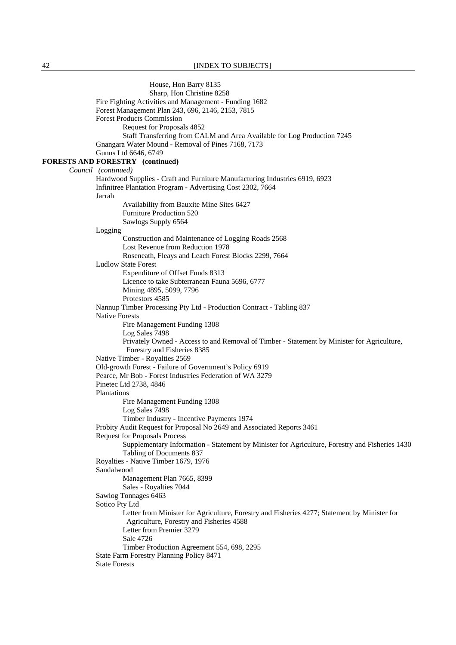House, Hon Barry 8135 Sharp, Hon Christine 8258 Fire Fighting Activities and Management - Funding 1682 Forest Management Plan 243, 696, 2146, 2153, 7815 Forest Products Commission Request for Proposals 4852 Staff Transferring from CALM and Area Available for Log Production 7245 Gnangara Water Mound - Removal of Pines 7168, 7173 Gunns Ltd 6646, 6749 **FORESTS AND FORESTRY (continued)**  *Council (continued)*  Hardwood Supplies - Craft and Furniture Manufacturing Industries 6919, 6923 Infinitree Plantation Program - Advertising Cost 2302, 7664 Jarrah Availability from Bauxite Mine Sites 6427 Furniture Production 520 Sawlogs Supply 6564 Logging Construction and Maintenance of Logging Roads 2568 Lost Revenue from Reduction 1978 Roseneath, Fleays and Leach Forest Blocks 2299, 7664 Ludlow State Forest Expenditure of Offset Funds 8313 Licence to take Subterranean Fauna 5696, 6777 Mining 4895, 5099, 7796 Protestors 4585 Nannup Timber Processing Pty Ltd - Production Contract - Tabling 837 Native Forests Fire Management Funding 1308 Log Sales 7498 Privately Owned - Access to and Removal of Timber - Statement by Minister for Agriculture, Forestry and Fisheries 8385 Native Timber - Royalties 2569 Old-growth Forest - Failure of Government's Policy 6919 Pearce, Mr Bob - Forest Industries Federation of WA 3279 Pinetec Ltd 2738, 4846 Plantations Fire Management Funding 1308 Log Sales 7498 Timber Industry - Incentive Payments 1974 Probity Audit Request for Proposal No 2649 and Associated Reports 3461 Request for Proposals Process Supplementary Information - Statement by Minister for Agriculture, Forestry and Fisheries 1430 Tabling of Documents 837 Royalties - Native Timber 1679, 1976 Sandalwood Management Plan 7665, 8399 Sales - Royalties 7044 Sawlog Tonnages 6463 Sotico Pty Ltd Letter from Minister for Agriculture, Forestry and Fisheries 4277; Statement by Minister for Agriculture, Forestry and Fisheries 4588 Letter from Premier 3279 Sale 4726 Timber Production Agreement 554, 698, 2295 State Farm Forestry Planning Policy 8471 State Forests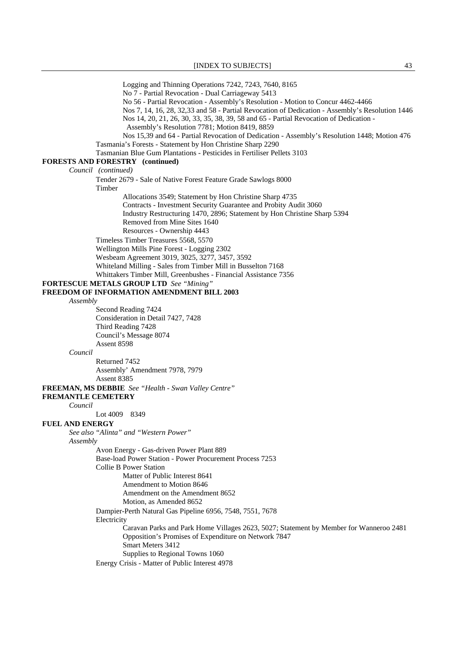Logging and Thinning Operations 7242, 7243, 7640, 8165 No 7 - Partial Revocation - Dual Carriageway 5413 No 56 - Partial Revocation - Assembly's Resolution - Motion to Concur 4462-4466 Nos 7, 14, 16, 28, 32,33 and 58 - Partial Revocation of Dedication - Assembly's Resolution 1446 Nos 14, 20, 21, 26, 30, 33, 35, 38, 39, 58 and 65 - Partial Revocation of Dedication - Assembly's Resolution 7781; Motion 8419, 8859 Nos 15,39 and 64 - Partial Revocation of Dedication - Assembly's Resolution 1448; Motion 476 Tasmania's Forests - Statement by Hon Christine Sharp 2290 Tasmanian Blue Gum Plantations - Pesticides in Fertiliser Pellets 3103 **FORESTS AND FORESTRY (continued)**  *Council (continued)* Tender 2679 - Sale of Native Forest Feature Grade Sawlogs 8000 Timber Allocations 3549; Statement by Hon Christine Sharp 4735 Contracts - Investment Security Guarantee and Probity Audit 3060 Industry Restructuring 1470, 2896; Statement by Hon Christine Sharp 5394 Removed from Mine Sites 1640 Resources - Ownership 4443 Timeless Timber Treasures 5568, 5570 Wellington Mills Pine Forest - Logging 2302 Wesbeam Agreement 3019, 3025, 3277, 3457, 3592 Whiteland Milling - Sales from Timber Mill in Busselton 7168 Whittakers Timber Mill, Greenbushes - Financial Assistance 7356 **FORTESCUE METALS GROUP LTD** *See "Mining"*  **FREEDOM OF INFORMATION AMENDMENT BILL 2003** *Assembly* Second Reading 7424 Consideration in Detail 7427, 7428 Third Reading 7428 Council's Message 8074 Assent 8598 *Council* Returned 7452 Assembly' Amendment 7978, 7979 Assent 8385 **FREEMAN, MS DEBBIE** *See "Health - Swan Valley Centre"*  **FREMANTLE CEMETERY** *Council* Lot 4009 8349 **FUEL AND ENERGY** *See also "Alinta" and "Western Power" Assembly* Avon Energy - Gas-driven Power Plant 889 Base-load Power Station - Power Procurement Process 7253 Collie B Power Station Matter of Public Interest 8641 Amendment to Motion 8646 Amendment on the Amendment 8652 Motion, as Amended 8652 Dampier-Perth Natural Gas Pipeline 6956, 7548, 7551, 7678 **Electricity**  Caravan Parks and Park Home Villages 2623, 5027; Statement by Member for Wanneroo 2481 Opposition's Promises of Expenditure on Network 7847 Smart Meters 3412 Supplies to Regional Towns 1060 Energy Crisis - Matter of Public Interest 4978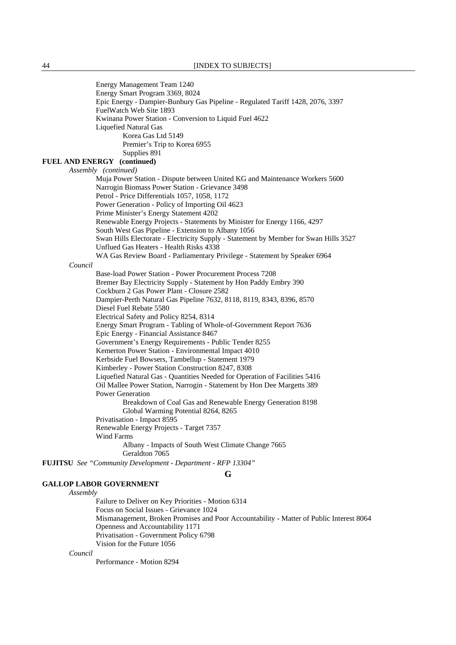Energy Management Team 1240 Energy Smart Program 3369, 8024 Epic Energy - Dampier-Bunbury Gas Pipeline - Regulated Tariff 1428, 2076, 3397 FuelWatch Web Site 1893 Kwinana Power Station - Conversion to Liquid Fuel 4622 Liquefied Natural Gas Korea Gas Ltd 5149 Premier's Trip to Korea 6955 Supplies 891 **FUEL AND ENERGY (continued)**  *Assembly (continued)*  Muja Power Station - Dispute between United KG and Maintenance Workers 5600 Narrogin Biomass Power Station - Grievance 3498 Petrol - Price Differentials 1057, 1058, 1172 Power Generation - Policy of Importing Oil 4623 Prime Minister's Energy Statement 4202 Renewable Energy Projects - Statements by Minister for Energy 1166, 4297 South West Gas Pipeline - Extension to Albany 1056 Swan Hills Electorate - Electricity Supply - Statement by Member for Swan Hills 3527 Unflued Gas Heaters - Health Risks 4338 WA Gas Review Board - Parliamentary Privilege - Statement by Speaker 6964 *Council* Base-load Power Station - Power Procurement Process 7208 Bremer Bay Electricity Supply - Statement by Hon Paddy Embry 390 Cockburn 2 Gas Power Plant - Closure 2582 Dampier-Perth Natural Gas Pipeline 7632, 8118, 8119, 8343, 8396, 8570 Diesel Fuel Rebate 5580 Electrical Safety and Policy 8254, 8314 Energy Smart Program - Tabling of Whole-of-Government Report 7636 Epic Energy - Financial Assistance 8467 Government's Energy Requirements - Public Tender 8255 Kemerton Power Station - Environmental Impact 4010 Kerbside Fuel Bowsers, Tambellup - Statement 1979 Kimberley - Power Station Construction 8247, 8308 Liquefied Natural Gas - Quantities Needed for Operation of Facilities 5416 Oil Mallee Power Station, Narrogin - Statement by Hon Dee Margetts 389 Power Generation Breakdown of Coal Gas and Renewable Energy Generation 8198 Global Warming Potential 8264, 8265 Privatisation - Impact 8595 Renewable Energy Projects - Target 7357 Wind Farms Albany - Impacts of South West Climate Change 7665 Geraldton 7065 **FUJITSU** *See "Community Development - Department - RFP 13304"*  **G**

### **GALLOP LABOR GOVERNMENT**

*Assembly*

 Failure to Deliver on Key Priorities - Motion 6314 Focus on Social Issues - Grievance 1024 Mismanagement, Broken Promises and Poor Accountability - Matter of Public Interest 8064 Openness and Accountability 1171 Privatisation - Government Policy 6798 Vision for the Future 1056

*Council*

Performance - Motion 8294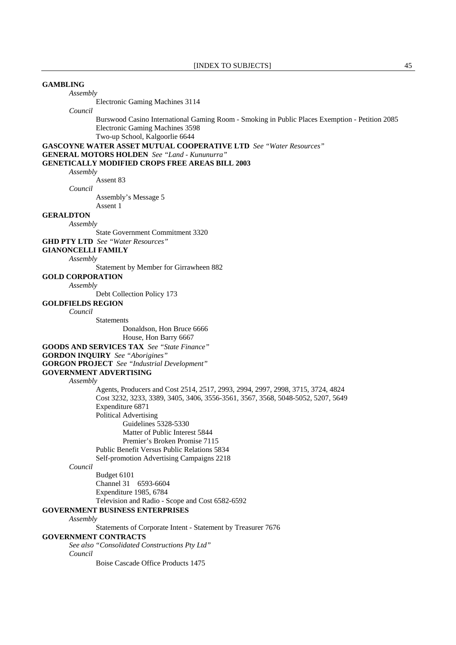## **GAMBLING**

*Assembly*

Electronic Gaming Machines 3114

*Council*

 Burswood Casino International Gaming Room - Smoking in Public Places Exemption - Petition 2085 Electronic Gaming Machines 3598

Two-up School, Kalgoorlie 6644

**GASCOYNE WATER ASSET MUTUAL COOPERATIVE LTD** *See "Water Resources"* 

**GENERAL MOTORS HOLDEN** *See "Land - Kununurra"* 

### **GENETICALLY MODIFIED CROPS FREE AREAS BILL 2003**

*Assembly*

Assent 83

*Council*

Assembly's Message 5

Assent 1

# **GERALDTON**

*Assembly*

State Government Commitment 3320

**GHD PTY LTD** *See "Water Resources"* 

**GIANONCELLI FAMILY**

*Assembly*

Statement by Member for Girrawheen 882

**GOLD CORPORATION**

*Assembly*

Debt Collection Policy 173

### **GOLDFIELDS REGION**

*Council*

**Statements** 

Donaldson, Hon Bruce 6666

House, Hon Barry 6667

**GOODS AND SERVICES TAX** *See "State Finance"* 

**GORDON INQUIRY** *See "Aborigines"* 

**GORGON PROJECT** *See "Industrial Development"* 

**GOVERNMENT ADVERTISING**

*Assembly*

 Agents, Producers and Cost 2514, 2517, 2993, 2994, 2997, 2998, 3715, 3724, 4824 Cost 3232, 3233, 3389, 3405, 3406, 3556-3561, 3567, 3568, 5048-5052, 5207, 5649 Expenditure 6871 Political Advertising

Guidelines 5328-5330

Matter of Public Interest 5844

Premier's Broken Promise 7115

Public Benefit Versus Public Relations 5834

Self-promotion Advertising Campaigns 2218

*Council*

 Budget 6101 Channel 31 6593-6604 Expenditure 1985, 6784 Television and Radio - Scope and Cost 6582-6592

### **GOVERNMENT BUSINESS ENTERPRISES**

*Assembly*

Statements of Corporate Intent - Statement by Treasurer 7676

#### **GOVERNMENT CONTRACTS**

*See also "Consolidated Constructions Pty Ltd" Council*

Boise Cascade Office Products 1475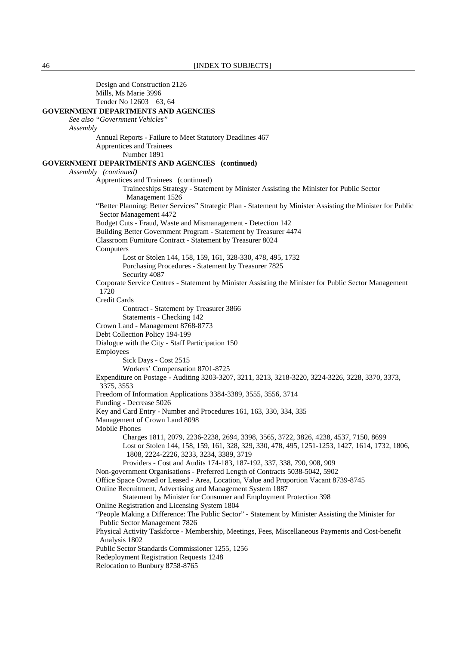Design and Construction 2126 Mills, Ms Marie 3996 Tender No 12603 63, 64 **GOVERNMENT DEPARTMENTS AND AGENCIES** *See also "Government Vehicles" Assembly* Annual Reports - Failure to Meet Statutory Deadlines 467 Apprentices and Trainees Number 1891 **GOVERNMENT DEPARTMENTS AND AGENCIES (continued)**  *Assembly (continued)*  Apprentices and Trainees (continued) Traineeships Strategy - Statement by Minister Assisting the Minister for Public Sector Management 1526 "Better Planning: Better Services" Strategic Plan - Statement by Minister Assisting the Minister for Public Sector Management 4472 Budget Cuts - Fraud, Waste and Mismanagement - Detection 142 Building Better Government Program - Statement by Treasurer 4474 Classroom Furniture Contract - Statement by Treasurer 8024 **Computers**  Lost or Stolen 144, 158, 159, 161, 328-330, 478, 495, 1732 Purchasing Procedures - Statement by Treasurer 7825 Security 4087 Corporate Service Centres - Statement by Minister Assisting the Minister for Public Sector Management 1720 Credit Cards Contract - Statement by Treasurer 3866 Statements - Checking 142 Crown Land - Management 8768-8773 Debt Collection Policy 194-199 Dialogue with the City - Staff Participation 150 Employees Sick Days - Cost 2515 Workers' Compensation 8701-8725 Expenditure on Postage - Auditing 3203-3207, 3211, 3213, 3218-3220, 3224-3226, 3228, 3370, 3373, 3375, 3553 Freedom of Information Applications 3384-3389, 3555, 3556, 3714 Funding - Decrease 5026 Key and Card Entry - Number and Procedures 161, 163, 330, 334, 335 Management of Crown Land 8098 Mobile Phones Charges 1811, 2079, 2236-2238, 2694, 3398, 3565, 3722, 3826, 4238, 4537, 7150, 8699 Lost or Stolen 144, 158, 159, 161, 328, 329, 330, 478, 495, 1251-1253, 1427, 1614, 1732, 1806, 1808, 2224-2226, 3233, 3234, 3389, 3719 Providers - Cost and Audits 174-183, 187-192, 337, 338, 790, 908, 909 Non-government Organisations - Preferred Length of Contracts 5038-5042, 5902 Office Space Owned or Leased - Area, Location, Value and Proportion Vacant 8739-8745 Online Recruitment, Advertising and Management System 1887 Statement by Minister for Consumer and Employment Protection 398 Online Registration and Licensing System 1804 "People Making a Difference: The Public Sector" - Statement by Minister Assisting the Minister for Public Sector Management 7826 Physical Activity Taskforce - Membership, Meetings, Fees, Miscellaneous Payments and Cost-benefit Analysis 1802 Public Sector Standards Commissioner 1255, 1256 Redeployment Registration Requests 1248 Relocation to Bunbury 8758-8765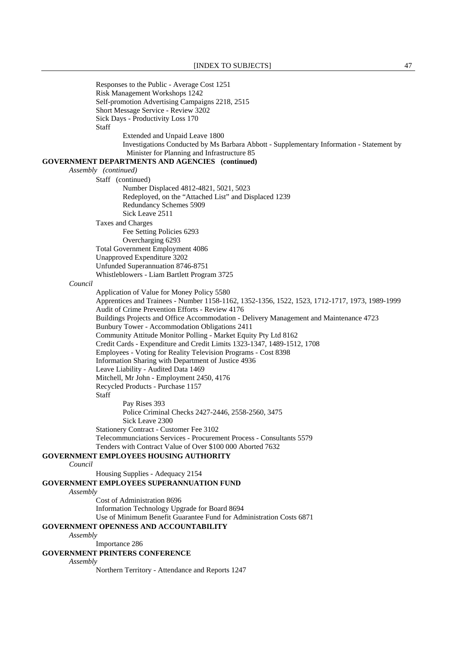Responses to the Public - Average Cost 1251 Risk Management Workshops 1242 Self-promotion Advertising Campaigns 2218, 2515 Short Message Service - Review 3202 Sick Days - Productivity Loss 170 **Staff**  Extended and Unpaid Leave 1800 Investigations Conducted by Ms Barbara Abbott - Supplementary Information - Statement by Minister for Planning and Infrastructure 85 **GOVERNMENT DEPARTMENTS AND AGENCIES (continued)**  *Assembly (continued)*  Staff (continued) Number Displaced 4812-4821, 5021, 5023 Redeployed, on the "Attached List" and Displaced 1239 Redundancy Schemes 5909 Sick Leave 2511 Taxes and Charges Fee Setting Policies 6293 Overcharging 6293 Total Government Employment 4086 Unapproved Expenditure 3202 Unfunded Superannuation 8746-8751 Whistleblowers - Liam Bartlett Program 3725 *Council* Application of Value for Money Policy 5580 Apprentices and Trainees - Number 1158-1162, 1352-1356, 1522, 1523, 1712-1717, 1973, 1989-1999 Audit of Crime Prevention Efforts - Review 4176 Buildings Projects and Office Accommodation - Delivery Management and Maintenance 4723 Bunbury Tower - Accommodation Obligations 2411 Community Attitude Monitor Polling - Market Equity Pty Ltd 8162 Credit Cards - Expenditure and Credit Limits 1323-1347, 1489-1512, 1708 Employees - Voting for Reality Television Programs - Cost 8398 Information Sharing with Department of Justice 4936 Leave Liability - Audited Data 1469 Mitchell, Mr John - Employment 2450, 4176 Recycled Products - Purchase 1157 **Staff**  Pay Rises 393 Police Criminal Checks 2427-2446, 2558-2560, 3475 Sick Leave 2300 Stationery Contract - Customer Fee 3102 Telecommunciations Services - Procurement Process - Consultants 5579 Tenders with Contract Value of Over \$100 000 Aborted 7632 **GOVERNMENT EMPLOYEES HOUSING AUTHORITY** *Council* Housing Supplies - Adequacy 2154 **GOVERNMENT EMPLOYEES SUPERANNUATION FUND** *Assembly* Cost of Administration 8696 Information Technology Upgrade for Board 8694 Use of Minimum Benefit Guarantee Fund for Administration Costs 6871 **GOVERNMENT OPENNESS AND ACCOUNTABILITY** *Assembly* Importance 286 **GOVERNMENT PRINTERS CONFERENCE** *Assembly* Northern Territory - Attendance and Reports 1247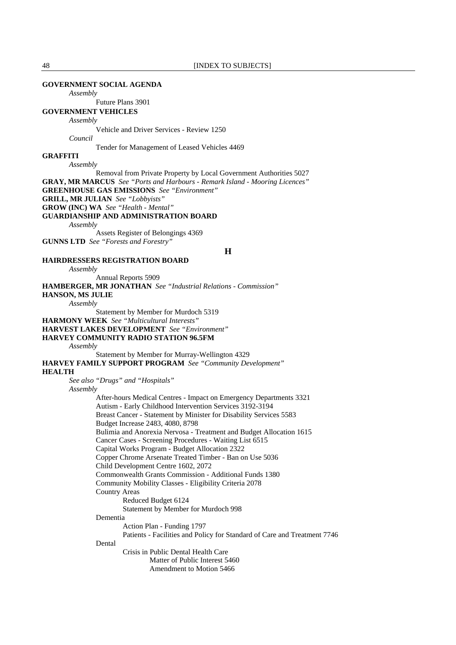### **GOVERNMENT SOCIAL AGENDA**

*Assembly*

Future Plans 3901

### **GOVERNMENT VEHICLES**

### *Assembly*

Vehicle and Driver Services - Review 1250

*Council*

Tender for Management of Leased Vehicles 4469

### **GRAFFITI**

*Assembly*

 Removal from Private Property by Local Government Authorities 5027 **GRAY, MR MARCUS** *See "Ports and Harbours - Remark Island - Mooring Licences"*  **GREENHOUSE GAS EMISSIONS** *See "Environment"*  **GRILL, MR JULIAN** *See "Lobbyists"*  **GROW (INC) WA** *See "Health - Mental"*  **GUARDIANSHIP AND ADMINISTRATION BOARD** *Assembly* Assets Register of Belongings 4369

**GUNNS LTD** *See "Forests and Forestry"* 

**H**

## **HAIRDRESSERS REGISTRATION BOARD**

*Assembly*

 Annual Reports 5909 **HAMBERGER, MR JONATHAN** *See "Industrial Relations - Commission"* 

**HANSON, MS JULIE**

*Assembly*

Statement by Member for Murdoch 5319

**HARMONY WEEK** *See "Multicultural Interests"* 

**HARVEST LAKES DEVELOPMENT** *See "Environment"* 

#### **HARVEY COMMUNITY RADIO STATION 96.5FM**

*Assembly*

 Statement by Member for Murray-Wellington 4329 **HARVEY FAMILY SUPPORT PROGRAM** *See "Community Development"*  **HEALTH**

*See also "Drugs" and "Hospitals"* 

*Assembly*

 After-hours Medical Centres - Impact on Emergency Departments 3321 Autism - Early Childhood Intervention Services 3192-3194 Breast Cancer - Statement by Minister for Disability Services 5583 Budget Increase 2483, 4080, 8798 Bulimia and Anorexia Nervosa - Treatment and Budget Allocation 1615 Cancer Cases - Screening Procedures - Waiting List 6515 Capital Works Program - Budget Allocation 2322 Copper Chrome Arsenate Treated Timber - Ban on Use 5036 Child Development Centre 1602, 2072 Commonwealth Grants Commission - Additional Funds 1380 Community Mobility Classes - Eligibility Criteria 2078 Country Areas Reduced Budget 6124 Statement by Member for Murdoch 998 Dementia Action Plan - Funding 1797 Patients - Facilities and Policy for Standard of Care and Treatment 7746 Dental Crisis in Public Dental Health Care Matter of Public Interest 5460 Amendment to Motion 5466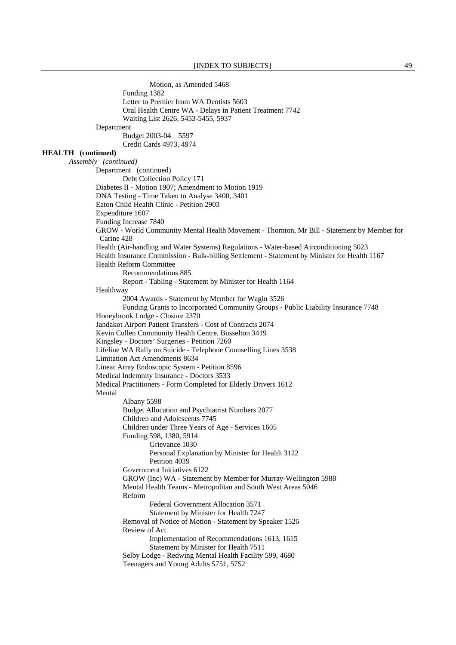Motion, as Amended 5468 Funding 1382 Letter to Premier from WA Dentists 5603 Oral Health Centre WA - Delays in Patient Treatment 7742 Waiting List 2626, 5453-5455, 5937 Department Budget 2003-04 5597 Credit Cards 4973, 4974 **HEALTH (continued)**  *Assembly (continued)*  Department (continued) Debt Collection Policy 171 Diabetes II - Motion 1907; Amendment to Motion 1919 DNA Testing - Time Taken to Analyse 3400, 3401 Eaton Child Health Clinic - Petition 2903 Expenditure 1607 Funding Increase 7840 GROW - World Community Mental Health Movement - Thornton, Mr Bill - Statement by Member for Carine 428 Health (Air-handling and Water Systems) Regulations - Water-based Airconditioning 5023 Health Insurance Commission - Bulk-billing Settlement - Statement by Minister for Health 1167 Health Reform Committee Recommendations 885 Report - Tabling - Statement by Minister for Health 1164 Healthway 2004 Awards - Statement by Member for Wagin 3526 Funding Grants to Incorporated Community Groups - Public Liability Insurance 7748 Honeybrook Lodge - Closure 2370 Jandakot Airport Patient Transfers - Cost of Contracts 2074 Kevin Cullen Community Health Centre, Busselton 3419 Kingsley - Doctors' Surgeries - Petition 7260 Lifeline WA Rally on Suicide - Telephone Counselling Lines 3538 Limitation Act Amendments 8634 Linear Array Endoscopic System - Petition 8596 Medical Indemnity Insurance - Doctors 3533 Medical Practitioners - Form Completed for Elderly Drivers 1612 Mental Albany 5598 Budget Allocation and Psychiatrist Numbers 2077 Children and Adolescents 7745 Children under Three Years of Age - Services 1605 Funding 598, 1380, 5914 Grievance 1030 Personal Explanation by Minister for Health 3122 Petition 4039 Government Initiatives 6122 GROW (Inc) WA - Statement by Member for Murray-Wellington 5988 Mental Health Teams - Metropolitan and South West Areas 5046 Reform Federal Government Allocation 3571 Statement by Minister for Health 7247 Removal of Notice of Motion - Statement by Speaker 1526 Review of Act Implementation of Recommendations 1613, 1615 Statement by Minister for Health 7511 Selby Lodge - Redwing Mental Health Facility 599, 4680 Teenagers and Young Adults 5751, 5752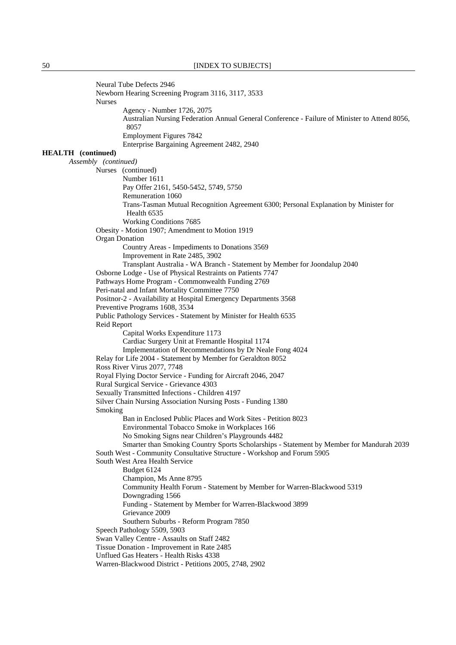Neural Tube Defects 2946 Newborn Hearing Screening Program 3116, 3117, 3533 Nurses Agency - Number 1726, 2075 Australian Nursing Federation Annual General Conference - Failure of Minister to Attend 8056, 8057 Employment Figures 7842 Enterprise Bargaining Agreement 2482, 2940 **HEALTH (continued)**  *Assembly (continued)*  Nurses (continued) Number 1611 Pay Offer 2161, 5450-5452, 5749, 5750 Remuneration 1060 Trans-Tasman Mutual Recognition Agreement 6300; Personal Explanation by Minister for Health 6535 Working Conditions 7685 Obesity - Motion 1907; Amendment to Motion 1919 Organ Donation Country Areas - Impediments to Donations 3569 Improvement in Rate 2485, 3902 Transplant Australia - WA Branch - Statement by Member for Joondalup 2040 Osborne Lodge - Use of Physical Restraints on Patients 7747 Pathways Home Program - Commonwealth Funding 2769 Peri-natal and Infant Mortality Committee 7750 Positnor-2 - Availability at Hospital Emergency Departments 3568 Preventive Programs 1608, 3534 Public Pathology Services - Statement by Minister for Health 6535 Reid Report Capital Works Expenditure 1173 Cardiac Surgery Unit at Fremantle Hospital 1174 Implementation of Recommendations by Dr Neale Fong 4024 Relay for Life 2004 - Statement by Member for Geraldton 8052 Ross River Virus 2077, 7748 Royal Flying Doctor Service - Funding for Aircraft 2046, 2047 Rural Surgical Service - Grievance 4303 Sexually Transmitted Infections - Children 4197 Silver Chain Nursing Association Nursing Posts - Funding 1380 Smoking Ban in Enclosed Public Places and Work Sites - Petition 8023 Environmental Tobacco Smoke in Workplaces 166 No Smoking Signs near Children's Playgrounds 4482 Smarter than Smoking Country Sports Scholarships - Statement by Member for Mandurah 2039 South West - Community Consultative Structure - Workshop and Forum 5905 South West Area Health Service Budget 6124 Champion, Ms Anne 8795 Community Health Forum - Statement by Member for Warren-Blackwood 5319 Downgrading 1566 Funding - Statement by Member for Warren-Blackwood 3899 Grievance 2009 Southern Suburbs - Reform Program 7850 Speech Pathology 5509, 5903 Swan Valley Centre - Assaults on Staff 2482 Tissue Donation - Improvement in Rate 2485 Unflued Gas Heaters - Health Risks 4338 Warren-Blackwood District - Petitions 2005, 2748, 2902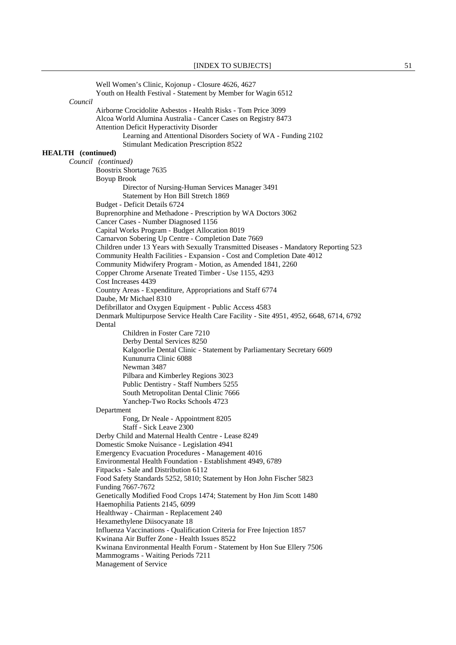Well Women's Clinic, Kojonup - Closure 4626, 4627 Youth on Health Festival - Statement by Member for Wagin 6512 *Council* Airborne Crocidolite Asbestos - Health Risks - Tom Price 3099 Alcoa World Alumina Australia - Cancer Cases on Registry 8473 Attention Deficit Hyperactivity Disorder Learning and Attentional Disorders Society of WA - Funding 2102 Stimulant Medication Prescription 8522 **HEALTH (continued)**  *Council (continued)* Boostrix Shortage 7635 Boyup Brook Director of Nursing-Human Services Manager 3491 Statement by Hon Bill Stretch 1869 Budget - Deficit Details 6724 Buprenorphine and Methadone - Prescription by WA Doctors 3062 Cancer Cases - Number Diagnosed 1156 Capital Works Program - Budget Allocation 8019 Carnarvon Sobering Up Centre - Completion Date 7669 Children under 13 Years with Sexually Transmitted Diseases - Mandatory Reporting 523 Community Health Facilities - Expansion - Cost and Completion Date 4012 Community Midwifery Program - Motion, as Amended 1841, 2260 Copper Chrome Arsenate Treated Timber - Use 1155, 4293 Cost Increases 4439 Country Areas - Expenditure, Appropriations and Staff 6774 Daube, Mr Michael 8310 Defibrillator and Oxygen Equipment - Public Access 4583 Denmark Multipurpose Service Health Care Facility - Site 4951, 4952, 6648, 6714, 6792 Dental Children in Foster Care 7210 Derby Dental Services 8250 Kalgoorlie Dental Clinic - Statement by Parliamentary Secretary 6609 Kununurra Clinic 6088 Newman 3487 Pilbara and Kimberley Regions 3023 Public Dentistry - Staff Numbers 5255 South Metropolitan Dental Clinic 7666 Yanchep-Two Rocks Schools 4723 Department Fong, Dr Neale - Appointment 8205 Staff - Sick Leave 2300 Derby Child and Maternal Health Centre - Lease 8249 Domestic Smoke Nuisance - Legislation 4941 Emergency Evacuation Procedures - Management 4016 Environmental Health Foundation - Establishment 4949, 6789 Fitpacks - Sale and Distribution 6112 Food Safety Standards 5252, 5810; Statement by Hon John Fischer 5823 Funding 7667-7672 Genetically Modified Food Crops 1474; Statement by Hon Jim Scott 1480 Haemophilia Patients 2145, 6099 Healthway - Chairman - Replacement 240 Hexamethylene Diisocyanate 18 Influenza Vaccinations - Qualification Criteria for Free Injection 1857 Kwinana Air Buffer Zone - Health Issues 8522 Kwinana Environmental Health Forum - Statement by Hon Sue Ellery 7506 Mammograms - Waiting Periods 7211 Management of Service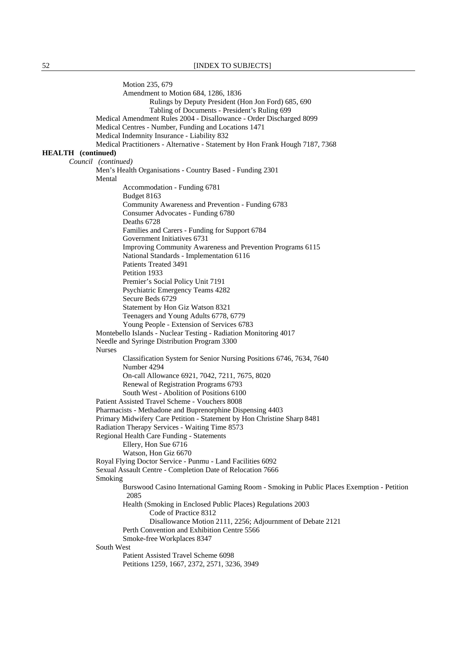Motion 235, 679 Amendment to Motion 684, 1286, 1836 Rulings by Deputy President (Hon Jon Ford) 685, 690 Tabling of Documents - President's Ruling 699 Medical Amendment Rules 2004 - Disallowance - Order Discharged 8099 Medical Centres - Number, Funding and Locations 1471 Medical Indemnity Insurance - Liability 832 Medical Practitioners - Alternative - Statement by Hon Frank Hough 7187, 7368 **HEALTH (continued)**  *Council (continued)* Men's Health Organisations - Country Based - Funding 2301 Mental Accommodation - Funding 6781 Budget 8163 Community Awareness and Prevention - Funding 6783 Consumer Advocates - Funding 6780 Deaths 6728 Families and Carers - Funding for Support 6784 Government Initiatives 6731 Improving Community Awareness and Prevention Programs 6115 National Standards - Implementation 6116 Patients Treated 3491 Petition 1933 Premier's Social Policy Unit 7191 Psychiatric Emergency Teams 4282 Secure Beds 6729 Statement by Hon Giz Watson 8321 Teenagers and Young Adults 6778, 6779 Young People - Extension of Services 6783 Montebello Islands - Nuclear Testing - Radiation Monitoring 4017 Needle and Syringe Distribution Program 3300 Nurses Classification System for Senior Nursing Positions 6746, 7634, 7640 Number 4294 On-call Allowance 6921, 7042, 7211, 7675, 8020 Renewal of Registration Programs 6793 South West - Abolition of Positions 6100 Patient Assisted Travel Scheme - Vouchers 8008 Pharmacists - Methadone and Buprenorphine Dispensing 4403 Primary Midwifery Care Petition - Statement by Hon Christine Sharp 8481 Radiation Therapy Services - Waiting Time 8573 Regional Health Care Funding - Statements Ellery, Hon Sue 6716 Watson, Hon Giz 6670 Royal Flying Doctor Service - Punmu - Land Facilities 6092 Sexual Assault Centre - Completion Date of Relocation 7666 Smoking Burswood Casino International Gaming Room - Smoking in Public Places Exemption - Petition 2085 Health (Smoking in Enclosed Public Places) Regulations 2003 Code of Practice 8312 Disallowance Motion 2111, 2256; Adjournment of Debate 2121 Perth Convention and Exhibition Centre 5566 Smoke-free Workplaces 8347 South West Patient Assisted Travel Scheme 6098 Petitions 1259, 1667, 2372, 2571, 3236, 3949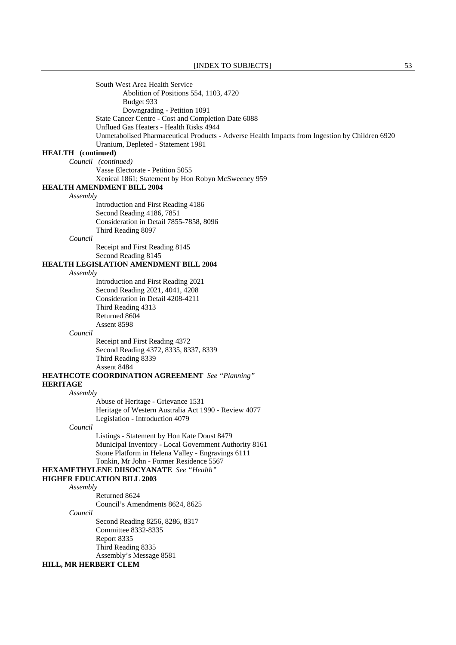South West Area Health Service Abolition of Positions 554, 1103, 4720 Budget 933 Downgrading - Petition 1091 State Cancer Centre - Cost and Completion Date 6088 Unflued Gas Heaters - Health Risks 4944 Unmetabolised Pharmaceutical Products - Adverse Health Impacts from Ingestion by Children 6920 Uranium, Depleted - Statement 1981 **HEALTH (continued)**  *Council (continued)* Vasse Electorate - Petition 5055 Xenical 1861; Statement by Hon Robyn McSweeney 959 **HEALTH AMENDMENT BILL 2004** *Assembly* Introduction and First Reading 4186 Second Reading 4186, 7851 Consideration in Detail 7855-7858, 8096 Third Reading 8097 *Council* Receipt and First Reading 8145 Second Reading 8145 **HEALTH LEGISLATION AMENDMENT BILL 2004** *Assembly* Introduction and First Reading 2021 Second Reading 2021, 4041, 4208 Consideration in Detail 4208-4211 Third Reading 4313 Returned 8604 Assent 8598 *Council* Receipt and First Reading 4372 Second Reading 4372, 8335, 8337, 8339 Third Reading 8339 Assent 8484 **HEATHCOTE COORDINATION AGREEMENT** *See "Planning"*  **HERITAGE** *Assembly* Abuse of Heritage - Grievance 1531 Heritage of Western Australia Act 1990 - Review 4077 Legislation - Introduction 4079 *Council* Listings - Statement by Hon Kate Doust 8479 Municipal Inventory - Local Government Authority 8161 Stone Platform in Helena Valley - Engravings 6111 Tonkin, Mr John - Former Residence 5567 **HEXAMETHYLENE DIISOCYANATE** *See "Health"*  **HIGHER EDUCATION BILL 2003** *Assembly* Returned 8624 Council's Amendments 8624, 8625 *Council* Second Reading 8256, 8286, 8317 Committee 8332-8335 Report 8335 Third Reading 8335 Assembly's Message 8581 **HILL, MR HERBERT CLEM**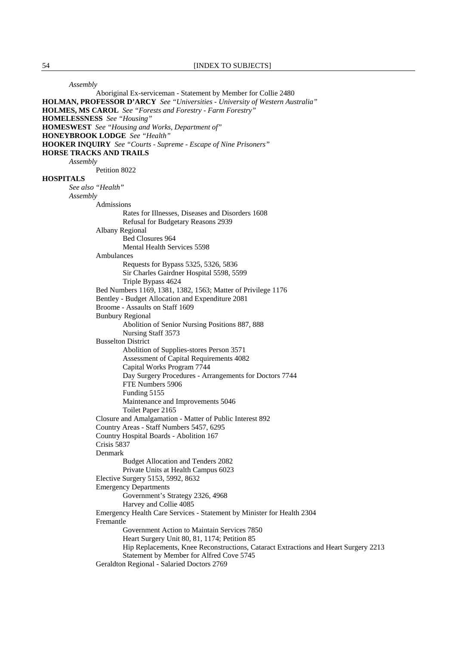*Assembly*

 Aboriginal Ex-serviceman - Statement by Member for Collie 2480 **HOLMAN, PROFESSOR D'ARCY** *See "Universities - University of Western Australia"*  **HOLMES, MS CAROL** *See "Forests and Forestry - Farm Forestry"*  **HOMELESSNESS** *See "Housing"*  **HOMESWEST** *See "Housing and Works, Department of"*  **HONEYBROOK LODGE** *See "Health"*  **HOOKER INQUIRY** *See "Courts - Supreme - Escape of Nine Prisoners"*  **HORSE TRACKS AND TRAILS** *Assembly* Petition 8022 **HOSPITALS** *See also "Health" Assembly* Admissions Rates for Illnesses, Diseases and Disorders 1608 Refusal for Budgetary Reasons 2939 Albany Regional Bed Closures 964 Mental Health Services 5598 Ambulances Requests for Bypass 5325, 5326, 5836 Sir Charles Gairdner Hospital 5598, 5599 Triple Bypass 4624 Bed Numbers 1169, 1381, 1382, 1563; Matter of Privilege 1176 Bentley - Budget Allocation and Expenditure 2081 Broome - Assaults on Staff 1609 Bunbury Regional Abolition of Senior Nursing Positions 887, 888 Nursing Staff 3573 Busselton District Abolition of Supplies-stores Person 3571 Assessment of Capital Requirements 4082 Capital Works Program 7744 Day Surgery Procedures - Arrangements for Doctors 7744 FTE Numbers 5906 Funding 5155 Maintenance and Improvements 5046 Toilet Paper 2165 Closure and Amalgamation - Matter of Public Interest 892 Country Areas - Staff Numbers 5457, 6295 Country Hospital Boards - Abolition 167 Crisis 5837 Denmark Budget Allocation and Tenders 2082 Private Units at Health Campus 6023 Elective Surgery 5153, 5992, 8632 Emergency Departments Government's Strategy 2326, 4968 Harvey and Collie 4085 Emergency Health Care Services - Statement by Minister for Health 2304 Fremantle Government Action to Maintain Services 7850 Heart Surgery Unit 80, 81, 1174; Petition 85 Hip Replacements, Knee Reconstructions, Cataract Extractions and Heart Surgery 2213 Statement by Member for Alfred Cove 5745 Geraldton Regional - Salaried Doctors 2769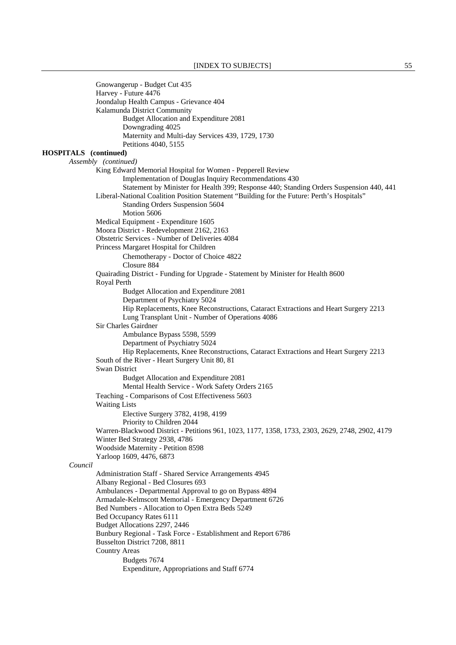Gnowangerup - Budget Cut 435 Harvey - Future 4476 Joondalup Health Campus - Grievance 404 Kalamunda District Community Budget Allocation and Expenditure 2081 Downgrading 4025 Maternity and Multi-day Services 439, 1729, 1730 Petitions 4040, 5155 **HOSPITALS (continued)**  *Assembly (continued)*  King Edward Memorial Hospital for Women - Pepperell Review Implementation of Douglas Inquiry Recommendations 430 Statement by Minister for Health 399; Response 440; Standing Orders Suspension 440, 441 Liberal-National Coalition Position Statement "Building for the Future: Perth's Hospitals" Standing Orders Suspension 5604 Motion 5606 Medical Equipment - Expenditure 1605 Moora District - Redevelopment 2162, 2163 Obstetric Services - Number of Deliveries 4084 Princess Margaret Hospital for Children Chemotherapy - Doctor of Choice 4822 Closure 884 Quairading District - Funding for Upgrade - Statement by Minister for Health 8600 Royal Perth Budget Allocation and Expenditure 2081 Department of Psychiatry 5024 Hip Replacements, Knee Reconstructions, Cataract Extractions and Heart Surgery 2213 Lung Transplant Unit - Number of Operations 4086 Sir Charles Gairdner Ambulance Bypass 5598, 5599 Department of Psychiatry 5024 Hip Replacements, Knee Reconstructions, Cataract Extractions and Heart Surgery 2213 South of the River - Heart Surgery Unit 80, 81 Swan District Budget Allocation and Expenditure 2081 Mental Health Service - Work Safety Orders 2165 Teaching - Comparisons of Cost Effectiveness 5603 Waiting Lists Elective Surgery 3782, 4198, 4199 Priority to Children 2044 Warren-Blackwood District - Petitions 961, 1023, 1177, 1358, 1733, 2303, 2629, 2748, 2902, 4179 Winter Bed Strategy 2938, 4786 Woodside Maternity - Petition 8598 Yarloop 1609, 4476, 6873 *Council* Administration Staff - Shared Service Arrangements 4945 Albany Regional - Bed Closures 693 Ambulances - Departmental Approval to go on Bypass 4894 Armadale-Kelmscott Memorial - Emergency Department 6726 Bed Numbers - Allocation to Open Extra Beds 5249 Bed Occupancy Rates 6111 Budget Allocations 2297, 2446 Bunbury Regional - Task Force - Establishment and Report 6786 Busselton District 7208, 8811 Country Areas Budgets 7674 Expenditure, Appropriations and Staff 6774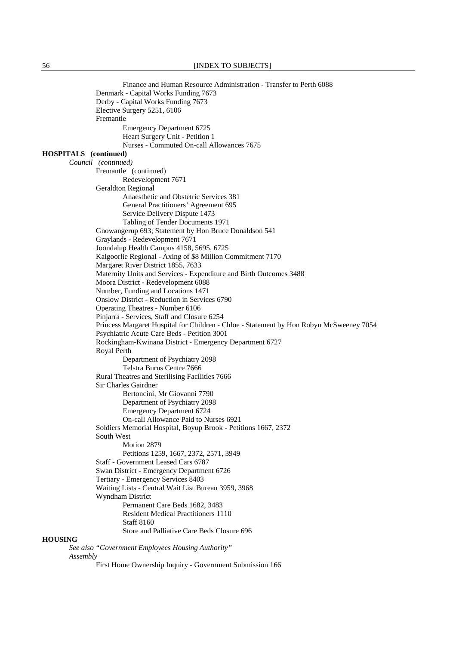Finance and Human Resource Administration - Transfer to Perth 6088 Denmark - Capital Works Funding 7673 Derby - Capital Works Funding 7673 Elective Surgery 5251, 6106 Fremantle Emergency Department 6725 Heart Surgery Unit - Petition 1 Nurses - Commuted On-call Allowances 7675 **HOSPITALS (continued)**  *Council (continued)*  Fremantle (continued) Redevelopment 7671 Geraldton Regional Anaesthetic and Obstetric Services 381 General Practitioners' Agreement 695 Service Delivery Dispute 1473 Tabling of Tender Documents 1971 Gnowangerup 693; Statement by Hon Bruce Donaldson 541 Graylands - Redevelopment 7671 Joondalup Health Campus 4158, 5695, 6725 Kalgoorlie Regional - Axing of \$8 Million Commitment 7170 Margaret River District 1855, 7633 Maternity Units and Services - Expenditure and Birth Outcomes 3488 Moora District - Redevelopment 6088 Number, Funding and Locations 1471 Onslow District - Reduction in Services 6790 Operating Theatres - Number 6106 Pinjarra - Services, Staff and Closure 6254 Princess Margaret Hospital for Children - Chloe - Statement by Hon Robyn McSweeney 7054 Psychiatric Acute Care Beds - Petition 3001 Rockingham-Kwinana District - Emergency Department 6727 Royal Perth Department of Psychiatry 2098 Telstra Burns Centre 7666 Rural Theatres and Sterilising Facilities 7666 Sir Charles Gairdner Bertoncini, Mr Giovanni 7790 Department of Psychiatry 2098 Emergency Department 6724 On-call Allowance Paid to Nurses 6921 Soldiers Memorial Hospital, Boyup Brook - Petitions 1667, 2372 South West Motion 2879 Petitions 1259, 1667, 2372, 2571, 3949 Staff - Government Leased Cars 6787 Swan District - Emergency Department 6726 Tertiary - Emergency Services 8403 Waiting Lists - Central Wait List Bureau 3959, 3968 Wyndham District Permanent Care Beds 1682, 3483 Resident Medical Practitioners 1110 Staff 8160 Store and Palliative Care Beds Closure 696 **HOUSING** *See also "Government Employees Housing Authority" Assembly*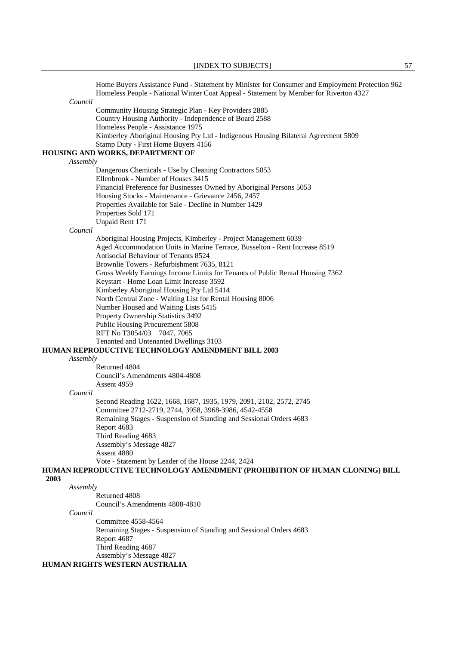Home Buyers Assistance Fund - Statement by Minister for Consumer and Employment Protection 962 Homeless People - National Winter Coat Appeal - Statement by Member for Riverton 4327 *Council* Community Housing Strategic Plan - Key Providers 2885 Country Housing Authority - Independence of Board 2588 Homeless People - Assistance 1975 Kimberley Aboriginal Housing Pty Ltd - Indigenous Housing Bilateral Agreement 5809 Stamp Duty - First Home Buyers 4156 **HOUSING AND WORKS, DEPARTMENT OF** *Assembly* Dangerous Chemicals - Use by Cleaning Contractors 5053 Ellenbrook - Number of Houses 3415 Financial Preference for Businesses Owned by Aboriginal Persons 5053 Housing Stocks - Maintenance - Grievance 2456, 2457 Properties Available for Sale - Decline in Number 1429 Properties Sold 171 Unpaid Rent 171 *Council* Aboriginal Housing Projects, Kimberley - Project Management 6039 Aged Accommodation Units in Marine Terrace, Busselton - Rent Increase 8519 Antisocial Behaviour of Tenants 8524 Brownlie Towers - Refurbishment 7635, 8121 Gross Weekly Earnings Income Limits for Tenants of Public Rental Housing 7362 Keystart - Home Loan Limit Increase 3592 Kimberley Aboriginal Housing Pty Ltd 5414 North Central Zone - Waiting List for Rental Housing 8006 Number Housed and Waiting Lists 5415 Property Ownership Statistics 3492 Public Housing Procurement 5808 RFT No T3054/03 7047, 7065 Tenanted and Untenanted Dwellings 3103 **HUMAN REPRODUCTIVE TECHNOLOGY AMENDMENT BILL 2003** *Assembly* Returned 4804 Council's Amendments 4804-4808 Assent 4959 *Council* Second Reading 1622, 1668, 1687, 1935, 1979, 2091, 2102, 2572, 2745 Committee 2712-2719, 2744, 3958, 3968-3986, 4542-4558 Remaining Stages - Suspension of Standing and Sessional Orders 4683 Report 4683 Third Reading 4683 Assembly's Message 4827 Assent 4880 Vote - Statement by Leader of the House 2244, 2424 **HUMAN REPRODUCTIVE TECHNOLOGY AMENDMENT (PROHIBITION OF HUMAN CLONING) BILL**  *Assembly* Returned 4808 Council's Amendments 4808-4810 *Council* Committee 4558-4564 Remaining Stages - Suspension of Standing and Sessional Orders 4683 Report 4687 Third Reading 4687 Assembly's Message 4827

 **2003**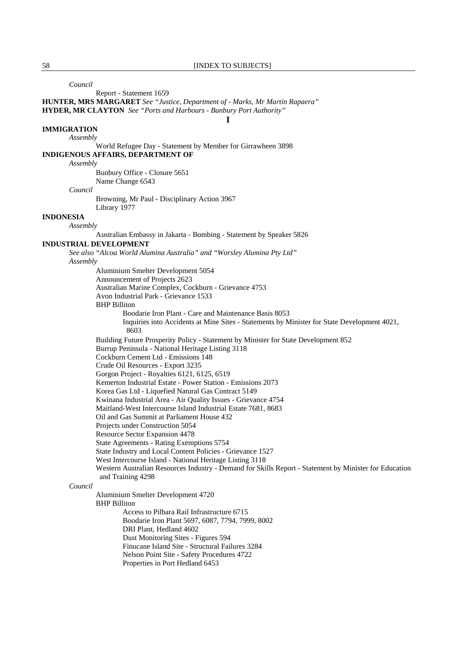**I**

*Council*

Report - Statement 1659

**HUNTER, MRS MARGARET** *See "Justice, Department of - Marks, Mr Martin Rapaera"*  **HYDER, MR CLAYTON** *See "Ports and Harbours - Bunbury Port Authority"* 

### **IMMIGRATION**

*Assembly*

 World Refugee Day - Statement by Member for Girrawheen 3898 **INDIGENOUS AFFAIRS, DEPARTMENT OF**

*Assembly*

 Bunbury Office - Closure 5651 Name Change 6543

*Council*

 Browning, Mr Paul - Disciplinary Action 3967 Library 1977

# **INDONESIA**

*Assembly*

Australian Embassy in Jakarta - Bombing - Statement by Speaker 5826

### **INDUSTRIAL DEVELOPMENT**

*See also "Alcoa World Alumina Australia" and "Worsley Alumina Pty Ltd" Assembly*

> Aluminium Smelter Development 5054 Announcement of Projects 2623 Australian Marine Complex, Cockburn - Grievance 4753 Avon Industrial Park - Grievance 1533 BHP Billiton Boodarie Iron Plant - Care and Maintenance Basis 8053 Inquiries into Accidents at Mine Sites - Statements by Minister for State Development 4021, 8603 Building Future Prosperity Policy - Statement by Minister for State Development 852 Burrup Peninsula - National Heritage Listing 3118 Cockburn Cement Ltd - Emissions 148 Crude Oil Resources - Export 3235 Gorgon Project - Royalties 6121, 6125, 6519 Kemerton Industrial Estate - Power Station - Emissions 2073 Korea Gas Ltd - Liquefied Natural Gas Contract 5149 Kwinana Industrial Area - Air Quality Issues - Grievance 4754 Maitland-West Intercourse Island Industrial Estate 7681, 8683 Oil and Gas Summit at Parliament House 432 Projects under Construction 5054 Resource Sector Expansion 4478 State Agreements - Rating Exemptions 5754 State Industry and Local Content Policies - Grievance 1527 West Intercourse Island - National Heritage Listing 3118 Western Australian Resources Industry - Demand for Skills Report - Statement by Minister for Education and Training 4298

### *Council*

 Aluminium Smelter Development 4720 BHP Billiton

Access to Pilbara Rail Infrastructure 6715

Boodarie Iron Plant 5697, 6087, 7794, 7999, 8002

DRI Plant, Hedland 4602

Dust Monitoring Sites - Figures 594

Finucane Island Site - Structural Failures 3284

Nelson Point Site - Safety Procedures 4722

Properties in Port Hedland 6453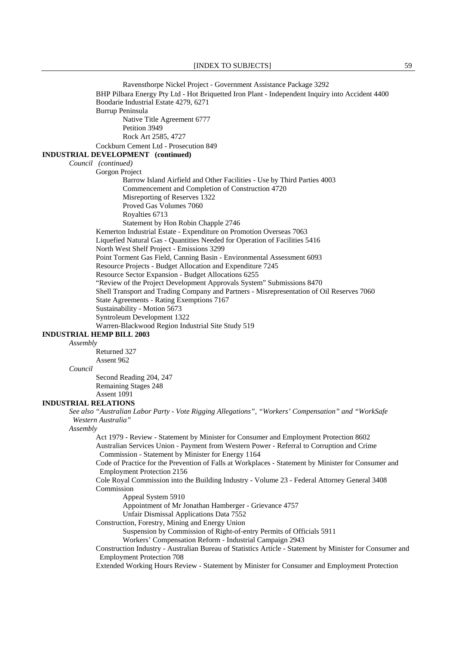Ravensthorpe Nickel Project - Government Assistance Package 3292 BHP Pilbara Energy Pty Ltd - Hot Briquetted Iron Plant - Independent Inquiry into Accident 4400 Boodarie Industrial Estate 4279, 6271 Burrup Peninsula Native Title Agreement 6777 Petition 3949 Rock Art 2585, 4727 Cockburn Cement Ltd - Prosecution 849 **INDUSTRIAL DEVELOPMENT (continued)**  *Council (continued)*  Gorgon Project Barrow Island Airfield and Other Facilities - Use by Third Parties 4003 Commencement and Completion of Construction 4720 Misreporting of Reserves 1322 Proved Gas Volumes 7060 Royalties 6713 Statement by Hon Robin Chapple 2746 Kemerton Industrial Estate - Expenditure on Promotion Overseas 7063 Liquefied Natural Gas - Quantities Needed for Operation of Facilities 5416 North West Shelf Project - Emissions 3299 Point Torment Gas Field, Canning Basin - Environmental Assessment 6093 Resource Projects - Budget Allocation and Expenditure 7245 Resource Sector Expansion - Budget Allocations 6255 "Review of the Project Development Approvals System" Submissions 8470 Shell Transport and Trading Company and Partners - Misrepresentation of Oil Reserves 7060 State Agreements - Rating Exemptions 7167 Sustainability - Motion 5673 Syntroleum Development 1322 Warren-Blackwood Region Industrial Site Study 519 **INDUSTRIAL HEMP BILL 2003** *Assembly* Returned 327 Assent 962 *Council* Second Reading 204, 247 Remaining Stages 248 Assent 1091 **INDUSTRIAL RELATIONS** *See also "Australian Labor Party - Vote Rigging Allegations", "Workers' Compensation" and "WorkSafe Western Australia" Assembly* Act 1979 - Review - Statement by Minister for Consumer and Employment Protection 8602 Australian Services Union - Payment from Western Power - Referral to Corruption and Crime Commission - Statement by Minister for Energy 1164 Code of Practice for the Prevention of Falls at Workplaces - Statement by Minister for Consumer and Employment Protection 2156 Cole Royal Commission into the Building Industry - Volume 23 - Federal Attorney General 3408 Commission Appeal System 5910 Appointment of Mr Jonathan Hamberger - Grievance 4757 Unfair Dismissal Applications Data 7552 Construction, Forestry, Mining and Energy Union Suspension by Commission of Right-of-entry Permits of Officials 5911 Workers' Compensation Reform - Industrial Campaign 2943 Construction Industry - Australian Bureau of Statistics Article - Statement by Minister for Consumer and Employment Protection 708 Extended Working Hours Review - Statement by Minister for Consumer and Employment Protection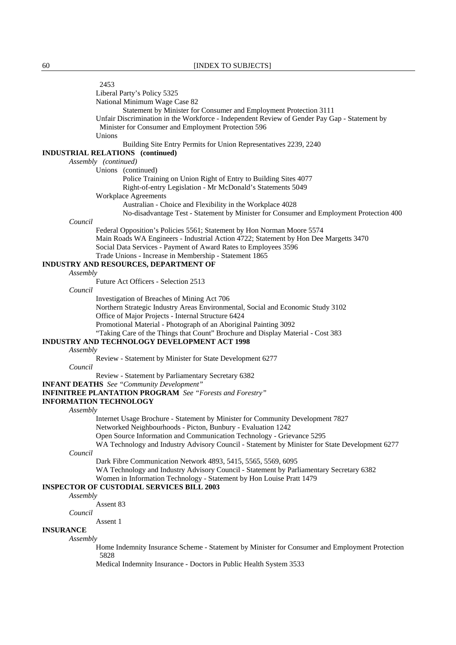2453 Liberal Party's Policy 5325 National Minimum Wage Case 82 Statement by Minister for Consumer and Employment Protection 3111 Unfair Discrimination in the Workforce - Independent Review of Gender Pay Gap - Statement by Minister for Consumer and Employment Protection 596 Unions Building Site Entry Permits for Union Representatives 2239, 2240 **INDUSTRIAL RELATIONS (continued)**  *Assembly (continued)*  Unions (continued) Police Training on Union Right of Entry to Building Sites 4077 Right-of-entry Legislation - Mr McDonald's Statements 5049 Workplace Agreements Australian - Choice and Flexibility in the Workplace 4028 No-disadvantage Test - Statement by Minister for Consumer and Employment Protection 400 *Council* Federal Opposition's Policies 5561; Statement by Hon Norman Moore 5574 Main Roads WA Engineers - Industrial Action 4722; Statement by Hon Dee Margetts 3470 Social Data Services - Payment of Award Rates to Employees 3596 Trade Unions - Increase in Membership - Statement 1865 **INDUSTRY AND RESOURCES, DEPARTMENT OF** *Assembly* Future Act Officers - Selection 2513 *Council* Investigation of Breaches of Mining Act 706 Northern Strategic Industry Areas Environmental, Social and Economic Study 3102 Office of Major Projects - Internal Structure 6424 Promotional Material - Photograph of an Aboriginal Painting 3092 "Taking Care of the Things that Count" Brochure and Display Material - Cost 383 **INDUSTRY AND TECHNOLOGY DEVELOPMENT ACT 1998** *Assembly* Review - Statement by Minister for State Development 6277 *Council* Review - Statement by Parliamentary Secretary 6382 **INFANT DEATHS** *See "Community Development"*  **INFINITREE PLANTATION PROGRAM** *See "Forests and Forestry"*  **INFORMATION TECHNOLOGY** *Assembly* Internet Usage Brochure - Statement by Minister for Community Development 7827 Networked Neighbourhoods - Picton, Bunbury - Evaluation 1242 Open Source Information and Communication Technology - Grievance 5295 WA Technology and Industry Advisory Council - Statement by Minister for State Development 6277 *Council* Dark Fibre Communication Network 4893, 5415, 5565, 5569, 6095 WA Technology and Industry Advisory Council - Statement by Parliamentary Secretary 6382 Women in Information Technology - Statement by Hon Louise Pratt 1479 **INSPECTOR OF CUSTODIAL SERVICES BILL 2003** *Assembly* Assent 83 *Council* Assent 1 **INSURANCE** *Assembly* Home Indemnity Insurance Scheme - Statement by Minister for Consumer and Employment Protection 5828

Medical Indemnity Insurance - Doctors in Public Health System 3533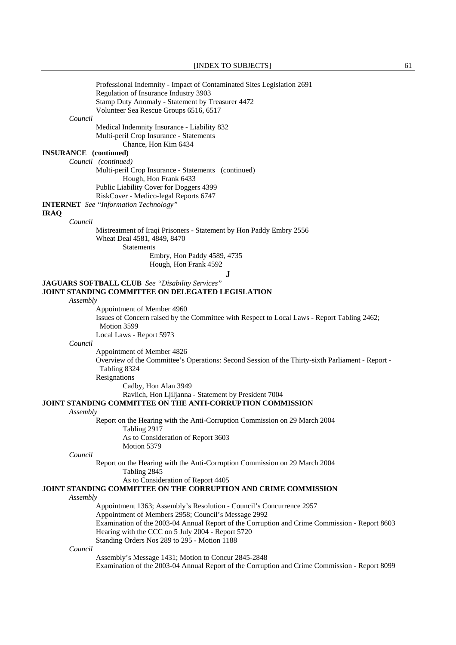| Professional Indemnity - Impact of Contaminated Sites Legislation 2691                                                      |
|-----------------------------------------------------------------------------------------------------------------------------|
| Regulation of Insurance Industry 3903                                                                                       |
| Stamp Duty Anomaly - Statement by Treasurer 4472                                                                            |
| Volunteer Sea Rescue Groups 6516, 6517<br>Council                                                                           |
| Medical Indemnity Insurance - Liability 832                                                                                 |
| Multi-peril Crop Insurance - Statements                                                                                     |
| Chance, Hon Kim 6434                                                                                                        |
| <b>INSURANCE</b> (continued)                                                                                                |
| Council (continued)                                                                                                         |
| Multi-peril Crop Insurance - Statements (continued)                                                                         |
| Hough, Hon Frank 6433                                                                                                       |
| Public Liability Cover for Doggers 4399                                                                                     |
| RiskCover - Medico-legal Reports 6747                                                                                       |
| <b>INTERNET</b> See "Information Technology"                                                                                |
| <b>IRAQ</b><br>Council                                                                                                      |
| Mistreatment of Iraqi Prisoners - Statement by Hon Paddy Embry 2556                                                         |
| Wheat Deal 4581, 4849, 8470                                                                                                 |
| <b>Statements</b>                                                                                                           |
| Embry, Hon Paddy 4589, 4735                                                                                                 |
| Hough, Hon Frank 4592                                                                                                       |
| ${\bf J}$                                                                                                                   |
| <b>JAGUARS SOFTBALL CLUB</b> See "Disability Services"                                                                      |
| <b>JOINT STANDING COMMITTEE ON DELEGATED LEGISLATION</b>                                                                    |
| Assembly                                                                                                                    |
| Appointment of Member 4960                                                                                                  |
| Issues of Concern raised by the Committee with Respect to Local Laws - Report Tabling 2462;<br>Motion 3599                  |
| Local Laws - Report 5973                                                                                                    |
| Council                                                                                                                     |
| Appointment of Member 4826                                                                                                  |
| Overview of the Committee's Operations: Second Session of the Thirty-sixth Parliament - Report -                            |
| Tabling 8324                                                                                                                |
| Resignations                                                                                                                |
| Cadby, Hon Alan 3949                                                                                                        |
| Ravlich, Hon Ljiljanna - Statement by President 7004                                                                        |
| JOINT STANDING COMMITTEE ON THE ANTI-CORRUPTION COMMISSION                                                                  |
| Assembly                                                                                                                    |
| Report on the Hearing with the Anti-Corruption Commission on 29 March 2004<br>Tabling 2917                                  |
| As to Consideration of Report 3603                                                                                          |
| Motion 5379                                                                                                                 |
| Council                                                                                                                     |
| Report on the Hearing with the Anti-Corruption Commission on 29 March 2004                                                  |
| Tabling 2845                                                                                                                |
| As to Consideration of Report 4405                                                                                          |
| JOINT STANDING COMMITTEE ON THE CORRUPTION AND CRIME COMMISSION                                                             |
| Assembly                                                                                                                    |
| Appointment 1363; Assembly's Resolution - Council's Concurrence 2957<br>Appointment of Members 2958; Council's Message 2992 |
| Examination of the 2003-04 Annual Report of the Corruption and Crime Commission - Report 8603                               |
| Hearing with the CCC on 5 July 2004 - Report 5720                                                                           |
| Standing Orders Nos 289 to 295 - Motion 1188                                                                                |
| Council                                                                                                                     |
| Assembly's Message 1431; Motion to Concur 2845-2848                                                                         |
| Examination of the 2003-04 Annual Report of the Corruption and Crime Commission - Report 8099                               |
|                                                                                                                             |
|                                                                                                                             |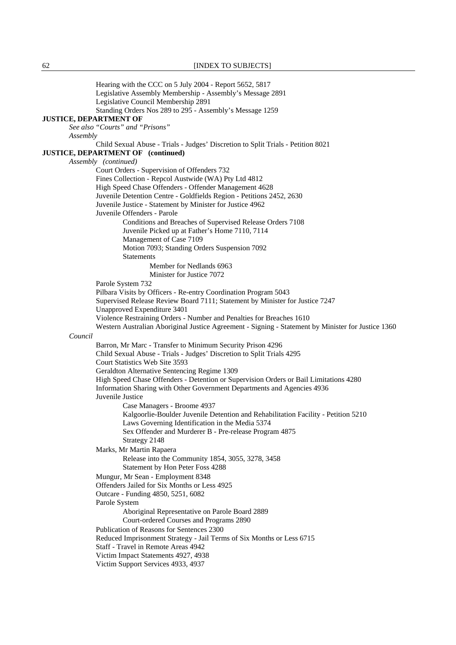Hearing with the CCC on 5 July 2004 - Report 5652, 5817 Legislative Assembly Membership - Assembly's Message 2891 Legislative Council Membership 2891 Standing Orders Nos 289 to 295 - Assembly's Message 1259 **JUSTICE, DEPARTMENT OF** *See also "Courts" and "Prisons" Assembly* Child Sexual Abuse - Trials - Judges' Discretion to Split Trials - Petition 8021 **JUSTICE, DEPARTMENT OF (continued)**  *Assembly (continued)*  Court Orders - Supervision of Offenders 732 Fines Collection - Repcol Austwide (WA) Pty Ltd 4812 High Speed Chase Offenders - Offender Management 4628 Juvenile Detention Centre - Goldfields Region - Petitions 2452, 2630 Juvenile Justice - Statement by Minister for Justice 4962 Juvenile Offenders - Parole Conditions and Breaches of Supervised Release Orders 7108 Juvenile Picked up at Father's Home 7110, 7114 Management of Case 7109 Motion 7093; Standing Orders Suspension 7092 Statements Member for Nedlands 6963 Minister for Justice 7072 Parole System 732 Pilbara Visits by Officers - Re-entry Coordination Program 5043 Supervised Release Review Board 7111; Statement by Minister for Justice 7247 Unapproved Expenditure 3401 Violence Restraining Orders - Number and Penalties for Breaches 1610 Western Australian Aboriginal Justice Agreement - Signing - Statement by Minister for Justice 1360 *Council* Barron, Mr Marc - Transfer to Minimum Security Prison 4296 Child Sexual Abuse - Trials - Judges' Discretion to Split Trials 4295 Court Statistics Web Site 3593 Geraldton Alternative Sentencing Regime 1309 High Speed Chase Offenders - Detention or Supervision Orders or Bail Limitations 4280 Information Sharing with Other Government Departments and Agencies 4936 Juvenile Justice Case Managers - Broome 4937 Kalgoorlie-Boulder Juvenile Detention and Rehabilitation Facility - Petition 5210 Laws Governing Identification in the Media 5374 Sex Offender and Murderer B - Pre-release Program 4875 Strategy 2148 Marks, Mr Martin Rapaera Release into the Community 1854, 3055, 3278, 3458 Statement by Hon Peter Foss 4288 Mungur, Mr Sean - Employment 8348 Offenders Jailed for Six Months or Less 4925 Outcare - Funding 4850, 5251, 6082 Parole System Aboriginal Representative on Parole Board 2889 Court-ordered Courses and Programs 2890 Publication of Reasons for Sentences 2300 Reduced Imprisonment Strategy - Jail Terms of Six Months or Less 6715 Staff - Travel in Remote Areas 4942 Victim Impact Statements 4927, 4938 Victim Support Services 4933, 4937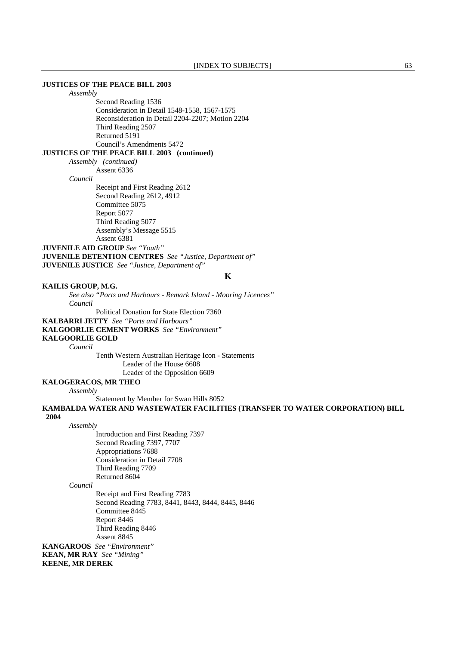## **JUSTICES OF THE PEACE BILL 2003**

*Assembly*

 Second Reading 1536 Consideration in Detail 1548-1558, 1567-1575 Reconsideration in Detail 2204-2207; Motion 2204 Third Reading 2507 Returned 5191 Council's Amendments 5472

# **JUSTICES OF THE PEACE BILL 2003 (continued)**

*Assembly (continued)*  Assent 6336

*Council* 

 Receipt and First Reading 2612 Second Reading 2612, 4912 Committee 5075 Report 5077 Third Reading 5077 Assembly's Message 5515 Assent 6381

**JUVENILE AID GROUP** *See "Youth"*  **JUVENILE DETENTION CENTRES** *See "Justice, Department of"*  **JUVENILE JUSTICE** *See "Justice, Department of"* 

**K**

## **KAILIS GROUP, M.G.**

*See also "Ports and Harbours - Remark Island - Mooring Licences" Council*

Political Donation for State Election 7360

## **KALBARRI JETTY** *See "Ports and Harbours"*

**KALGOORLIE CEMENT WORKS** *See "Environment"* 

### **KALGOORLIE GOLD**

*Council*

 Tenth Western Australian Heritage Icon - Statements Leader of the House 6608 Leader of the Opposition 6609

# **KALOGERACOS, MR THEO**

*Assembly*

Statement by Member for Swan Hills 8052

**KAMBALDA WATER AND WASTEWATER FACILITIES (TRANSFER TO WATER CORPORATION) BILL** 

# **2004**

*Assembly*

 Introduction and First Reading 7397 Second Reading 7397, 7707 Appropriations 7688 Consideration in Detail 7708 Third Reading 7709 Returned 8604

#### *Council*

 Receipt and First Reading 7783 Second Reading 7783, 8441, 8443, 8444, 8445, 8446 Committee 8445 Report 8446 Third Reading 8446 Assent 8845

**KANGAROOS** *See "Environment"*  **KEAN, MR RAY** *See "Mining"*  **KEENE, MR DEREK**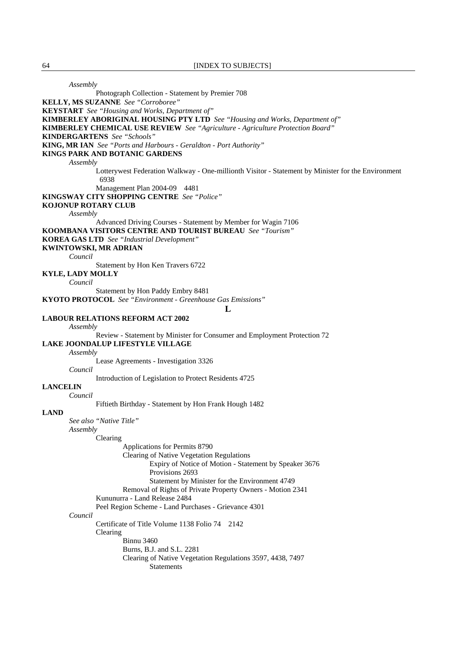*Assembly* Photograph Collection - Statement by Premier 708 **KELLY, MS SUZANNE** *See "Corroboree"*  **KEYSTART** *See "Housing and Works, Department of"*  **KIMBERLEY ABORIGINAL HOUSING PTY LTD** *See "Housing and Works, Department of"*  **KIMBERLEY CHEMICAL USE REVIEW** *See "Agriculture - Agriculture Protection Board"*  **KINDERGARTENS** *See "Schools"*  **KING, MR IAN** *See "Ports and Harbours - Geraldton - Port Authority"*  **KINGS PARK AND BOTANIC GARDENS** *Assembly* Lotterywest Federation Walkway - One-millionth Visitor - Statement by Minister for the Environment 6938 Management Plan 2004-09 4481 **KINGSWAY CITY SHOPPING CENTRE** *See "Police"*  **KOJONUP ROTARY CLUB** *Assembly* Advanced Driving Courses - Statement by Member for Wagin 7106 **KOOMBANA VISITORS CENTRE AND TOURIST BUREAU** *See "Tourism"*  **KOREA GAS LTD** *See "Industrial Development"*  **KWINTOWSKI, MR ADRIAN** *Council* Statement by Hon Ken Travers 6722 **KYLE, LADY MOLLY** *Council* Statement by Hon Paddy Embry 8481 **KYOTO PROTOCOL** *See "Environment - Greenhouse Gas Emissions"*  **L LABOUR RELATIONS REFORM ACT 2002** *Assembly* Review - Statement by Minister for Consumer and Employment Protection 72 **LAKE JOONDALUP LIFESTYLE VILLAGE**  *Assembly* Lease Agreements - Investigation 3326  *Council*  Introduction of Legislation to Protect Residents 4725 **LANCELIN** *Council* Fiftieth Birthday - Statement by Hon Frank Hough 1482 **LAND** *See also "Native Title" Assembly* Clearing Applications for Permits 8790 Clearing of Native Vegetation Regulations Expiry of Notice of Motion - Statement by Speaker 3676 Provisions 2693 Statement by Minister for the Environment 4749 Removal of Rights of Private Property Owners - Motion 2341 Kununurra - Land Release 2484 Peel Region Scheme - Land Purchases - Grievance 4301 *Council* Certificate of Title Volume 1138 Folio 74 2142 Clearing Binnu 3460 Burns, B.J. and S.L. 2281 Clearing of Native Vegetation Regulations 3597, 4438, 7497 **Statements**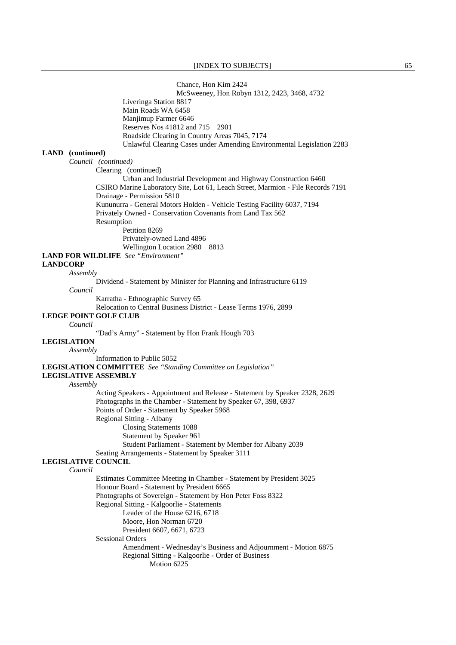Chance, Hon Kim 2424

 McSweeney, Hon Robyn 1312, 2423, 3468, 4732 Liveringa Station 8817 Main Roads WA 6458 Manjimup Farmer 6646 Reserves Nos 41812 and 715 2901 Roadside Clearing in Country Areas 7045, 7174 Unlawful Clearing Cases under Amending Environmental Legislation 2283 *Council (continued)* Clearing (continued) Urban and Industrial Development and Highway Construction 6460 CSIRO Marine Laboratory Site, Lot 61, Leach Street, Marmion - File Records 7191

 Drainage - Permission 5810 Kununurra - General Motors Holden - Vehicle Testing Facility 6037, 7194 Privately Owned - Conservation Covenants from Land Tax 562 Resumption

 Petition 8269 Privately-owned Land 4896 Wellington Location 2980 8813

**LAND FOR WILDLIFE** *See "Environment"* 

### **LANDCORP**

**LAND (continued)** 

*Assembly*

Dividend - Statement by Minister for Planning and Infrastructure 6119

*Council*

Karratha - Ethnographic Survey 65

Relocation to Central Business District - Lease Terms 1976, 2899

## **LEDGE POINT GOLF CLUB**

*Council*

"Dad's Army" - Statement by Hon Frank Hough 703

# **LEGISLATION**

*Assembly*

Information to Public 5052

**LEGISLATION COMMITTEE** *See "Standing Committee on Legislation"* 

**LEGISLATIVE ASSEMBLY**

#### *Assembly*

 Acting Speakers - Appointment and Release - Statement by Speaker 2328, 2629 Photographs in the Chamber - Statement by Speaker 67, 398, 6937 Points of Order - Statement by Speaker 5968 Regional Sitting - Albany Closing Statements 1088 Statement by Speaker 961 Student Parliament - Statement by Member for Albany 2039

Seating Arrangements - Statement by Speaker 3111

#### **LEGISLATIVE COUNCIL**

*Council*

 Estimates Committee Meeting in Chamber - Statement by President 3025 Honour Board - Statement by President 6665 Photographs of Sovereign - Statement by Hon Peter Foss 8322 Regional Sitting - Kalgoorlie - Statements Leader of the House 6216, 6718 Moore, Hon Norman 6720 President 6607, 6671, 6723 Sessional Orders Amendment - Wednesday's Business and Adjournment - Motion 6875 Regional Sitting - Kalgoorlie - Order of Business Motion 6225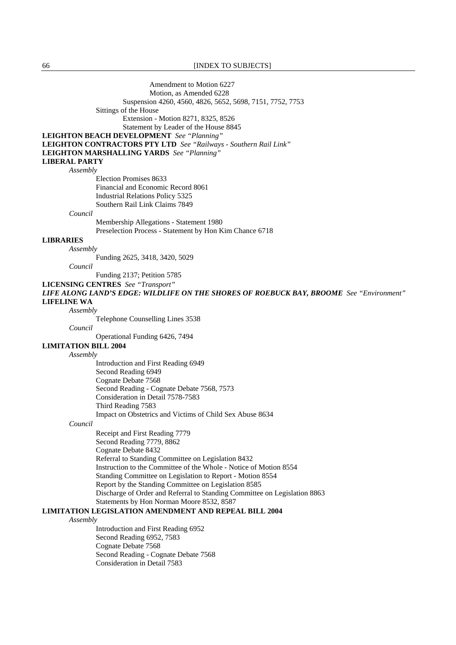66 [INDEX TO SUBJECTS]

Amendment to Motion 6227 Motion, as Amended 6228 Suspension 4260, 4560, 4826, 5652, 5698, 7151, 7752, 7753 Sittings of the House Extension - Motion 8271, 8325, 8526 Statement by Leader of the House 8845 **LEIGHTON BEACH DEVELOPMENT** *See "Planning"*  **LEIGHTON CONTRACTORS PTY LTD** *See "Railways - Southern Rail Link"*  **LEIGHTON MARSHALLING YARDS** *See "Planning"*  **LIBERAL PARTY** *Assembly* Election Promises 8633 Financial and Economic Record 8061 Industrial Relations Policy 5325 Southern Rail Link Claims 7849 *Council* Membership Allegations - Statement 1980 Preselection Process - Statement by Hon Kim Chance 6718 **LIBRARIES** *Assembly* Funding 2625, 3418, 3420, 5029 *Council* Funding 2137; Petition 5785 **LICENSING CENTRES** *See "Transport" LIFE ALONG LAND'S EDGE: WILDLIFE ON THE SHORES OF ROEBUCK BAY, BROOME See "Environment"*  **LIFELINE WA** *Assembly*  Telephone Counselling Lines 3538 *Council* Operational Funding 6426, 7494 **LIMITATION BILL 2004** *Assembly* Introduction and First Reading 6949 Second Reading 6949 Cognate Debate 7568 Second Reading - Cognate Debate 7568, 7573 Consideration in Detail 7578-7583 Third Reading 7583 Impact on Obstetrics and Victims of Child Sex Abuse 8634 *Council* Receipt and First Reading 7779 Second Reading 7779, 8862 Cognate Debate 8432 Referral to Standing Committee on Legislation 8432 Instruction to the Committee of the Whole - Notice of Motion 8554 Standing Committee on Legislation to Report - Motion 8554 Report by the Standing Committee on Legislation 8585 Discharge of Order and Referral to Standing Committee on Legislation 8863 Statements by Hon Norman Moore 8532, 8587 **LIMITATION LEGISLATION AMENDMENT AND REPEAL BILL 2004** *Assembly* Introduction and First Reading 6952 Second Reading 6952, 7583 Cognate Debate 7568 Second Reading - Cognate Debate 7568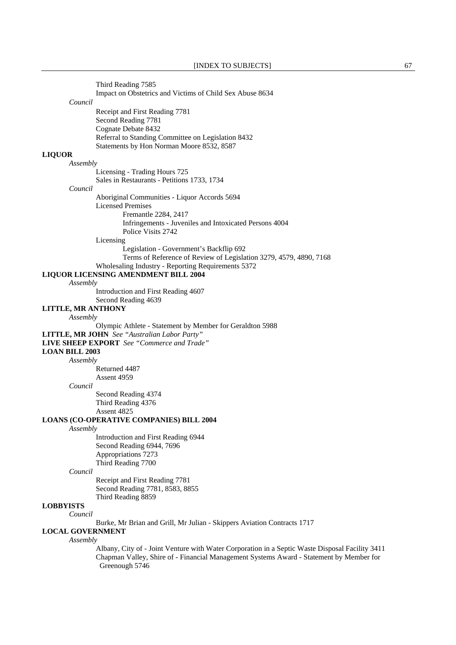|                           | Third Reading 7585                                                                              |
|---------------------------|-------------------------------------------------------------------------------------------------|
|                           | Impact on Obstetrics and Victims of Child Sex Abuse 8634                                        |
| Council                   |                                                                                                 |
|                           | Receipt and First Reading 7781                                                                  |
|                           | Second Reading 7781                                                                             |
|                           | Cognate Debate 8432                                                                             |
|                           | Referral to Standing Committee on Legislation 8432                                              |
|                           | Statements by Hon Norman Moore 8532, 8587                                                       |
| <b>LIQUOR</b>             |                                                                                                 |
| Assembly                  |                                                                                                 |
|                           | Licensing - Trading Hours 725                                                                   |
|                           | Sales in Restaurants - Petitions 1733, 1734                                                     |
| Council                   |                                                                                                 |
|                           | Aboriginal Communities - Liquor Accords 5694                                                    |
|                           | <b>Licensed Premises</b>                                                                        |
|                           | Fremantle 2284, 2417                                                                            |
|                           | Infringements - Juveniles and Intoxicated Persons 4004                                          |
|                           | Police Visits 2742                                                                              |
|                           | Licensing                                                                                       |
|                           | Legislation - Government's Backflip 692                                                         |
|                           | Terms of Reference of Review of Legislation 3279, 4579, 4890, 7168                              |
|                           | Wholesaling Industry - Reporting Requirements 5372                                              |
|                           | LIQUOR LICENSING AMENDMENT BILL 2004                                                            |
| Assembly                  |                                                                                                 |
|                           | Introduction and First Reading 4607                                                             |
|                           | Second Reading 4639                                                                             |
| <b>LITTLE, MR ANTHONY</b> |                                                                                                 |
| Assembly                  |                                                                                                 |
|                           | Olympic Athlete - Statement by Member for Geraldton 5988                                        |
|                           | LITTLE, MR JOHN See "Australian Labor Party"                                                    |
|                           | <b>LIVE SHEEP EXPORT</b> See "Commerce and Trade"                                               |
| <b>LOAN BILL 2003</b>     |                                                                                                 |
| Assembly                  |                                                                                                 |
|                           | Returned 4487                                                                                   |
|                           | Assent 4959                                                                                     |
| Council                   |                                                                                                 |
|                           | Second Reading 4374                                                                             |
|                           | Third Reading 4376                                                                              |
|                           | Assent 4825                                                                                     |
|                           | <b>LOANS (CO-OPERATIVE COMPANIES) BILL 2004</b>                                                 |
| Assembly                  |                                                                                                 |
|                           | Introduction and First Reading 6944                                                             |
|                           | Second Reading 6944, 7696                                                                       |
|                           | Appropriations 7273                                                                             |
|                           | Third Reading 7700                                                                              |
| Council                   |                                                                                                 |
|                           | Receipt and First Reading 7781                                                                  |
|                           | Second Reading 7781, 8583, 8855                                                                 |
|                           | Third Reading 8859                                                                              |
| <b>LOBBYISTS</b>          |                                                                                                 |
| Council                   |                                                                                                 |
|                           | Burke, Mr Brian and Grill, Mr Julian - Skippers Aviation Contracts 1717                         |
| <b>LOCAL GOVERNMENT</b>   |                                                                                                 |
| Assembly                  |                                                                                                 |
|                           | Albany, City of - Joint Venture with Water Corporation in a Septic Waste Disposal Facility 3411 |
|                           | Chapman Valley, Shire of - Financial Management Systems Award - Statement by Member for         |
|                           | Greenough 5746                                                                                  |
|                           |                                                                                                 |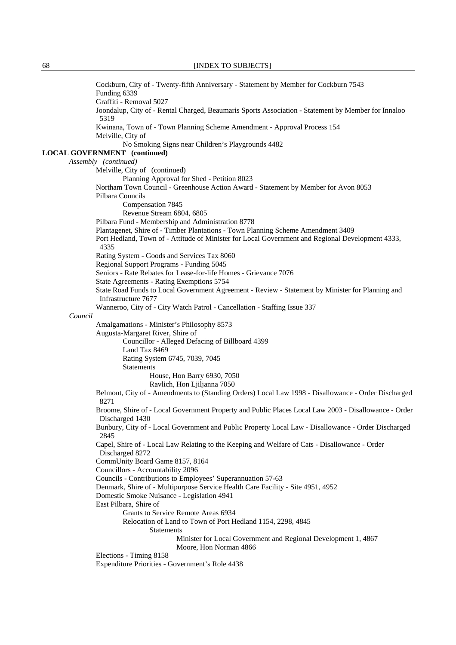|         | Cockburn, City of - Twenty-fifth Anniversary - Statement by Member for Cockburn 7543<br>Funding 6339                                                                                                 |
|---------|------------------------------------------------------------------------------------------------------------------------------------------------------------------------------------------------------|
|         | Graffiti - Removal 5027<br>Joondalup, City of - Rental Charged, Beaumaris Sports Association - Statement by Member for Innaloo<br>5319                                                               |
|         | Kwinana, Town of - Town Planning Scheme Amendment - Approval Process 154<br>Melville, City of                                                                                                        |
|         | No Smoking Signs near Children's Playgrounds 4482                                                                                                                                                    |
|         | <b>LOCAL GOVERNMENT</b> (continued)                                                                                                                                                                  |
|         | Assembly (continued)                                                                                                                                                                                 |
|         | Melville, City of (continued)<br>Planning Approval for Shed - Petition 8023                                                                                                                          |
|         | Northam Town Council - Greenhouse Action Award - Statement by Member for Avon 8053<br>Pilbara Councils                                                                                               |
|         | Compensation 7845                                                                                                                                                                                    |
|         | Revenue Stream 6804, 6805                                                                                                                                                                            |
|         | Pilbara Fund - Membership and Administration 8778                                                                                                                                                    |
|         | Plantagenet, Shire of - Timber Plantations - Town Planning Scheme Amendment 3409<br>Port Hedland, Town of - Attitude of Minister for Local Government and Regional Development 4333,<br>4335         |
|         | Rating System - Goods and Services Tax 8060                                                                                                                                                          |
|         | Regional Support Programs - Funding 5045                                                                                                                                                             |
|         | Seniors - Rate Rebates for Lease-for-life Homes - Grievance 7076                                                                                                                                     |
|         | State Agreements - Rating Exemptions 5754                                                                                                                                                            |
|         | State Road Funds to Local Government Agreement - Review - Statement by Minister for Planning and<br>Infrastructure 7677<br>Wanneroo, City of - City Watch Patrol - Cancellation - Staffing Issue 337 |
| Council |                                                                                                                                                                                                      |
|         | Amalgamations - Minister's Philosophy 8573                                                                                                                                                           |
|         | Augusta-Margaret River, Shire of                                                                                                                                                                     |
|         | Councillor - Alleged Defacing of Billboard 4399                                                                                                                                                      |
|         | Land Tax 8469                                                                                                                                                                                        |
|         | Rating System 6745, 7039, 7045                                                                                                                                                                       |
|         | Statements                                                                                                                                                                                           |
|         | House, Hon Barry 6930, 7050                                                                                                                                                                          |
|         | Ravlich, Hon Ljiljanna 7050                                                                                                                                                                          |
|         | Belmont, City of - Amendments to (Standing Orders) Local Law 1998 - Disallowance - Order Discharged<br>8271                                                                                          |
|         | Broome, Shire of - Local Government Property and Public Places Local Law 2003 - Disallowance - Order<br>Discharged 1430                                                                              |
|         | Bunbury, City of - Local Government and Public Property Local Law - Disallowance - Order Discharged<br>2845                                                                                          |
|         | Capel, Shire of - Local Law Relating to the Keeping and Welfare of Cats - Disallowance - Order<br>Discharged 8272                                                                                    |
|         | CommUnity Board Game 8157, 8164<br>Councillors - Accountability 2096                                                                                                                                 |
|         | Councils - Contributions to Employees' Superannuation 57-63                                                                                                                                          |
|         | Denmark, Shire of - Multipurpose Service Health Care Facility - Site 4951, 4952                                                                                                                      |
|         | Domestic Smoke Nuisance - Legislation 4941                                                                                                                                                           |
|         | East Pilbara, Shire of                                                                                                                                                                               |
|         | Grants to Service Remote Areas 6934                                                                                                                                                                  |
|         | Relocation of Land to Town of Port Hedland 1154, 2298, 4845<br>Statements                                                                                                                            |
|         | Minister for Local Government and Regional Development 1, 4867<br>Moore, Hon Norman 4866                                                                                                             |
|         | Elections - Timing 8158<br>Expenditure Priorities - Government's Role 4438                                                                                                                           |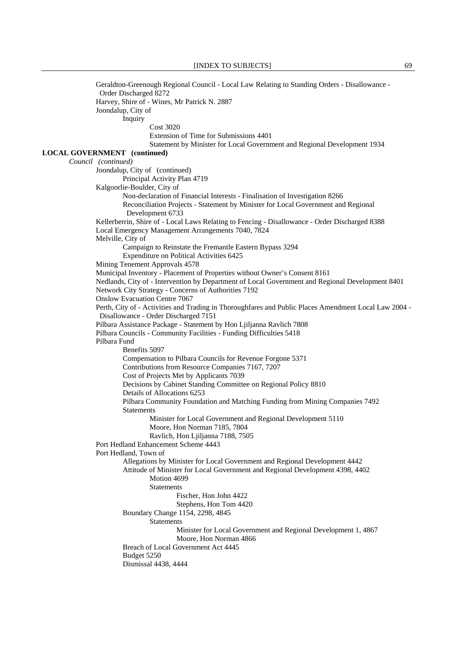Geraldton-Greenough Regional Council - Local Law Relating to Standing Orders - Disallowance - Order Discharged 8272 Harvey, Shire of - Wines, Mr Patrick N. 2887 Joondalup, City of Inquiry Cost 3020 Extension of Time for Submissions 4401 Statement by Minister for Local Government and Regional Development 1934 **LOCAL GOVERNMENT (continued)** *Council (continued)*  Joondalup, City of (continued) Principal Activity Plan 4719 Kalgoorlie-Boulder, City of Non-declaration of Financial Interests - Finalisation of Investigation 8266 Reconciliation Projects - Statement by Minister for Local Government and Regional Development 6733 Kellerberrin, Shire of - Local Laws Relating to Fencing - Disallowance - Order Discharged 8388 Local Emergency Management Arrangements 7040, 7824 Melville, City of Campaign to Reinstate the Fremantle Eastern Bypass 3294 Expenditure on Political Activities 6425 Mining Tenement Approvals 4578 Municipal Inventory - Placement of Properties without Owner's Consent 8161 Nedlands, City of - Intervention by Department of Local Government and Regional Development 8401 Network City Strategy - Concerns of Authorities 7192 Onslow Evacuation Centre 7067 Perth, City of - Activities and Trading in Thoroughfares and Public Places Amendment Local Law 2004 - Disallowance - Order Discharged 7151 Pilbara Assistance Package - Statement by Hon Ljiljanna Ravlich 7808 Pilbara Councils - Community Facilities - Funding Difficulties 5418 Pilbara Fund Benefits 5097 Compensation to Pilbara Councils for Revenue Forgone 5371 Contributions from Resource Companies 7167, 7207 Cost of Projects Met by Applicants 7039 Decisions by Cabinet Standing Committee on Regional Policy 8810 Details of Allocations 6253 Pilbara Community Foundation and Matching Funding from Mining Companies 7492 **Statements**  Minister for Local Government and Regional Development 5110 Moore, Hon Norman 7185, 7804 Ravlich, Hon Ljiljanna 7188, 7505 Port Hedland Enhancement Scheme 4443 Port Hedland, Town of Allegations by Minister for Local Government and Regional Development 4442 Attitude of Minister for Local Government and Regional Development 4398, 4402 Motion 4699 **Statements** Fischer, Hon John 4422 Stephens, Hon Tom 4420 Boundary Change 1154, 2298, 4845 Statements Minister for Local Government and Regional Development 1, 4867 Moore, Hon Norman 4866 Breach of Local Government Act 4445 Budget 5250 Dismissal 4438, 4444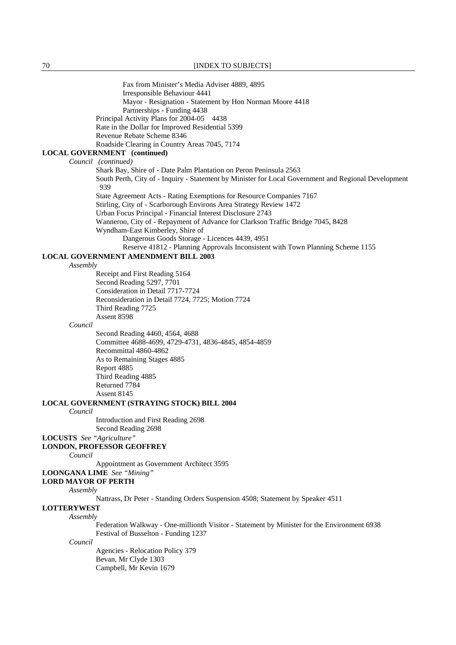70 **[INDEX TO SUBJECTS]** 

 Fax from Minister's Media Adviser 4889, 4895 Irresponsible Behaviour 4441 Mayor - Resignation - Statement by Hon Norman Moore 4418 Partnerships - Funding 4438 Principal Activity Plans for 2004-05 4438 Rate in the Dollar for Improved Residential 5399 Revenue Rebate Scheme 8346 Roadside Clearing in Country Areas 7045, 7174 **LOCAL GOVERNMENT (continued)** *Council (continued)* Shark Bay, Shire of - Date Palm Plantation on Peron Peninsula 2563 South Perth, City of - Inquiry - Statement by Minister for Local Government and Regional Development 939 State Agreement Acts - Rating Exemptions for Resource Companies 7167 Stirling, City of - Scarborough Environs Area Strategy Review 1472 Urban Focus Principal - Financial Interest Disclosure 2743 Wanneroo, City of - Repayment of Advance for Clarkson Traffic Bridge 7045, 8428 Wyndham-East Kimberley, Shire of Dangerous Goods Storage - Licences 4439, 4951 Reserve 41812 - Planning Approvals Inconsistent with Town Planning Scheme 1155 **LOCAL GOVERNMENT AMENDMENT BILL 2003** *Assembly* Receipt and First Reading 5164 Second Reading 5297, 7701 Consideration in Detail 7717-7724 Reconsideration in Detail 7724, 7725; Motion 7724 Third Reading 7725 Assent 8598 *Council* Second Reading 4460, 4564, 4688 Committee 4688-4699, 4729-4731, 4836-4845, 4854-4859 Recommittal 4860-4862 As to Remaining Stages 4885 Report 4885 Third Reading 4885 Returned 7784 Assent 8145 **LOCAL GOVERNMENT (STRAYING STOCK) BILL 2004** *Council* Introduction and First Reading 2698 Second Reading 2698 **LOCUSTS** *See "Agriculture"*  **LONDON, PROFESSOR GEOFFREY** *Council* Appointment as Government Architect 3595 **LOONGANA LIME** *See "Mining"*  **LORD MAYOR OF PERTH** *Assembly* Nattrass, Dr Peter - Standing Orders Suspension 4508; Statement by Speaker 4511

#### **LOTTERYWEST** *Assembly*

 Federation Walkway - One-millionth Visitor - Statement by Minister for the Environment 6938 Festival of Busselton - Funding 1237

*Council*

 Agencies - Relocation Policy 379 Bevan, Mr Clyde 1303 Campbell, Mr Kevin 1679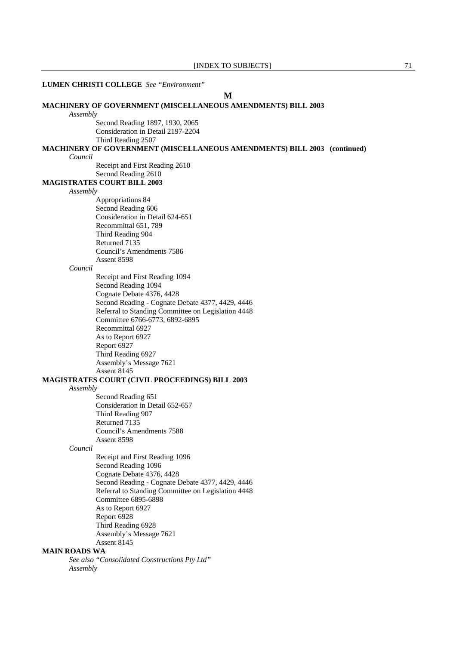| <b>LUMEN CHRISTI COLLEGE</b> See "Environment"                                                         |  |  |  |
|--------------------------------------------------------------------------------------------------------|--|--|--|
| M                                                                                                      |  |  |  |
| <b>MACHINERY OF GOVERNMENT (MISCELLANEOUS AMENDMENTS) BILL 2003</b>                                    |  |  |  |
| Assembly                                                                                               |  |  |  |
| Second Reading 1897, 1930, 2065                                                                        |  |  |  |
| Consideration in Detail 2197-2204                                                                      |  |  |  |
| Third Reading 2507<br>MACHINERY OF GOVERNMENT (MISCELLANEOUS AMENDMENTS) BILL 2003 (continued)         |  |  |  |
| Council                                                                                                |  |  |  |
| Receipt and First Reading 2610                                                                         |  |  |  |
| Second Reading 2610                                                                                    |  |  |  |
| <b>MAGISTRATES COURT BILL 2003</b>                                                                     |  |  |  |
| Assembly                                                                                               |  |  |  |
| Appropriations 84                                                                                      |  |  |  |
| Second Reading 606                                                                                     |  |  |  |
| Consideration in Detail 624-651                                                                        |  |  |  |
| Recommittal 651, 789                                                                                   |  |  |  |
| Third Reading 904                                                                                      |  |  |  |
| Returned 7135                                                                                          |  |  |  |
| Council's Amendments 7586                                                                              |  |  |  |
| Assent 8598                                                                                            |  |  |  |
| Council                                                                                                |  |  |  |
| Receipt and First Reading 1094                                                                         |  |  |  |
| Second Reading 1094                                                                                    |  |  |  |
| Cognate Debate 4376, 4428                                                                              |  |  |  |
| Second Reading - Cognate Debate 4377, 4429, 4446                                                       |  |  |  |
| Referral to Standing Committee on Legislation 4448<br>Committee 6766-6773, 6892-6895                   |  |  |  |
| Recommittal 6927                                                                                       |  |  |  |
| As to Report 6927                                                                                      |  |  |  |
| Report 6927                                                                                            |  |  |  |
| Third Reading 6927                                                                                     |  |  |  |
| Assembly's Message 7621                                                                                |  |  |  |
| Assent 8145                                                                                            |  |  |  |
| MAGISTRATES COURT (CIVIL PROCEEDINGS) BILL 2003                                                        |  |  |  |
| Assembly                                                                                               |  |  |  |
| Second Reading 651                                                                                     |  |  |  |
| Consideration in Detail 652-657                                                                        |  |  |  |
| Third Reading 907                                                                                      |  |  |  |
| Returned 7135                                                                                          |  |  |  |
| Council's Amendments 7588                                                                              |  |  |  |
| Assent 8598                                                                                            |  |  |  |
| Council                                                                                                |  |  |  |
| Receipt and First Reading 1096                                                                         |  |  |  |
| Second Reading 1096                                                                                    |  |  |  |
| Cognate Debate 4376, 4428                                                                              |  |  |  |
| Second Reading - Cognate Debate 4377, 4429, 4446<br>Referral to Standing Committee on Legislation 4448 |  |  |  |
| <b>Committee 6895-6898</b>                                                                             |  |  |  |
| As to Report 6927                                                                                      |  |  |  |
| Report 6928                                                                                            |  |  |  |
| Third Reading 6928                                                                                     |  |  |  |
| Assembly's Message 7621                                                                                |  |  |  |
| Assent 8145                                                                                            |  |  |  |
| <b>MAIN ROADS WA</b>                                                                                   |  |  |  |
| See also "Consolidated Constructions Pty Ltd"                                                          |  |  |  |
| Assembly                                                                                               |  |  |  |
|                                                                                                        |  |  |  |
|                                                                                                        |  |  |  |
|                                                                                                        |  |  |  |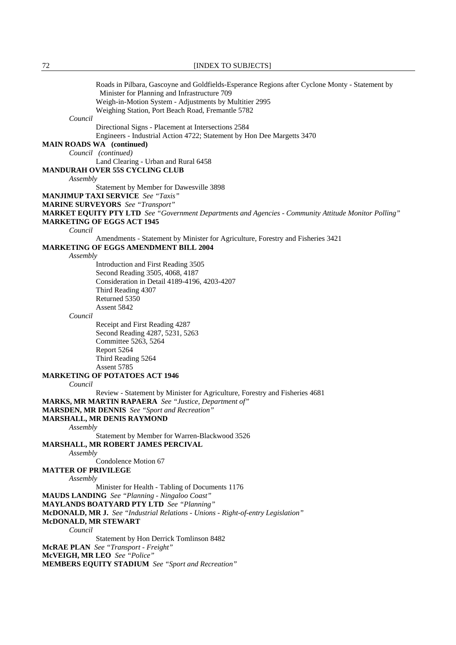Roads in Pilbara, Gascoyne and Goldfields-Esperance Regions after Cyclone Monty - Statement by Minister for Planning and Infrastructure 709 Weigh-in-Motion System - Adjustments by Multitier 2995 Weighing Station, Port Beach Road, Fremantle 5782 *Council* Directional Signs - Placement at Intersections 2584 Engineers - Industrial Action 4722; Statement by Hon Dee Margetts 3470 **MAIN ROADS WA (continued)**  *Council (continued)*  Land Clearing - Urban and Rural 6458 **MANDURAH OVER 55S CYCLING CLUB** *Assembly* Statement by Member for Dawesville 3898 **MANJIMUP TAXI SERVICE** *See "Taxis"*  **MARINE SURVEYORS** *See "Transport"*  **MARKET EQUITY PTY LTD** *See "Government Departments and Agencies - Community Attitude Monitor Polling"*  **MARKETING OF EGGS ACT 1945** *Council* Amendments - Statement by Minister for Agriculture, Forestry and Fisheries 3421 **MARKETING OF EGGS AMENDMENT BILL 2004** *Assembly* Introduction and First Reading 3505 Second Reading 3505, 4068, 4187 Consideration in Detail 4189-4196, 4203-4207 Third Reading 4307 Returned 5350 Assent 5842 *Council* Receipt and First Reading 4287 Second Reading 4287, 5231, 5263 Committee 5263, 5264 Report 5264 Third Reading 5264 Assent 5785 **MARKETING OF POTATOES ACT 1946** *Council* Review - Statement by Minister for Agriculture, Forestry and Fisheries 4681 **MARKS, MR MARTIN RAPAERA** *See "Justice, Department of"*  **MARSDEN, MR DENNIS** *See "Sport and Recreation"*  **MARSHALL, MR DENIS RAYMOND** *Assembly* Statement by Member for Warren-Blackwood 3526 **MARSHALL, MR ROBERT JAMES PERCIVAL** *Assembly* Condolence Motion 67 **MATTER OF PRIVILEGE** *Assembly* Minister for Health - Tabling of Documents 1176 **MAUDS LANDING** *See "Planning - Ningaloo Coast"*  **MAYLANDS BOATYARD PTY LTD** *See "Planning"*  **McDONALD, MR J.** *See "Industrial Relations - Unions - Right-of-entry Legislation"*  **McDONALD, MR STEWART** *Council* Statement by Hon Derrick Tomlinson 8482 **McRAE PLAN** *See "Transport - Freight"*  **McVEIGH, MR LEO** *See "Police"*  **MEMBERS EQUITY STADIUM** *See "Sport and Recreation"*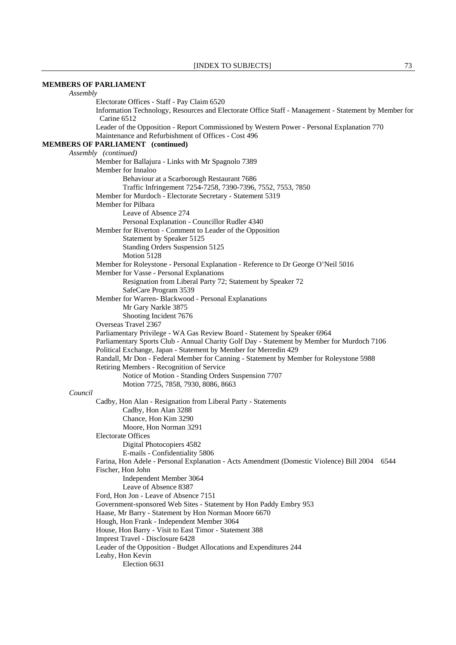## **MEMBERS OF PARLIAMENT**

*Assembly* Electorate Offices - Staff - Pay Claim 6520 Information Technology, Resources and Electorate Office Staff - Management - Statement by Member for Carine 6512 Leader of the Opposition - Report Commissioned by Western Power - Personal Explanation 770 Maintenance and Refurbishment of Offices - Cost 496 **MEMBERS OF PARLIAMENT (continued)** *Assembly (continued)* Member for Ballajura - Links with Mr Spagnolo 7389 Member for Innaloo Behaviour at a Scarborough Restaurant 7686 Traffic Infringement 7254-7258, 7390-7396, 7552, 7553, 7850 Member for Murdoch - Electorate Secretary - Statement 5319 Member for Pilbara Leave of Absence 274 Personal Explanation - Councillor Rudler 4340 Member for Riverton - Comment to Leader of the Opposition Statement by Speaker 5125 Standing Orders Suspension 5125 Motion 5128 Member for Roleystone - Personal Explanation - Reference to Dr George O'Neil 5016 Member for Vasse - Personal Explanations Resignation from Liberal Party 72; Statement by Speaker 72 SafeCare Program 3539 Member for Warren- Blackwood - Personal Explanations Mr Gary Narkle 3875 Shooting Incident 7676 Overseas Travel 2367 Parliamentary Privilege - WA Gas Review Board - Statement by Speaker 6964 Parliamentary Sports Club - Annual Charity Golf Day - Statement by Member for Murdoch 7106 Political Exchange, Japan - Statement by Member for Merredin 429 Randall, Mr Don - Federal Member for Canning - Statement by Member for Roleystone 5988 Retiring Members - Recognition of Service Notice of Motion - Standing Orders Suspension 7707 Motion 7725, 7858, 7930, 8086, 8663 *Council* Cadby, Hon Alan - Resignation from Liberal Party - Statements Cadby, Hon Alan 3288 Chance, Hon Kim 3290 Moore, Hon Norman 3291 Electorate Offices Digital Photocopiers 4582 E-mails - Confidentiality 5806 Farina, Hon Adele - Personal Explanation - Acts Amendment (Domestic Violence) Bill 2004 6544 Fischer, Hon John Independent Member 3064 Leave of Absence 8387 Ford, Hon Jon - Leave of Absence 7151 Government-sponsored Web Sites - Statement by Hon Paddy Embry 953 Haase, Mr Barry - Statement by Hon Norman Moore 6670 Hough, Hon Frank - Independent Member 3064 House, Hon Barry - Visit to East Timor - Statement 388 Imprest Travel - Disclosure 6428 Leader of the Opposition - Budget Allocations and Expenditures 244 Leahy, Hon Kevin Election 6631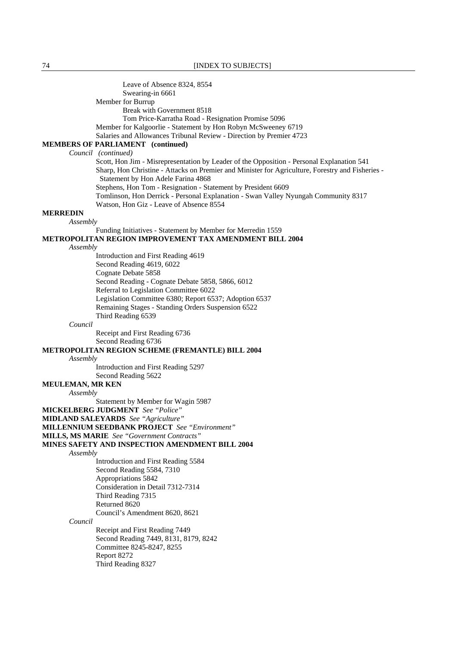Leave of Absence 8324, 8554 Swearing-in 6661 Member for Burrup Break with Government 8518 Tom Price-Karratha Road - Resignation Promise 5096 Member for Kalgoorlie - Statement by Hon Robyn McSweeney 6719 Salaries and Allowances Tribunal Review - Direction by Premier 4723 **MEMBERS OF PARLIAMENT (continued)** *Council (continued)* Scott, Hon Jim - Misrepresentation by Leader of the Opposition - Personal Explanation 541 Sharp, Hon Christine - Attacks on Premier and Minister for Agriculture, Forestry and Fisheries - Statement by Hon Adele Farina 4868 Stephens, Hon Tom - Resignation - Statement by President 6609 Tomlinson, Hon Derrick - Personal Explanation - Swan Valley Nyungah Community 8317 Watson, Hon Giz - Leave of Absence 8554 **MERREDIN** *Assembly* Funding Initiatives - Statement by Member for Merredin 1559 **METROPOLITAN REGION IMPROVEMENT TAX AMENDMENT BILL 2004** *Assembly* Introduction and First Reading 4619 Second Reading 4619, 6022 Cognate Debate 5858 Second Reading - Cognate Debate 5858, 5866, 6012 Referral to Legislation Committee 6022 Legislation Committee 6380; Report 6537; Adoption 6537 Remaining Stages - Standing Orders Suspension 6522 Third Reading 6539 *Council*  Receipt and First Reading 6736 Second Reading 6736 **METROPOLITAN REGION SCHEME (FREMANTLE) BILL 2004** *Assembly* Introduction and First Reading 5297 Second Reading 5622 **MEULEMAN, MR KEN** *Assembly* Statement by Member for Wagin 5987 **MICKELBERG JUDGMENT** *See "Police"*  **MIDLAND SALEYARDS** *See "Agriculture"*  **MILLENNIUM SEEDBANK PROJECT** *See "Environment"*  **MILLS, MS MARIE** *See "Government Contracts"*  **MINES SAFETY AND INSPECTION AMENDMENT BILL 2004** *Assembly* Introduction and First Reading 5584 Second Reading 5584, 7310 Appropriations 5842 Consideration in Detail 7312-7314 Third Reading 7315 Returned 8620 Council's Amendment 8620, 8621 *Council* Receipt and First Reading 7449 Second Reading 7449, 8131, 8179, 8242 Committee 8245-8247, 8255 Report 8272 Third Reading 8327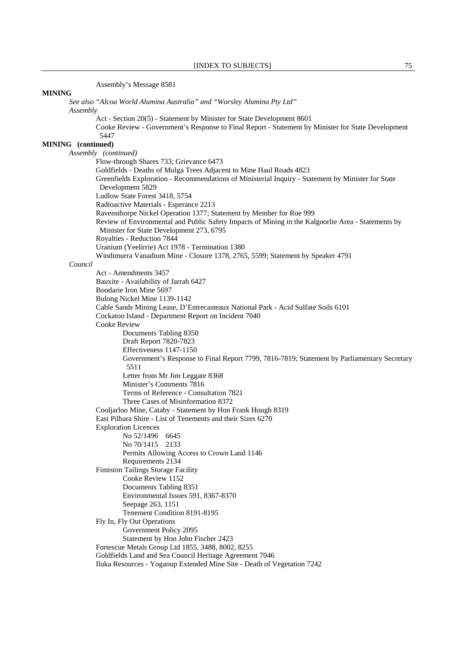Assembly's Message 8581

*See also "Alcoa World Alumina Australia" and "Worsley Alumina Pty Ltd" Assembly* Act - Section 20(5) - Statement by Minister for State Development 8601 Cooke Review - Government's Response to Final Report - Statement by Minister for State Development 5447 **MINING (continued)**  *Assembly (continued)*  Flow-through Shares 733; Grievance 6473 Goldfields - Deaths of Mulga Trees Adjacent to Mine Haul Roads 4823 Greenfields Exploration - Recommendations of Ministerial Inquiry - Statement by Minister for State Development 5829 Ludlow State Forest 3418, 5754 Radioactive Materials - Esperance 2213 Ravensthorpe Nickel Operation 1377; Statement by Member for Roe 999 Review of Environmental and Public Safety Impacts of Mining in the Kalgoorlie Area - Statements by Minister for State Development 273, 6795 Royalties - Reduction 7844 Uranium (Yeelirrie) Act 1978 - Termination 1380 Windimurra Vanadium Mine - Closure 1378, 2765, 5599; Statement by Speaker 4791 *Council* Act - Amendments 3457 Bauxite - Availability of Jarrah 6427 Boodarie Iron Mine 5697 Bulong Nickel Mine 1139-1142 Cable Sands Mining Lease, D'Entrecasteaux National Park - Acid Sulfate Soils 6101 Cockatoo Island - Department Report on Incident 7040 Cooke Review Documents Tabling 8350 Draft Report 7820-7823 Effectiveness 1147-1150 Government's Response to Final Report 7799, 7816-7819; Statement by Parliamentary Secretary 5511 Letter from Mr Jim Leggate 8368 Minister's Comments 7816 Terms of Reference - Consultation 7821 Three Cases of Misinformation 8372 Cooljarloo Mine, Cataby - Statement by Hon Frank Hough 8319 East Pilbara Shire - List of Tenements and their Sizes 6270 Exploration Licences No 52/1496 6645 No 70/1415 2133 Permits Allowing Access to Crown Land 1146 Requirements 2134 Fimiston Tailings Storage Facility Cooke Review 1152 Documents Tabling 8351 Environmental Issues 591, 8367-8370 Seepage 263, 1151 Tenement Condition 8191-8195 Fly In, Fly Out Operations Government Policy 2095 Statement by Hon John Fischer 2423 Fortescue Metals Group Ltd 1855, 3488, 8002, 8255 Goldfields Land and Sea Council Heritage Agreement 7046 Iluka Resources - Yoganup Extended Mine Site - Death of Vegetation 7242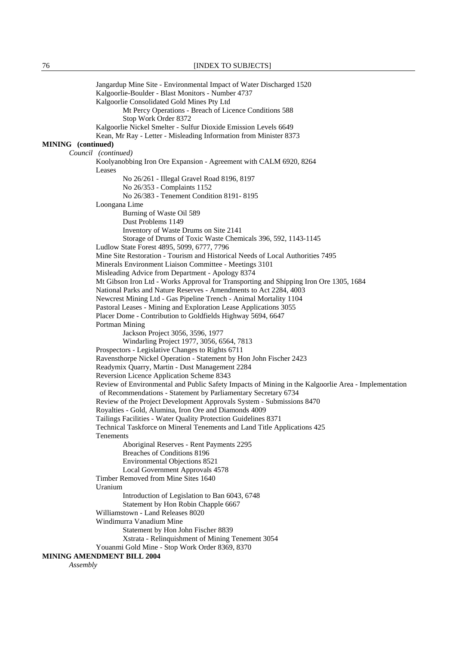Jangardup Mine Site - Environmental Impact of Water Discharged 1520 Kalgoorlie-Boulder - Blast Monitors - Number 4737 Kalgoorlie Consolidated Gold Mines Pty Ltd Mt Percy Operations - Breach of Licence Conditions 588 Stop Work Order 8372 Kalgoorlie Nickel Smelter - Sulfur Dioxide Emission Levels 6649 Kean, Mr Ray - Letter - Misleading Information from Minister 8373 **MINING (continued)**  *Council (continued)* Koolyanobbing Iron Ore Expansion - Agreement with CALM 6920, 8264 Leases No 26/261 - Illegal Gravel Road 8196, 8197 No 26/353 - Complaints 1152 No 26/383 - Tenement Condition 8191- 8195 Loongana Lime Burning of Waste Oil 589 Dust Problems 1149 Inventory of Waste Drums on Site 2141 Storage of Drums of Toxic Waste Chemicals 396, 592, 1143-1145 Ludlow State Forest 4895, 5099, 6777, 7796 Mine Site Restoration - Tourism and Historical Needs of Local Authorities 7495 Minerals Environment Liaison Committee - Meetings 3101 Misleading Advice from Department - Apology 8374 Mt Gibson Iron Ltd - Works Approval for Transporting and Shipping Iron Ore 1305, 1684 National Parks and Nature Reserves - Amendments to Act 2284, 4003 Newcrest Mining Ltd - Gas Pipeline Trench - Animal Mortality 1104 Pastoral Leases - Mining and Exploration Lease Applications 3055 Placer Dome - Contribution to Goldfields Highway 5694, 6647 Portman Mining Jackson Project 3056, 3596, 1977 Windarling Project 1977, 3056, 6564, 7813 Prospectors - Legislative Changes to Rights 6711 Ravensthorpe Nickel Operation - Statement by Hon John Fischer 2423 Readymix Quarry, Martin - Dust Management 2284 Reversion Licence Application Scheme 8343 Review of Environmental and Public Safety Impacts of Mining in the Kalgoorlie Area - Implementation of Recommendations - Statement by Parliamentary Secretary 6734 Review of the Project Development Approvals System - Submissions 8470 Royalties - Gold, Alumina, Iron Ore and Diamonds 4009 Tailings Facilities - Water Quality Protection Guidelines 8371 Technical Taskforce on Mineral Tenements and Land Title Applications 425 Tenements Aboriginal Reserves - Rent Payments 2295 Breaches of Conditions 8196 Environmental Objections 8521 Local Government Approvals 4578 Timber Removed from Mine Sites 1640 Uranium Introduction of Legislation to Ban 6043, 6748 Statement by Hon Robin Chapple 6667 Williamstown - Land Releases 8020 Windimurra Vanadium Mine Statement by Hon John Fischer 8839 Xstrata - Relinquishment of Mining Tenement 3054 Youanmi Gold Mine - Stop Work Order 8369, 8370 **MINING AMENDMENT BILL 2004** *Assembly*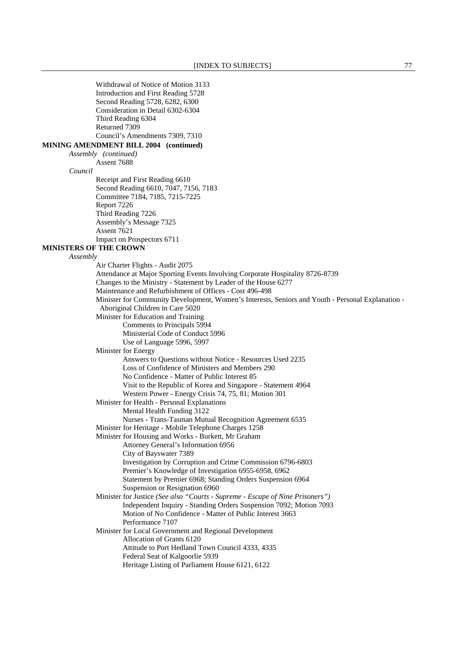Withdrawal of Notice of Motion 3133 Introduction and First Reading 5728 Second Reading 5728, 6282, 6300 Consideration in Detail 6302-6304 Third Reading 6304 Returned 7309 Council's Amendments 7309, 7310 **MINING AMENDMENT BILL 2004 (continued)** *Assembly (continued)* Assent 7688 *Council* Receipt and First Reading 6610 Second Reading 6610, 7047, 7156, 7183 Committee 7184, 7185, 7215-7225 Report 7226 Third Reading 7226 Assembly's Message 7325 Assent 7621 Impact on Prospectors 6711 **MINISTERS OF THE CROWN** *Assembly* Air Charter Flights - Audit 2075 Attendance at Major Sporting Events Involving Corporate Hospitality 8726-8739 Changes to the Ministry - Statement by Leader of the House 6277 Maintenance and Refurbishment of Offices - Cost 496-498 Minister for Community Development, Women's Interests, Seniors and Youth - Personal Explanation - Aboriginal Children in Care 5020 Minister for Education and Training Comments to Principals 5994 Ministerial Code of Conduct 5996 Use of Language 5996, 5997 Minister for Energy Answers to Questions without Notice - Resources Used 2235 Loss of Confidence of Ministers and Members 290 No Confidence - Matter of Public Interest 85 Visit to the Republic of Korea and Singapore - Statement 4964 Western Power - Energy Crisis 74, 75, 81; Motion 301 Minister for Health - Personal Explanations Mental Health Funding 3122 Nurses - Trans-Tasman Mutual Recognition Agreement 6535 Minister for Heritage - Mobile Telephone Charges 1258 Minister for Housing and Works - Burkett, Mr Graham Attorney General's Information 6956 City of Bayswater 7389 Investigation by Corruption and Crime Commission 6796-6803 Premier's Knowledge of Investigation 6955-6958, 6962 Statement by Premier 6968; Standing Orders Suspension 6964 Suspension or Resignation 6960 Minister for Justice *(See also "Courts - Supreme - Escape of Nine Prisoners")*  Independent Inquiry - Standing Orders Suspension 7092; Motion 7093 Motion of No Confidence - Matter of Public Interest 3663 Performance 7107 Minister for Local Government and Regional Development Allocation of Grants 6120 Attitude to Port Hedland Town Council 4333, 4335 Federal Seat of Kalgoorlie 5939 Heritage Listing of Parliament House 6121, 6122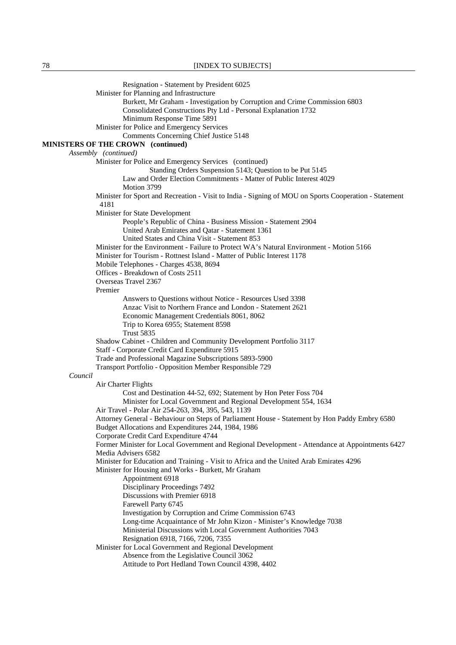|         | Resignation - Statement by President 6025                                                                                                            |
|---------|------------------------------------------------------------------------------------------------------------------------------------------------------|
|         | Minister for Planning and Infrastructure                                                                                                             |
|         | Burkett, Mr Graham - Investigation by Corruption and Crime Commission 6803                                                                           |
|         | Consolidated Constructions Pty Ltd - Personal Explanation 1732<br>Minimum Response Time 5891                                                         |
|         | Minister for Police and Emergency Services                                                                                                           |
|         | Comments Concerning Chief Justice 5148                                                                                                               |
|         | MINISTERS OF THE CROWN (continued)                                                                                                                   |
|         | Assembly (continued)                                                                                                                                 |
|         | Minister for Police and Emergency Services (continued)                                                                                               |
|         | Standing Orders Suspension 5143; Question to be Put 5145                                                                                             |
|         | Law and Order Election Commitments - Matter of Public Interest 4029                                                                                  |
|         | Motion 3799                                                                                                                                          |
|         | Minister for Sport and Recreation - Visit to India - Signing of MOU on Sports Cooperation - Statement<br>4181                                        |
|         | Minister for State Development                                                                                                                       |
|         | People's Republic of China - Business Mission - Statement 2904                                                                                       |
|         | United Arab Emirates and Qatar - Statement 1361                                                                                                      |
|         | United States and China Visit - Statement 853                                                                                                        |
|         | Minister for the Environment - Failure to Protect WA's Natural Environment - Motion 5166                                                             |
|         | Minister for Tourism - Rottnest Island - Matter of Public Interest 1178                                                                              |
|         | Mobile Telephones - Charges 4538, 8694<br>Offices - Breakdown of Costs 2511                                                                          |
|         | Overseas Travel 2367                                                                                                                                 |
|         | Premier                                                                                                                                              |
|         | Answers to Questions without Notice - Resources Used 3398                                                                                            |
|         | Anzac Visit to Northern France and London - Statement 2621                                                                                           |
|         | Economic Management Credentials 8061, 8062                                                                                                           |
|         | Trip to Korea 6955; Statement 8598                                                                                                                   |
|         | <b>Trust 5835</b>                                                                                                                                    |
|         | Shadow Cabinet - Children and Community Development Portfolio 3117<br>Staff - Corporate Credit Card Expenditure 5915                                 |
|         | Trade and Professional Magazine Subscriptions 5893-5900                                                                                              |
|         | Transport Portfolio - Opposition Member Responsible 729                                                                                              |
| Council |                                                                                                                                                      |
|         | Air Charter Flights                                                                                                                                  |
|         | Cost and Destination 44-52, 692; Statement by Hon Peter Foss 704                                                                                     |
|         | Minister for Local Government and Regional Development 554, 1634                                                                                     |
|         | Air Travel - Polar Air 254-263, 394, 395, 543, 1139<br>Attorney General - Behaviour on Steps of Parliament House - Statement by Hon Paddy Embry 6580 |
|         | Budget Allocations and Expenditures 244, 1984, 1986                                                                                                  |
|         | Corporate Credit Card Expenditure 4744                                                                                                               |
|         | Former Minister for Local Government and Regional Development - Attendance at Appointments 6427                                                      |
|         | Media Advisers 6582                                                                                                                                  |
|         | Minister for Education and Training - Visit to Africa and the United Arab Emirates 4296                                                              |
|         | Minister for Housing and Works - Burkett, Mr Graham<br>Appointment 6918                                                                              |
|         | Disciplinary Proceedings 7492                                                                                                                        |
|         | Discussions with Premier 6918                                                                                                                        |
|         | Farewell Party 6745                                                                                                                                  |
|         | Investigation by Corruption and Crime Commission 6743                                                                                                |
|         | Long-time Acquaintance of Mr John Kizon - Minister's Knowledge 7038                                                                                  |
|         | Ministerial Discussions with Local Government Authorities 7043                                                                                       |
|         | Resignation 6918, 7166, 7206, 7355                                                                                                                   |
|         | Minister for Local Government and Regional Development<br>Absence from the Legislative Council 3062                                                  |
|         | Attitude to Port Hedland Town Council 4398, 4402                                                                                                     |
|         |                                                                                                                                                      |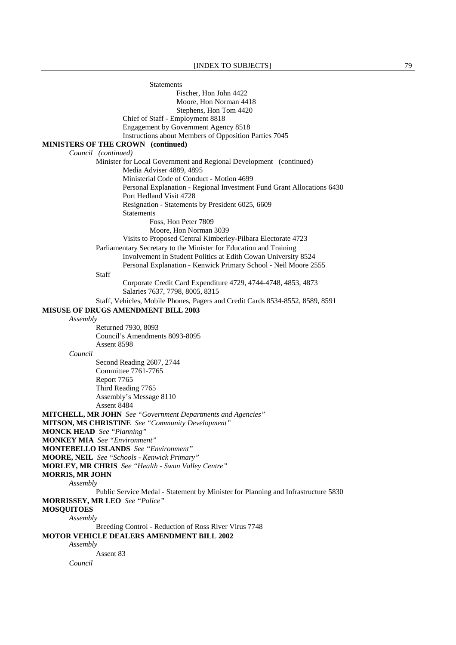**Statements** Fischer, Hon John 4422 Moore, Hon Norman 4418 Stephens, Hon Tom 4420 Chief of Staff - Employment 8818 Engagement by Government Agency 8518 Instructions about Members of Opposition Parties 7045 **MINISTERS OF THE CROWN (continued)** *Council (continued)*  **Minister for Local Government and Regional Development** (continued) Media Adviser 4889, 4895 Ministerial Code of Conduct - Motion 4699 Personal Explanation - Regional Investment Fund Grant Allocations 6430 Port Hedland Visit 4728 Resignation - Statements by President 6025, 6609 **Statements**  Foss, Hon Peter 7809 Moore, Hon Norman 3039 Visits to Proposed Central Kimberley-Pilbara Electorate 4723 Parliamentary Secretary to the Minister for Education and Training Involvement in Student Politics at Edith Cowan University 8524 Personal Explanation - Kenwick Primary School - Neil Moore 2555 Staff Corporate Credit Card Expenditure 4729, 4744-4748, 4853, 4873 Salaries 7637, 7798, 8005, 8315 Staff, Vehicles, Mobile Phones, Pagers and Credit Cards 8534-8552, 8589, 8591 **MISUSE OF DRUGS AMENDMENT BILL 2003** *Assembly* Returned 7930, 8093 Council's Amendments 8093-8095 Assent 8598 *Council* Second Reading 2607, 2744 Committee 7761-7765 Report 7765 Third Reading 7765 Assembly's Message 8110 Assent 8484 **MITCHELL, MR JOHN** *See "Government Departments and Agencies"*  **MITSON, MS CHRISTINE** *See "Community Development"*  **MONCK HEAD** *See "Planning"*  **MONKEY MIA** *See "Environment"*  **MONTEBELLO ISLANDS** *See "Environment"*  **MOORE, NEIL** *See "Schools - Kenwick Primary"*  **MORLEY, MR CHRIS** *See "Health - Swan Valley Centre"*  **MORRIS, MR JOHN** *Assembly* Public Service Medal - Statement by Minister for Planning and Infrastructure 5830 **MORRISSEY, MR LEO** *See "Police"*  **MOSQUITOES** *Assembly* Breeding Control - Reduction of Ross River Virus 7748 **MOTOR VEHICLE DEALERS AMENDMENT BILL 2002** *Assembly* Assent 83 *Council*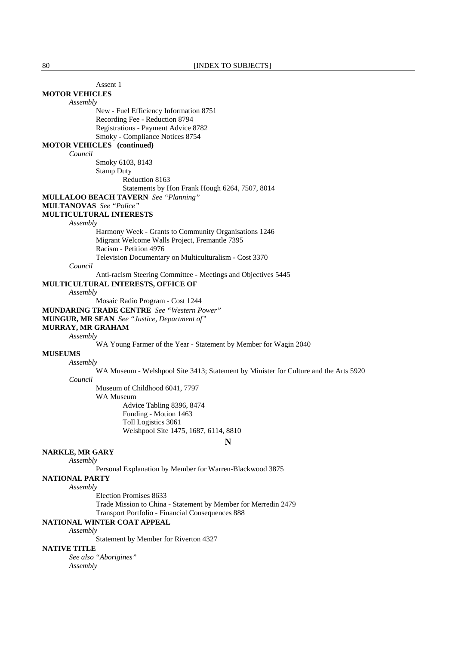| Assent 1                                                                             |  |
|--------------------------------------------------------------------------------------|--|
| <b>MOTOR VEHICLES</b>                                                                |  |
| Assembly                                                                             |  |
| New - Fuel Efficiency Information 8751                                               |  |
| Recording Fee - Reduction 8794                                                       |  |
| Registrations - Payment Advice 8782                                                  |  |
| Smoky - Compliance Notices 8754                                                      |  |
| <b>MOTOR VEHICLES</b> (continued)                                                    |  |
| Council                                                                              |  |
| Smoky 6103, 8143                                                                     |  |
| <b>Stamp Duty</b>                                                                    |  |
| Reduction 8163                                                                       |  |
| Statements by Hon Frank Hough 6264, 7507, 8014                                       |  |
| <b>MULLALOO BEACH TAVERN</b> See "Planning"                                          |  |
| <b>MULTANOVAS</b> See "Police"                                                       |  |
| <b>MULTICULTURAL INTERESTS</b>                                                       |  |
| Assembly                                                                             |  |
| Harmony Week - Grants to Community Organisations 1246                                |  |
| Migrant Welcome Walls Project, Fremantle 7395                                        |  |
| Racism - Petition 4976                                                               |  |
| Television Documentary on Multiculturalism - Cost 3370                               |  |
| Council                                                                              |  |
| Anti-racism Steering Committee - Meetings and Objectives 5445                        |  |
| <b>MULTICULTURAL INTERESTS, OFFICE OF</b>                                            |  |
| Assembly                                                                             |  |
| Mosaic Radio Program - Cost 1244                                                     |  |
| <b>MUNDARING TRADE CENTRE</b> See "Western Power"                                    |  |
| <b>MUNGUR, MR SEAN</b> See "Justice, Department of"                                  |  |
| <b>MURRAY, MR GRAHAM</b>                                                             |  |
| Assembly                                                                             |  |
| WA Young Farmer of the Year - Statement by Member for Wagin 2040                     |  |
| <b>MUSEUMS</b>                                                                       |  |
| Assembly                                                                             |  |
| WA Museum - Welshpool Site 3413; Statement by Minister for Culture and the Arts 5920 |  |
| Council                                                                              |  |
| Museum of Childhood 6041, 7797                                                       |  |
| WA Museum                                                                            |  |
| Advice Tabling 8396, 8474                                                            |  |
| Funding - Motion 1463                                                                |  |
| Toll Logistics 3061                                                                  |  |
| Welshpool Site 1475, 1687, 6114, 8810                                                |  |
| N                                                                                    |  |
|                                                                                      |  |
| <b>NARKLE, MR GARY</b>                                                               |  |
| Assembly<br>Personal Explanation by Member for Warren-Blackwood 3875                 |  |
|                                                                                      |  |
| NATIONAL PARTY                                                                       |  |
| Assembly                                                                             |  |
| Election Promises 8633                                                               |  |
| Trade Mission to China - Statement by Member for Merredin 2479                       |  |
| Transport Portfolio - Financial Consequences 888                                     |  |

**NATIONAL WINTER COAT APPEAL**

*Assembly*

Statement by Member for Riverton 4327

# **NATIVE TITLE**

*See also "Aborigines" Assembly*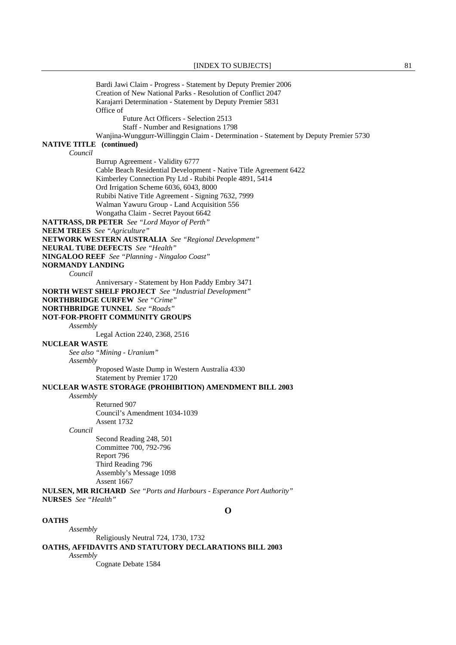Bardi Jawi Claim - Progress - Statement by Deputy Premier 2006 Creation of New National Parks - Resolution of Conflict 2047 Karajarri Determination - Statement by Deputy Premier 5831 Office of Future Act Officers - Selection 2513 Staff - Number and Resignations 1798 Wanjina-Wunggurr-Willinggin Claim - Determination - Statement by Deputy Premier 5730 **NATIVE TITLE (continued)** *Council* Burrup Agreement - Validity 6777 Cable Beach Residential Development - Native Title Agreement 6422 Kimberley Connection Pty Ltd - Rubibi People 4891, 5414 Ord Irrigation Scheme 6036, 6043, 8000 Rubibi Native Title Agreement - Signing 7632, 7999 Walman Yawuru Group - Land Acquisition 556 Wongatha Claim - Secret Payout 6642 **NATTRASS, DR PETER** *See "Lord Mayor of Perth"*  **NEEM TREES** *See "Agriculture"*  **NETWORK WESTERN AUSTRALIA** *See "Regional Development"*  **NEURAL TUBE DEFECTS** *See "Health"*  **NINGALOO REEF** *See "Planning - Ningaloo Coast"*  **NORMANDY LANDING** *Council* Anniversary - Statement by Hon Paddy Embry 3471 **NORTH WEST SHELF PROJECT** *See "Industrial Development"*  **NORTHBRIDGE CURFEW** *See "Crime"*  **NORTHBRIDGE TUNNEL** *See "Roads"*  **NOT-FOR-PROFIT COMMUNITY GROUPS** *Assembly* Legal Action 2240, 2368, 2516 **NUCLEAR WASTE** *See also "Mining - Uranium" Assembly* Proposed Waste Dump in Western Australia 4330 Statement by Premier 1720 **NUCLEAR WASTE STORAGE (PROHIBITION) AMENDMENT BILL 2003** *Assembly* Returned 907 Council's Amendment 1034-1039 Assent 1732 *Council* Second Reading 248, 501 Committee 700, 792-796 Report 796 Third Reading 796 Assembly's Message 1098 Assent 1667 **NULSEN, MR RICHARD** *See "Ports and Harbours - Esperance Port Authority"* **NURSES** *See "Health"*  **O OATHS** *Assembly* Religiously Neutral 724, 1730, 1732

**OATHS, AFFIDAVITS AND STATUTORY DECLARATIONS BILL 2003**

*Assembly*

Cognate Debate 1584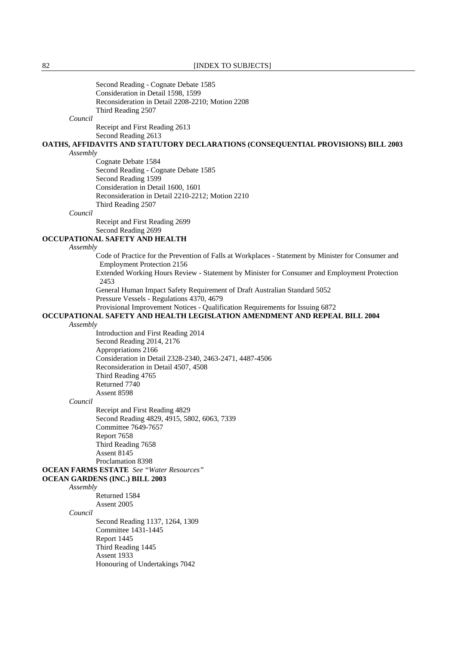Second Reading - Cognate Debate 1585 Consideration in Detail 1598, 1599 Reconsideration in Detail 2208-2210; Motion 2208 Third Reading 2507

#### *Council*

 Receipt and First Reading 2613 Second Reading 2613

**OATHS, AFFIDAVITS AND STATUTORY DECLARATIONS (CONSEQUENTIAL PROVISIONS) BILL 2003** *Assembly*

 Cognate Debate 1584 Second Reading - Cognate Debate 1585 Second Reading 1599 Consideration in Detail 1600, 1601 Reconsideration in Detail 2210-2212; Motion 2210 Third Reading 2507

# *Council*

 Receipt and First Reading 2699 Second Reading 2699

## **OCCUPATIONAL SAFETY AND HEALTH**

*Assembly*

 Code of Practice for the Prevention of Falls at Workplaces - Statement by Minister for Consumer and Employment Protection 2156

 Extended Working Hours Review - Statement by Minister for Consumer and Employment Protection 2453

 General Human Impact Safety Requirement of Draft Australian Standard 5052 Pressure Vessels - Regulations 4370, 4679

Provisional Improvement Notices - Qualification Requirements for Issuing 6872

# **OCCUPATIONAL SAFETY AND HEALTH LEGISLATION AMENDMENT AND REPEAL BILL 2004**

#### *Assembly*

 Introduction and First Reading 2014 Second Reading 2014, 2176 Appropriations 2166 Consideration in Detail 2328-2340, 2463-2471, 4487-4506 Reconsideration in Detail 4507, 4508 Third Reading 4765 Returned 7740 Assent 8598

#### *Council*

 Receipt and First Reading 4829 Second Reading 4829, 4915, 5802, 6063, 7339 Committee 7649-7657 Report 7658 Third Reading 7658 Assent 8145 Proclamation 8398

## **OCEAN FARMS ESTATE** *See "Water Resources"*

# **OCEAN GARDENS (INC.) BILL 2003**

# *Assembly*

 Returned 1584 Assent 2005

## *Council*

 Second Reading 1137, 1264, 1309 Committee 1431-1445 Report 1445 Third Reading 1445 Assent 1933 Honouring of Undertakings 7042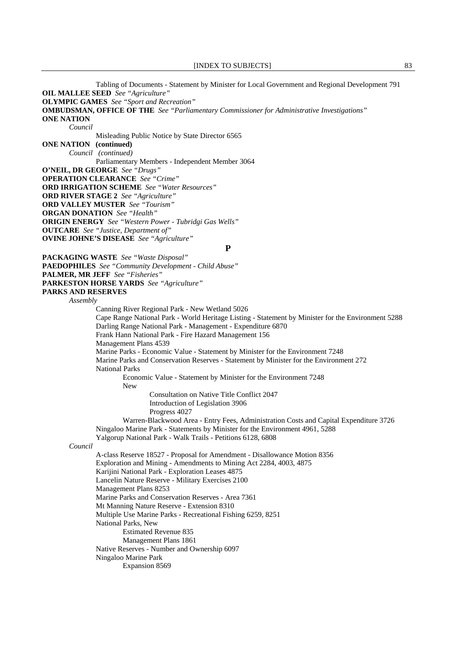### [INDEX TO SUBJECTS] 83

 Tabling of Documents - Statement by Minister for Local Government and Regional Development 791 **OIL MALLEE SEED** *See "Agriculture"*  **OLYMPIC GAMES** *See "Sport and Recreation"*  **OMBUDSMAN, OFFICE OF THE** *See "Parliamentary Commissioner for Administrative Investigations"*  **ONE NATION** *Council* Misleading Public Notice by State Director 6565 **ONE NATION (continued)** *Council (continued)* Parliamentary Members - Independent Member 3064 **O'NEIL, DR GEORGE** *See "Drugs"*  **OPERATION CLEARANCE** *See "Crime"*  **ORD IRRIGATION SCHEME** *See "Water Resources"*  **ORD RIVER STAGE 2** *See "Agriculture"*  **ORD VALLEY MUSTER** *See "Tourism"*  **ORGAN DONATION** *See "Health"*  **ORIGIN ENERGY** *See "Western Power - Tubridgi Gas Wells"*  **OUTCARE** *See "Justice, Department of"*  **OVINE JOHNE'S DISEASE** *See "Agriculture"*  **P PACKAGING WASTE** *See "Waste Disposal"*  **PAEDOPHILES** *See "Community Development - Child Abuse"*  **PALMER, MR JEFF** *See "Fisheries"*  **PARKESTON HORSE YARDS** *See "Agriculture"*  **PARKS AND RESERVES** *Assembly* Canning River Regional Park - New Wetland 5026 Cape Range National Park - World Heritage Listing - Statement by Minister for the Environment 5288 Darling Range National Park - Management - Expenditure 6870 Frank Hann National Park - Fire Hazard Management 156 Management Plans 4539 Marine Parks - Economic Value - Statement by Minister for the Environment 7248 Marine Parks and Conservation Reserves - Statement by Minister for the Environment 272 National Parks Economic Value - Statement by Minister for the Environment 7248 New Consultation on Native Title Conflict 2047 Introduction of Legislation 3906 Progress 4027 Warren-Blackwood Area - Entry Fees, Administration Costs and Capital Expenditure 3726 Ningaloo Marine Park - Statements by Minister for the Environment 4961, 5288 Yalgorup National Park - Walk Trails - Petitions 6128, 6808 *Council* A-class Reserve 18527 - Proposal for Amendment - Disallowance Motion 8356 Exploration and Mining - Amendments to Mining Act 2284, 4003, 4875 Karijini National Park - Exploration Leases 4875 Lancelin Nature Reserve - Military Exercises 2100 Management Plans 8253 Marine Parks and Conservation Reserves - Area 7361 Mt Manning Nature Reserve - Extension 8310 Multiple Use Marine Parks - Recreational Fishing 6259, 8251 National Parks, New Estimated Revenue 835 Management Plans 1861 Native Reserves - Number and Ownership 6097 Ningaloo Marine Park Expansion 8569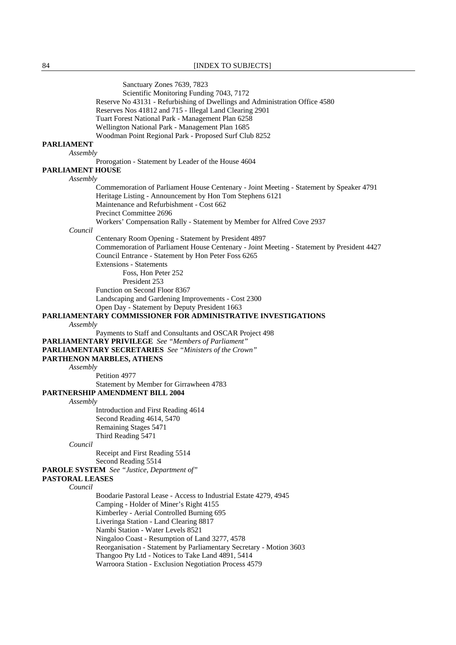84 **[INDEX TO SUBJECTS]** 

 Sanctuary Zones 7639, 7823 Scientific Monitoring Funding 7043, 7172 Reserve No 43131 - Refurbishing of Dwellings and Administration Office 4580 Reserves Nos 41812 and 715 - Illegal Land Clearing 2901 Tuart Forest National Park - Management Plan 6258 Wellington National Park - Management Plan 1685 Woodman Point Regional Park - Proposed Surf Club 8252 **PARLIAMENT** *Assembly* Prorogation - Statement by Leader of the House 4604 **PARLIAMENT HOUSE** *Assembly* Commemoration of Parliament House Centenary - Joint Meeting - Statement by Speaker 4791 Heritage Listing - Announcement by Hon Tom Stephens 6121 Maintenance and Refurbishment - Cost 662 Precinct Committee 2696 Workers' Compensation Rally - Statement by Member for Alfred Cove 2937 *Council* Centenary Room Opening - Statement by President 4897 Commemoration of Parliament House Centenary - Joint Meeting - Statement by President 4427 Council Entrance - Statement by Hon Peter Foss 6265 Extensions - Statements Foss, Hon Peter 252 President 253 Function on Second Floor 8367 Landscaping and Gardening Improvements - Cost 2300 Open Day - Statement by Deputy President 1663 **PARLIAMENTARY COMMISSIONER FOR ADMINISTRATIVE INVESTIGATIONS** *Assembly* Payments to Staff and Consultants and OSCAR Project 498 **PARLIAMENTARY PRIVILEGE** *See "Members of Parliament"*  **PARLIAMENTARY SECRETARIES** *See "Ministers of the Crown"*  **PARTHENON MARBLES, ATHENS** *Assembly* Petition 4977 Statement by Member for Girrawheen 4783 **PARTNERSHIP AMENDMENT BILL 2004** *Assembly* Introduction and First Reading 4614 Second Reading 4614, 5470 Remaining Stages 5471 Third Reading 5471 *Council*  Receipt and First Reading 5514 Second Reading 5514 **PAROLE SYSTEM** *See "Justice, Department of"*  **PASTORAL LEASES** *Council* Boodarie Pastoral Lease - Access to Industrial Estate 4279, 4945 Camping - Holder of Miner's Right 4155 Kimberley - Aerial Controlled Burning 695 Liveringa Station - Land Clearing 8817 Nambi Station - Water Levels 8521 Ningaloo Coast - Resumption of Land 3277, 4578 Reorganisation - Statement by Parliamentary Secretary - Motion 3603 Thangoo Pty Ltd - Notices to Take Land 4891, 5414 Warroora Station - Exclusion Negotiation Process 4579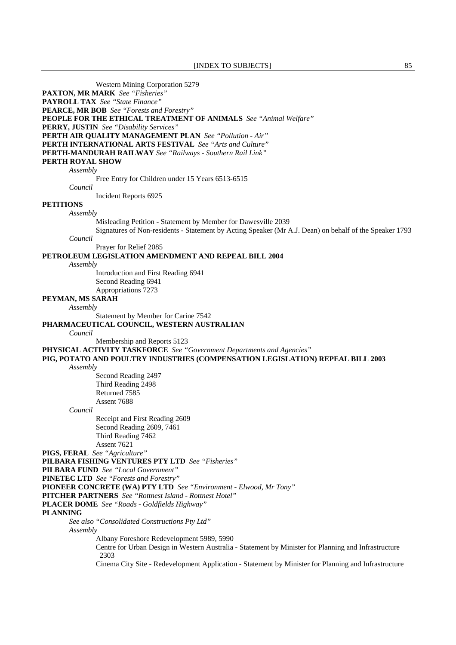Western Mining Corporation 5279 **PAXTON, MR MARK** *See "Fisheries"*  **PAYROLL TAX** *See "State Finance"*  **PEARCE, MR BOB** *See "Forests and Forestry"*  **PEOPLE FOR THE ETHICAL TREATMENT OF ANIMALS** *See "Animal Welfare"*  **PERRY, JUSTIN** *See "Disability Services"*  **PERTH AIR QUALITY MANAGEMENT PLAN** *See "Pollution - Air"*  **PERTH INTERNATIONAL ARTS FESTIVAL** *See "Arts and Culture"*  **PERTH-MANDURAH RAILWAY** *See "Railways - Southern Rail Link"*  **PERTH ROYAL SHOW** *Assembly* Free Entry for Children under 15 Years 6513-6515 *Council* Incident Reports 6925 **PETITIONS** *Assembly* Misleading Petition - Statement by Member for Dawesville 2039 Signatures of Non-residents - Statement by Acting Speaker (Mr A.J. Dean) on behalf of the Speaker 1793 *Council* Prayer for Relief 2085 **PETROLEUM LEGISLATION AMENDMENT AND REPEAL BILL 2004** *Assembly* Introduction and First Reading 6941 Second Reading 6941 Appropriations 7273 **PEYMAN, MS SARAH** *Assembly* Statement by Member for Carine 7542 **PHARMACEUTICAL COUNCIL, WESTERN AUSTRALIAN** *Council* Membership and Reports 5123 **PHYSICAL ACTIVITY TASKFORCE** *See "Government Departments and Agencies"*  **PIG, POTATO AND POULTRY INDUSTRIES (COMPENSATION LEGISLATION) REPEAL BILL 2003** *Assembly* Second Reading 2497 Third Reading 2498 Returned 7585 Assent 7688 *Council* Receipt and First Reading 2609 Second Reading 2609, 7461 Third Reading 7462 Assent 7621 **PIGS, FERAL** *See "Agriculture"*  **PILBARA FISHING VENTURES PTY LTD** *See "Fisheries"*  **PILBARA FUND** *See "Local Government"*  **PINETEC LTD** *See "Forests and Forestry"*  **PIONEER CONCRETE (WA) PTY LTD** *See "Environment - Elwood, Mr Tony"*  **PITCHER PARTNERS** *See "Rottnest Island - Rottnest Hotel"*  **PLACER DOME** *See "Roads - Goldfields Highway"*  **PLANNING** *See also "Consolidated Constructions Pty Ltd" Assembly* Albany Foreshore Redevelopment 5989, 5990 Centre for Urban Design in Western Australia - Statement by Minister for Planning and Infrastructure 2303 Cinema City Site - Redevelopment Application - Statement by Minister for Planning and Infrastructure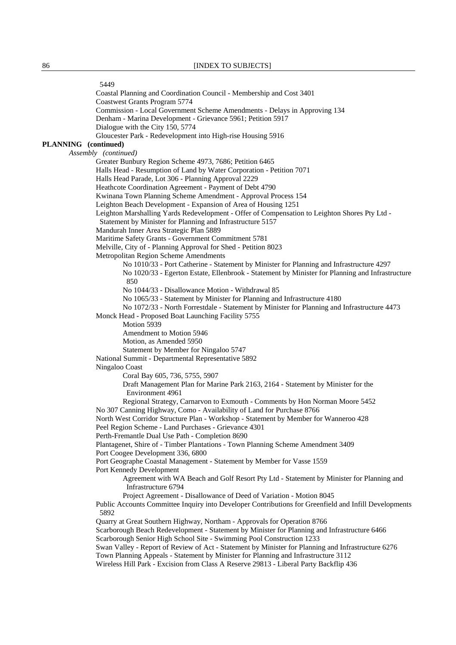5449 Coastal Planning and Coordination Council - Membership and Cost 3401 Coastwest Grants Program 5774 Commission - Local Government Scheme Amendments - Delays in Approving 134 Denham - Marina Development - Grievance 5961; Petition 5917 Dialogue with the City 150, 5774 Gloucester Park - Redevelopment into High-rise Housing 5916 **PLANNING (continued)**  *Assembly (continued)* Greater Bunbury Region Scheme 4973, 7686; Petition 6465 Halls Head - Resumption of Land by Water Corporation - Petition 7071 Halls Head Parade, Lot 306 - Planning Approval 2229 Heathcote Coordination Agreement - Payment of Debt 4790 Kwinana Town Planning Scheme Amendment - Approval Process 154 Leighton Beach Development - Expansion of Area of Housing 1251 Leighton Marshalling Yards Redevelopment - Offer of Compensation to Leighton Shores Pty Ltd - Statement by Minister for Planning and Infrastructure 5157 Mandurah Inner Area Strategic Plan 5889 Maritime Safety Grants - Government Commitment 5781 Melville, City of - Planning Approval for Shed - Petition 8023 Metropolitan Region Scheme Amendments No 1010/33 - Port Catherine - Statement by Minister for Planning and Infrastructure 4297 No 1020/33 - Egerton Estate, Ellenbrook - Statement by Minister for Planning and Infrastructure 850 No 1044/33 - Disallowance Motion - Withdrawal 85 No 1065/33 - Statement by Minister for Planning and Infrastructure 4180 No 1072/33 - North Forrestdale - Statement by Minister for Planning and Infrastructure 4473 Monck Head - Proposed Boat Launching Facility 5755 Motion 5939 Amendment to Motion 5946 Motion, as Amended 5950 Statement by Member for Ningaloo 5747 National Summit - Departmental Representative 5892 Ningaloo Coast Coral Bay 605, 736, 5755, 5907 Draft Management Plan for Marine Park 2163, 2164 - Statement by Minister for the Environment 4961 Regional Strategy, Carnarvon to Exmouth - Comments by Hon Norman Moore 5452 No 307 Canning Highway, Como - Availability of Land for Purchase 8766 North West Corridor Structure Plan - Workshop - Statement by Member for Wanneroo 428 Peel Region Scheme - Land Purchases - Grievance 4301 Perth-Fremantle Dual Use Path - Completion 8690 Plantagenet, Shire of - Timber Plantations - Town Planning Scheme Amendment 3409 Port Coogee Development 336, 6800 Port Geographe Coastal Management - Statement by Member for Vasse 1559 Port Kennedy Development Agreement with WA Beach and Golf Resort Pty Ltd - Statement by Minister for Planning and Infrastructure 6794 Project Agreement - Disallowance of Deed of Variation - Motion 8045 Public Accounts Committee Inquiry into Developer Contributions for Greenfield and Infill Developments 5892 Quarry at Great Southern Highway, Northam - Approvals for Operation 8766 Scarborough Beach Redevelopment - Statement by Minister for Planning and Infrastructure 6466 Scarborough Senior High School Site - Swimming Pool Construction 1233 Swan Valley - Report of Review of Act - Statement by Minister for Planning and Infrastructure 6276 Town Planning Appeals - Statement by Minister for Planning and Infrastructure 3112 Wireless Hill Park - Excision from Class A Reserve 29813 - Liberal Party Backflip 436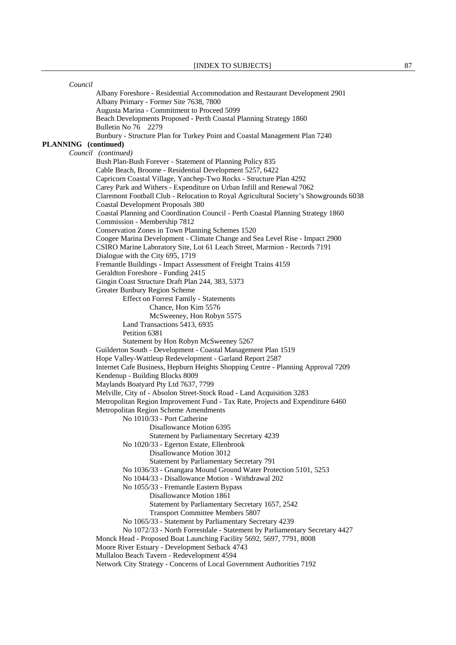| Council              |                                                                                       |
|----------------------|---------------------------------------------------------------------------------------|
|                      | Albany Foreshore - Residential Accommodation and Restaurant Development 2901          |
|                      | Albany Primary - Former Site 7638, 7800                                               |
|                      | Augusta Marina - Commitment to Proceed 5099                                           |
|                      | Beach Developments Proposed - Perth Coastal Planning Strategy 1860                    |
|                      | Bulletin No 76 2279                                                                   |
|                      | Bunbury - Structure Plan for Turkey Point and Coastal Management Plan 7240            |
| PLANNING (continued) |                                                                                       |
|                      | Council (continued)                                                                   |
|                      | Bush Plan-Bush Forever - Statement of Planning Policy 835                             |
|                      | Cable Beach, Broome - Residential Development 5257, 6422                              |
|                      | Capricorn Coastal Village, Yanchep-Two Rocks - Structure Plan 4292                    |
|                      | Carey Park and Withers - Expenditure on Urban Infill and Renewal 7062                 |
|                      | Claremont Football Club - Relocation to Royal Agricultural Society's Showgrounds 6038 |
|                      | <b>Coastal Development Proposals 380</b>                                              |
|                      | Coastal Planning and Coordination Council - Perth Coastal Planning Strategy 1860      |
|                      | Commission - Membership 7812                                                          |
|                      | Conservation Zones in Town Planning Schemes 1520                                      |
|                      | Coogee Marina Development - Climate Change and Sea Level Rise - Impact 2900           |
|                      | CSIRO Marine Laboratory Site, Lot 61 Leach Street, Marmion - Records 7191             |
|                      | Dialogue with the City 695, 1719                                                      |
|                      | Fremantle Buildings - Impact Assessment of Freight Trains 4159                        |
|                      | Geraldton Foreshore - Funding 2415                                                    |
|                      | Gingin Coast Structure Draft Plan 244, 383, 5373                                      |
|                      | <b>Greater Bunbury Region Scheme</b>                                                  |
|                      | <b>Effect on Forrest Family - Statements</b>                                          |
|                      | Chance, Hon Kim 5576                                                                  |
|                      | McSweeney, Hon Robyn 5575                                                             |
|                      | Land Transactions 5413, 6935                                                          |
|                      | Petition 6381                                                                         |
|                      | Statement by Hon Robyn McSweeney 5267                                                 |
|                      | Guilderton South - Development - Coastal Management Plan 1519                         |
|                      | Hope Valley-Wattleup Redevelopment - Garland Report 2587                              |
|                      | Internet Cafe Business, Hepburn Heights Shopping Centre - Planning Approval 7209      |
|                      | Kendenup - Building Blocks 8009                                                       |
|                      | Maylands Boatyard Pty Ltd 7637, 7799                                                  |
|                      | Melville, City of - Absolon Street-Stock Road - Land Acquisition 3283                 |
|                      | Metropolitan Region Improvement Fund - Tax Rate, Projects and Expenditure 6460        |
|                      | Metropolitan Region Scheme Amendments                                                 |
|                      | No 1010/33 - Port Catherine                                                           |
|                      | Disallowance Motion 6395                                                              |
|                      | Statement by Parliamentary Secretary 4239                                             |
|                      | No 1020/33 - Egerton Estate, Ellenbrook                                               |
|                      | Disallowance Motion 3012                                                              |
|                      | Statement by Parliamentary Secretary 791                                              |
|                      | No 1036/33 - Gnangara Mound Ground Water Protection 5101, 5253                        |
|                      | No 1044/33 - Disallowance Motion - Withdrawal 202                                     |
|                      | No 1055/33 - Fremantle Eastern Bypass                                                 |
|                      | Disallowance Motion 1861                                                              |
|                      | Statement by Parliamentary Secretary 1657, 2542                                       |
|                      | <b>Transport Committee Members 5807</b>                                               |
|                      | No 1065/33 - Statement by Parliamentary Secretary 4239                                |
|                      | No 1072/33 - North Forrestdale - Statement by Parliamentary Secretary 4427            |
|                      | Monck Head - Proposed Boat Launching Facility 5692, 5697, 7791, 8008                  |
|                      | Moore River Estuary - Development Setback 4743                                        |
|                      | Mullaloo Beach Tavern - Redevelopment 4594                                            |
|                      | Network City Strategy - Concerns of Local Government Authorities 7192                 |
|                      |                                                                                       |
|                      |                                                                                       |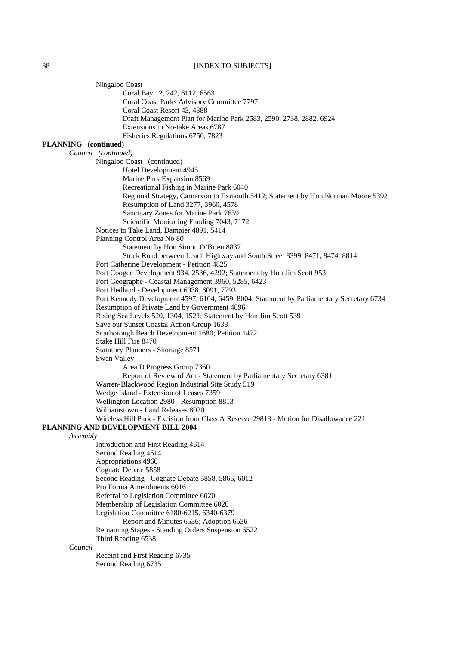Ningaloo Coast Coral Bay 12, 242, 6112, 6563 Coral Coast Parks Advisory Committee 7797 Coral Coast Resort 43, 4888 Draft Management Plan for Marine Park 2583, 2590, 2738, 2882, 6924 Extensions to No-take Areas 6787 Fisheries Regulations 6750, 7823 **PLANNING (continued)**  *Council (continued)* Ningaloo Coast (continued) Hotel Development 4945 Marine Park Expansion 8569 Recreational Fishing in Marine Park 6040 Regional Strategy, Carnarvon to Exmouth 5412; Statement by Hon Norman Moore 5392 Resumption of Land 3277, 3960, 4578 Sanctuary Zones for Marine Park 7639 Scientific Monitoring Funding 7043, 7172 Notices to Take Land, Dampier 4891, 5414 Planning Control Area No 80 Statement by Hon Simon O'Brien 8837 Stock Road between Leach Highway and South Street 8399, 8471, 8474, 8814 Port Catherine Development - Petition 4825 Port Coogee Development 934, 2536, 4292; Statement by Hon Jim Scott 953 Port Geographe - Coastal Management 3960, 5285, 6423 Port Hedland - Development 6038, 6091, 7793 Port Kennedy Development 4597, 6104, 6459, 8004; Statement by Parliamentary Secretary 6734 Resumption of Private Land by Government 4896 Rising Sea Levels 520, 1304, 1521; Statement by Hon Jim Scott 539 Save our Sunset Coastal Action Group 1638 Scarborough Beach Development 1680; Petition 1472 Stake Hill Fire 8470 Statutory Planners - Shortage 8571 Swan Valley Area D Progress Group 7360 Report of Review of Act - Statement by Parliamentary Secretary 6381 Warren-Blackwood Region Industrial Site Study 519 Wedge Island - Extension of Leases 7359 Wellington Location 2980 - Resumption 8813 Williamstown - Land Releases 8020 Wireless Hill Park - Excision from Class A Reserve 29813 - Motion for Disallowance 221 **PLANNING AND DEVELOPMENT BILL 2004** *Assembly* Introduction and First Reading 4614 Second Reading 4614 Appropriations 4960 Cognate Debate 5858 Second Reading - Cognate Debate 5858, 5866, 6012 Pro Forma Amendments 6016 Referral to Legislation Committee 6020 Membership of Legislation Committee 6020 Legislation Committee 6180-6215, 6340-6379 Report and Minutes 6536; Adoption 6536 Remaining Stages - Standing Orders Suspension 6522 Third Reading 6538 *Council* Receipt and First Reading 6735 Second Reading 6735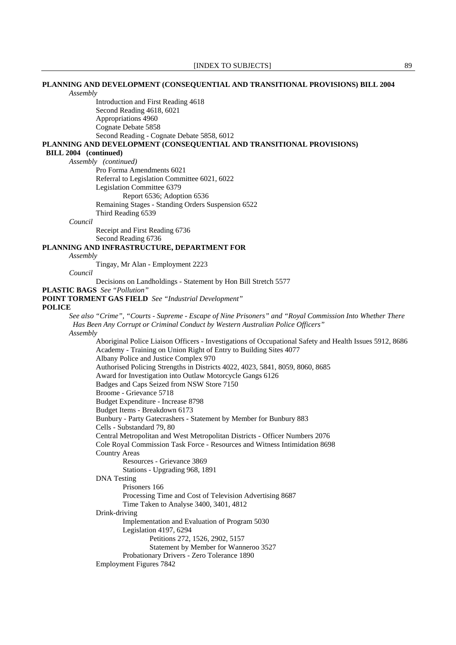## **PLANNING AND DEVELOPMENT (CONSEQUENTIAL AND TRANSITIONAL PROVISIONS) BILL 2004** *Assembly*

 Introduction and First Reading 4618 Second Reading 4618, 6021 Appropriations 4960 Cognate Debate 5858 Second Reading - Cognate Debate 5858, 6012 **PLANNING AND DEVELOPMENT (CONSEQUENTIAL AND TRANSITIONAL PROVISIONS)** 

## **BILL 2004 (continued)**

*Assembly (continued)*

 Pro Forma Amendments 6021 Referral to Legislation Committee 6021, 6022 Legislation Committee 6379 Report 6536; Adoption 6536 Remaining Stages - Standing Orders Suspension 6522 Third Reading 6539

*Council*

 Receipt and First Reading 6736 Second Reading 6736

## **PLANNING AND INFRASTRUCTURE, DEPARTMENT FOR**

*Assembly*

Tingay, Mr Alan - Employment 2223

*Council*

Decisions on Landholdings - Statement by Hon Bill Stretch 5577

**PLASTIC BAGS** *See "Pollution"* 

**POINT TORMENT GAS FIELD** *See "Industrial Development"* 

## **POLICE**

*See also "Crime", "Courts - Supreme - Escape of Nine Prisoners" and "Royal Commission Into Whether There Has Been Any Corrupt or Criminal Conduct by Western Australian Police Officers" Assembly*

 Aboriginal Police Liaison Officers - Investigations of Occupational Safety and Health Issues 5912, 8686 Academy - Training on Union Right of Entry to Building Sites 4077 Albany Police and Justice Complex 970 Authorised Policing Strengths in Districts 4022, 4023, 5841, 8059, 8060, 8685 Award for Investigation into Outlaw Motorcycle Gangs 6126 Badges and Caps Seized from NSW Store 7150 Broome - Grievance 5718 Budget Expenditure - Increase 8798 Budget Items - Breakdown 6173 Bunbury - Party Gatecrashers - Statement by Member for Bunbury 883 Cells - Substandard 79, 80 Central Metropolitan and West Metropolitan Districts - Officer Numbers 2076 Cole Royal Commission Task Force - Resources and Witness Intimidation 8698 Country Areas Resources - Grievance 3869 Stations - Upgrading 968, 1891 DNA Testing Prisoners 166 Processing Time and Cost of Television Advertising 8687 Time Taken to Analyse 3400, 3401, 4812 Drink-driving Implementation and Evaluation of Program 5030 Legislation 4197, 6294 Petitions 272, 1526, 2902, 5157 Statement by Member for Wanneroo 3527 Probationary Drivers - Zero Tolerance 1890 Employment Figures 7842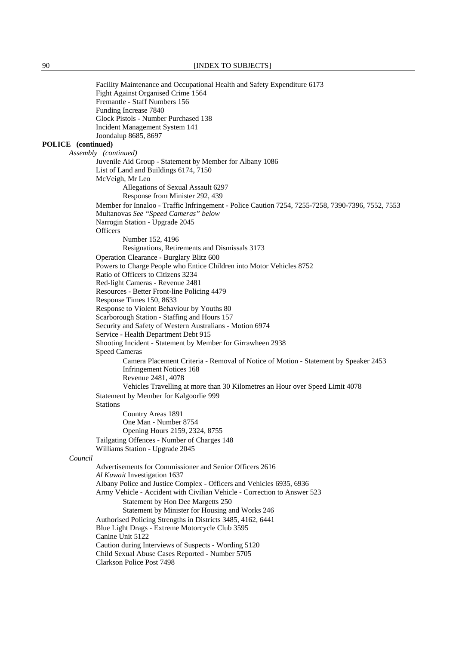Facility Maintenance and Occupational Health and Safety Expenditure 6173 Fight Against Organised Crime 1564 Fremantle - Staff Numbers 156 Funding Increase 7840 Glock Pistols - Number Purchased 138 Incident Management System 141 Joondalup 8685, 8697 **POLICE (continued)**  *Assembly (continued)*  Juvenile Aid Group - Statement by Member for Albany 1086 List of Land and Buildings 6174, 7150 McVeigh, Mr Leo Allegations of Sexual Assault 6297 Response from Minister 292, 439 Member for Innaloo - Traffic Infringement - Police Caution 7254, 7255-7258, 7390-7396, 7552, 7553 Multanovas *See "Speed Cameras" below* Narrogin Station - Upgrade 2045 **Officers**  Number 152, 4196 Resignations, Retirements and Dismissals 3173 Operation Clearance - Burglary Blitz 600 Powers to Charge People who Entice Children into Motor Vehicles 8752 Ratio of Officers to Citizens 3234 Red-light Cameras - Revenue 2481 Resources - Better Front-line Policing 4479 Response Times 150, 8633 Response to Violent Behaviour by Youths 80 Scarborough Station - Staffing and Hours 157 Security and Safety of Western Australians - Motion 6974 Service - Health Department Debt 915 Shooting Incident - Statement by Member for Girrawheen 2938 Speed Cameras Camera Placement Criteria - Removal of Notice of Motion - Statement by Speaker 2453 Infringement Notices 168 Revenue 2481, 4078 Vehicles Travelling at more than 30 Kilometres an Hour over Speed Limit 4078 Statement by Member for Kalgoorlie 999 Stations Country Areas 1891 One Man - Number 8754 Opening Hours 2159, 2324, 8755 Tailgating Offences - Number of Charges 148 Williams Station - Upgrade 2045 *Council* Advertisements for Commissioner and Senior Officers 2616 *Al Kuwait* Investigation 1637 Albany Police and Justice Complex - Officers and Vehicles 6935, 6936 Army Vehicle - Accident with Civilian Vehicle - Correction to Answer 523 Statement by Hon Dee Margetts 250 Statement by Minister for Housing and Works 246 Authorised Policing Strengths in Districts 3485, 4162, 6441 Blue Light Drags - Extreme Motorcycle Club 3595 Canine Unit 5122 Caution during Interviews of Suspects - Wording 5120 Child Sexual Abuse Cases Reported - Number 5705 Clarkson Police Post 7498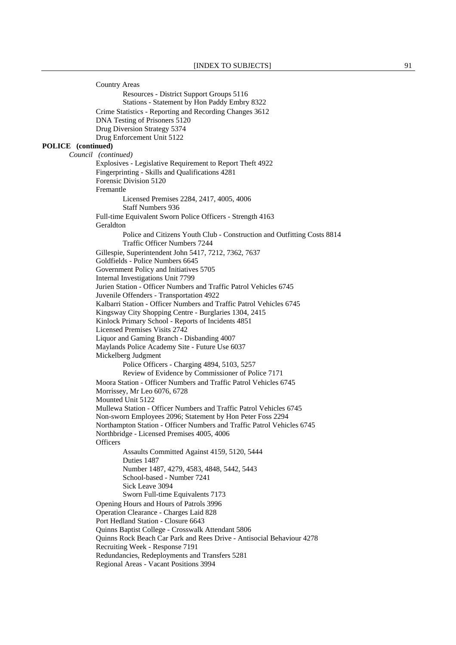|                    | <b>Country Areas</b>                                                                                            |
|--------------------|-----------------------------------------------------------------------------------------------------------------|
|                    | Resources - District Support Groups 5116                                                                        |
|                    | Stations - Statement by Hon Paddy Embry 8322                                                                    |
|                    | Crime Statistics - Reporting and Recording Changes 3612                                                         |
|                    | DNA Testing of Prisoners 5120                                                                                   |
|                    | Drug Diversion Strategy 5374                                                                                    |
|                    | Drug Enforcement Unit 5122                                                                                      |
| POLICE (continued) |                                                                                                                 |
|                    | Council (continued)                                                                                             |
|                    | Explosives - Legislative Requirement to Report Theft 4922<br>Fingerprinting - Skills and Qualifications 4281    |
|                    | Forensic Division 5120                                                                                          |
|                    | Fremantle                                                                                                       |
|                    | Licensed Premises 2284, 2417, 4005, 4006                                                                        |
|                    | <b>Staff Numbers 936</b>                                                                                        |
|                    | Full-time Equivalent Sworn Police Officers - Strength 4163                                                      |
|                    | Geraldton                                                                                                       |
|                    | Police and Citizens Youth Club - Construction and Outfitting Costs 8814                                         |
|                    | Traffic Officer Numbers 7244                                                                                    |
|                    | Gillespie, Superintendent John 5417, 7212, 7362, 7637                                                           |
|                    | Goldfields - Police Numbers 6645                                                                                |
|                    | Government Policy and Initiatives 5705                                                                          |
|                    | Internal Investigations Unit 7799                                                                               |
|                    | Jurien Station - Officer Numbers and Traffic Patrol Vehicles 6745                                               |
|                    | Juvenile Offenders - Transportation 4922<br>Kalbarri Station - Officer Numbers and Traffic Patrol Vehicles 6745 |
|                    | Kingsway City Shopping Centre - Burglaries 1304, 2415                                                           |
|                    | Kinlock Primary School - Reports of Incidents 4851                                                              |
|                    | <b>Licensed Premises Visits 2742</b>                                                                            |
|                    | Liquor and Gaming Branch - Disbanding 4007                                                                      |
|                    | Maylands Police Academy Site - Future Use 6037                                                                  |
|                    | Mickelberg Judgment                                                                                             |
|                    | Police Officers - Charging 4894, 5103, 5257                                                                     |
|                    | Review of Evidence by Commissioner of Police 7171                                                               |
|                    | Moora Station - Officer Numbers and Traffic Patrol Vehicles 6745                                                |
|                    | Morrissey, Mr Leo 6076, 6728                                                                                    |
|                    | Mounted Unit 5122<br>Mullewa Station - Officer Numbers and Traffic Patrol Vehicles 6745                         |
|                    | Non-sworn Employees 2096; Statement by Hon Peter Foss 2294                                                      |
|                    | Northampton Station - Officer Numbers and Traffic Patrol Vehicles 6745                                          |
|                    | Northbridge - Licensed Premises 4005, 4006                                                                      |
|                    | Officers                                                                                                        |
|                    | Assaults Committed Against 4159, 5120, 5444                                                                     |
|                    | Duties 1487                                                                                                     |
|                    | Number 1487, 4279, 4583, 4848, 5442, 5443                                                                       |
|                    | School-based - Number 7241                                                                                      |
|                    | Sick Leave 3094                                                                                                 |
|                    | Sworn Full-time Equivalents 7173                                                                                |
|                    | Opening Hours and Hours of Patrols 3996                                                                         |
|                    | Operation Clearance - Charges Laid 828<br>Port Hedland Station - Closure 6643                                   |
|                    | Quinns Baptist College - Crosswalk Attendant 5806                                                               |
|                    | Quinns Rock Beach Car Park and Rees Drive - Antisocial Behaviour 4278                                           |
|                    | Recruiting Week - Response 7191                                                                                 |
|                    | Redundancies, Redeployments and Transfers 5281                                                                  |
|                    | Regional Areas - Vacant Positions 3994                                                                          |
|                    |                                                                                                                 |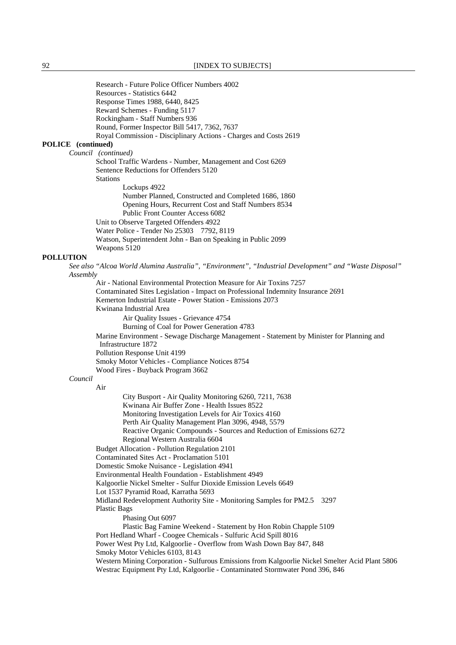Research - Future Police Officer Numbers 4002 Resources - Statistics 6442 Response Times 1988, 6440, 8425 Reward Schemes - Funding 5117 Rockingham - Staff Numbers 936 Round, Former Inspector Bill 5417, 7362, 7637 Royal Commission - Disciplinary Actions - Charges and Costs 2619 **POLICE (continued)**  *Council (continued)*  School Traffic Wardens - Number, Management and Cost 6269 Sentence Reductions for Offenders 5120 Stations Lockups 4922 Number Planned, Constructed and Completed 1686, 1860 Opening Hours, Recurrent Cost and Staff Numbers 8534 Public Front Counter Access 6082 Unit to Observe Targeted Offenders 4922 Water Police - Tender No 25303 7792, 8119 Watson, Superintendent John - Ban on Speaking in Public 2099 Weapons 5120 **POLLUTION** *See also "Alcoa World Alumina Australia", "Environment", "Industrial Development" and "Waste Disposal" Assembly* Air - National Environmental Protection Measure for Air Toxins 7257 Contaminated Sites Legislation - Impact on Professional Indemnity Insurance 2691 Kemerton Industrial Estate - Power Station - Emissions 2073 Kwinana Industrial Area Air Quality Issues - Grievance 4754 Burning of Coal for Power Generation 4783 Marine Environment - Sewage Discharge Management - Statement by Minister for Planning and Infrastructure 1872 Pollution Response Unit 4199 Smoky Motor Vehicles - Compliance Notices 8754 Wood Fires - Buyback Program 3662 *Council* Air City Busport - Air Quality Monitoring 6260, 7211, 7638 Kwinana Air Buffer Zone - Health Issues 8522 Monitoring Investigation Levels for Air Toxics 4160 Perth Air Quality Management Plan 3096, 4948, 5579 Reactive Organic Compounds - Sources and Reduction of Emissions 6272 Regional Western Australia 6604 Budget Allocation - Pollution Regulation 2101 Contaminated Sites Act - Proclamation 5101 Domestic Smoke Nuisance - Legislation 4941 Environmental Health Foundation - Establishment 4949 Kalgoorlie Nickel Smelter - Sulfur Dioxide Emission Levels 6649 Lot 1537 Pyramid Road, Karratha 5693 Midland Redevelopment Authority Site - Monitoring Samples for PM2.5 3297 Plastic Bags Phasing Out 6097 Plastic Bag Famine Weekend - Statement by Hon Robin Chapple 5109 Port Hedland Wharf - Coogee Chemicals - Sulfuric Acid Spill 8016 Power West Pty Ltd, Kalgoorlie - Overflow from Wash Down Bay 847, 848 Smoky Motor Vehicles 6103, 8143 Western Mining Corporation - Sulfurous Emissions from Kalgoorlie Nickel Smelter Acid Plant 5806 Westrac Equipment Pty Ltd, Kalgoorlie - Contaminated Stormwater Pond 396, 846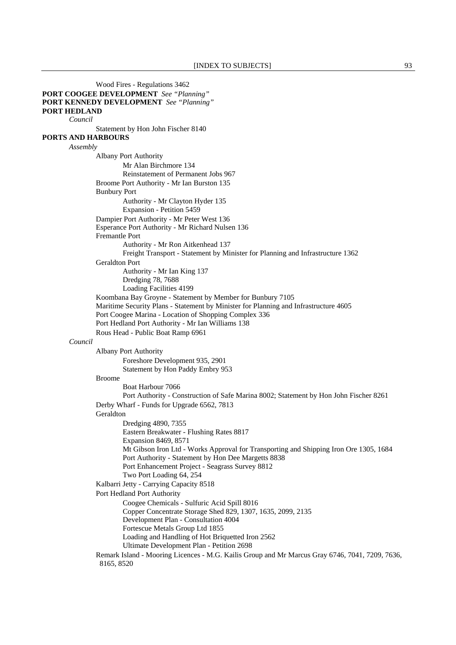Wood Fires - Regulations 3462 **PORT COOGEE DEVELOPMENT** *See "Planning"*  **PORT KENNEDY DEVELOPMENT** *See "Planning"*  **PORT HEDLAND** *Council* Statement by Hon John Fischer 8140 **PORTS AND HARBOURS** *Assembly* Albany Port Authority Mr Alan Birchmore 134 Reinstatement of Permanent Jobs 967 Broome Port Authority - Mr Ian Burston 135 Bunbury Port Authority - Mr Clayton Hyder 135 Expansion - Petition 5459 Dampier Port Authority - Mr Peter West 136 Esperance Port Authority - Mr Richard Nulsen 136 Fremantle Port Authority - Mr Ron Aitkenhead 137 Freight Transport - Statement by Minister for Planning and Infrastructure 1362 Geraldton Port Authority - Mr Ian King 137 Dredging 78, 7688 Loading Facilities 4199 Koombana Bay Groyne - Statement by Member for Bunbury 7105 Maritime Security Plans - Statement by Minister for Planning and Infrastructure 4605 Port Coogee Marina - Location of Shopping Complex 336 Port Hedland Port Authority - Mr Ian Williams 138 Rous Head - Public Boat Ramp 6961 *Council* Albany Port Authority Foreshore Development 935, 2901 Statement by Hon Paddy Embry 953 Broome Boat Harbour 7066 Port Authority - Construction of Safe Marina 8002; Statement by Hon John Fischer 8261 Derby Wharf - Funds for Upgrade 6562, 7813 Geraldton Dredging 4890, 7355 Eastern Breakwater - Flushing Rates 8817 Expansion 8469, 8571 Mt Gibson Iron Ltd - Works Approval for Transporting and Shipping Iron Ore 1305, 1684 Port Authority - Statement by Hon Dee Margetts 8838 Port Enhancement Project - Seagrass Survey 8812 Two Port Loading 64, 254 Kalbarri Jetty - Carrying Capacity 8518 Port Hedland Port Authority Coogee Chemicals - Sulfuric Acid Spill 8016 Copper Concentrate Storage Shed 829, 1307, 1635, 2099, 2135 Development Plan - Consultation 4004 Fortescue Metals Group Ltd 1855 Loading and Handling of Hot Briquetted Iron 2562 Ultimate Development Plan - Petition 2698 Remark Island - Mooring Licences - M.G. Kailis Group and Mr Marcus Gray 6746, 7041, 7209, 7636, 8165, 8520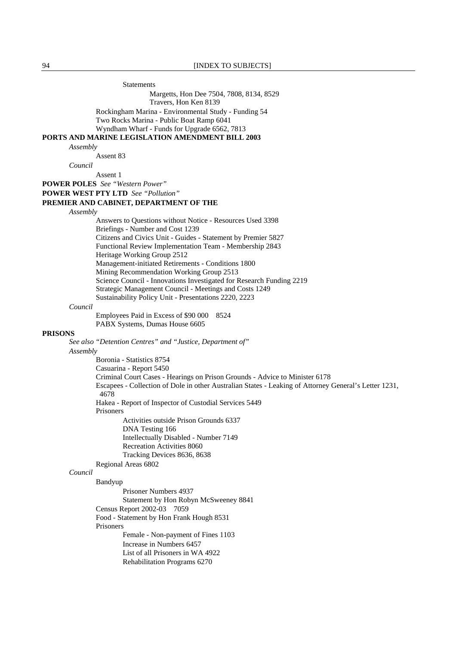**Statements** 

 Margetts, Hon Dee 7504, 7808, 8134, 8529 Travers, Hon Ken 8139

Rockingham Marina - Environmental Study - Funding 54

Two Rocks Marina - Public Boat Ramp 6041

Wyndham Wharf - Funds for Upgrade 6562, 7813

**PORTS AND MARINE LEGISLATION AMENDMENT BILL 2003**

*Assembly*

Assent 83

*Council*

Assent 1

**POWER POLES** *See "Western Power"* 

#### **POWER WEST PTY LTD** *See "Pollution"*

## **PREMIER AND CABINET, DEPARTMENT OF THE**

*Assembly*

 Answers to Questions without Notice - Resources Used 3398 Briefings - Number and Cost 1239 Citizens and Civics Unit - Guides - Statement by Premier 5827 Functional Review Implementation Team - Membership 2843 Heritage Working Group 2512 Management-initiated Retirements - Conditions 1800 Mining Recommendation Working Group 2513 Science Council - Innovations Investigated for Research Funding 2219 Strategic Management Council - Meetings and Costs 1249 Sustainability Policy Unit - Presentations 2220, 2223

#### *Council*

 Employees Paid in Excess of \$90 000 8524 PABX Systems, Dumas House 6605

### **PRISONS**

*See also "Detention Centres" and "Justice, Department of"* 

*Assembly*

 Boronia - Statistics 8754 Casuarina - Report 5450 Criminal Court Cases - Hearings on Prison Grounds - Advice to Minister 6178 Escapees - Collection of Dole in other Australian States - Leaking of Attorney General's Letter 1231, 4678 Hakea - Report of Inspector of Custodial Services 5449 Prisoners Activities outside Prison Grounds 6337 DNA Testing 166 Intellectually Disabled - Number 7149 Recreation Activities 8060 Tracking Devices 8636, 8638 Regional Areas 6802

### *Council*

### Bandyup

 Prisoner Numbers 4937 Statement by Hon Robyn McSweeney 8841 Census Report 2002-03 7059 Food - Statement by Hon Frank Hough 8531 Prisoners Female - Non-payment of Fines 1103 Increase in Numbers 6457 List of all Prisoners in WA 4922

Rehabilitation Programs 6270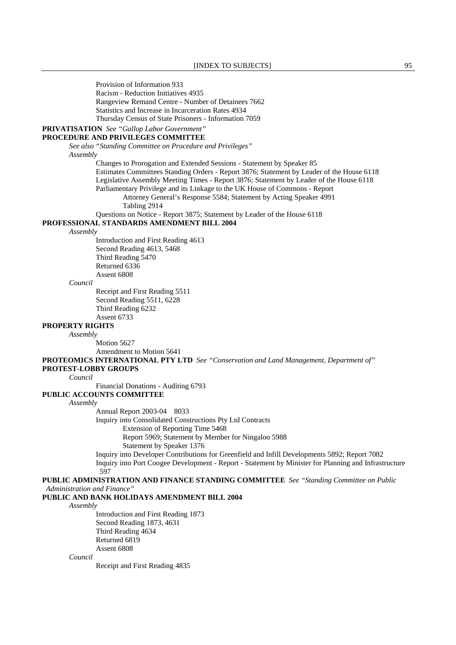Provision of Information 933 Racism - Reduction Initiatives 4935 Rangeview Remand Centre - Number of Detainees 7662 Statistics and Increase in Incarceration Rates 4934 Thursday Census of State Prisoners - Information 7059

# **PRIVATISATION** *See "Gallop Labor Government"*

# **PROCEDURE AND PRIVILEGES COMMITTEE**

 *See also "Standing Committee on Procedure and Privileges" Assembly*

> Changes to Prorogation and Extended Sessions - Statement by Speaker 85 Estimates Committees Standing Orders - Report 3876; Statement by Leader of the House 6118 Legislative Assembly Meeting Times - Report 3876; Statement by Leader of the House 6118 Parliamentary Privilege and its Linkage to the UK House of Commons - Report

Attorney General's Response 5584; Statement by Acting Speaker 4991 Tabling 2914

Questions on Notice - Report 3875; Statement by Leader of the House 6118

# **PROFESSIONAL STANDARDS AMENDMENT BILL 2004**

### *Assembly*

 Introduction and First Reading 4613 Second Reading 4613, 5468 Third Reading 5470 Returned 6336 Assent 6808

#### *Council*

 Receipt and First Reading 5511 Second Reading 5511, 6228 Third Reading 6232 Assent 6733

# **PROPERTY RIGHTS**

*Assembly*

 Motion 5627 Amendment to Motion 5641

**PROTEOMICS INTERNATIONAL PTY LTD** *See "Conservation and Land Management, Department of"* 

# **PROTEST-LOBBY GROUPS**

*Council*

Financial Donations - Auditing 6793

# **PUBLIC ACCOUNTS COMMITTEE**

### *Assembly*

Annual Report 2003-04 8033

Inquiry into Consolidated Constructions Pty Ltd Contracts

Extension of Reporting Time 5468

Report 5969; Statement by Member for Ningaloo 5988

Statement by Speaker 1376

 Inquiry into Developer Contributions for Greenfield and Infill Developments 5892; Report 7082 Inquiry into Port Coogee Development - Report - Statement by Minister for Planning and Infrastructure

597

## **PUBLIC ADMINISTRATION AND FINANCE STANDING COMMITTEE** *See "Standing Committee on Public Administration and Finance"*

# **PUBLIC AND BANK HOLIDAYS AMENDMENT BILL 2004**

*Assembly*

 Introduction and First Reading 1873 Second Reading 1873, 4631 Third Reading 4634 Returned 6819 Assent 6808

*Council*

Receipt and First Reading 4835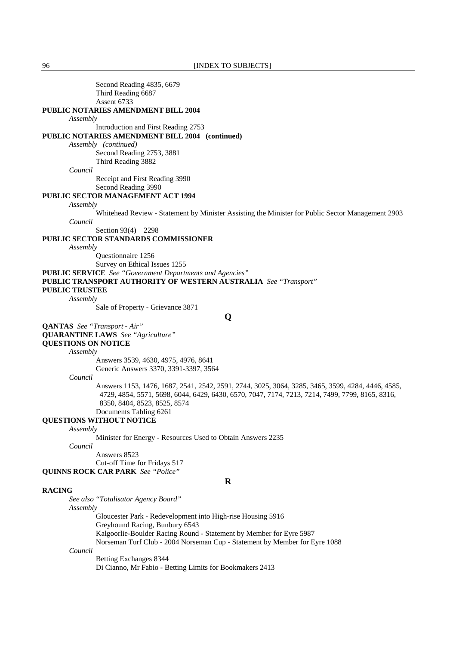96 **[INDEX TO SUBJECTS]** 

 Second Reading 4835, 6679 Third Reading 6687 Assent 6733 **PUBLIC NOTARIES AMENDMENT BILL 2004** *Assembly* Introduction and First Reading 2753 **PUBLIC NOTARIES AMENDMENT BILL 2004 (continued)** *Assembly (continued)* Second Reading 2753, 3881 Third Reading 3882 *Council* Receipt and First Reading 3990 Second Reading 3990 **PUBLIC SECTOR MANAGEMENT ACT 1994** *Assembly* Whitehead Review - Statement by Minister Assisting the Minister for Public Sector Management 2903 *Council* Section 93(4) 2298 **PUBLIC SECTOR STANDARDS COMMISSIONER** *Assembly* Questionnaire 1256 Survey on Ethical Issues 1255 **PUBLIC SERVICE** *See "Government Departments and Agencies"*  **PUBLIC TRANSPORT AUTHORITY OF WESTERN AUSTRALIA** *See "Transport"*  **PUBLIC TRUSTEE** *Assembly* Sale of Property - Grievance 3871 **Q QANTAS** *See "Transport - Air"*  **QUARANTINE LAWS** *See "Agriculture"*  **QUESTIONS ON NOTICE** *Assembly* Answers 3539, 4630, 4975, 4976, 8641 Generic Answers 3370, 3391-3397, 3564 *Council* Answers 1153, 1476, 1687, 2541, 2542, 2591, 2744, 3025, 3064, 3285, 3465, 3599, 4284, 4446, 4585, 4729, 4854, 5571, 5698, 6044, 6429, 6430, 6570, 7047, 7174, 7213, 7214, 7499, 7799, 8165, 8316, 8350, 8404, 8523, 8525, 8574 Documents Tabling 6261 **QUESTIONS WITHOUT NOTICE** *Assembly* Minister for Energy - Resources Used to Obtain Answers 2235 *Council* Answers 8523 Cut-off Time for Fridays 517 **QUINNS ROCK CAR PARK** *See "Police"*  **R RACING** *See also "Totalisator Agency Board" Assembly* Gloucester Park - Redevelopment into High-rise Housing 5916 Greyhound Racing, Bunbury 6543 Kalgoorlie-Boulder Racing Round - Statement by Member for Eyre 5987 Norseman Turf Club - 2004 Norseman Cup - Statement by Member for Eyre 1088 *Council* Betting Exchanges 8344

Di Cianno, Mr Fabio - Betting Limits for Bookmakers 2413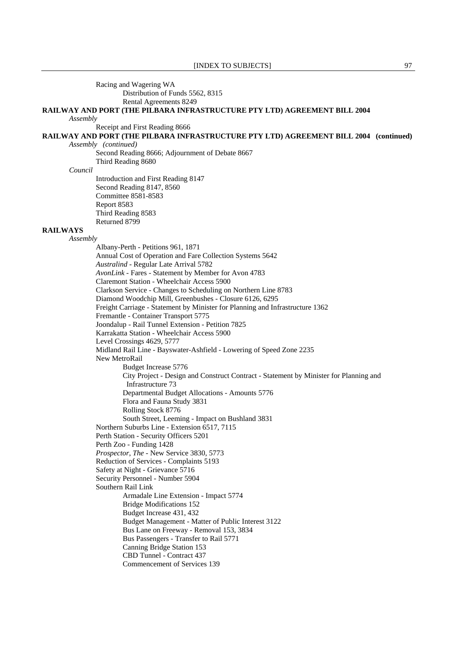### Racing and Wagering WA Distribution of Funds 5562, 8315 Rental Agreements 8249

# **RAILWAY AND PORT (THE PILBARA INFRASTRUCTURE PTY LTD) AGREEMENT BILL 2004**

*Assembly*

Receipt and First Reading 8666

**RAILWAY AND PORT (THE PILBARA INFRASTRUCTURE PTY LTD) AGREEMENT BILL 2004 (continued)**

*Assembly (continued)*

 Second Reading 8666; Adjournment of Debate 8667 Third Reading 8680

*Council*

 Introduction and First Reading 8147 Second Reading 8147, 8560 Committee 8581-8583 Report 8583 Third Reading 8583 Returned 8799

# **RAILWAYS**

*Assembly*

 Albany-Perth - Petitions 961, 1871 Annual Cost of Operation and Fare Collection Systems 5642 *Australind* - Regular Late Arrival 5782 *AvonLink* - Fares - Statement by Member for Avon 4783 Claremont Station - Wheelchair Access 5900 Clarkson Service - Changes to Scheduling on Northern Line 8783 Diamond Woodchip Mill, Greenbushes - Closure 6126, 6295 Freight Carriage - Statement by Minister for Planning and Infrastructure 1362 Fremantle - Container Transport 5775 Joondalup - Rail Tunnel Extension - Petition 7825 Karrakatta Station - Wheelchair Access 5900 Level Crossings 4629, 5777 Midland Rail Line - Bayswater-Ashfield - Lowering of Speed Zone 2235 New MetroRail Budget Increase 5776 City Project - Design and Construct Contract - Statement by Minister for Planning and Infrastructure 73 Departmental Budget Allocations - Amounts 5776 Flora and Fauna Study 3831 Rolling Stock 8776 South Street, Leeming - Impact on Bushland 3831 Northern Suburbs Line - Extension 6517, 7115 Perth Station - Security Officers 5201 Perth Zoo - Funding 1428 *Prospector*, *The* - New Service 3830, 5773 Reduction of Services - Complaints 5193 Safety at Night - Grievance 5716 Security Personnel - Number 5904 Southern Rail Link Armadale Line Extension - Impact 5774 Bridge Modifications 152 Budget Increase 431, 432 Budget Management - Matter of Public Interest 3122 Bus Lane on Freeway - Removal 153, 3834 Bus Passengers - Transfer to Rail 5771 Canning Bridge Station 153 CBD Tunnel - Contract 437 Commencement of Services 139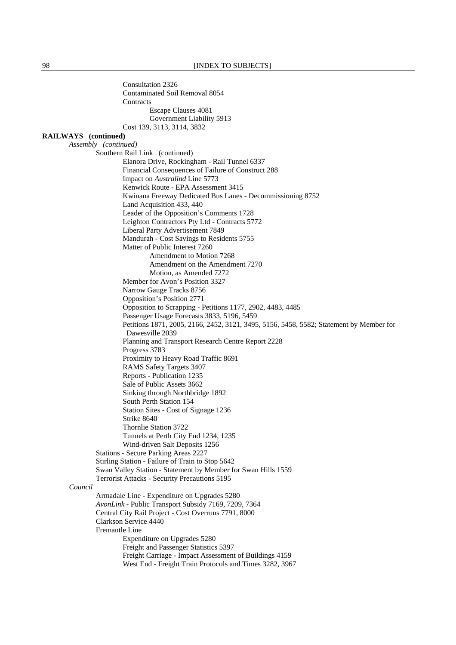Consultation 2326 Contaminated Soil Removal 8054 **Contracts** Escape Clauses 4081 Government Liability 5913 Cost 139, 3113, 3114, 3832 **RAILWAYS (continued)** *Assembly (continued)*  Southern Rail Link (continued) Elanora Drive, Rockingham - Rail Tunnel 6337 Financial Consequences of Failure of Construct 288 Impact on *Australind* Line 5773 Kenwick Route - EPA Assessment 3415 Kwinana Freeway Dedicated Bus Lanes - Decommissioning 8752 Land Acquisition 433, 440 Leader of the Opposition's Comments 1728 Leighton Contractors Pty Ltd - Contracts 5772 Liberal Party Advertisement 7849 Mandurah - Cost Savings to Residents 5755 Matter of Public Interest 7260 Amendment to Motion 7268 Amendment on the Amendment 7270 Motion, as Amended 7272 Member for Avon's Position 3327 Narrow Gauge Tracks 8756 Opposition's Position 2771 Opposition to Scrapping - Petitions 1177, 2902, 4483, 4485 Passenger Usage Forecasts 3833, 5196, 5459 Petitions 1871, 2005, 2166, 2452, 3121, 3495, 5156, 5458, 5582; Statement by Member for Dawesville 2039 Planning and Transport Research Centre Report 2228 Progress 3783 Proximity to Heavy Road Traffic 8691 RAMS Safety Targets 3407 Reports - Publication 1235 Sale of Public Assets 3662 Sinking through Northbridge 1892 South Perth Station 154 Station Sites - Cost of Signage 1236 Strike 8640 Thornlie Station 3722 Tunnels at Perth City End 1234, 1235 Wind-driven Salt Deposits 1256 Stations - Secure Parking Areas 2227 Stirling Station - Failure of Train to Stop 5642 Swan Valley Station - Statement by Member for Swan Hills 1559 Terrorist Attacks - Security Precautions 5195 *Council* Armadale Line - Expenditure on Upgrades 5280 *AvonLink* - Public Transport Subsidy 7169, 7209, 7364 Central City Rail Project - Cost Overruns 7791, 8000 Clarkson Service 4440 Fremantle Line Expenditure on Upgrades 5280 Freight and Passenger Statistics 5397 Freight Carriage - Impact Assessment of Buildings 4159 West End - Freight Train Protocols and Times 3282, 3967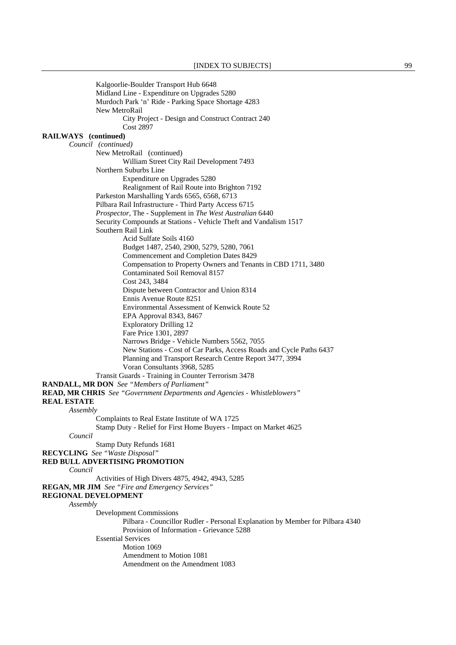Kalgoorlie-Boulder Transport Hub 6648 Midland Line - Expenditure on Upgrades 5280 Murdoch Park 'n' Ride - Parking Space Shortage 4283 New MetroRail City Project - Design and Construct Contract 240 Cost 2897 **RAILWAYS (continued)** *Council (continued)*  New MetroRail (continued) William Street City Rail Development 7493 Northern Suburbs Line Expenditure on Upgrades 5280 Realignment of Rail Route into Brighton 7192 Parkeston Marshalling Yards 6565, 6568, 6713 Pilbara Rail Infrastructure - Third Party Access 6715 *Prospector*, The - Supplement in *The West Australian* 6440 Security Compounds at Stations - Vehicle Theft and Vandalism 1517 Southern Rail Link Acid Sulfate Soils 4160 Budget 1487, 2540, 2900, 5279, 5280, 7061 Commencement and Completion Dates 8429 Compensation to Property Owners and Tenants in CBD 1711, 3480 Contaminated Soil Removal 8157 Cost 243, 3484 Dispute between Contractor and Union 8314 Ennis Avenue Route 8251 Environmental Assessment of Kenwick Route 52 EPA Approval 8343, 8467 Exploratory Drilling 12 Fare Price 1301, 2897 Narrows Bridge - Vehicle Numbers 5562, 7055 New Stations - Cost of Car Parks, Access Roads and Cycle Paths 6437 Planning and Transport Research Centre Report 3477, 3994 Voran Consultants 3968, 5285 Transit Guards - Training in Counter Terrorism 3478 **RANDALL, MR DON** *See "Members of Parliament"*  **READ, MR CHRIS** *See "Government Departments and Agencies - Whistleblowers"*  **REAL ESTATE** *Assembly* Complaints to Real Estate Institute of WA 1725 Stamp Duty - Relief for First Home Buyers - Impact on Market 4625 *Council* Stamp Duty Refunds 1681 **RECYCLING** *See "Waste Disposal"*  **RED BULL ADVERTISING PROMOTION** *Council* Activities of High Divers 4875, 4942, 4943, 5285 **REGAN, MR JIM** *See "Fire and Emergency Services"*  **REGIONAL DEVELOPMENT** *Assembly* Development Commissions Pilbara - Councillor Rudler - Personal Explanation by Member for Pilbara 4340 Provision of Information - Grievance 5288 Essential Services Motion 1069 Amendment to Motion 1081 Amendment on the Amendment 1083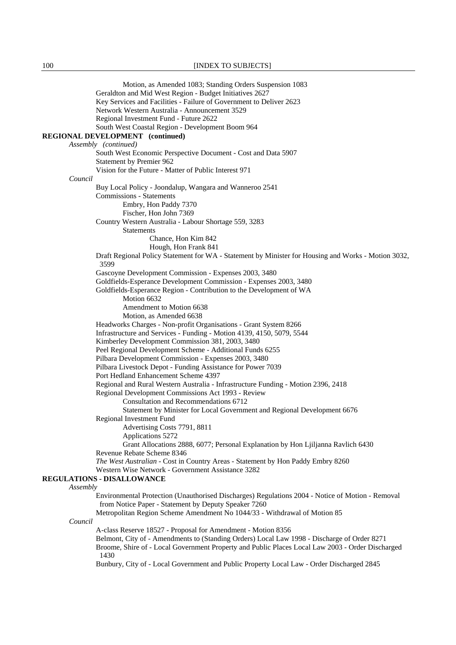100 **IINDEX TO SUBJECTS** 

 Motion, as Amended 1083; Standing Orders Suspension 1083 Geraldton and Mid West Region - Budget Initiatives 2627 Key Services and Facilities - Failure of Government to Deliver 2623 Network Western Australia - Announcement 3529 Regional Investment Fund - Future 2622 South West Coastal Region - Development Boom 964 **REGIONAL DEVELOPMENT (continued)** *Assembly (continued)* South West Economic Perspective Document - Cost and Data 5907 Statement by Premier 962 Vision for the Future - Matter of Public Interest 971 *Council* Buy Local Policy - Joondalup, Wangara and Wanneroo 2541 Commissions - Statements Embry, Hon Paddy 7370 Fischer, Hon John 7369 Country Western Australia - Labour Shortage 559, 3283 Statements Chance, Hon Kim 842 Hough, Hon Frank 841 Draft Regional Policy Statement for WA - Statement by Minister for Housing and Works - Motion 3032, 3599 Gascoyne Development Commission - Expenses 2003, 3480 Goldfields-Esperance Development Commission - Expenses 2003, 3480 Goldfields-Esperance Region - Contribution to the Development of WA Motion 6632 Amendment to Motion 6638 Motion, as Amended 6638 Headworks Charges - Non-profit Organisations - Grant System 8266 Infrastructure and Services - Funding - Motion 4139, 4150, 5079, 5544 Kimberley Development Commission 381, 2003, 3480 Peel Regional Development Scheme - Additional Funds 6255 Pilbara Development Commission - Expenses 2003, 3480 Pilbara Livestock Depot - Funding Assistance for Power 7039 Port Hedland Enhancement Scheme 4397 Regional and Rural Western Australia - Infrastructure Funding - Motion 2396, 2418 Regional Development Commissions Act 1993 - Review Consultation and Recommendations 6712 Statement by Minister for Local Government and Regional Development 6676 Regional Investment Fund Advertising Costs 7791, 8811 Applications 5272 Grant Allocations 2888, 6077; Personal Explanation by Hon Ljiljanna Ravlich 6430 Revenue Rebate Scheme 8346 *The West Australian* - Cost in Country Areas - Statement by Hon Paddy Embry 8260 Western Wise Network - Government Assistance 3282 **REGULATIONS - DISALLOWANCE** *Assembly* Environmental Protection (Unauthorised Discharges) Regulations 2004 - Notice of Motion - Removal from Notice Paper - Statement by Deputy Speaker 7260 Metropolitan Region Scheme Amendment No 1044/33 - Withdrawal of Motion 85 *Council* A-class Reserve 18527 - Proposal for Amendment - Motion 8356 Belmont, City of - Amendments to (Standing Orders) Local Law 1998 - Discharge of Order 8271 Broome, Shire of - Local Government Property and Public Places Local Law 2003 - Order Discharged 1430 Bunbury, City of - Local Government and Public Property Local Law - Order Discharged 2845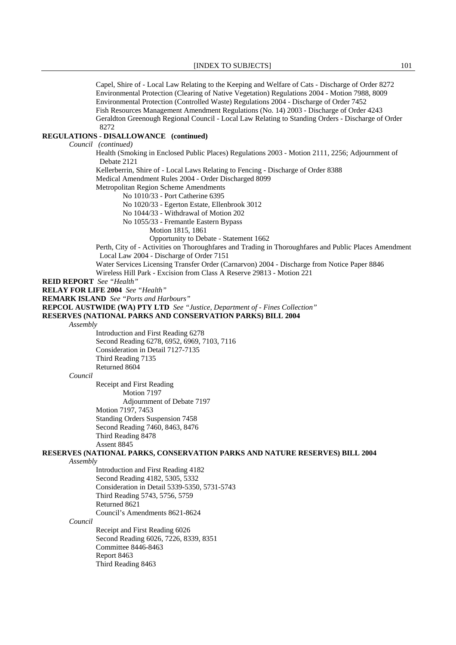Capel, Shire of - Local Law Relating to the Keeping and Welfare of Cats - Discharge of Order 8272 Environmental Protection (Clearing of Native Vegetation) Regulations 2004 - Motion 7988, 8009 Environmental Protection (Controlled Waste) Regulations 2004 - Discharge of Order 7452 Fish Resources Management Amendment Regulations (No. 14) 2003 - Discharge of Order 4243 Geraldton Greenough Regional Council - Local Law Relating to Standing Orders - Discharge of Order 8272 **REGULATIONS - DISALLOWANCE (continued)** *Council (continued)* Health (Smoking in Enclosed Public Places) Regulations 2003 - Motion 2111, 2256; Adjournment of Debate 2121 Kellerberrin, Shire of - Local Laws Relating to Fencing - Discharge of Order 8388 Medical Amendment Rules 2004 - Order Discharged 8099 Metropolitan Region Scheme Amendments No 1010/33 - Port Catherine 6395 No 1020/33 - Egerton Estate, Ellenbrook 3012 No 1044/33 - Withdrawal of Motion 202 No 1055/33 - Fremantle Eastern Bypass Motion 1815, 1861 Opportunity to Debate - Statement 1662 Perth, City of - Activities on Thoroughfares and Trading in Thoroughfares and Public Places Amendment Local Law 2004 - Discharge of Order 7151 Water Services Licensing Transfer Order (Carnarvon) 2004 - Discharge from Notice Paper 8846 Wireless Hill Park - Excision from Class A Reserve 29813 - Motion 221 **REID REPORT** *See "Health"*  **RELAY FOR LIFE 2004** *See "Health"*  **REMARK ISLAND** *See "Ports and Harbours"*  **REPCOL AUSTWIDE (WA) PTY LTD** *See "Justice, Department of - Fines Collection"*  **RESERVES (NATIONAL PARKS AND CONSERVATION PARKS) BILL 2004** *Assembly* Introduction and First Reading 6278 Second Reading 6278, 6952, 6969, 7103, 7116 Consideration in Detail 7127-7135 Third Reading 7135 Returned 8604 *Council* Receipt and First Reading Motion 7197 Adjournment of Debate 7197 Motion 7197, 7453 Standing Orders Suspension 7458 Second Reading 7460, 8463, 8476 Third Reading 8478 Assent 8845 **RESERVES (NATIONAL PARKS, CONSERVATION PARKS AND NATURE RESERVES) BILL 2004** *Assembly* Introduction and First Reading 4182 Second Reading 4182, 5305, 5332 Consideration in Detail 5339-5350, 5731-5743 Third Reading 5743, 5756, 5759 Returned 8621 Council's Amendments 8621-8624 *Council* Receipt and First Reading 6026 Second Reading 6026, 7226, 8339, 8351 Committee 8446-8463 Report 8463 Third Reading 8463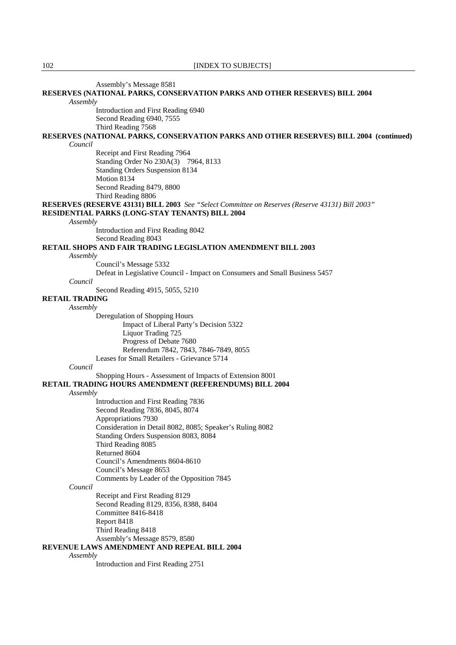Assembly's Message 8581

| Assembly's Message 8581                                                                         |
|-------------------------------------------------------------------------------------------------|
| RESERVES (NATIONAL PARKS, CONSERVATION PARKS AND OTHER RESERVES) BILL 2004                      |
| Assembly                                                                                        |
| Introduction and First Reading 6940                                                             |
| Second Reading 6940, 7555                                                                       |
|                                                                                                 |
| Third Reading 7568                                                                              |
| RESERVES (NATIONAL PARKS, CONSERVATION PARKS AND OTHER RESERVES) BILL 2004 (continued)          |
| Council                                                                                         |
| Receipt and First Reading 7964                                                                  |
| Standing Order No 230A(3) 7964, 8133                                                            |
| Standing Orders Suspension 8134                                                                 |
| Motion 8134                                                                                     |
|                                                                                                 |
| Second Reading 8479, 8800                                                                       |
| Third Reading 8806                                                                              |
| RESERVES (RESERVE 43131) BILL 2003 See "Select Committee on Reserves (Reserve 43131) Bill 2003" |
| RESIDENTIAL PARKS (LONG-STAY TENANTS) BILL 2004                                                 |
| Assembly                                                                                        |
| Introduction and First Reading 8042                                                             |
| Second Reading 8043                                                                             |
|                                                                                                 |
| <b>RETAIL SHOPS AND FAIR TRADING LEGISLATION AMENDMENT BILL 2003</b>                            |
| Assembly                                                                                        |
| Council's Message 5332                                                                          |
| Defeat in Legislative Council - Impact on Consumers and Small Business 5457                     |
| Council                                                                                         |
| Second Reading 4915, 5055, 5210                                                                 |
| <b>RETAIL TRADING</b>                                                                           |
| Assembly                                                                                        |
|                                                                                                 |
| Deregulation of Shopping Hours                                                                  |
| Impact of Liberal Party's Decision 5322                                                         |
| Liquor Trading 725                                                                              |
| Progress of Debate 7680                                                                         |
| Referendum 7842, 7843, 7846-7849, 8055                                                          |
| Leases for Small Retailers - Grievance 5714                                                     |
| Council                                                                                         |
| Shopping Hours - Assessment of Impacts of Extension 8001                                        |
|                                                                                                 |
| RETAIL TRADING HOURS AMENDMENT (REFERENDUMS) BILL 2004                                          |
| Assembly                                                                                        |
| Introduction and First Reading 7836                                                             |
| Second Reading 7836, 8045, 8074                                                                 |
| Appropriations 7930                                                                             |
| Consideration in Detail 8082, 8085; Speaker's Ruling 8082                                       |
| Standing Orders Suspension 8083, 8084                                                           |
| Third Reading 8085                                                                              |
|                                                                                                 |
| Returned 8604                                                                                   |
| Council's Amendments 8604-8610                                                                  |
| Council's Message 8653                                                                          |
| Comments by Leader of the Opposition 7845                                                       |
| Council                                                                                         |
| Receipt and First Reading 8129                                                                  |
| Second Reading 8129, 8356, 8388, 8404                                                           |
| Committee 8416-8418                                                                             |
|                                                                                                 |
| Report 8418                                                                                     |
| Third Reading 8418                                                                              |
| Assembly's Message 8579, 8580                                                                   |
| REVENUE LAWS AMENDMENT AND REPEAL BILL 2004                                                     |
| Assembly                                                                                        |
|                                                                                                 |

Introduction and First Reading 2751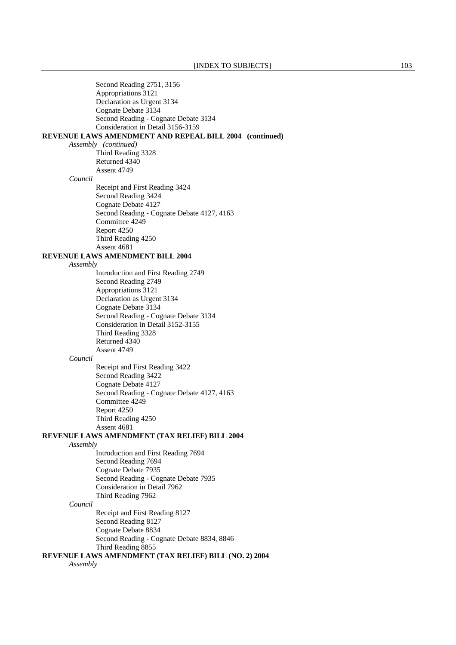|          | Second Reading 2751, 3156                               |
|----------|---------------------------------------------------------|
|          | Appropriations 3121                                     |
|          | Declaration as Urgent 3134                              |
|          | Cognate Debate 3134                                     |
|          | Second Reading - Cognate Debate 3134                    |
|          | Consideration in Detail 3156-3159                       |
|          | REVENUE LAWS AMENDMENT AND REPEAL BILL 2004 (continued) |
|          | Assembly (continued)                                    |
|          | Third Reading 3328                                      |
|          | Returned 4340                                           |
|          | Assent 4749                                             |
| Council  |                                                         |
|          | Receipt and First Reading 3424                          |
|          |                                                         |
|          | Second Reading 3424                                     |
|          | Cognate Debate 4127                                     |
|          | Second Reading - Cognate Debate 4127, 4163              |
|          | Committee 4249                                          |
|          | Report 4250                                             |
|          | Third Reading 4250                                      |
|          | Assent 4681                                             |
|          | <b>REVENUE LAWS AMENDMENT BILL 2004</b>                 |
| Assembly |                                                         |
|          | Introduction and First Reading 2749                     |
|          | Second Reading 2749                                     |
|          | Appropriations 3121                                     |
|          | Declaration as Urgent 3134                              |
|          | Cognate Debate 3134                                     |
|          | Second Reading - Cognate Debate 3134                    |
|          | Consideration in Detail 3152-3155                       |
|          | Third Reading 3328                                      |
|          | Returned 4340                                           |
|          | Assent 4749                                             |
| Council  |                                                         |
|          | Receipt and First Reading 3422                          |
|          | Second Reading 3422                                     |
|          | Cognate Debate 4127                                     |
|          | Second Reading - Cognate Debate 4127, 4163              |
|          | Committee 4249                                          |
|          | Report 4250                                             |
|          |                                                         |
|          | Third Reading 4250                                      |
|          | Assent 4681                                             |
|          | REVENUE LAWS AMENDMENT (TAX RELIEF) BILL 2004           |
| Assembly |                                                         |
|          | Introduction and First Reading 7694                     |
|          | Second Reading 7694                                     |
|          | Cognate Debate 7935                                     |
|          | Second Reading - Cognate Debate 7935                    |
|          | Consideration in Detail 7962                            |
|          | Third Reading 7962                                      |
| Council  |                                                         |
|          | Receipt and First Reading 8127                          |
|          | Second Reading 8127                                     |
|          | Cognate Debate 8834                                     |
|          | Second Reading - Cognate Debate 8834, 8846              |
|          | Third Reading 8855                                      |
|          | REVENUE LAWS AMENDMENT (TAX RELIEF) BILL (NO. 2) 2004   |
| Assembly |                                                         |
|          |                                                         |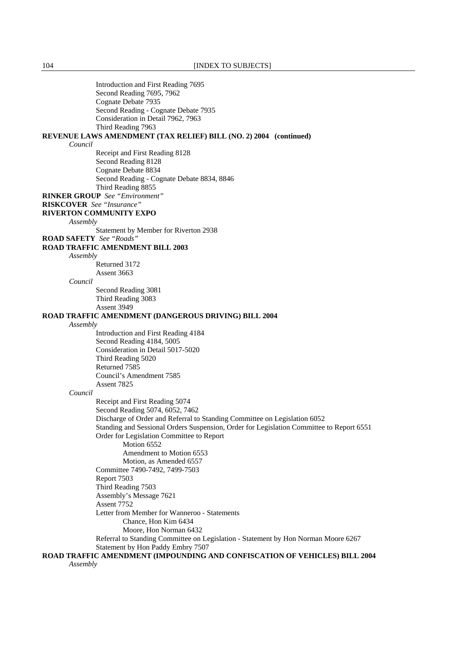|                                  | Introduction and First Reading 7695                                                                          |
|----------------------------------|--------------------------------------------------------------------------------------------------------------|
|                                  | Second Reading 7695, 7962                                                                                    |
|                                  | Cognate Debate 7935                                                                                          |
|                                  | Second Reading - Cognate Debate 7935<br>Consideration in Detail 7962, 7963                                   |
|                                  | Third Reading 7963                                                                                           |
|                                  | REVENUE LAWS AMENDMENT (TAX RELIEF) BILL (NO. 2) 2004 (continued)                                            |
| Council                          |                                                                                                              |
|                                  | Receipt and First Reading 8128                                                                               |
|                                  | Second Reading 8128                                                                                          |
|                                  | Cognate Debate 8834                                                                                          |
|                                  | Second Reading - Cognate Debate 8834, 8846                                                                   |
|                                  | Third Reading 8855                                                                                           |
|                                  | <b>RINKER GROUP</b> See "Environment"                                                                        |
| <b>RISKCOVER</b> See "Insurance" |                                                                                                              |
|                                  | <b>RIVERTON COMMUNITY EXPO</b>                                                                               |
| Assembly                         |                                                                                                              |
|                                  | Statement by Member for Riverton 2938                                                                        |
| <b>ROAD SAFETY</b> See "Roads"   |                                                                                                              |
| Assembly                         | <b>ROAD TRAFFIC AMENDMENT BILL 2003</b>                                                                      |
|                                  | Returned 3172                                                                                                |
|                                  | Assent 3663                                                                                                  |
| Council                          |                                                                                                              |
|                                  | Second Reading 3081                                                                                          |
|                                  | Third Reading 3083                                                                                           |
|                                  | Assent 3949                                                                                                  |
|                                  | ROAD TRAFFIC AMENDMENT (DANGEROUS DRIVING) BILL 2004                                                         |
| Assembly                         |                                                                                                              |
|                                  | Introduction and First Reading 4184                                                                          |
|                                  | Second Reading 4184, 5005                                                                                    |
|                                  | Consideration in Detail 5017-5020                                                                            |
|                                  | Third Reading 5020                                                                                           |
|                                  | Returned 7585                                                                                                |
|                                  | Council's Amendment 7585                                                                                     |
| Council                          | Assent 7825                                                                                                  |
|                                  | Receipt and First Reading 5074                                                                               |
|                                  | Second Reading 5074, 6052, 7462                                                                              |
|                                  | Discharge of Order and Referral to Standing Committee on Legislation 6052                                    |
|                                  | Standing and Sessional Orders Suspension, Order for Legislation Committee to Report 6551                     |
|                                  | Order for Legislation Committee to Report                                                                    |
|                                  | Motion 6552                                                                                                  |
|                                  | Amendment to Motion 6553                                                                                     |
|                                  | Motion, as Amended 6557                                                                                      |
|                                  | Committee 7490-7492, 7499-7503                                                                               |
|                                  | Report 7503                                                                                                  |
|                                  | Third Reading 7503                                                                                           |
|                                  | Assembly's Message 7621                                                                                      |
|                                  | Assent 7752                                                                                                  |
|                                  | Letter from Member for Wanneroo - Statements                                                                 |
|                                  | Chance, Hon Kim 6434                                                                                         |
|                                  | Moore, Hon Norman 6432<br>Referral to Standing Committee on Legislation - Statement by Hon Norman Moore 6267 |
|                                  | Statement by Hon Paddy Embry 7507                                                                            |
|                                  | ROAD TRAFFIC AMENDMENT (IMPOUNDING AND CONFISCATION OF VEHICLES) BILL 2004                                   |
| Assembly                         |                                                                                                              |
|                                  |                                                                                                              |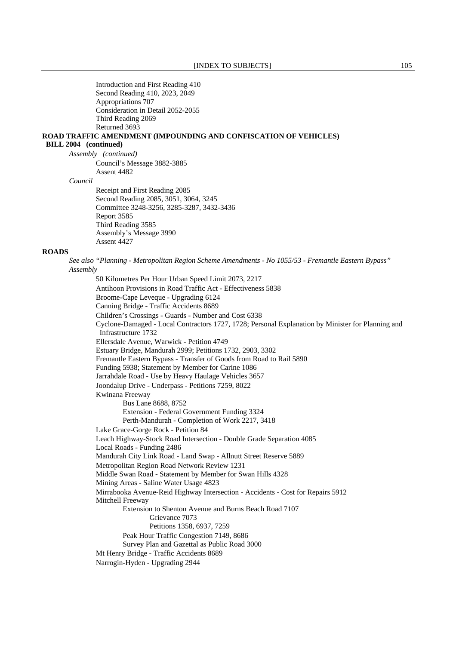Introduction and First Reading 410 Second Reading 410, 2023, 2049 Appropriations 707 Consideration in Detail 2052-2055 Third Reading 2069 Returned 3693 **ROAD TRAFFIC AMENDMENT (IMPOUNDING AND CONFISCATION OF VEHICLES) BILL 2004 (continued)** *Assembly (continued)* Council's Message 3882-3885 Assent 4482 *Council* Receipt and First Reading 2085 Second Reading 2085, 3051, 3064, 3245 Committee 3248-3256, 3285-3287, 3432-3436 Report 3585 Third Reading 3585 Assembly's Message 3990 Assent 4427 **ROADS** *See also "Planning - Metropolitan Region Scheme Amendments - No 1055/53 - Fremantle Eastern Bypass" Assembly* 50 Kilometres Per Hour Urban Speed Limit 2073, 2217 Antihoon Provisions in Road Traffic Act - Effectiveness 5838 Broome-Cape Leveque - Upgrading 6124 Canning Bridge - Traffic Accidents 8689 Children's Crossings - Guards - Number and Cost 6338 Cyclone-Damaged - Local Contractors 1727, 1728; Personal Explanation by Minister for Planning and Infrastructure 1732 Ellersdale Avenue, Warwick - Petition 4749 Estuary Bridge, Mandurah 2999; Petitions 1732, 2903, 3302 Fremantle Eastern Bypass - Transfer of Goods from Road to Rail 5890 Funding 5938; Statement by Member for Carine 1086 Jarrahdale Road - Use by Heavy Haulage Vehicles 3657 Joondalup Drive - Underpass - Petitions 7259, 8022 Kwinana Freeway Bus Lane 8688, 8752 Extension - Federal Government Funding 3324 Perth-Mandurah - Completion of Work 2217, 3418 Lake Grace-Gorge Rock - Petition 84 Leach Highway-Stock Road Intersection - Double Grade Separation 4085 Local Roads - Funding 2486 Mandurah City Link Road - Land Swap - Allnutt Street Reserve 5889 Metropolitan Region Road Network Review 1231 Middle Swan Road - Statement by Member for Swan Hills 4328 Mining Areas - Saline Water Usage 4823 Mirrabooka Avenue-Reid Highway Intersection - Accidents - Cost for Repairs 5912 Mitchell Freeway Extension to Shenton Avenue and Burns Beach Road 7107 Grievance 7073 Petitions 1358, 6937, 7259 Peak Hour Traffic Congestion 7149, 8686 Survey Plan and Gazettal as Public Road 3000 Mt Henry Bridge - Traffic Accidents 8689 Narrogin-Hyden - Upgrading 2944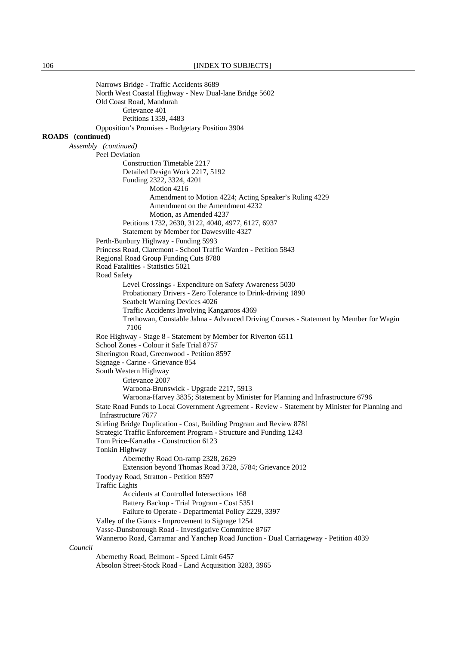Narrows Bridge - Traffic Accidents 8689 North West Coastal Highway - New Dual-lane Bridge 5602 Old Coast Road, Mandurah Grievance 401 Petitions 1359, 4483 Opposition's Promises - Budgetary Position 3904 **ROADS (continued)** *Assembly (continued)* Peel Deviation Construction Timetable 2217 Detailed Design Work 2217, 5192 Funding 2322, 3324, 4201 Motion 4216 Amendment to Motion 4224; Acting Speaker's Ruling 4229 Amendment on the Amendment 4232 Motion, as Amended 4237 Petitions 1732, 2630, 3122, 4040, 4977, 6127, 6937 Statement by Member for Dawesville 4327 Perth-Bunbury Highway - Funding 5993 Princess Road, Claremont - School Traffic Warden - Petition 5843 Regional Road Group Funding Cuts 8780 Road Fatalities - Statistics 5021 Road Safety Level Crossings - Expenditure on Safety Awareness 5030 Probationary Drivers - Zero Tolerance to Drink-driving 1890 Seatbelt Warning Devices 4026 Traffic Accidents Involving Kangaroos 4369 Trethowan, Constable Jahna - Advanced Driving Courses - Statement by Member for Wagin 7106 Roe Highway - Stage 8 - Statement by Member for Riverton 6511 School Zones - Colour it Safe Trial 8757 Sherington Road, Greenwood - Petition 8597 Signage - Carine - Grievance 854 South Western Highway Grievance 2007 Waroona-Brunswick - Upgrade 2217, 5913 Waroona-Harvey 3835; Statement by Minister for Planning and Infrastructure 6796 State Road Funds to Local Government Agreement - Review - Statement by Minister for Planning and Infrastructure 7677 Stirling Bridge Duplication - Cost, Building Program and Review 8781 Strategic Traffic Enforcement Program - Structure and Funding 1243 Tom Price-Karratha - Construction 6123 Tonkin Highway Abernethy Road On-ramp 2328, 2629 Extension beyond Thomas Road 3728, 5784; Grievance 2012 Toodyay Road, Stratton - Petition 8597 Traffic Lights Accidents at Controlled Intersections 168 Battery Backup - Trial Program - Cost 5351 Failure to Operate - Departmental Policy 2229, 3397 Valley of the Giants - Improvement to Signage 1254 Vasse-Dunsborough Road - Investigative Committee 8767 Wanneroo Road, Carramar and Yanchep Road Junction - Dual Carriageway - Petition 4039 *Council* Abernethy Road, Belmont - Speed Limit 6457 Absolon Street-Stock Road - Land Acquisition 3283, 3965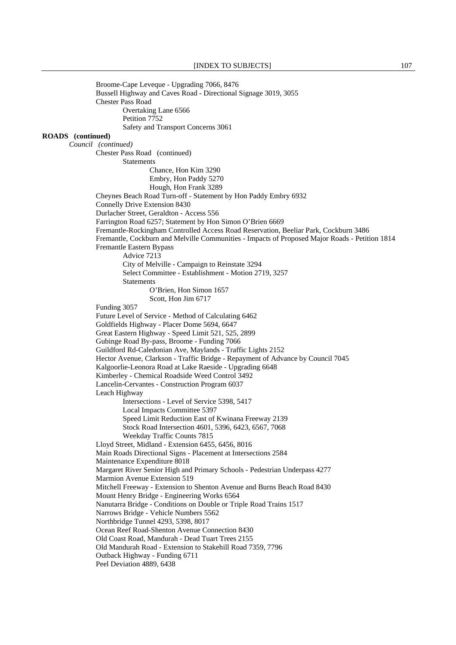Broome-Cape Leveque - Upgrading 7066, 8476 Bussell Highway and Caves Road - Directional Signage 3019, 3055 Chester Pass Road Overtaking Lane 6566 Petition 7752 Safety and Transport Concerns 3061 **ROADS (continued)** *Council (continued)*  Chester Pass Road (continued) Statements Chance, Hon Kim 3290 Embry, Hon Paddy 5270 Hough, Hon Frank 3289 Cheynes Beach Road Turn-off - Statement by Hon Paddy Embry 6932 Connelly Drive Extension 8430 Durlacher Street, Geraldton - Access 556 Farrington Road 6257; Statement by Hon Simon O'Brien 6669 Fremantle-Rockingham Controlled Access Road Reservation, Beeliar Park, Cockburn 3486 Fremantle, Cockburn and Melville Communities - Impacts of Proposed Major Roads - Petition 1814 Fremantle Eastern Bypass Advice 7213 City of Melville - Campaign to Reinstate 3294 Select Committee - Establishment - Motion 2719, 3257 **Statements** O'Brien, Hon Simon 1657 Scott, Hon Jim 6717 Funding 3057 Future Level of Service - Method of Calculating 6462 Goldfields Highway - Placer Dome 5694, 6647 Great Eastern Highway - Speed Limit 521, 525, 2899 Gubinge Road By-pass, Broome - Funding 7066 Guildford Rd-Caledonian Ave, Maylands - Traffic Lights 2152 Hector Avenue, Clarkson - Traffic Bridge - Repayment of Advance by Council 7045 Kalgoorlie-Leonora Road at Lake Raeside - Upgrading 6648 Kimberley - Chemical Roadside Weed Control 3492 Lancelin-Cervantes - Construction Program 6037 Leach Highway Intersections - Level of Service 5398, 5417 Local Impacts Committee 5397 Speed Limit Reduction East of Kwinana Freeway 2139 Stock Road Intersection 4601, 5396, 6423, 6567, 7068 Weekday Traffic Counts 7815 Lloyd Street, Midland - Extension 6455, 6456, 8016 Main Roads Directional Signs - Placement at Intersections 2584 Maintenance Expenditure 8018 Margaret River Senior High and Primary Schools - Pedestrian Underpass 4277 Marmion Avenue Extension 519 Mitchell Freeway - Extension to Shenton Avenue and Burns Beach Road 8430 Mount Henry Bridge - Engineering Works 6564 Nanutarra Bridge - Conditions on Double or Triple Road Trains 1517 Narrows Bridge - Vehicle Numbers 5562 Northbridge Tunnel 4293, 5398, 8017 Ocean Reef Road-Shenton Avenue Connection 8430 Old Coast Road, Mandurah - Dead Tuart Trees 2155 Old Mandurah Road - Extension to Stakehill Road 7359, 7796 Outback Highway - Funding 6711 Peel Deviation 4889, 6438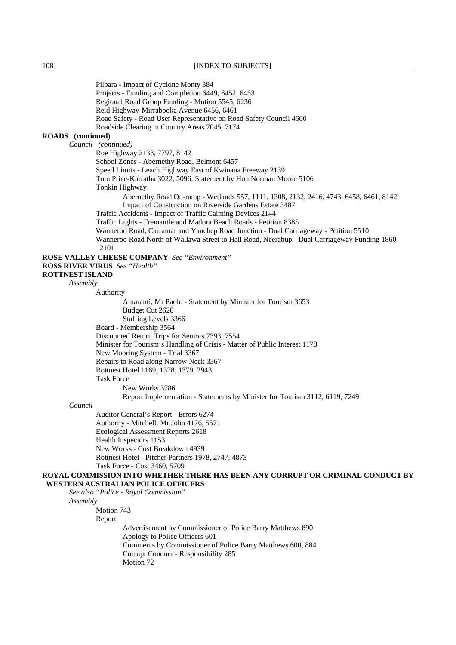Pilbara - Impact of Cyclone Monty 384 Projects - Funding and Completion 6449, 6452, 6453 Regional Road Group Funding - Motion 5545, 6236 Reid Highway-Mirrabooka Avenue 6456, 6461 Road Safety - Road User Representative on Road Safety Council 4600 Roadside Clearing in Country Areas 7045, 7174 **ROADS (continued)** *Council (continued)* Roe Highway 2133, 7797, 8142 School Zones - Abernethy Road, Belmont 6457 Speed Limits - Leach Highway East of Kwinana Freeway 2139 Tom Price-Karratha 3022, 5096; Statement by Hon Norman Moore 5106 Tonkin Highway Abernethy Road On-ramp - Wetlands 557, 1111, 1308, 2132, 2416, 4743, 6458, 6461, 8142 Impact of Construction on Riverside Gardens Estate 3487 Traffic Accidents - Impact of Traffic Calming Devices 2144 Traffic Lights - Fremantle and Madora Beach Roads - Petition 8385 Wanneroo Road, Carramar and Yanchep Road Junction - Dual Carriageway - Petition 5510 Wanneroo Road North of Wallawa Street to Hall Road, Neerabup - Dual Carriageway Funding 1860, 2101 **ROSE VALLEY CHEESE COMPANY** *See "Environment"*  **ROSS RIVER VIRUS** *See "Health"*  **ROTTNEST ISLAND** *Assembly* Authority Amaranti, Mr Paolo - Statement by Minister for Tourism 3653 Budget Cut 2628 Staffing Levels 3366 Board - Membership 3564 Discounted Return Trips for Seniors 7393, 7554 Minister for Tourism's Handling of Crisis - Matter of Public Interest 1178 New Mooring System - Trial 3367 Repairs to Road along Narrow Neck 3367 Rottnest Hotel 1169, 1378, 1379, 2943 Task Force New Works 3786 Report Implementation - Statements by Minister for Tourism 3112, 6119, 7249 *Council* Auditor General's Report - Errors 6274 Authority - Mitchell, Mr John 4176, 5571 Ecological Assessment Reports 2618 Health Inspectors 1153 New Works - Cost Breakdown 4939 Rottnest Hotel - Pitcher Partners 1978, 2747, 4873 Task Force - Cost 3460, 5709 **ROYAL COMMISSION INTO WHETHER THERE HAS BEEN ANY CORRUPT OR CRIMINAL CONDUCT BY WESTERN AUSTRALIAN POLICE OFFICERS** *See also "Police - Royal Commission" Assembly*

Motion 743

Report

 Advertisement by Commissioner of Police Barry Matthews 890 Apology to Police Officers 601 Comments by Commissioner of Police Barry Matthews 600, 884 Corrupt Conduct - Responsibility 285 Motion 72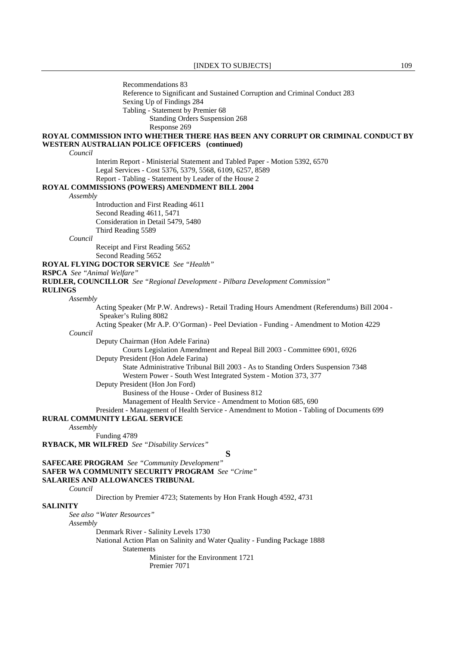Recommendations 83 Reference to Significant and Sustained Corruption and Criminal Conduct 283 Sexing Up of Findings 284 Tabling - Statement by Premier 68

Standing Orders Suspension 268

Response 269

### **ROYAL COMMISSION INTO WHETHER THERE HAS BEEN ANY CORRUPT OR CRIMINAL CONDUCT BY WESTERN AUSTRALIAN POLICE OFFICERS (continued)**

*Council*

 Interim Report - Ministerial Statement and Tabled Paper - Motion 5392, 6570 Legal Services - Cost 5376, 5379, 5568, 6109, 6257, 8589 Report - Tabling - Statement by Leader of the House 2

**ROYAL COMMISSIONS (POWERS) AMENDMENT BILL 2004**

#### *Assembly*

 Introduction and First Reading 4611 Second Reading 4611, 5471 Consideration in Detail 5479, 5480 Third Reading 5589

*Council*

 Receipt and First Reading 5652 Second Reading 5652

**ROYAL FLYING DOCTOR SERVICE** *See "Health"* 

#### **RSPCA** *See "Animal Welfare"*

**RUDLER, COUNCILLOR** *See "Regional Development - Pilbara Development Commission"* 

#### **RULINGS**

*Assembly*

*Council*

 Acting Speaker (Mr P.W. Andrews) - Retail Trading Hours Amendment (Referendums) Bill 2004 - Speaker's Ruling 8082

Acting Speaker (Mr A.P. O'Gorman) - Peel Deviation - Funding - Amendment to Motion 4229

Deputy Chairman (Hon Adele Farina)

Courts Legislation Amendment and Repeal Bill 2003 - Committee 6901, 6926

Deputy President (Hon Adele Farina)

State Administrative Tribunal Bill 2003 - As to Standing Orders Suspension 7348

Western Power - South West Integrated System - Motion 373, 377

Deputy President (Hon Jon Ford)

Business of the House - Order of Business 812

Management of Health Service - Amendment to Motion 685, 690

 President - Management of Health Service - Amendment to Motion - Tabling of Documents 699 **RURAL COMMUNITY LEGAL SERVICE**

#### *Assembly*

Funding 4789

**RYBACK, MR WILFRED** *See "Disability Services"* 

**S**

**SAFECARE PROGRAM** *See "Community Development"*  **SAFER WA COMMUNITY SECURITY PROGRAM** *See "Crime"*  **SALARIES AND ALLOWANCES TRIBUNAL**

*Council*

Direction by Premier 4723; Statements by Hon Frank Hough 4592, 4731

#### **SALINITY**

*See also "Water Resources"* 

*Assembly*

Denmark River - Salinity Levels 1730

National Action Plan on Salinity and Water Quality - Funding Package 1888

Statements

 Minister for the Environment 1721 Premier 7071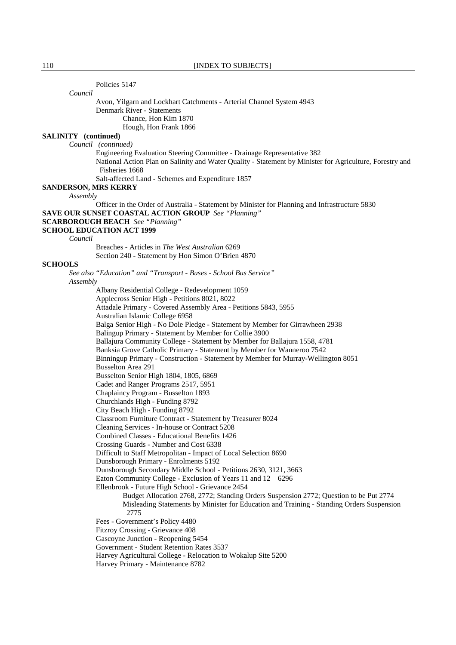Policies 5147

*Council*

 Avon, Yilgarn and Lockhart Catchments - Arterial Channel System 4943 Denmark River - Statements Chance, Hon Kim 1870 Hough, Hon Frank 1866

# **SALINITY (continued)**

*Council (continued)*

 Engineering Evaluation Steering Committee - Drainage Representative 382 National Action Plan on Salinity and Water Quality - Statement by Minister for Agriculture, Forestry and Fisheries 1668

Salt-affected Land - Schemes and Expenditure 1857

**SANDERSON, MRS KERRY**

*Assembly*

 Officer in the Order of Australia - Statement by Minister for Planning and Infrastructure 5830 **SAVE OUR SUNSET COASTAL ACTION GROUP** *See "Planning"* 

#### **SCARBOROUGH BEACH** *See "Planning"*

### **SCHOOL EDUCATION ACT 1999**

*Council*

 Breaches - Articles in *The West Australian* 6269 Section 240 - Statement by Hon Simon O'Brien 4870

### **SCHOOLS**

*See also "Education" and "Transport - Buses - School Bus Service" Assembly* Albany Residential College - Redevelopment 1059

Applecross Senior High - Petitions 8021, 8022

Attadale Primary - Covered Assembly Area - Petitions 5843, 5955

Australian Islamic College 6958

Balga Senior High - No Dole Pledge - Statement by Member for Girrawheen 2938

Balingup Primary - Statement by Member for Collie 3900

Ballajura Community College - Statement by Member for Ballajura 1558, 4781

Banksia Grove Catholic Primary - Statement by Member for Wanneroo 7542

Binningup Primary - Construction - Statement by Member for Murray-Wellington 8051

Busselton Area 291

Busselton Senior High 1804, 1805, 6869

Cadet and Ranger Programs 2517, 5951

Chaplaincy Program - Busselton 1893

Churchlands High - Funding 8792

City Beach High - Funding 8792

Classroom Furniture Contract - Statement by Treasurer 8024

Cleaning Services - In-house or Contract 5208

Combined Classes - Educational Benefits 1426

Crossing Guards - Number and Cost 6338

Difficult to Staff Metropolitan - Impact of Local Selection 8690

Dunsborough Primary - Enrolments 5192

Dunsborough Secondary Middle School - Petitions 2630, 3121, 3663

Eaton Community College - Exclusion of Years 11 and 12 6296

Ellenbrook - Future High School - Grievance 2454

Budget Allocation 2768, 2772; Standing Orders Suspension 2772; Question to be Put 2774 Misleading Statements by Minister for Education and Training - Standing Orders Suspension 2775

Fees - Government's Policy 4480

Fitzroy Crossing - Grievance 408

Gascoyne Junction - Reopening 5454

Government - Student Retention Rates 3537

Harvey Agricultural College - Relocation to Wokalup Site 5200

Harvey Primary - Maintenance 8782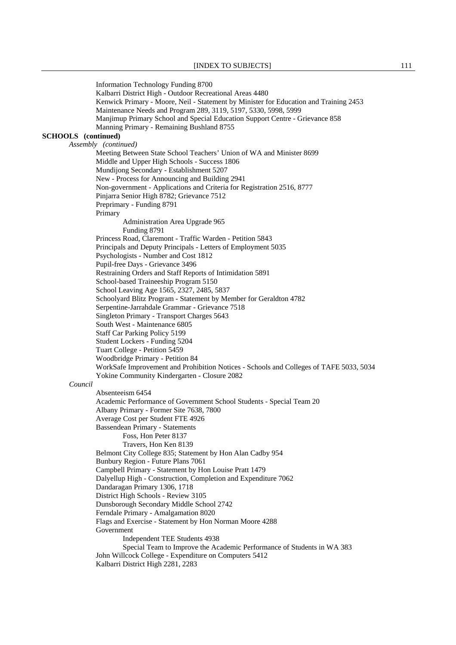Information Technology Funding 8700 Kalbarri District High - Outdoor Recreational Areas 4480 Kenwick Primary - Moore, Neil - Statement by Minister for Education and Training 2453 Maintenance Needs and Program 289, 3119, 5197, 5330, 5998, 5999 Manjimup Primary School and Special Education Support Centre - Grievance 858 Manning Primary - Remaining Bushland 8755 **SCHOOLS (continued)**  *Assembly (continued)* Meeting Between State School Teachers' Union of WA and Minister 8699 Middle and Upper High Schools - Success 1806 Mundijong Secondary - Establishment 5207 New - Process for Announcing and Building 2941 Non-government - Applications and Criteria for Registration 2516, 8777 Pinjarra Senior High 8782; Grievance 7512 Preprimary - Funding 8791 Primary Administration Area Upgrade 965 Funding 8791 Princess Road, Claremont - Traffic Warden - Petition 5843 Principals and Deputy Principals - Letters of Employment 5035 Psychologists - Number and Cost 1812 Pupil-free Days - Grievance 3496 Restraining Orders and Staff Reports of Intimidation 5891 School-based Traineeship Program 5150 School Leaving Age 1565, 2327, 2485, 5837 Schoolyard Blitz Program - Statement by Member for Geraldton 4782 Serpentine-Jarrahdale Grammar - Grievance 7518 Singleton Primary - Transport Charges 5643 South West - Maintenance 6805 Staff Car Parking Policy 5199 Student Lockers - Funding 5204 Tuart College - Petition 5459 Woodbridge Primary - Petition 84 WorkSafe Improvement and Prohibition Notices - Schools and Colleges of TAFE 5033, 5034 Yokine Community Kindergarten - Closure 2082 *Council* Absenteeism 6454 Academic Performance of Government School Students - Special Team 20 Albany Primary - Former Site 7638, 7800 Average Cost per Student FTE 4926 Bassendean Primary - Statements Foss, Hon Peter 8137 Travers, Hon Ken 8139 Belmont City College 835; Statement by Hon Alan Cadby 954 Bunbury Region - Future Plans 7061 Campbell Primary - Statement by Hon Louise Pratt 1479 Dalyellup High - Construction, Completion and Expenditure 7062 Dandaragan Primary 1306, 1718 District High Schools - Review 3105 Dunsborough Secondary Middle School 2742 Ferndale Primary - Amalgamation 8020 Flags and Exercise - Statement by Hon Norman Moore 4288 Government Independent TEE Students 4938 Special Team to Improve the Academic Performance of Students in WA 383 John Willcock College - Expenditure on Computers 5412 Kalbarri District High 2281, 2283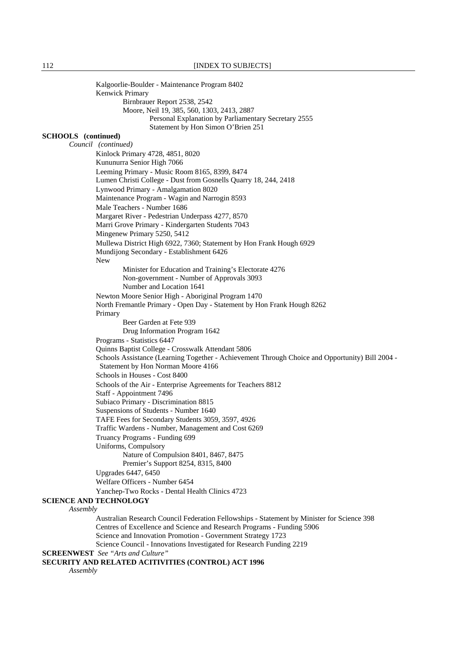Kalgoorlie-Boulder - Maintenance Program 8402 Kenwick Primary Birnbrauer Report 2538, 2542 Moore, Neil 19, 385, 560, 1303, 2413, 2887 Personal Explanation by Parliamentary Secretary 2555 Statement by Hon Simon O'Brien 251 **SCHOOLS (continued)**  *Council (continued)* Kinlock Primary 4728, 4851, 8020 Kununurra Senior High 7066 Leeming Primary - Music Room 8165, 8399, 8474 Lumen Christi College - Dust from Gosnells Quarry 18, 244, 2418 Lynwood Primary - Amalgamation 8020 Maintenance Program - Wagin and Narrogin 8593 Male Teachers - Number 1686 Margaret River - Pedestrian Underpass 4277, 8570 Marri Grove Primary - Kindergarten Students 7043 Mingenew Primary 5250, 5412 Mullewa District High 6922, 7360; Statement by Hon Frank Hough 6929 Mundijong Secondary - Establishment 6426 New Minister for Education and Training's Electorate 4276 Non-government - Number of Approvals 3093 Number and Location 1641 Newton Moore Senior High - Aboriginal Program 1470 North Fremantle Primary - Open Day - Statement by Hon Frank Hough 8262 Primary Beer Garden at Fete 939 Drug Information Program 1642 Programs - Statistics 6447 Quinns Baptist College - Crosswalk Attendant 5806 Schools Assistance (Learning Together - Achievement Through Choice and Opportunity) Bill 2004 - Statement by Hon Norman Moore 4166 Schools in Houses - Cost 8400 Schools of the Air - Enterprise Agreements for Teachers 8812 Staff - Appointment 7496 Subiaco Primary - Discrimination 8815 Suspensions of Students - Number 1640 TAFE Fees for Secondary Students 3059, 3597, 4926 Traffic Wardens - Number, Management and Cost 6269 Truancy Programs - Funding 699 Uniforms, Compulsory Nature of Compulsion 8401, 8467, 8475 Premier's Support 8254, 8315, 8400 Upgrades 6447, 6450 Welfare Officers - Number 6454 Yanchep-Two Rocks - Dental Health Clinics 4723 **SCIENCE AND TECHNOLOGY** *Assembly* Australian Research Council Federation Fellowships - Statement by Minister for Science 398 Centres of Excellence and Science and Research Programs - Funding 5906 Science and Innovation Promotion - Government Strategy 1723

Science Council - Innovations Investigated for Research Funding 2219

**SCREENWEST** *See "Arts and Culture"* 

### **SECURITY AND RELATED ACITIVITIES (CONTROL) ACT 1996**

*Assembly*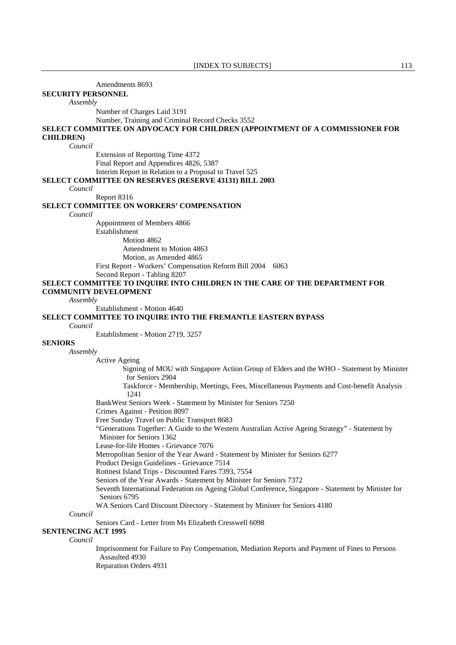Amendments 8693

**SECURITY PERSONNEL**

*Assembly*

Number of Charges Laid 3191

Number, Training and Criminal Record Checks 3552

### **SELECT COMMITTEE ON ADVOCACY FOR CHILDREN (APPOINTMENT OF A COMMISSIONER FOR CHILDREN)**

#### *Council*

 Extension of Reporting Time 4372 Final Report and Appendices 4826, 5387 Interim Report in Relation to a Proposal to Travel 525 **SELECT COMMITTEE ON RESERVES (RESERVE 43131) BILL 2003**

*Council*

Report 8316

#### **SELECT COMMITTEE ON WORKERS' COMPENSATION**

*Council*

 Appointment of Members 4866 Establishment Motion 4862 Amendment to Motion 4863 Motion, as Amended 4865 First Report - Workers' Compensation Reform Bill 2004 6063 Second Report - Tabling 8207

### **SELECT COMMITTEE TO INQUIRE INTO CHILDREN IN THE CARE OF THE DEPARTMENT FOR COMMUNITY DEVELOPMENT**

### *Assembly*

Establishment - Motion 4640

#### **SELECT COMMITTEE TO INQUIRE INTO THE FREMANTLE EASTERN BYPASS**

#### *Council*

Establishment - Motion 2719, 3257

### **SENIORS**

*Assembly*

Active Ageing

Signing of MOU with Singapore Action Group of Elders and the WHO - Statement by Minister for Seniors 2904

 Taskforce - Membership, Meetings, Fees, Miscellaneous Payments and Cost-benefit Analysis 1241

BankWest Seniors Week - Statement by Minister for Seniors 7250

Crimes Against - Petition 8097

Free Sunday Travel on Public Transport 8683

 "Generations Together: A Guide to the Western Australian Active Ageing Strategy" - Statement by Minister for Seniors 1362

Lease-for-life Homes - Grievance 7076

Metropolitan Senior of the Year Award - Statement by Minister for Seniors 6277

Product Design Guidelines - Grievance 7514

Rottnest Island Trips - Discounted Fares 7393, 7554

Seniors of the Year Awards - Statement by Minister for Seniors 7372

 Seventh International Federation on Ageing Global Conference, Singapore - Statement by Minister for Seniors 6795

WA Seniors Card Discount Directory - Statement by Minister for Seniors 4180

*Council*

Seniors Card - Letter from Ms Elizabeth Cresswell 6098

# **SENTENCING ACT 1995**

*Council*

 Imprisonment for Failure to Pay Compensation, Mediation Reports and Payment of Fines to Persons Assaulted 4930

Reparation Orders 4931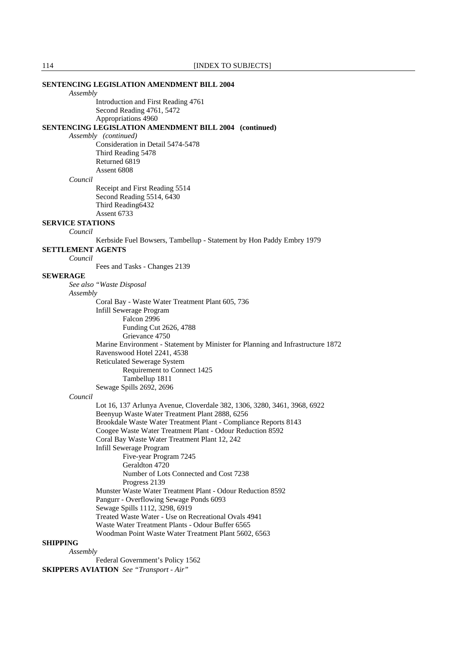|                          | <b>SENTENCING LEGISLATION AMENDMENT BILL 2004</b>                               |
|--------------------------|---------------------------------------------------------------------------------|
| Assembly                 |                                                                                 |
|                          | Introduction and First Reading 4761<br>Second Reading 4761, 5472                |
|                          | Appropriations 4960                                                             |
|                          | <b>SENTENCING LEGISLATION AMENDMENT BILL 2004 (continued)</b>                   |
|                          | Assembly (continued)                                                            |
|                          | Consideration in Detail 5474-5478                                               |
|                          | Third Reading 5478                                                              |
|                          | Returned 6819                                                                   |
|                          | Assent 6808                                                                     |
| Council                  |                                                                                 |
|                          | Receipt and First Reading 5514                                                  |
|                          | Second Reading 5514, 6430                                                       |
|                          |                                                                                 |
|                          | Third Reading6432<br>Assent 6733                                                |
|                          |                                                                                 |
| <b>SERVICE STATIONS</b>  |                                                                                 |
| Council                  |                                                                                 |
|                          | Kerbside Fuel Bowsers, Tambellup - Statement by Hon Paddy Embry 1979            |
| <b>SETTLEMENT AGENTS</b> |                                                                                 |
| Council                  |                                                                                 |
|                          | Fees and Tasks - Changes 2139                                                   |
| <b>SEWERAGE</b>          |                                                                                 |
|                          | See also "Waste Disposal                                                        |
| Assembly                 |                                                                                 |
|                          | Coral Bay - Waste Water Treatment Plant 605, 736                                |
|                          | Infill Sewerage Program                                                         |
|                          | Falcon 2996                                                                     |
|                          | Funding Cut 2626, 4788                                                          |
|                          | Grievance 4750                                                                  |
|                          | Marine Environment - Statement by Minister for Planning and Infrastructure 1872 |
|                          |                                                                                 |
|                          | Ravenswood Hotel 2241, 4538                                                     |
|                          | <b>Reticulated Sewerage System</b>                                              |
|                          | Requirement to Connect 1425                                                     |
|                          | Tambellup 1811                                                                  |
|                          | Sewage Spills 2692, 2696                                                        |
| Council                  |                                                                                 |
|                          | Lot 16, 137 Arlunya Avenue, Cloverdale 382, 1306, 3280, 3461, 3968, 6922        |
|                          | Beenyup Waste Water Treatment Plant 2888, 6256                                  |
|                          | Brookdale Waste Water Treatment Plant - Compliance Reports 8143                 |
|                          | Coogee Waste Water Treatment Plant - Odour Reduction 8592                       |
|                          | Coral Bay Waste Water Treatment Plant 12, 242                                   |
|                          | Infill Sewerage Program                                                         |
|                          | Five-year Program 7245                                                          |
|                          | Geraldton 4720                                                                  |
|                          | Number of Lots Connected and Cost 7238                                          |
|                          | Progress 2139                                                                   |
|                          | Munster Waste Water Treatment Plant - Odour Reduction 8592                      |
|                          | Pangurr - Overflowing Sewage Ponds 6093                                         |
|                          | Sewage Spills 1112, 3298, 6919                                                  |
|                          | Treated Waste Water - Use on Recreational Ovals 4941                            |
|                          | Waste Water Treatment Plants - Odour Buffer 6565                                |
|                          | Woodman Point Waste Water Treatment Plant 5602, 6563                            |
| <b>SHIPPING</b>          |                                                                                 |
| Assembly                 |                                                                                 |
|                          | Federal Government's Policy 1562                                                |
|                          |                                                                                 |
|                          | <b>SKIPPERS AVIATION</b> See "Transport - Air"                                  |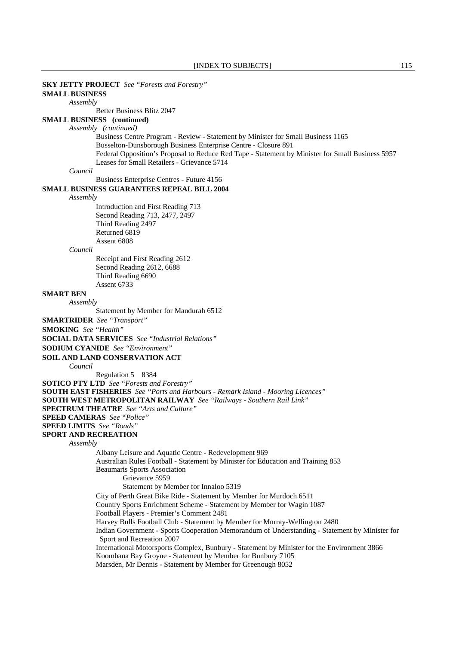### [INDEX TO SUBJECTS] 115 **SKY JETTY PROJECT** *See "Forests and Forestry"*  **SMALL BUSINESS** *Assembly* Better Business Blitz 2047 **SMALL BUSINESS (continued)** *Assembly (continued)*  Business Centre Program - Review - Statement by Minister for Small Business 1165 Busselton-Dunsborough Business Enterprise Centre - Closure 891 Federal Opposition's Proposal to Reduce Red Tape - Statement by Minister for Small Business 5957 Leases for Small Retailers - Grievance 5714 *Council* Business Enterprise Centres - Future 4156 **SMALL BUSINESS GUARANTEES REPEAL BILL 2004** *Assembly* Introduction and First Reading 713 Second Reading 713, 2477, 2497 Third Reading 2497 Returned 6819 Assent 6808 *Council* Receipt and First Reading 2612 Second Reading 2612, 6688 Third Reading 6690 Assent 6733 **SMART BEN** *Assembly* Statement by Member for Mandurah 6512 **SMARTRIDER** *See "Transport"*  **SMOKING** *See "Health"*  **SOCIAL DATA SERVICES** *See "Industrial Relations"*  **SODIUM CYANIDE** *See "Environment"*  **SOIL AND LAND CONSERVATION ACT** *Council* Regulation 5 8384 **SOTICO PTY LTD** *See "Forests and Forestry"*  **SOUTH EAST FISHERIES** *See "Ports and Harbours - Remark Island - Mooring Licences"*  **SOUTH WEST METROPOLITAN RAILWAY** *See "Railways - Southern Rail Link"*  **SPECTRUM THEATRE** *See "Arts and Culture"*  **SPEED CAMERAS** *See "Police"*  **SPEED LIMITS** *See "Roads"*  **SPORT AND RECREATION** *Assembly* Albany Leisure and Aquatic Centre - Redevelopment 969 Australian Rules Football - Statement by Minister for Education and Training 853 Beaumaris Sports Association Grievance 5959 Statement by Member for Innaloo 5319 City of Perth Great Bike Ride - Statement by Member for Murdoch 6511 Country Sports Enrichment Scheme - Statement by Member for Wagin 1087 Football Players - Premier's Comment 2481 Harvey Bulls Football Club - Statement by Member for Murray-Wellington 2480 Indian Government - Sports Cooperation Memorandum of Understanding - Statement by Minister for Sport and Recreation 2007 International Motorsports Complex, Bunbury - Statement by Minister for the Environment 3866 Koombana Bay Groyne - Statement by Member for Bunbury 7105 Marsden, Mr Dennis - Statement by Member for Greenough 8052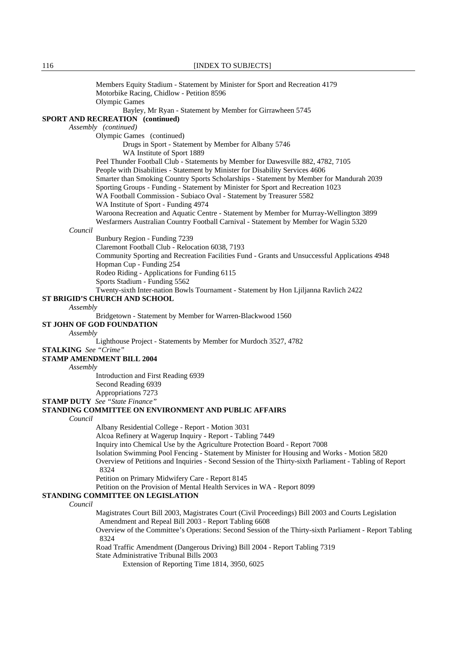Members Equity Stadium - Statement by Minister for Sport and Recreation 4179 Motorbike Racing, Chidlow - Petition 8596 Olympic Games Bayley, Mr Ryan - Statement by Member for Girrawheen 5745 **SPORT AND RECREATION (continued)** *Assembly (continued)*  Olympic Games (continued) Drugs in Sport - Statement by Member for Albany 5746 WA Institute of Sport 1889 Peel Thunder Football Club - Statements by Member for Dawesville 882, 4782, 7105 People with Disabilities - Statement by Minister for Disability Services 4606 Smarter than Smoking Country Sports Scholarships - Statement by Member for Mandurah 2039 Sporting Groups - Funding - Statement by Minister for Sport and Recreation 1023 WA Football Commission - Subiaco Oval - Statement by Treasurer 5582 WA Institute of Sport - Funding 4974 Waroona Recreation and Aquatic Centre - Statement by Member for Murray-Wellington 3899 Wesfarmers Australian Country Football Carnival - Statement by Member for Wagin 5320 *Council* Bunbury Region - Funding 7239 Claremont Football Club - Relocation 6038, 7193 Community Sporting and Recreation Facilities Fund - Grants and Unsuccessful Applications 4948 Hopman Cup - Funding 254 Rodeo Riding - Applications for Funding 6115 Sports Stadium - Funding 5562 Twenty-sixth Inter-nation Bowls Tournament - Statement by Hon Ljiljanna Ravlich 2422 **ST BRIGID'S CHURCH AND SCHOOL** *Assembly* Bridgetown - Statement by Member for Warren-Blackwood 1560 **ST JOHN OF GOD FOUNDATION** *Assembly* Lighthouse Project - Statements by Member for Murdoch 3527, 4782 **STALKING** *See "Crime"*  **STAMP AMENDMENT BILL 2004** *Assembly* Introduction and First Reading 6939 Second Reading 6939 Appropriations 7273 **STAMP DUTY** *See "State Finance"*  **STANDING COMMITTEE ON ENVIRONMENT AND PUBLIC AFFAIRS** *Council* Albany Residential College - Report - Motion 3031 Alcoa Refinery at Wagerup Inquiry - Report - Tabling 7449 Inquiry into Chemical Use by the Agriculture Protection Board - Report 7008 Isolation Swimming Pool Fencing - Statement by Minister for Housing and Works - Motion 5820 Overview of Petitions and Inquiries - Second Session of the Thirty-sixth Parliament - Tabling of Report 8324 Petition on Primary Midwifery Care - Report 8145 Petition on the Provision of Mental Health Services in WA - Report 8099 **STANDING COMMITTEE ON LEGISLATION** *Council* Magistrates Court Bill 2003, Magistrates Court (Civil Proceedings) Bill 2003 and Courts Legislation Amendment and Repeal Bill 2003 - Report Tabling 6608 Overview of the Committee's Operations: Second Session of the Thirty-sixth Parliament - Report Tabling 8324 Road Traffic Amendment (Dangerous Driving) Bill 2004 - Report Tabling 7319 State Administrative Tribunal Bills 2003 Extension of Reporting Time 1814, 3950, 6025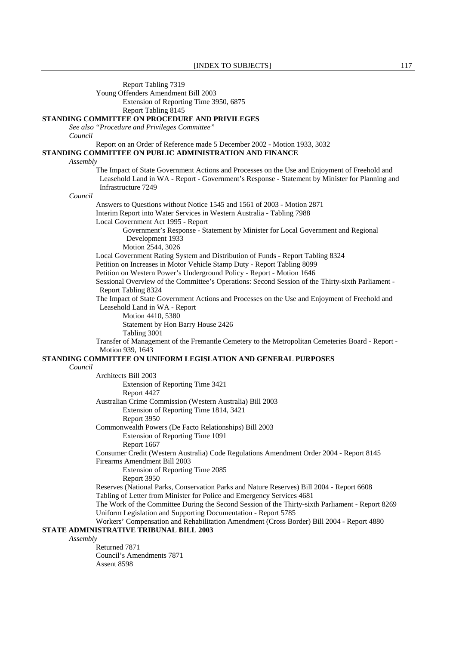Report Tabling 7319

Young Offenders Amendment Bill 2003

Extension of Reporting Time 3950, 6875

Report Tabling 8145

### **STANDING COMMITTEE ON PROCEDURE AND PRIVILEGES**

*See also "Procedure and Privileges Committee"* 

*Council*

Report on an Order of Reference made 5 December 2002 - Motion 1933, 3032

### **STANDING COMMITTEE ON PUBLIC ADMINISTRATION AND FINANCE**

#### *Assembly*

 The Impact of State Government Actions and Processes on the Use and Enjoyment of Freehold and Leasehold Land in WA - Report - Government's Response - Statement by Minister for Planning and Infrastructure 7249

*Council*

Answers to Questions without Notice 1545 and 1561 of 2003 - Motion 2871

Interim Report into Water Services in Western Australia - Tabling 7988

Local Government Act 1995 - Report

Government's Response - Statement by Minister for Local Government and Regional Development 1933

Motion 2544, 3026

Local Government Rating System and Distribution of Funds - Report Tabling 8324

Petition on Increases in Motor Vehicle Stamp Duty - Report Tabling 8099

Petition on Western Power's Underground Policy - Report - Motion 1646

 Sessional Overview of the Committee's Operations: Second Session of the Thirty-sixth Parliament - Report Tabling 8324

The Impact of State Government Actions and Processes on the Use and Enjoyment of Freehold and Leasehold Land in WA - Report

Motion 4410, 5380

Statement by Hon Barry House 2426

Tabling 3001

 Transfer of Management of the Fremantle Cemetery to the Metropolitan Cemeteries Board - Report - Motion 939, 1643

### **STANDING COMMITTEE ON UNIFORM LEGISLATION AND GENERAL PURPOSES**

### *Council*

 Architects Bill 2003 Extension of Reporting Time 3421 Report 4427 Australian Crime Commission (Western Australia) Bill 2003 Extension of Reporting Time 1814, 3421 Report 3950 Commonwealth Powers (De Facto Relationships) Bill 2003 Extension of Reporting Time 1091 Report 1667 Consumer Credit (Western Australia) Code Regulations Amendment Order 2004 - Report 8145 Firearms Amendment Bill 2003 Extension of Reporting Time 2085 Report 3950 Reserves (National Parks, Conservation Parks and Nature Reserves) Bill 2004 - Report 6608 Tabling of Letter from Minister for Police and Emergency Services 4681 The Work of the Committee During the Second Session of the Thirty-sixth Parliament - Report 8269 Uniform Legislation and Supporting Documentation - Report 5785 Workers' Compensation and Rehabilitation Amendment (Cross Border) Bill 2004 - Report 4880 **STATE ADMINISTRATIVE TRIBUNAL BILL 2003** Returned 7871

 Council's Amendments 7871 Assent 8598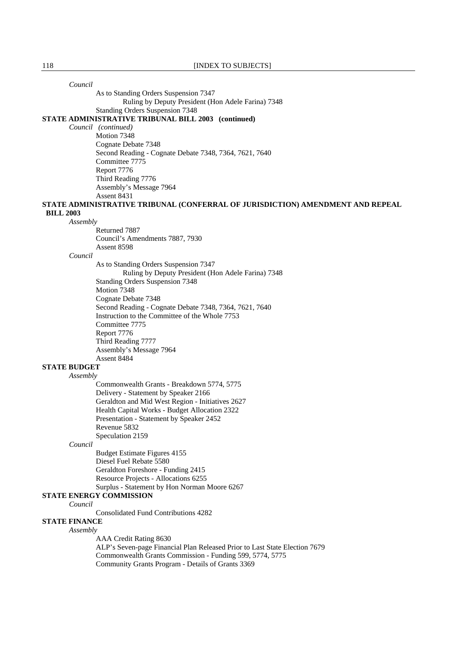*Council*

As to Standing Orders Suspension 7347

Ruling by Deputy President (Hon Adele Farina) 7348

Standing Orders Suspension 7348

### **STATE ADMINISTRATIVE TRIBUNAL BILL 2003 (continued)**

*Council (continued)*

 Motion 7348 Cognate Debate 7348 Second Reading - Cognate Debate 7348, 7364, 7621, 7640 Committee 7775 Report 7776 Third Reading 7776 Assembly's Message 7964 Assent 8431

#### **STATE ADMINISTRATIVE TRIBUNAL (CONFERRAL OF JURISDICTION) AMENDMENT AND REPEAL BILL 2003**

### *Assembly*

 Returned 7887 Council's Amendments 7887, 7930 Assent 8598

#### *Council*

 As to Standing Orders Suspension 7347 Ruling by Deputy President (Hon Adele Farina) 7348 Standing Orders Suspension 7348 Motion 7348 Cognate Debate 7348 Second Reading - Cognate Debate 7348, 7364, 7621, 7640 Instruction to the Committee of the Whole 7753 Committee 7775 Report 7776 Third Reading 7777 Assembly's Message 7964 Assent 8484

# **STATE BUDGET**

#### *Assembly*

 Commonwealth Grants - Breakdown 5774, 5775 Delivery - Statement by Speaker 2166 Geraldton and Mid West Region - Initiatives 2627 Health Capital Works - Budget Allocation 2322 Presentation - Statement by Speaker 2452 Revenue 5832 Speculation 2159

#### *Council*

 Budget Estimate Figures 4155 Diesel Fuel Rebate 5580 Geraldton Foreshore - Funding 2415 Resource Projects - Allocations 6255 Surplus - Statement by Hon Norman Moore 6267

### **STATE ENERGY COMMISSION**

*Council*

Consolidated Fund Contributions 4282

# **STATE FINANCE**

#### *Assembly*

AAA Credit Rating 8630

 ALP's Seven-page Financial Plan Released Prior to Last State Election 7679 Commonwealth Grants Commission - Funding 599, 5774, 5775 Community Grants Program - Details of Grants 3369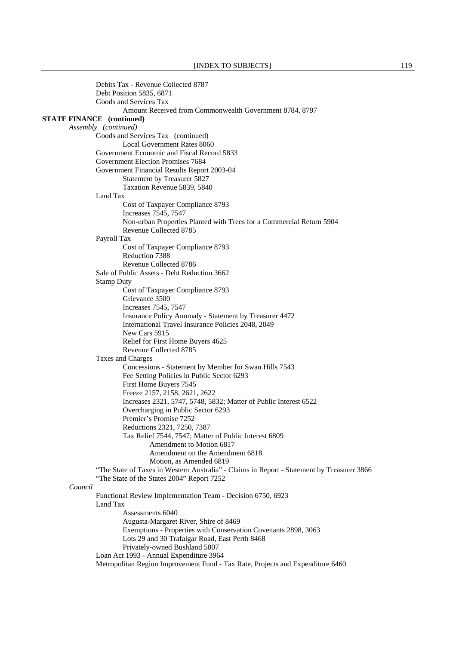|                                  | Debits Tax - Revenue Collected 8787                                                                                   |
|----------------------------------|-----------------------------------------------------------------------------------------------------------------------|
|                                  | Debt Position 5835, 6871                                                                                              |
|                                  | Goods and Services Tax                                                                                                |
|                                  | Amount Received from Commonwealth Government 8784, 8797                                                               |
| <b>STATE FINANCE</b> (continued) |                                                                                                                       |
|                                  | Assembly (continued)                                                                                                  |
|                                  | Goods and Services Tax (continued)                                                                                    |
|                                  | Local Government Rates 8060                                                                                           |
|                                  | Government Economic and Fiscal Record 5833                                                                            |
|                                  | Government Election Promises 7684                                                                                     |
|                                  | Government Financial Results Report 2003-04                                                                           |
|                                  | Statement by Treasurer 5827                                                                                           |
|                                  | Taxation Revenue 5839, 5840                                                                                           |
|                                  | Land Tax                                                                                                              |
|                                  | Cost of Taxpayer Compliance 8793<br>Increases 7545, 7547                                                              |
|                                  | Non-urban Properties Planted with Trees for a Commercial Return 5904                                                  |
|                                  | Revenue Collected 8785                                                                                                |
|                                  | Payroll Tax                                                                                                           |
|                                  | Cost of Taxpayer Compliance 8793                                                                                      |
|                                  | Reduction 7388                                                                                                        |
|                                  | Revenue Collected 8786                                                                                                |
|                                  | Sale of Public Assets - Debt Reduction 3662                                                                           |
|                                  | <b>Stamp Duty</b>                                                                                                     |
|                                  | Cost of Taxpayer Compliance 8793                                                                                      |
|                                  | Grievance 3500                                                                                                        |
|                                  | Increases 7545, 7547                                                                                                  |
|                                  | Insurance Policy Anomaly - Statement by Treasurer 4472                                                                |
|                                  | International Travel Insurance Policies 2048, 2049                                                                    |
|                                  | New Cars 5915                                                                                                         |
|                                  | Relief for First Home Buyers 4625                                                                                     |
|                                  | Revenue Collected 8785                                                                                                |
|                                  | Taxes and Charges                                                                                                     |
|                                  | Concessions - Statement by Member for Swan Hills 7543                                                                 |
|                                  | Fee Setting Policies in Public Sector 6293                                                                            |
|                                  | First Home Buyers 7545                                                                                                |
|                                  | Freeze 2157, 2158, 2621, 2622                                                                                         |
|                                  | Increases 2321, 5747, 5748, 5832; Matter of Public Interest 6522                                                      |
|                                  | Overcharging in Public Sector 6293                                                                                    |
|                                  | Premier's Promise 7252                                                                                                |
|                                  | Reductions 2321, 7250, 7387                                                                                           |
|                                  | Tax Relief 7544, 7547; Matter of Public Interest 6809<br>Amendment to Motion 6817                                     |
|                                  | Amendment on the Amendment 6818                                                                                       |
|                                  |                                                                                                                       |
|                                  | Motion, as Amended 6819<br>"The State of Taxes in Western Australia" - Claims in Report - Statement by Treasurer 3866 |
|                                  | "The State of the States 2004" Report 7252                                                                            |
| Council                          |                                                                                                                       |
|                                  | Functional Review Implementation Team - Decision 6750, 6923                                                           |
|                                  | Land Tax                                                                                                              |
|                                  | Assessments 6040                                                                                                      |
|                                  | Augusta-Margaret River, Shire of 8469                                                                                 |
|                                  | Exemptions - Properties with Conservation Covenants 2898, 3063                                                        |
|                                  | Lots 29 and 30 Trafalgar Road, East Perth 8468                                                                        |
|                                  | Privately-owned Bushland 5807                                                                                         |
|                                  | Loan Act 1993 - Annual Expenditure 3964                                                                               |
|                                  | Metropolitan Region Improvement Fund - Tax Rate, Projects and Expenditure 6460                                        |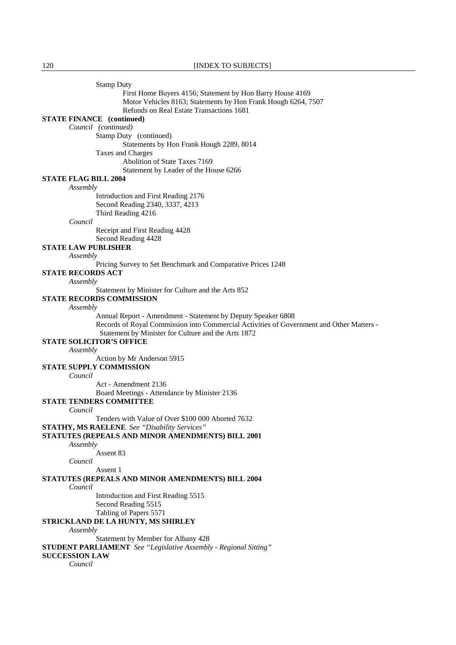Stamp Duty First Home Buyers 4156; Statement by Hon Barry House 4169 Motor Vehicles 8163; Statements by Hon Frank Hough 6264, 7507 Refunds on Real Estate Transactions 1681 **STATE FINANCE (continued)** *Council (continued)*  **Stamp Duty** (continued) Statements by Hon Frank Hough 2289, 8014 Taxes and Charges Abolition of State Taxes 7169 Statement by Leader of the House 6266 **STATE FLAG BILL 2004** *Assembly* Introduction and First Reading 2176 Second Reading 2340, 3337, 4213 Third Reading 4216 *Council* Receipt and First Reading 4428 Second Reading 4428 **STATE LAW PUBLISHER** *Assembly* Pricing Survey to Set Benchmark and Comparative Prices 1248 **STATE RECORDS ACT** *Assembly* Statement by Minister for Culture and the Arts 852 **STATE RECORDS COMMISSION** *Assembly* Annual Report - Amendment - Statement by Deputy Speaker 6808 Records of Royal Commission into Commercial Activities of Government and Other Matters - Statement by Minister for Culture and the Arts 1872 **STATE SOLICITOR'S OFFICE** *Assembly* Action by Mr Anderson 5915 **STATE SUPPLY COMMISSION** *Council* Act - Amendment 2136 Board Meetings - Attendance by Minister 2136 **STATE TENDERS COMMITTEE** *Council* Tenders with Value of Over \$100 000 Aborted 7632 **STATHY, MS RAELENE** *See "Disability Services"*  **STATUTES (REPEALS AND MINOR AMENDMENTS) BILL 2001** *Assembly* Assent 83 *Council* Assent 1 **STATUTES (REPEALS AND MINOR AMENDMENTS) BILL 2004** *Council* Introduction and First Reading 5515 Second Reading 5515 Tabling of Papers 5571 **STRICKLAND DE LA HUNTY, MS SHIRLEY** *Assembly* Statement by Member for Albany 428 **STUDENT PARLIAMENT** *See "Legislative Assembly - Regional Sitting"*  **SUCCESSION LAW**

*Council*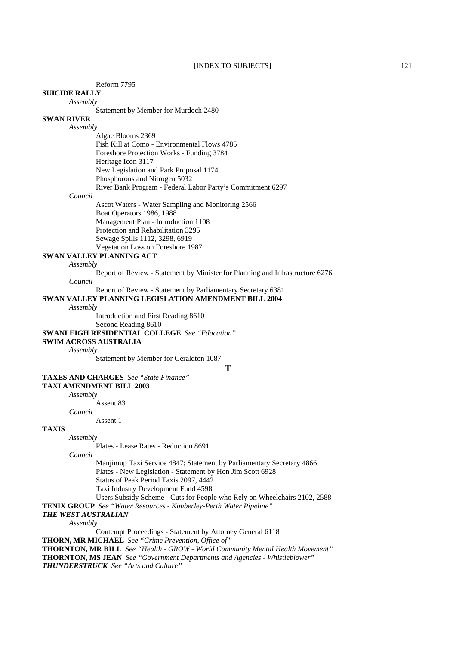| Reform 7795 |  |
|-------------|--|
|             |  |

#### **SUICIDE RALLY**

*Assembly*

Statement by Member for Murdoch 2480

### **SWAN RIVER**

*Assembly*

 Algae Blooms 2369 Fish Kill at Como - Environmental Flows 4785 Foreshore Protection Works - Funding 3784 Heritage Icon 3117 New Legislation and Park Proposal 1174 Phosphorous and Nitrogen 5032 River Bank Program - Federal Labor Party's Commitment 6297

#### *Council*

 Ascot Waters - Water Sampling and Monitoring 2566 Boat Operators 1986, 1988 Management Plan - Introduction 1108 Protection and Rehabilitation 3295 Sewage Spills 1112, 3298, 6919 Vegetation Loss on Foreshore 1987

### **SWAN VALLEY PLANNING ACT**

#### *Assembly*

Report of Review - Statement by Minister for Planning and Infrastructure 6276

*Council*

Report of Review - Statement by Parliamentary Secretary 6381

### **SWAN VALLEY PLANNING LEGISLATION AMENDMENT BILL 2004**

#### *Assembly*

Introduction and First Reading 8610

Second Reading 8610

**SWANLEIGH RESIDENTIAL COLLEGE** *See "Education"* 

### **SWIM ACROSS AUSTRALIA**

*Assembly*

Statement by Member for Geraldton 1087

**T**

# **TAXES AND CHARGES** *See "State Finance"*

**TAXI AMENDMENT BILL 2003**

### *Assembly*

 Assent 83 *Council*

Assent 1

# **TAXIS**

#### *Assembly*

Plates - Lease Rates - Reduction 8691

*Council*

 Manjimup Taxi Service 4847; Statement by Parliamentary Secretary 4866 Plates - New Legislation - Statement by Hon Jim Scott 6928 Status of Peak Period Taxis 2097, 4442 Taxi Industry Development Fund 4598

Users Subsidy Scheme - Cuts for People who Rely on Wheelchairs 2102, 2588

**TENIX GROUP** *See "Water Resources - Kimberley-Perth Water Pipeline"* 

# *THE WEST AUSTRALIAN*

*Assembly*

 Contempt Proceedings - Statement by Attorney General 6118 **THORN, MR MICHAEL** *See "Crime Prevention, Office of"*  **THORNTON, MR BILL** *See "Health - GROW - World Community Mental Health Movement"*  **THORNTON, MS JEAN** *See "Government Departments and Agencies - Whistleblower" THUNDERSTRUCK See "Arts and Culture"*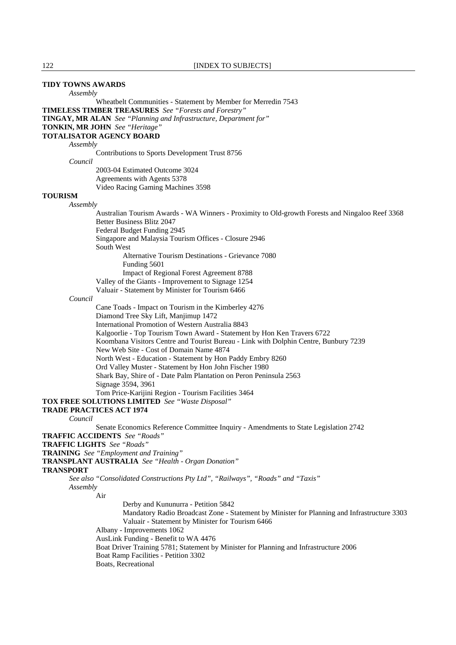### **TIDY TOWNS AWARDS**

*Assembly*

 Wheatbelt Communities - Statement by Member for Merredin 7543 **TIMELESS TIMBER TREASURES** *See "Forests and Forestry"*  **TINGAY, MR ALAN** *See "Planning and Infrastructure, Department for"*  **TONKIN, MR JOHN** *See "Heritage"*  **TOTALISATOR AGENCY BOARD** *Assembly* Contributions to Sports Development Trust 8756 *Council* 2003-04 Estimated Outcome 3024 Agreements with Agents 5378 Video Racing Gaming Machines 3598 **TOURISM** *Assembly* Australian Tourism Awards - WA Winners - Proximity to Old-growth Forests and Ningaloo Reef 3368 Better Business Blitz 2047 Federal Budget Funding 2945 Singapore and Malaysia Tourism Offices - Closure 2946 South West Alternative Tourism Destinations - Grievance 7080 Funding 5601 Impact of Regional Forest Agreement 8788 Valley of the Giants - Improvement to Signage 1254 Valuair - Statement by Minister for Tourism 6466 *Council* Cane Toads - Impact on Tourism in the Kimberley 4276 Diamond Tree Sky Lift, Manjimup 1472 International Promotion of Western Australia 8843 Kalgoorlie - Top Tourism Town Award - Statement by Hon Ken Travers 6722 Koombana Visitors Centre and Tourist Bureau - Link with Dolphin Centre, Bunbury 7239 New Web Site - Cost of Domain Name 4874 North West - Education - Statement by Hon Paddy Embry 8260 Ord Valley Muster - Statement by Hon John Fischer 1980 Shark Bay, Shire of - Date Palm Plantation on Peron Peninsula 2563 Signage 3594, 3961 Tom Price-Karijini Region - Tourism Facilities 3464 **TOX FREE SOLUTIONS LIMITED** *See "Waste Disposal"*  **TRADE PRACTICES ACT 1974** *Council* Senate Economics Reference Committee Inquiry - Amendments to State Legislation 2742 **TRAFFIC ACCIDENTS** *See "Roads"*  **TRAFFIC LIGHTS** *See "Roads"*  **TRAINING** *See "Employment and Training"*  **TRANSPLANT AUSTRALIA** *See "Health - Organ Donation"*  **TRANSPORT** *See also "Consolidated Constructions Pty Ltd", "Railways", "Roads" and "Taxis" Assembly* Air Derby and Kununurra - Petition 5842 Mandatory Radio Broadcast Zone - Statement by Minister for Planning and Infrastructure 3303 Valuair - Statement by Minister for Tourism 6466 Albany - Improvements 1062 AusLink Funding - Benefit to WA 4476 Boat Driver Training 5781; Statement by Minister for Planning and Infrastructure 2006 Boat Ramp Facilities - Petition 3302 Boats, Recreational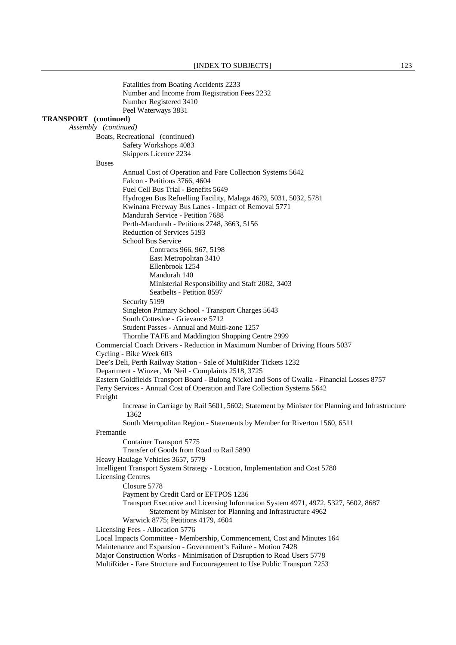Fatalities from Boating Accidents 2233 Number and Income from Registration Fees 2232 Number Registered 3410 Peel Waterways 3831 **TRANSPORT (continued)**  *Assembly (continued)*  Boats, Recreational (continued) Safety Workshops 4083 Skippers Licence 2234 Buses Annual Cost of Operation and Fare Collection Systems 5642 Falcon - Petitions 3766, 4604 Fuel Cell Bus Trial - Benefits 5649 Hydrogen Bus Refuelling Facility, Malaga 4679, 5031, 5032, 5781 Kwinana Freeway Bus Lanes - Impact of Removal 5771 Mandurah Service - Petition 7688 Perth-Mandurah - Petitions 2748, 3663, 5156 Reduction of Services 5193 School Bus Service Contracts 966, 967, 5198 East Metropolitan 3410 Ellenbrook 1254 Mandurah 140 Ministerial Responsibility and Staff 2082, 3403 Seatbelts - Petition 8597 Security 5199 Singleton Primary School - Transport Charges 5643 South Cottesloe - Grievance 5712 Student Passes - Annual and Multi-zone 1257 Thornlie TAFE and Maddington Shopping Centre 2999 Commercial Coach Drivers - Reduction in Maximum Number of Driving Hours 5037 Cycling - Bike Week 603 Dee's Deli, Perth Railway Station - Sale of MultiRider Tickets 1232 Department - Winzer, Mr Neil - Complaints 2518, 3725 Eastern Goldfields Transport Board - Bulong Nickel and Sons of Gwalia - Financial Losses 8757 Ferry Services - Annual Cost of Operation and Fare Collection Systems 5642 Freight Increase in Carriage by Rail 5601, 5602; Statement by Minister for Planning and Infrastructure 1362 South Metropolitan Region - Statements by Member for Riverton 1560, 6511 Fremantle Container Transport 5775 Transfer of Goods from Road to Rail 5890 Heavy Haulage Vehicles 3657, 5779 Intelligent Transport System Strategy - Location, Implementation and Cost 5780 Licensing Centres Closure 5778 Payment by Credit Card or EFTPOS 1236 Transport Executive and Licensing Information System 4971, 4972, 5327, 5602, 8687 Statement by Minister for Planning and Infrastructure 4962 Warwick 8775; Petitions 4179, 4604 Licensing Fees - Allocation 5776 Local Impacts Committee - Membership, Commencement, Cost and Minutes 164 Maintenance and Expansion - Government's Failure - Motion 7428 Major Construction Works - Minimisation of Disruption to Road Users 5778 MultiRider - Fare Structure and Encouragement to Use Public Transport 7253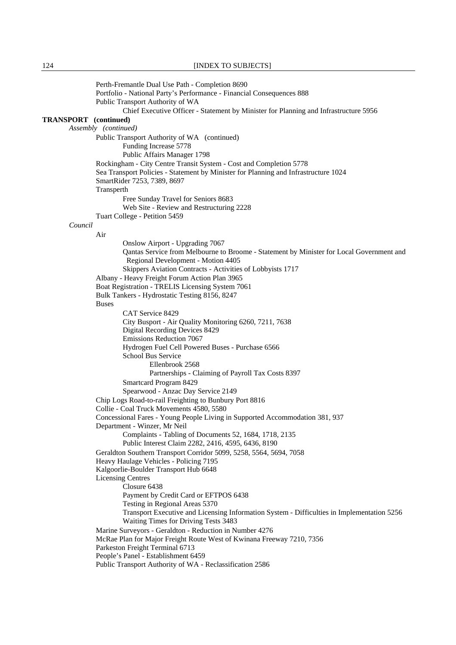Perth-Fremantle Dual Use Path - Completion 8690 Portfolio - National Party's Performance - Financial Consequences 888 Public Transport Authority of WA Chief Executive Officer - Statement by Minister for Planning and Infrastructure 5956 **TRANSPORT (continued)**  *Assembly (continued)*  Public Transport Authority of WA (continued) Funding Increase 5778 Public Affairs Manager 1798 Rockingham - City Centre Transit System - Cost and Completion 5778 Sea Transport Policies - Statement by Minister for Planning and Infrastructure 1024 SmartRider 7253, 7389, 8697 **Transperth**  Free Sunday Travel for Seniors 8683 Web Site - Review and Restructuring 2228 Tuart College - Petition 5459 *Council* Air Onslow Airport - Upgrading 7067 Qantas Service from Melbourne to Broome - Statement by Minister for Local Government and Regional Development - Motion 4405 Skippers Aviation Contracts - Activities of Lobbyists 1717 Albany - Heavy Freight Forum Action Plan 3965 Boat Registration - TRELIS Licensing System 7061 Bulk Tankers - Hydrostatic Testing 8156, 8247 **Buses**  CAT Service 8429 City Busport - Air Quality Monitoring 6260, 7211, 7638 Digital Recording Devices 8429 Emissions Reduction 7067 Hydrogen Fuel Cell Powered Buses - Purchase 6566 School Bus Service Ellenbrook 2568 Partnerships - Claiming of Payroll Tax Costs 8397 Smartcard Program 8429 Spearwood - Anzac Day Service 2149 Chip Logs Road-to-rail Freighting to Bunbury Port 8816 Collie - Coal Truck Movements 4580, 5580 Concessional Fares - Young People Living in Supported Accommodation 381, 937 Department - Winzer, Mr Neil Complaints - Tabling of Documents 52, 1684, 1718, 2135 Public Interest Claim 2282, 2416, 4595, 6436, 8190 Geraldton Southern Transport Corridor 5099, 5258, 5564, 5694, 7058 Heavy Haulage Vehicles - Policing 7195 Kalgoorlie-Boulder Transport Hub 6648 Licensing Centres Closure 6438 Payment by Credit Card or EFTPOS 6438 Testing in Regional Areas 5370 Transport Executive and Licensing Information System - Difficulties in Implementation 5256 Waiting Times for Driving Tests 3483 Marine Surveyors - Geraldton - Reduction in Number 4276 McRae Plan for Major Freight Route West of Kwinana Freeway 7210, 7356 Parkeston Freight Terminal 6713 People's Panel - Establishment 6459 Public Transport Authority of WA - Reclassification 2586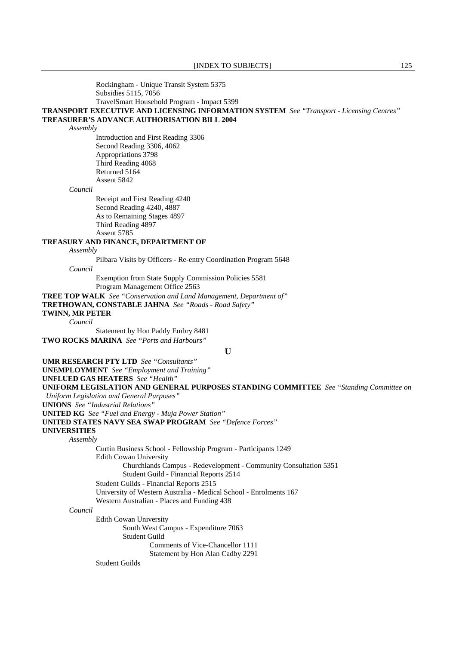Rockingham - Unique Transit System 5375 Subsidies 5115, 7056 TravelSmart Household Program - Impact 5399

**TRANSPORT EXECUTIVE AND LICENSING INFORMATION SYSTEM** *See "Transport - Licensing Centres"*  **TREASURER'S ADVANCE AUTHORISATION BILL 2004**

*Assembly*

 Introduction and First Reading 3306 Second Reading 3306, 4062 Appropriations 3798 Third Reading 4068 Returned 5164 Assent 5842

*Council*

 Receipt and First Reading 4240 Second Reading 4240, 4887 As to Remaining Stages 4897 Third Reading 4897 Assent 5785

### **TREASURY AND FINANCE, DEPARTMENT OF**

#### *Assembly*

Pilbara Visits by Officers - Re-entry Coordination Program 5648

*Council*

 Exemption from State Supply Commission Policies 5581 Program Management Office 2563

**TREE TOP WALK** *See "Conservation and Land Management, Department of"* 

**TRETHOWAN, CONSTABLE JAHNA** *See "Roads - Road Safety"* 

# **TWINN, MR PETER**

*Council*

Statement by Hon Paddy Embry 8481

**TWO ROCKS MARINA** *See "Ports and Harbours"* 

**U**

**UMR RESEARCH PTY LTD** *See "Consultants"*  **UNEMPLOYMENT** *See "Employment and Training"*  **UNFLUED GAS HEATERS** *See "Health"*  **UNIFORM LEGISLATION AND GENERAL PURPOSES STANDING COMMITTEE** *See "Standing Committee on Uniform Legislation and General Purposes"*  **UNIONS** *See "Industrial Relations"*  **UNITED KG** *See "Fuel and Energy - Muja Power Station"*  **UNITED STATES NAVY SEA SWAP PROGRAM** *See "Defence Forces"*  **UNIVERSITIES** *Assembly* Curtin Business School - Fellowship Program - Participants 1249 Edith Cowan University Churchlands Campus - Redevelopment - Community Consultation 5351 Student Guild - Financial Reports 2514 Student Guilds - Financial Reports 2515 University of Western Australia - Medical School - Enrolments 167 Western Australian - Places and Funding 438 *Council* Edith Cowan University South West Campus - Expenditure 7063 Student Guild Comments of Vice-Chancellor 1111 Statement by Hon Alan Cadby 2291

Student Guilds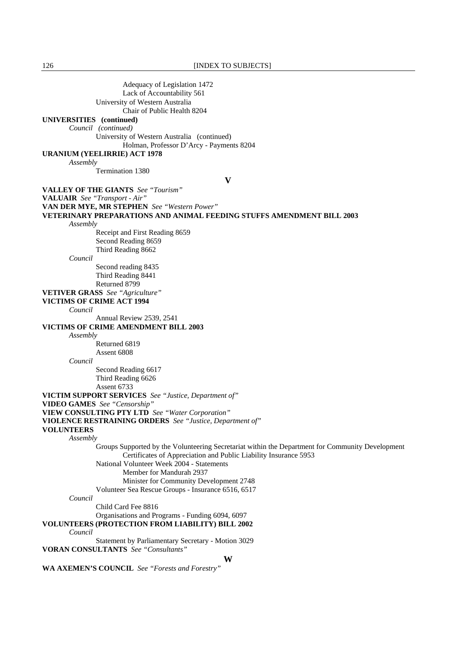126 **[INDEX TO SUBJECTS]** 

 Adequacy of Legislation 1472 Lack of Accountability 561 University of Western Australia Chair of Public Health 8204 **UNIVERSITIES (continued)**  *Council (continued)*  University of Western Australia (continued) Holman, Professor D'Arcy - Payments 8204 **URANIUM (YEELIRRIE) ACT 1978** *Assembly* Termination 1380 **V VALLEY OF THE GIANTS** *See "Tourism"*  **VALUAIR** *See "Transport - Air"*  **VAN DER MYE, MR STEPHEN** *See "Western Power"*  **VETERINARY PREPARATIONS AND ANIMAL FEEDING STUFFS AMENDMENT BILL 2003** *Assembly* Receipt and First Reading 8659 Second Reading 8659 Third Reading 8662 *Council* Second reading 8435 Third Reading 8441 Returned 8799 **VETIVER GRASS** *See "Agriculture"*  **VICTIMS OF CRIME ACT 1994** *Council* Annual Review 2539, 2541 **VICTIMS OF CRIME AMENDMENT BILL 2003** *Assembly* Returned 6819 Assent 6808 *Council* Second Reading 6617 Third Reading 6626 Assent 6733 **VICTIM SUPPORT SERVICES** *See "Justice, Department of"*  **VIDEO GAMES** *See "Censorship"*  **VIEW CONSULTING PTY LTD** *See "Water Corporation"*  **VIOLENCE RESTRAINING ORDERS** *See "Justice, Department of"*  **VOLUNTEERS** *Assembly* Groups Supported by the Volunteering Secretariat within the Department for Community Development Certificates of Appreciation and Public Liability Insurance 5953 National Volunteer Week 2004 - Statements Member for Mandurah 2937 Minister for Community Development 2748 Volunteer Sea Rescue Groups - Insurance 6516, 6517 *Council* Child Card Fee 8816 Organisations and Programs - Funding 6094, 6097 **VOLUNTEERS (PROTECTION FROM LIABILITY) BILL 2002**  *Council*  **Statement by Parliamentary Secretary - Motion 3029 VORAN CONSULTANTS** *See "Consultants"*  **W WA AXEMEN'S COUNCIL** *See "Forests and Forestry"*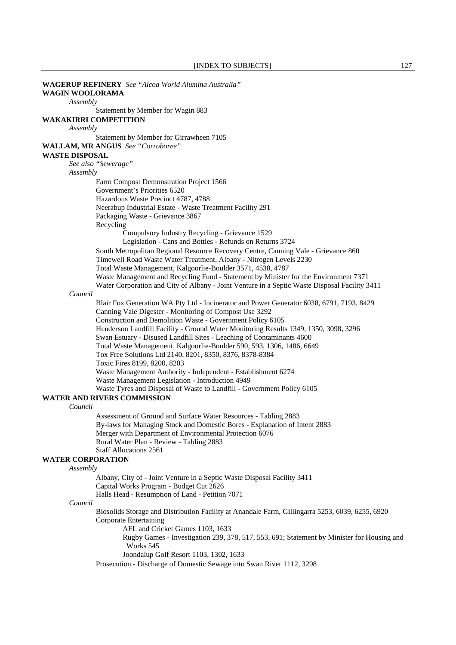**WAGERUP REFINERY** *See "Alcoa World Alumina Australia"*  **WAGIN WOOLORAMA** *Assembly* Statement by Member for Wagin 883 **WAKAKIRRI COMPETITION** *Assembly* Statement by Member for Girrawheen 7105 **WALLAM, MR ANGUS** *See "Corroboree"*  **WASTE DISPOSAL** *See also "Sewerage" Assembly* Farm Compost Demonstration Project 1566 Government's Priorities 6520 Hazardous Waste Precinct 4787, 4788 Neerabup Industrial Estate - Waste Treatment Facility 291 Packaging Waste - Grievance 3867 **Recycling**  Compulsory Industry Recycling - Grievance 1529 Legislation - Cans and Bottles - Refunds on Returns 3724 South Metropolitan Regional Resource Recovery Centre, Canning Vale - Grievance 860 Timewell Road Waste Water Treatment, Albany - Nitrogen Levels 2230 Total Waste Management, Kalgoorlie-Boulder 3571, 4538, 4787 Waste Management and Recycling Fund - Statement by Minister for the Environment 7371 Water Corporation and City of Albany - Joint Venture in a Septic Waste Disposal Facility 3411 *Council* Blair Fox Generation WA Pty Ltd - Incinerator and Power Generator 6038, 6791, 7193, 8429 Canning Vale Digester - Monitoring of Compost Use 3292 Construction and Demolition Waste - Government Policy 6105 Henderson Landfill Facility - Ground Water Monitoring Results 1349, 1350, 3098, 3296 Swan Estuary - Disused Landfill Sites - Leaching of Contaminants 4600 Total Waste Management, Kalgoorlie-Boulder 590, 593, 1306, 1486, 6649 Tox Free Solutions Ltd 2140, 8201, 8350, 8376, 8378-8384 Toxic Fires 8199, 8200, 8203 Waste Management Authority - Independent - Establishment 6274 Waste Management Legislation - Introduction 4949 Waste Tyres and Disposal of Waste to Landfill - Government Policy 6105 **WATER AND RIVERS COMMISSION** *Council* Assessment of Ground and Surface Water Resources - Tabling 2883 By-laws for Managing Stock and Domestic Bores - Explanation of Intent 2883 Merger with Department of Environmental Protection 6076 Rural Water Plan - Review - Tabling 2883 Staff Allocations 2561 **WATER CORPORATION** *Assembly* Albany, City of - Joint Venture in a Septic Waste Disposal Facility 3411 Capital Works Program - Budget Cut 2626 Halls Head - Resumption of Land - Petition 7071 *Council* Biosolids Storage and Distribution Facility at Anandale Farm, Gillingarra 5253, 6039, 6255, 6920 Corporate Entertaining AFL and Cricket Games 1103, 1633 Rugby Games - Investigation 239, 378, 517, 553, 691; Statement by Minister for Housing and Works 545 Joondalup Golf Resort 1103, 1302, 1633 Prosecution - Discharge of Domestic Sewage into Swan River 1112, 3298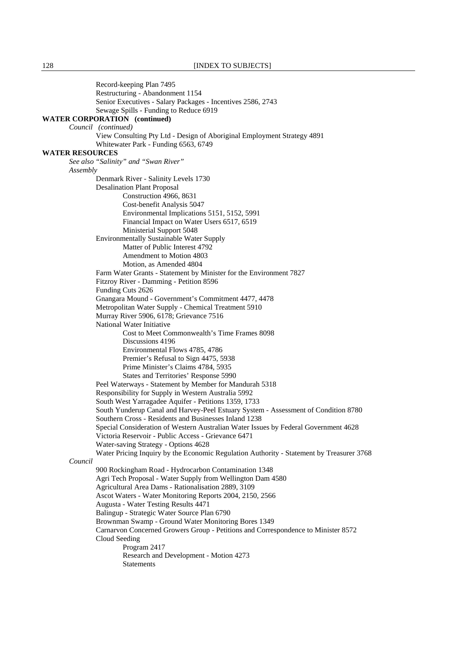Record-keeping Plan 7495 Restructuring - Abandonment 1154 Senior Executives - Salary Packages - Incentives 2586, 2743 Sewage Spills - Funding to Reduce 6919 **WATER CORPORATION (continued)**  *Council (continued)*  View Consulting Pty Ltd - Design of Aboriginal Employment Strategy 4891 Whitewater Park - Funding 6563, 6749 **WATER RESOURCES** *See also "Salinity" and "Swan River" Assembly* Denmark River - Salinity Levels 1730 Desalination Plant Proposal Construction 4966, 8631 Cost-benefit Analysis 5047 Environmental Implications 5151, 5152, 5991 Financial Impact on Water Users 6517, 6519 Ministerial Support 5048 Environmentally Sustainable Water Supply Matter of Public Interest 4792 Amendment to Motion 4803 Motion, as Amended 4804 Farm Water Grants - Statement by Minister for the Environment 7827 Fitzroy River - Damming - Petition 8596 Funding Cuts 2626 Gnangara Mound - Government's Commitment 4477, 4478 Metropolitan Water Supply - Chemical Treatment 5910 Murray River 5906, 6178; Grievance 7516 National Water Initiative Cost to Meet Commonwealth's Time Frames 8098 Discussions 4196 Environmental Flows 4785, 4786 Premier's Refusal to Sign 4475, 5938 Prime Minister's Claims 4784, 5935 States and Territories' Response 5990 Peel Waterways - Statement by Member for Mandurah 5318 Responsibility for Supply in Western Australia 5992 South West Yarragadee Aquifer - Petitions 1359, 1733 South Yunderup Canal and Harvey-Peel Estuary System - Assessment of Condition 8780 Southern Cross - Residents and Businesses Inland 1238 Special Consideration of Western Australian Water Issues by Federal Government 4628 Victoria Reservoir - Public Access - Grievance 6471 Water-saving Strategy - Options 4628 Water Pricing Inquiry by the Economic Regulation Authority - Statement by Treasurer 3768 *Council* 900 Rockingham Road - Hydrocarbon Contamination 1348 Agri Tech Proposal - Water Supply from Wellington Dam 4580 Agricultural Area Dams - Rationalisation 2889, 3109 Ascot Waters - Water Monitoring Reports 2004, 2150, 2566 Augusta - Water Testing Results 4471 Balingup - Strategic Water Source Plan 6790 Brownman Swamp - Ground Water Monitoring Bores 1349 Carnarvon Concerned Growers Group - Petitions and Correspondence to Minister 8572 Cloud Seeding Program 2417 Research and Development - Motion 4273 Statements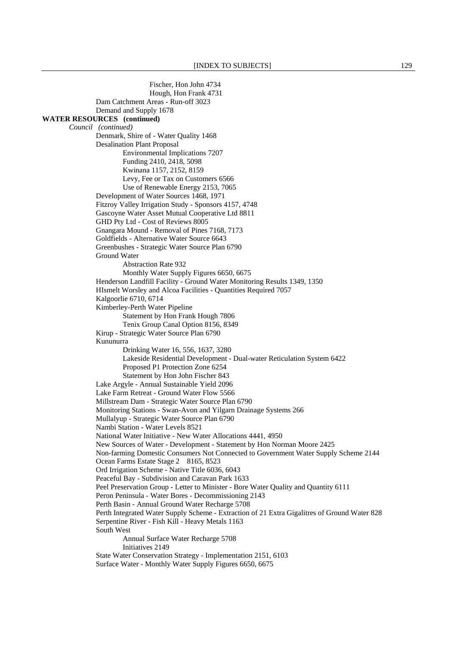Fischer, Hon John 4734 Hough, Hon Frank 4731 Dam Catchment Areas - Run-off 3023 Demand and Supply 1678 **WATER RESOURCES (continued)**  *Council (continued)*  Denmark, Shire of - Water Quality 1468 Desalination Plant Proposal Environmental Implications 7207 Funding 2410, 2418, 5098 Kwinana 1157, 2152, 8159 Levy, Fee or Tax on Customers 6566 Use of Renewable Energy 2153, 7065 Development of Water Sources 1468, 1971 Fitzroy Valley Irrigation Study - Sponsors 4157, 4748 Gascoyne Water Asset Mutual Cooperative Ltd 8811 GHD Pty Ltd - Cost of Reviews 8005 Gnangara Mound - Removal of Pines 7168, 7173 Goldfields - Alternative Water Source 6643 Greenbushes - Strategic Water Source Plan 6790 Ground Water Abstraction Rate 932 Monthly Water Supply Figures 6650, 6675 Henderson Landfill Facility - Ground Water Monitoring Results 1349, 1350 HIsmelt Worsley and Alcoa Facilities - Quantities Required 7057 Kalgoorlie 6710, 6714 Kimberley-Perth Water Pipeline Statement by Hon Frank Hough 7806 Tenix Group Canal Option 8156, 8349 Kirup - Strategic Water Source Plan 6790 Kununurra Drinking Water 16, 556, 1637, 3280 Lakeside Residential Development - Dual-water Reticulation System 6422 Proposed P1 Protection Zone 6254 Statement by Hon John Fischer 843 Lake Argyle - Annual Sustainable Yield 2096 Lake Farm Retreat - Ground Water Flow 5566 Millstream Dam - Strategic Water Source Plan 6790 Monitoring Stations - Swan-Avon and Yilgarn Drainage Systems 266 Mullalyup - Strategic Water Source Plan 6790 Nambi Station - Water Levels 8521 National Water Initiative - New Water Allocations 4441, 4950 New Sources of Water - Development - Statement by Hon Norman Moore 2425 Non-farming Domestic Consumers Not Connected to Government Water Supply Scheme 2144 Ocean Farms Estate Stage 2 8165, 8523 Ord Irrigation Scheme - Native Title 6036, 6043 Peaceful Bay - Subdivision and Caravan Park 1633 Peel Preservation Group - Letter to Minister - Bore Water Quality and Quantity 6111 Peron Peninsula - Water Bores - Decommissioning 2143 Perth Basin - Annual Ground Water Recharge 5708 Perth Integrated Water Supply Scheme - Extraction of 21 Extra Gigalitres of Ground Water 828 Serpentine River - Fish Kill - Heavy Metals 1163 South West Annual Surface Water Recharge 5708 Initiatives 2149 State Water Conservation Strategy - Implementation 2151, 6103 Surface Water - Monthly Water Supply Figures 6650, 6675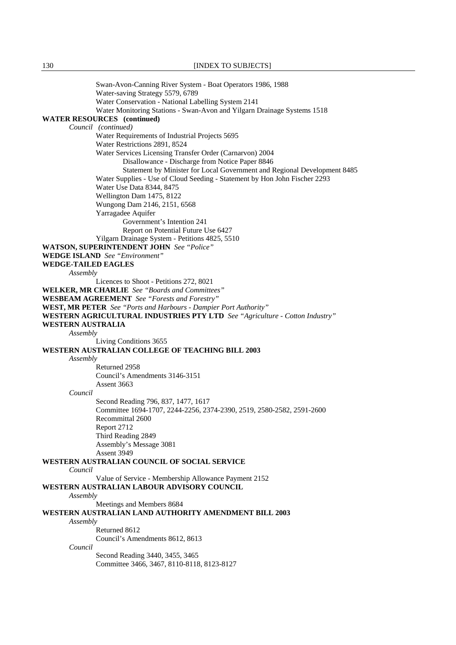Swan-Avon-Canning River System - Boat Operators 1986, 1988 Water-saving Strategy 5579, 6789 Water Conservation - National Labelling System 2141 Water Monitoring Stations - Swan-Avon and Yilgarn Drainage Systems 1518 **WATER RESOURCES (continued)**  *Council (continued)* Water Requirements of Industrial Projects 5695 Water Restrictions 2891, 8524 Water Services Licensing Transfer Order (Carnarvon) 2004 Disallowance - Discharge from Notice Paper 8846 Statement by Minister for Local Government and Regional Development 8485 Water Supplies - Use of Cloud Seeding - Statement by Hon John Fischer 2293 Water Use Data 8344, 8475 Wellington Dam 1475, 8122 Wungong Dam 2146, 2151, 6568 Yarragadee Aquifer Government's Intention 241 Report on Potential Future Use 6427 Yilgarn Drainage System - Petitions 4825, 5510 **WATSON, SUPERINTENDENT JOHN** *See "Police"*  **WEDGE ISLAND** *See "Environment"*  **WEDGE-TAILED EAGLES** *Assembly* Licences to Shoot - Petitions 272, 8021 **WELKER, MR CHARLIE** *See "Boards and Committees"*  **WESBEAM AGREEMENT** *See "Forests and Forestry"*  **WEST, MR PETER** *See "Ports and Harbours - Dampier Port Authority"*  **WESTERN AGRICULTURAL INDUSTRIES PTY LTD** *See "Agriculture - Cotton Industry"*  **WESTERN AUSTRALIA** *Assembly* Living Conditions 3655 **WESTERN AUSTRALIAN COLLEGE OF TEACHING BILL 2003** *Assembly* Returned 2958 Council's Amendments 3146-3151 Assent 3663 *Council* Second Reading 796, 837, 1477, 1617 Committee 1694-1707, 2244-2256, 2374-2390, 2519, 2580-2582, 2591-2600 Recommittal 2600 Report 2712 Third Reading 2849 Assembly's Message 3081 Assent 3949 **WESTERN AUSTRALIAN COUNCIL OF SOCIAL SERVICE** *Council* Value of Service - Membership Allowance Payment 2152 **WESTERN AUSTRALIAN LABOUR ADVISORY COUNCIL** *Assembly* Meetings and Members 8684 **WESTERN AUSTRALIAN LAND AUTHORITY AMENDMENT BILL 2003** *Assembly* Returned 8612 Council's Amendments 8612, 8613 *Council* Second Reading 3440, 3455, 3465 Committee 3466, 3467, 8110-8118, 8123-8127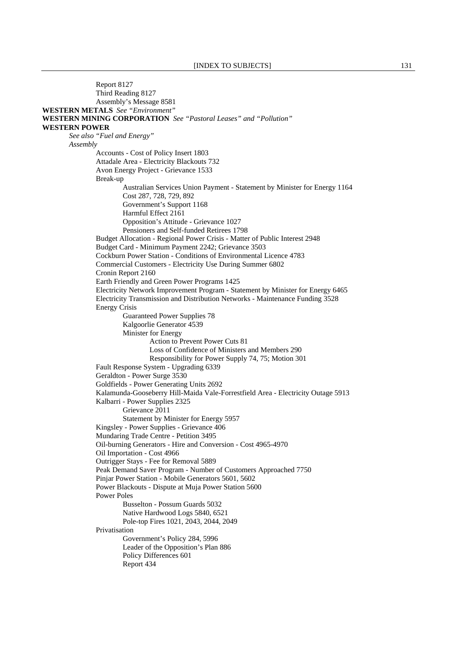Report 8127 Third Reading 8127 Assembly's Message 8581 **WESTERN METALS** *See "Environment"*  **WESTERN MINING CORPORATION** *See "Pastoral Leases" and "Pollution"*  **WESTERN POWER** *See also "Fuel and Energy" Assembly* Accounts - Cost of Policy Insert 1803 Attadale Area - Electricity Blackouts 732 Avon Energy Project - Grievance 1533 Break-up Australian Services Union Payment - Statement by Minister for Energy 1164 Cost 287, 728, 729, 892 Government's Support 1168 Harmful Effect 2161 Opposition's Attitude - Grievance 1027 Pensioners and Self-funded Retirees 1798 Budget Allocation - Regional Power Crisis - Matter of Public Interest 2948 Budget Card - Minimum Payment 2242; Grievance 3503 Cockburn Power Station - Conditions of Environmental Licence 4783 Commercial Customers - Electricity Use During Summer 6802 Cronin Report 2160 Earth Friendly and Green Power Programs 1425 Electricity Network Improvement Program - Statement by Minister for Energy 6465 Electricity Transmission and Distribution Networks - Maintenance Funding 3528 Energy Crisis Guaranteed Power Supplies 78 Kalgoorlie Generator 4539 Minister for Energy Action to Prevent Power Cuts 81 Loss of Confidence of Ministers and Members 290 Responsibility for Power Supply 74, 75; Motion 301 Fault Response System - Upgrading 6339 Geraldton - Power Surge 3530 Goldfields - Power Generating Units 2692 Kalamunda-Gooseberry Hill-Maida Vale-Forrestfield Area - Electricity Outage 5913 Kalbarri - Power Supplies 2325 Grievance 2011 Statement by Minister for Energy 5957 Kingsley - Power Supplies - Grievance 406 Mundaring Trade Centre - Petition 3495 Oil-burning Generators - Hire and Conversion - Cost 4965-4970 Oil Importation - Cost 4966 Outrigger Stays - Fee for Removal 5889 Peak Demand Saver Program - Number of Customers Approached 7750 Pinjar Power Station - Mobile Generators 5601, 5602 Power Blackouts - Dispute at Muja Power Station 5600 Power Poles Busselton - Possum Guards 5032 Native Hardwood Logs 5840, 6521 Pole-top Fires 1021, 2043, 2044, 2049 Privatisation Government's Policy 284, 5996 Leader of the Opposition's Plan 886 Policy Differences 601 Report 434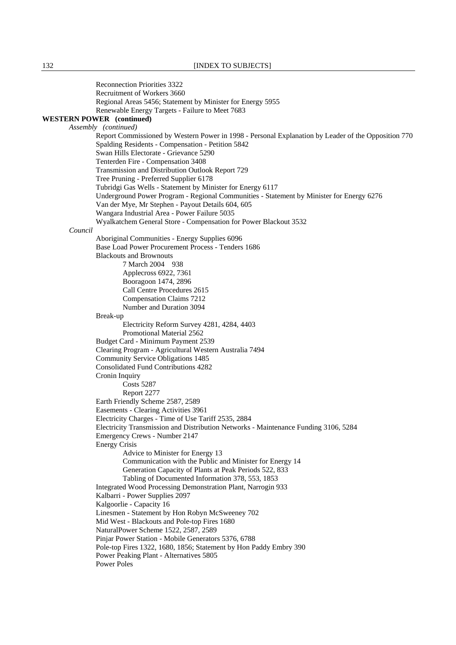|                                                          | <b>Reconnection Priorities 3322</b><br>Recruitment of Workers 3660                                                                                     |  |  |  |
|----------------------------------------------------------|--------------------------------------------------------------------------------------------------------------------------------------------------------|--|--|--|
|                                                          | Regional Areas 5456; Statement by Minister for Energy 5955                                                                                             |  |  |  |
|                                                          | Renewable Energy Targets - Failure to Meet 7683                                                                                                        |  |  |  |
| <b>WESTERN POWER</b> (continued)<br>Assembly (continued) |                                                                                                                                                        |  |  |  |
|                                                          | Report Commissioned by Western Power in 1998 - Personal Explanation by Leader of the Opposition 770                                                    |  |  |  |
|                                                          | Spalding Residents - Compensation - Petition 5842                                                                                                      |  |  |  |
|                                                          | Swan Hills Electorate - Grievance 5290                                                                                                                 |  |  |  |
|                                                          | Tenterden Fire - Compensation 3408                                                                                                                     |  |  |  |
|                                                          | Transmission and Distribution Outlook Report 729                                                                                                       |  |  |  |
|                                                          | Tree Pruning - Preferred Supplier 6178                                                                                                                 |  |  |  |
|                                                          | Tubridgi Gas Wells - Statement by Minister for Energy 6117<br>Underground Power Program - Regional Communities - Statement by Minister for Energy 6276 |  |  |  |
|                                                          | Van der Mye, Mr Stephen - Payout Details 604, 605                                                                                                      |  |  |  |
|                                                          | Wangara Industrial Area - Power Failure 5035                                                                                                           |  |  |  |
|                                                          | Wyalkatchem General Store - Compensation for Power Blackout 3532                                                                                       |  |  |  |
| Council                                                  |                                                                                                                                                        |  |  |  |
|                                                          | Aboriginal Communities - Energy Supplies 6096                                                                                                          |  |  |  |
|                                                          | Base Load Power Procurement Process - Tenders 1686                                                                                                     |  |  |  |
|                                                          | <b>Blackouts and Brownouts</b><br>7 March 2004 938                                                                                                     |  |  |  |
|                                                          | Applecross 6922, 7361                                                                                                                                  |  |  |  |
|                                                          | Booragoon 1474, 2896                                                                                                                                   |  |  |  |
|                                                          | Call Centre Procedures 2615                                                                                                                            |  |  |  |
|                                                          | <b>Compensation Claims 7212</b>                                                                                                                        |  |  |  |
|                                                          | Number and Duration 3094                                                                                                                               |  |  |  |
|                                                          | Break-up                                                                                                                                               |  |  |  |
|                                                          | Electricity Reform Survey 4281, 4284, 4403<br>Promotional Material 2562                                                                                |  |  |  |
|                                                          | Budget Card - Minimum Payment 2539                                                                                                                     |  |  |  |
|                                                          | Clearing Program - Agricultural Western Australia 7494                                                                                                 |  |  |  |
|                                                          | <b>Community Service Obligations 1485</b>                                                                                                              |  |  |  |
|                                                          | <b>Consolidated Fund Contributions 4282</b>                                                                                                            |  |  |  |
|                                                          | Cronin Inquiry                                                                                                                                         |  |  |  |
|                                                          | <b>Costs 5287</b>                                                                                                                                      |  |  |  |
|                                                          | Report 2277<br>Earth Friendly Scheme 2587, 2589                                                                                                        |  |  |  |
|                                                          | Easements - Clearing Activities 3961                                                                                                                   |  |  |  |
|                                                          | Electricity Charges - Time of Use Tariff 2535, 2884                                                                                                    |  |  |  |
|                                                          | Electricity Transmission and Distribution Networks - Maintenance Funding 3106, 5284                                                                    |  |  |  |
|                                                          | Emergency Crews - Number 2147                                                                                                                          |  |  |  |
|                                                          | <b>Energy Crisis</b>                                                                                                                                   |  |  |  |
|                                                          | Advice to Minister for Energy 13                                                                                                                       |  |  |  |
|                                                          | Communication with the Public and Minister for Energy 14<br>Generation Capacity of Plants at Peak Periods 522, 833                                     |  |  |  |
|                                                          | Tabling of Documented Information 378, 553, 1853                                                                                                       |  |  |  |
|                                                          | Integrated Wood Processing Demonstration Plant, Narrogin 933                                                                                           |  |  |  |
|                                                          | Kalbarri - Power Supplies 2097                                                                                                                         |  |  |  |
|                                                          | Kalgoorlie - Capacity 16                                                                                                                               |  |  |  |
|                                                          | Linesmen - Statement by Hon Robyn McSweeney 702                                                                                                        |  |  |  |
|                                                          | Mid West - Blackouts and Pole-top Fires 1680                                                                                                           |  |  |  |
|                                                          | NaturalPower Scheme 1522, 2587, 2589                                                                                                                   |  |  |  |
|                                                          | Pinjar Power Station - Mobile Generators 5376, 6788<br>Pole-top Fires 1322, 1680, 1856; Statement by Hon Paddy Embry 390                               |  |  |  |
|                                                          | Power Peaking Plant - Alternatives 5805                                                                                                                |  |  |  |
|                                                          | Power Poles                                                                                                                                            |  |  |  |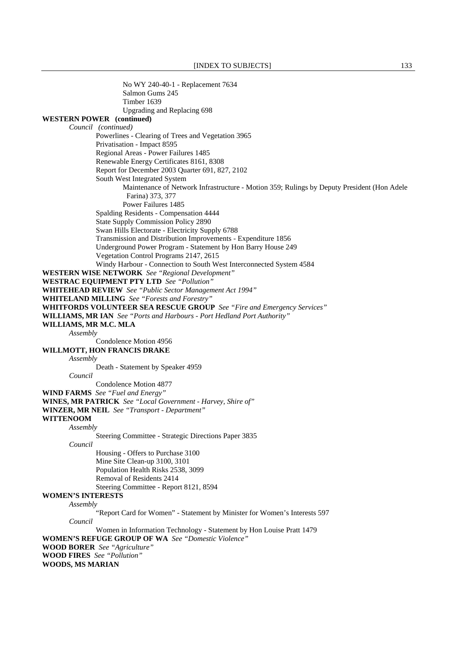No WY 240-40-1 - Replacement 7634 Salmon Gums 245 Timber 1639 Upgrading and Replacing 698 **WESTERN POWER (continued)**  *Council (continued)*  Powerlines - Clearing of Trees and Vegetation 3965 Privatisation - Impact 8595 Regional Areas - Power Failures 1485 Renewable Energy Certificates 8161, 8308 Report for December 2003 Quarter 691, 827, 2102 South West Integrated System Maintenance of Network Infrastructure - Motion 359; Rulings by Deputy President (Hon Adele Farina) 373, 377 Power Failures 1485 Spalding Residents - Compensation 4444 State Supply Commission Policy 2890 Swan Hills Electorate - Electricity Supply 6788 Transmission and Distribution Improvements - Expenditure 1856 Underground Power Program - Statement by Hon Barry House 249 Vegetation Control Programs 2147, 2615 Windy Harbour - Connection to South West Interconnected System 4584 **WESTERN WISE NETWORK** *See "Regional Development"*  **WESTRAC EQUIPMENT PTY LTD** *See "Pollution"*  **WHITEHEAD REVIEW** *See "Public Sector Management Act 1994"*  **WHITELAND MILLING** *See "Forests and Forestry"*  **WHITFORDS VOLUNTEER SEA RESCUE GROUP** *See "Fire and Emergency Services"*  **WILLIAMS, MR IAN** *See "Ports and Harbours - Port Hedland Port Authority"*  **WILLIAMS, MR M.C. MLA** *Assembly* Condolence Motion 4956 **WILLMOTT, HON FRANCIS DRAKE** *Assembly* Death - Statement by Speaker 4959 *Council* Condolence Motion 4877 **WIND FARMS** *See "Fuel and Energy"*  **WINES, MR PATRICK** *See "Local Government - Harvey, Shire of"*  **WINZER, MR NEIL** *See "Transport - Department"*  **WITTENOOM** *Assembly* Steering Committee - Strategic Directions Paper 3835 *Council* Housing - Offers to Purchase 3100 Mine Site Clean-up 3100, 3101 Population Health Risks 2538, 3099 Removal of Residents 2414 Steering Committee - Report 8121, 8594 **WOMEN'S INTERESTS** *Assembly* "Report Card for Women" - Statement by Minister for Women's Interests 597 *Council* Women in Information Technology - Statement by Hon Louise Pratt 1479 **WOMEN'S REFUGE GROUP OF WA** *See "Domestic Violence"*  **WOOD BORER** *See "Agriculture"*  **WOOD FIRES** *See "Pollution"*  **WOODS, MS MARIAN**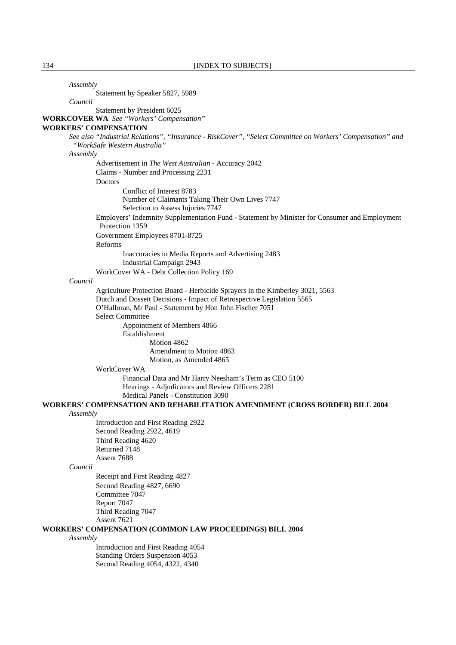*Assembly*

*Council*

Statement by Speaker 5827, 5989

Statement by President 6025

**WORKCOVER WA** *See "Workers' Compensation"* 

### **WORKERS' COMPENSATION**

*See also "Industrial Relations", "Insurance - RiskCover", "Select Committee on Workers' Compensation" and "WorkSafe Western Australia"* 

#### *Assembly*

 Advertisement in *The West Australian* - Accuracy 2042 Claims - Number and Processing 2231

#### **Doctors**

 Conflict of Interest 8783 Number of Claimants Taking Their Own Lives 7747 Selection to Assess Injuries 7747 Employers' Indemnity Supplementation Fund - Statement by Minister for Consumer and Employment Protection 1359 Government Employees 8701-8725 Reforms Inaccuracies in Media Reports and Advertising 2483 Industrial Campaign 2943

WorkCover WA - Debt Collection Policy 169

#### *Council*

 Agriculture Protection Board - Herbicide Sprayers in the Kimberley 3021, 5563 Dutch and Dossett Decisions - Impact of Retrospective Legislation 5565 O'Halloran, Mr Paul - Statement by Hon John Fischer 7051 Select Committee Appointment of Members 4866 Establishment Motion 4862 Amendment to Motion 4863 Motion, as Amended 4865

### WorkCover WA

 Financial Data and Mr Harry Neesham's Term as CEO 5100 Hearings - Adjudicators and Review Officers 2281 Medical Panels - Constitution 3090

**WORKERS' COMPENSATION AND REHABILITATION AMENDMENT (CROSS BORDER) BILL 2004**

### *Assembly*

 Introduction and First Reading 2922 Second Reading 2922, 4619 Third Reading 4620 Returned 7148 Assent 7688

### *Council*

 Receipt and First Reading 4827 Second Reading 4827, 6690 Committee 7047 Report 7047 Third Reading 7047 Assent 7621

### **WORKERS' COMPENSATION (COMMON LAW PROCEEDINGS) BILL 2004**

#### *Assembly*

 Introduction and First Reading 4054 Standing Orders Suspension 4053 Second Reading 4054, 4322, 4340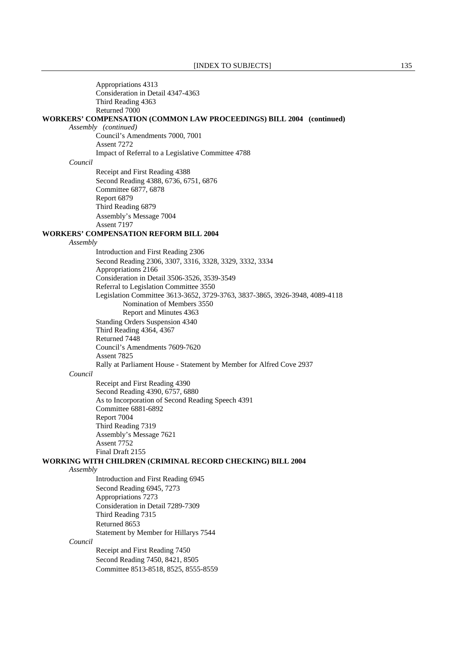Appropriations 4313 Consideration in Detail 4347-4363 Third Reading 4363 Returned 7000 **WORKERS' COMPENSATION (COMMON LAW PROCEEDINGS) BILL 2004 (continued)** *Assembly (continued)* Council's Amendments 7000, 7001 Assent 7272 Impact of Referral to a Legislative Committee 4788 *Council* Receipt and First Reading 4388 Second Reading 4388, 6736, 6751, 6876 Committee 6877, 6878 Report 6879 Third Reading 6879 Assembly's Message 7004 Assent 7197 **WORKERS' COMPENSATION REFORM BILL 2004** *Assembly* Introduction and First Reading 2306 Second Reading 2306, 3307, 3316, 3328, 3329, 3332, 3334 Appropriations 2166 Consideration in Detail 3506-3526, 3539-3549 Referral to Legislation Committee 3550 Legislation Committee 3613-3652, 3729-3763, 3837-3865, 3926-3948, 4089-4118 Nomination of Members 3550 Report and Minutes 4363 Standing Orders Suspension 4340 Third Reading 4364, 4367 Returned 7448 Council's Amendments 7609-7620 Assent 7825 Rally at Parliament House - Statement by Member for Alfred Cove 2937 *Council* Receipt and First Reading 4390 Second Reading 4390, 6757, 6880 As to Incorporation of Second Reading Speech 4391 Committee 6881-6892 Report 7004 Third Reading 7319 Assembly's Message 7621 Assent 7752 Final Draft 2155 **WORKING WITH CHILDREN (CRIMINAL RECORD CHECKING) BILL 2004** *Assembly* Introduction and First Reading 6945 Second Reading 6945, 7273 Appropriations 7273 Consideration in Detail 7289-7309 Third Reading 7315 Returned 8653 Statement by Member for Hillarys 7544 *Council* Receipt and First Reading 7450 Second Reading 7450, 8421, 8505 Committee 8513-8518, 8525, 8555-8559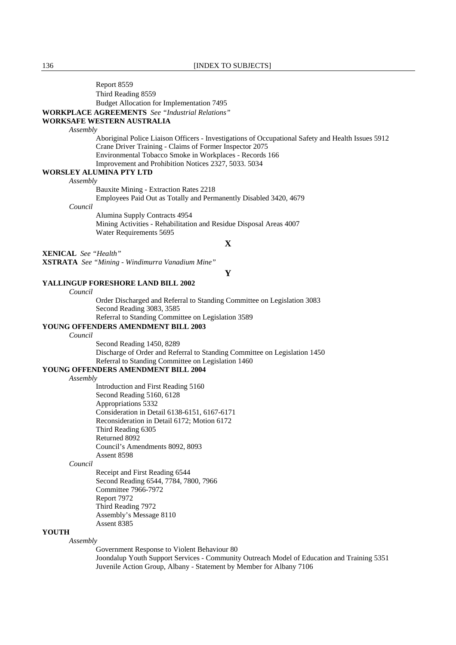Assent 8385

# **YOUTH**

### *Assembly*

 Government Response to Violent Behaviour 80 Joondalup Youth Support Services - Community Outreach Model of Education and Training 5351 Juvenile Action Group, Albany - Statement by Member for Albany 7106